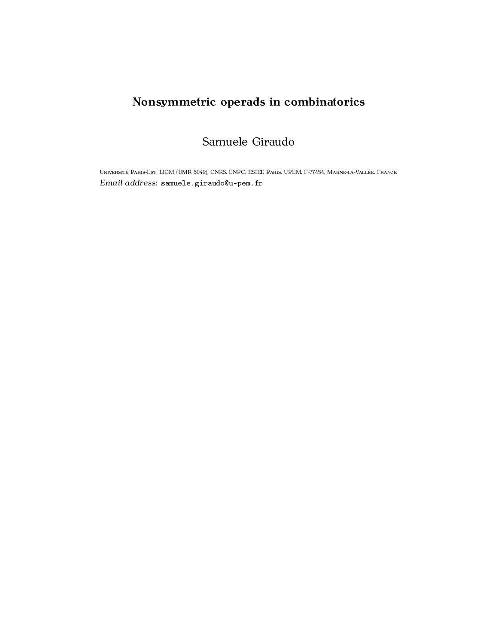# **Nonsymmetric operads in combinatorics**

# Samuele Giraudo

UNIVERSITÉ PARIS-EST, LIGM (UMR 8049), CNRS, ENPC, ESIEE PARIS, UPEM, F-77454, MARNE-LA-VALLÉE, FRANCE *Email address*: samuele.giraudo@u-pem.fr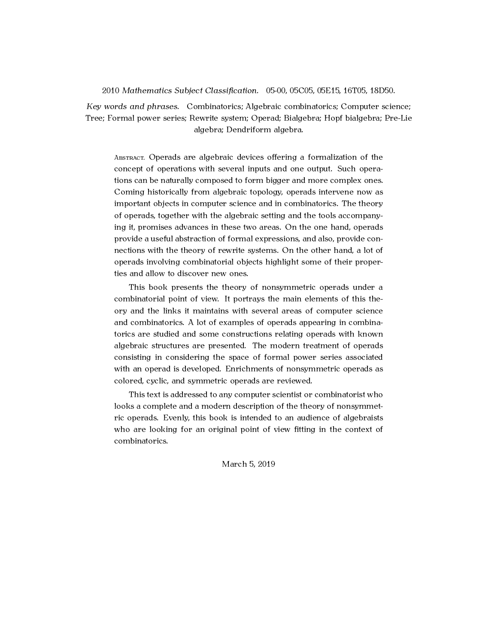2010 *Mathematics Subject Classification.* 05-00, 05C05, 05E15, 16T05, 18D50.

*Key words and phrases.* Combinatorics; Algebraic combinatorics; Computer science; Tree; Formal power series; Rewrite system; Operad; Bialgebra; Hopf bialgebra; Pre-Lie algebra; Dendriform algebra.

ABSTRACT. Operads are algebraic devices offering a formalization of the concept of operations with several inputs and one output. Such operations can be naturally composed to form bigger and more complex ones. Coming historically from algebraic topology, operads intervene now as important objects in computer science and in combinatorics. The theory of operads, together with the algebraic setting and the tools accompanying it, promises advances in these two areas. On the one hand, operads provide a useful abstraction of formal expressions, and also, provide connections with the theory of rewrite systems. On the other hand, a lot of operads involving combinatorial objects highlight some of their properties and allow to discover new ones.

This book presents the theory of nonsymmetric operads under a combinatorial point of view. It portrays the main elements of this theory and the links it maintains with several areas of computer science and combinatorics. A lot of examples of operads appearing in combinatorics are studied and some constructions relating operads with known algebraic structures are presented. The modern treatment of operads consisting in considering the space of formal power series associated with an operad is developed. Enrichments of nonsymmetric operads as colored, cyclic, and symmetric operads are reviewed.

This text is addressed to any computer scientist or combinatorist who looks a complete and a modern description of the theory of nonsymmetric operads. Evenly, this book is intended to an audience of algebraists who are looking for an original point of view fitting in the context of combinatorics.

March 5, 2019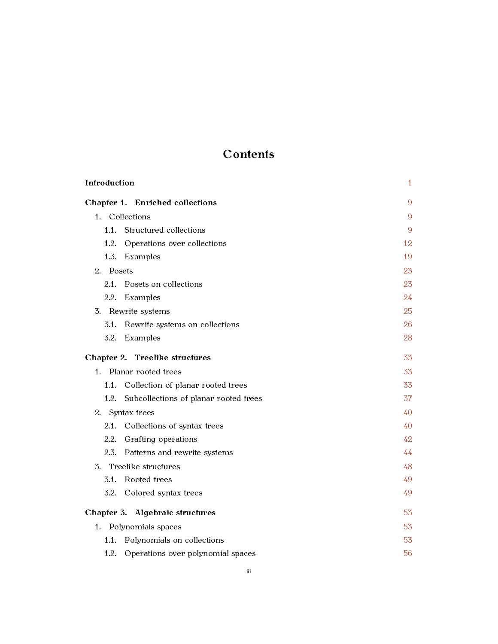# **Contents**

| Introduction<br>1                             |    |  |
|-----------------------------------------------|----|--|
| Chapter 1. Enriched collections               | 9  |  |
| 1. Collections                                | 9  |  |
| 1.1.<br>Structured collections                | 9  |  |
| 1.2.<br>Operations over collections           | 12 |  |
| 1.3.<br>Examples                              | 19 |  |
| 2. Posets                                     | 23 |  |
| 2.1.<br>Posets on collections                 | 23 |  |
| 2.2.<br>Examples                              | 24 |  |
| Rewrite systems<br>3.                         | 25 |  |
| 3.1.<br>Rewrite systems on collections        | 26 |  |
| 3.2.<br>Examples                              | 28 |  |
| <b>Chapter 2. Treelike structures</b>         | 33 |  |
| Planar rooted trees<br>$1_{\cdot}$            | 33 |  |
| 1.1.<br>Collection of planar rooted trees     | 33 |  |
| 1.2.<br>Subcollections of planar rooted trees | 37 |  |
| 2. Syntax trees                               | 40 |  |
| 2.1.<br>Collections of syntax trees           | 40 |  |
| 2.2.<br>Grafting operations                   | 42 |  |
| 2.3.<br>Patterns and rewrite systems          | 44 |  |
| Treelike structures<br>3.                     | 48 |  |
| 3.1.<br>Rooted trees                          | 49 |  |
| 3.2.<br>Colored syntax trees                  | 49 |  |
| Chapter 3. Algebraic structures               | 53 |  |
| Polynomials spaces<br>1.                      | 53 |  |
| 1.1.<br>Polynomials on collections            | 53 |  |
| Operations over polynomial spaces<br>1.2.     | 56 |  |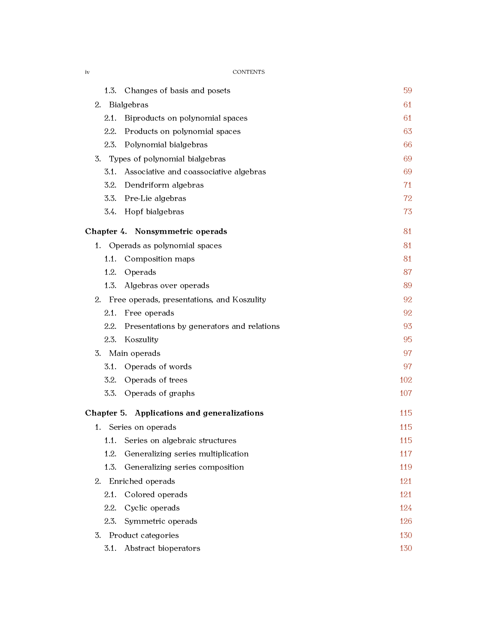| iv   | <b>CONTENTS</b>                               |     |
|------|-----------------------------------------------|-----|
| 1.3. | Changes of basis and posets                   | 59  |
| 2.   | Bialgebras                                    | 61  |
| 2.1. | Biproducts on polynomial spaces               | 61  |
| 2.2. | Products on polynomial spaces                 | 63  |
| 2.3. | Polynomial bialgebras                         | 66  |
| 3.   | Types of polynomial bialgebras                | 69  |
| 3.1. | Associative and coassociative algebras        | 69  |
| 3.2. | Dendriform algebras                           | 71  |
| 3.3. | Pre-Lie algebras                              | 72  |
|      | 3.4. Hopf bialgebras                          | 73  |
|      | Chapter 4. Nonsymmetric operads               | 81  |
|      | 1. Operads as polynomial spaces               | 81  |
| 1.1. | Composition maps                              | 81  |
| 1.2. | Operads                                       | 87  |
| 1.3. | Algebras over operads                         | 89  |
|      | 2. Free operads, presentations, and Koszulity | 92  |
| 2.1. | Free operads                                  | 92  |
| 2.2. | Presentations by generators and relations     | 93  |
| 2.3. | Koszulity                                     | 95  |
|      | 3. Main operads                               | 97  |
| 3.1. | Operads of words                              | 97  |
| 3.2. | Operads of trees                              | 102 |
| 3.3. | Operads of graphs                             | 107 |
|      | Chapter 5. Applications and generalizations   | 115 |
|      | 1. Series on operads                          | 115 |
| 1.1. | Series on algebraic structures                | 115 |
| 1.2. | Generalizing series multiplication            | 117 |
| 1.3. | Generalizing series composition               | 119 |
| 2.   | Enriched operads                              | 121 |
| 2.1. | Colored operads                               | 121 |
| 2.2. | Cyclic operads                                | 124 |
| 2.3. | Symmetric operads                             | 126 |
| 3.   | Product categories                            | 130 |
| 3.1. | Abstract bioperators                          | 130 |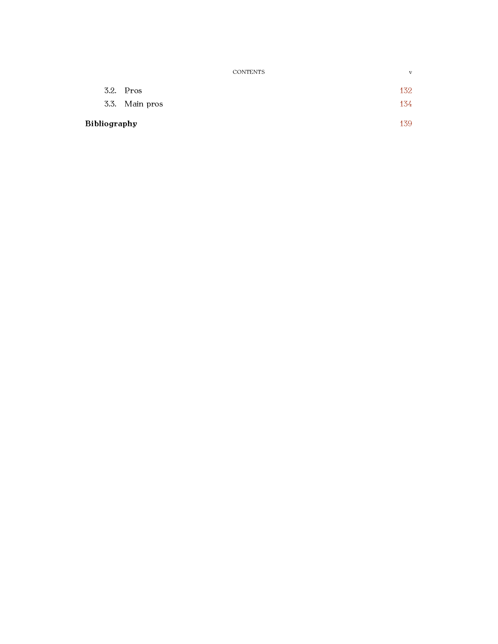|                | <b>CONTENTS</b> | v   |
|----------------|-----------------|-----|
| 3.2. Pros      |                 | 132 |
| 3.3. Main pros |                 | 134 |
| Bibliography   |                 | 139 |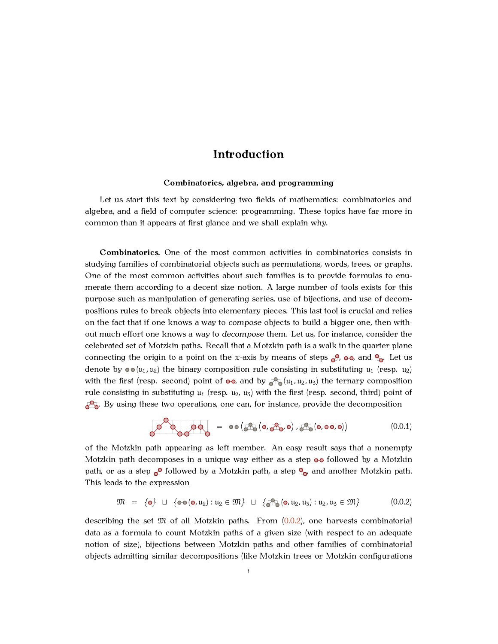# **Introduction**

# **Combinatorics, algebra, and programming**

<span id="page-6-0"></span>Let us start this text by considering two fields of mathematics: combinatorics and algebra, and a field of computer science: programming. These topics have far more in common than it appears at first glance and we shall explain why.

**Combinatorics.** One of the most common activities in combinatorics consists in studying families of combinatorial objects such as permutations, words, trees, or graphs. One of the most common activities about such families is to provide formulas to enumerate them according to a decent size notion. A large number of tools exists for this purpose such as manipulation of generating series, use of bijections, and use of decompositions rules to break objects into elementary pieces. This last tool is crucial and relies on the fact that if one knows a way to *compose* objects to build a bigger one, then without much effort one knows a way to *decompose* them. Let us, for instance, consider the celebrated set of Motzkin paths. Recall that a Motzkin path is a walk in the quarter plane connecting the origin to a point on the *x*-axis by means of steps  $\delta$ ,  $\bullet \bullet$ , and  $\delta$ , Let us denote by  $\bullet \bullet (u_1, u_2)$  the binary composition rule consisting in substituting  $u_1$  (resp.  $u_2$ ) with the first (resp. second) point of  $\circ \circ$ , and by  $\mathbb{R}$  ( $\mathfrak{u}_1, \mathfrak{u}_2, \mathfrak{u}_3$ ) the ternary composition rule consisting in substituting  $u_1$  (resp.  $u_2$ ,  $u_3$ ) with the first (resp. second, third) point of  $\mathbb{R}^2$ . By using these two operations, one can, for instance, provide the decomposition

$$
\mathcal{O}(\mathbf{Q}_{\mathbf{Q}(\mathbf{Q})}) = \mathbf{O}(\mathcal{E}_{\mathbf{Q}}^{\mathbf{Q}}(\mathbf{0}, \mathcal{E}_{\mathbf{Q}}^{\mathbf{Q}}, \mathbf{0}), \mathcal{E}_{\mathbf{Q}}^{\mathbf{Q}}(\mathbf{0}, \mathbf{O}(\mathbf{0}, \mathbf{0}))
$$
(0.0.1)

of the Motzkin path appearing as left member. An easy result says that a nonempty Motzkin path decomposes in a unique way either as a step  $\bullet\bullet$  followed by a Motzkin path, or as a step  $\mathcal{S}^{\bullet}$  followed by a Motzkin path, a step  $\mathcal{S}_{\bullet}$ , and another Motzkin path. This leads to the expression

<span id="page-6-1"></span>
$$
\mathfrak{M} = \{\mathbf{0}\} \sqcup \{\mathbf{0}\}\mathbf{0},\mathbf{u}_2\} : \mathbf{u}_2 \in \mathfrak{M}\} \sqcup \{\mathbf{0},\mathbf{u}_2,\mathbf{u}_3\} : \mathbf{u}_2,\mathbf{u}_3 \in \mathfrak{M}\}
$$
(0.0.2)

describing the set  $\mathfrak M$  of all Motzkin paths. From  $(0.0.2)$ , one harvests combinatorial data as a formula to count Motzkin paths of a given size (with respect to an adequate notion of size), bijections between Motzkin paths and other families of combinatorial objects admitting similar decompositions (like Motzkin trees or Motzkin configurations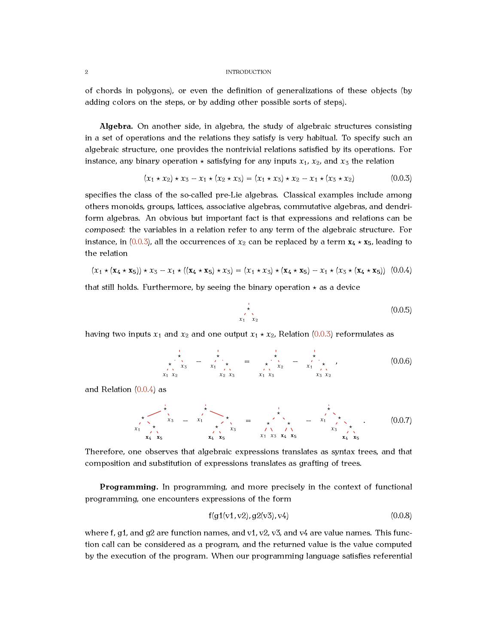### 2 INTRODUCTION

of chords in polygons), or even the definition of generalizations of these objects (by adding colors on the steps, or by adding other possible sorts of steps).

**Algebra.** On another side, in algebra, the study of algebraic structures consisting in a set of operations and the relations they satisfy is very habitual. To specify such an algebraic structure, one provides the nontrivial relations satisfied by its operations. For instance, any binary operation  $\star$  satisfying for any inputs  $x_1$ ,  $x_2$ , and  $x_3$  the relation

<span id="page-7-0"></span>
$$
(x_1 \star x_2) \star x_3 - x_1 \star (x_2 \star x_3) = (x_1 \star x_3) \star x_2 - x_1 \star (x_3 \star x_2)
$$
(0.0.3)

specifies the class of the so-called pre-Lie algebras. Classical examples include among others monoids, groups, lattices, associative algebras, commutative algebras, and dendriform algebras. An obvious but important fact is that expressions and relations can be *composed*: the variables in a relation refer to any term of the algebraic structure. For instance, in [\(0.0.3\)](#page-7-0), all the occurrences of  $x_2$  can be replaced by a term  $\mathbf{x}_4 \star \mathbf{x}_5$ , leading to the relation

<span id="page-7-1"></span>
$$
(x_1 \star (\mathbf{x}_4 \star \mathbf{x}_5)) \star x_3 - x_1 \star ((\mathbf{x}_4 \star \mathbf{x}_5) \star x_3) = (x_1 \star x_3) \star (\mathbf{x}_4 \star \mathbf{x}_5) - x_1 \star (x_3 \star (\mathbf{x}_4 \star \mathbf{x}_5)) \quad (0.0.4)
$$

that still holds. Furthermore, by seeing the binary operation  $\star$  as a device

$$
\star \tag{0.0.5}
$$

having two inputs  $x_1$  and  $x_2$  and one output  $x_1 \star x_2$ , Relation [\(0.0.3\)](#page-7-0) reformulates as

$$
\frac{1}{x_1 x_2} - \frac{1}{x_1 x_2} = \frac{1}{x_1 x_2} - \frac{1}{x_2 x_3} + \frac{1}{x_1 x_2} - \frac{1}{x_1 x_3}
$$
 (0.0.6)

and Relation  $(0.0.4)$  as

*? ? ? x*1 **x<sup>4</sup> x<sup>5</sup>** *<sup>x</sup>*<sup>3</sup> *− ? ? x ?* 1 **x<sup>4</sup> x<sup>5</sup>** *x*3 = *? ? ? x*<sup>1</sup> *x*<sup>3</sup> **x<sup>4</sup> x<sup>5</sup>** *− ? ? ? x*1 *x*3 **x<sup>4</sup> x<sup>5</sup>** *.* (0.0.7)

Therefore, one observes that algebraic expressions translates as syntax trees, and that composition and substitution of expressions translates as grafting of trees.

**Programming.** In programming, and more precisely in the context of functional programming, one encounters expressions of the form

<span id="page-7-2"></span>
$$
f(g1(v1, v2), g2(v3), v4)
$$
 (0.0.8)

where f, g1, and g2 are function names, and v1, v2, v3, and v4 are value names. This function call can be considered as a program, and the returned value is the value computed by the execution of the program. When our programming language satisfies referential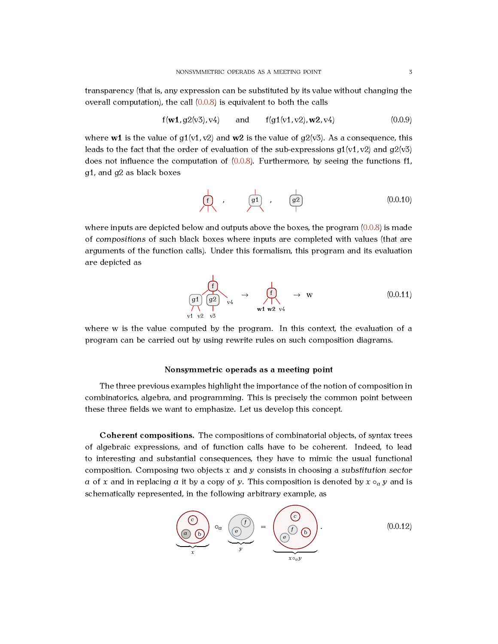transparency (that is, any expression can be substituted by its value without changing the overall computation), the call  $(0.0.8)$  is equivalent to both the calls

$$
f(w1, g2(v3), v4)
$$
 and  $f(g1(v1, v2), w2, v4)$  (0.0.9)

where **w1** is the value of  $g1(v1, v2)$  and **w2** is the value of  $g2(v3)$ . As a consequence, this leads to the fact that the order of evaluation of the sub-expressions  $g1(v1,v2)$  and  $g2(v3)$ does not influence the computation of  $(0.0.8)$ . Furthermore, by seeing the functions f1, g1, and g2 as black boxes

$$
\begin{array}{|c|c|c|c|}\n\hline\n\end{array}
$$
, 
$$
\begin{array}{|c|c|}\n\hline\n\end{array}
$$
, 
$$
\begin{array}{|c|c|}\n\hline\n\end{array}
$$
, 
$$
\begin{array}{|c|c|}\n\hline\n\end{array}
$$
 (0.0.10)

where inputs are depicted below and outputs above the boxes, the program  $(0.0.8)$  is made of *compositions* of such black boxes where inputs are completed with values (that are arguments of the function calls). Under this formalism, this program and its evaluation are depicted as

 $\mathbf{r}$ 

f v4 g1 v1 v2 g2 v3 *→* f **w1 w2** v4 *→* w (0.0.11)

where w is the value computed by the program. In this context, the evaluation of a program can be carried out by using rewrite rules on such composition diagrams.

# **Nonsymmetric operads as a meeting point**

The three previous examples highlight the importance of the notion of composition in combinatorics, algebra, and programming. This is precisely the common point between these three fields we want to emphasize. Let us develop this concept.

**Coherent compositions.** The compositions of combinatorial objects, of syntax trees of algebraic expressions, and of function calls have to be coherent. Indeed, to lead to interesting and substantial consequences, they have to mimic the usual functional composition. Composing two objects *x* and *y* consists in choosing a *substitution sector a* of *x* and in replacing *a* it by a copy of *y*. This composition is denoted by  $x \circ_q y$  and is schematically represented, in the following arbitrary example, as

$$
\underbrace{\begin{pmatrix} 0 \\ 0 \\ 0 \end{pmatrix}}_{x} o_{a} \underbrace{\begin{pmatrix} 0 \\ 0 \\ 0 \end{pmatrix}}_{y} = \underbrace{\begin{pmatrix} 0 \\ 0 \\ 0 \end{pmatrix}}_{x o_{a} y}.
$$
\n(0.0.12)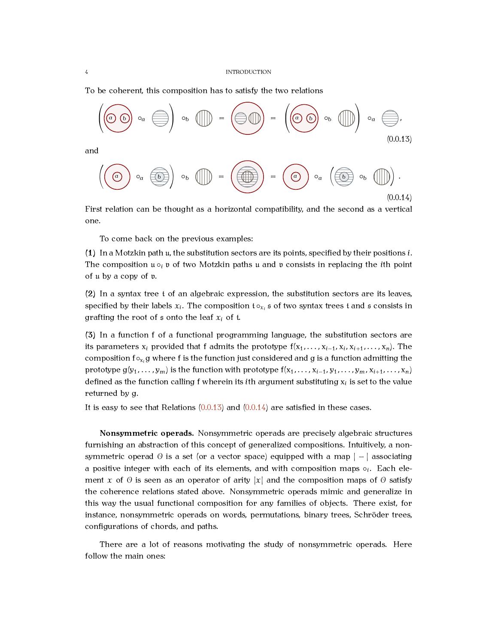## 4 INTRODUCTION

To be coherent, this composition has to satisfy the two relations

<span id="page-9-0"></span> *<sup>a</sup> <sup>b</sup> ◦<sup>a</sup> ◦<sup>b</sup>* = = *<sup>a</sup> <sup>b</sup> ◦<sup>b</sup> ◦<sup>a</sup> ,* (0.0.13) and *<sup>a</sup> ◦<sup>a</sup> <sup>b</sup>* ! *◦<sup>b</sup>* = = *<sup>a</sup> ◦<sup>a</sup> <sup>b</sup> ◦<sup>b</sup> .* (0.0.14)

<span id="page-9-1"></span>First relation can be thought as a horizontal compatibility, and the second as a vertical one.

To come back on the previous examples:

**(1)** In a Motzkin path u, the substitution sectors are its points, specified by their positions *i*. The composition u *◦<sup>i</sup>* v of two Motzkin paths u and v consists in replacing the *i*th point of u by a copy of v.

**(2)** In a syntax tree t of an algebraic expression, the substitution sectors are its leaves, specified by their labels *x<sup>i</sup>* . The composition t *◦<sup>x</sup><sup>i</sup>* s of two syntax trees t and s consists in grafting the root of  $\epsilon$  onto the leaf  $x_i$  of  $\epsilon$ .

**(3)** In a function f of a functional programming language, the substitution sectors are its parameters  $x_i$  provided that f admits the prototype  $f(x_1, \ldots, x_{i-1}, x_i, x_{i+1}, \ldots, x_n)$ . The composition f*◦*<sup>x</sup>*<sup>i</sup>* g where f is the function just considered and g is a function admitting the prototype  $g(y_1, \ldots, y_m)$  is the function with prototype  $f(x_1, \ldots, x_{i-1}, y_1, \ldots, y_m, x_{i+1}, \ldots, x_n)$ defined as the function calling f wherein its *i*th argument substituting x*<sup>i</sup>* is set to the value returned by g.

It is easy to see that Relations  $(0.0.13)$  and  $(0.0.14)$  are satisfied in these cases.

**Nonsymmetric operads.** Nonsymmetric operads are precisely algebraic structures furnishing an abstraction of this concept of generalized compositions. Intuitively, a nonsymmetric operad *O* is a set (or a vector space) equipped with a map *| − |* associating a positive integer with each of its elements, and with composition maps *◦<sup>i</sup>* . Each element *x* of  $\Theta$  is seen as an operator of arity |x| and the composition maps of  $\Theta$  satisfy the coherence relations stated above. Nonsymmetric operads mimic and generalize in this way the usual functional composition for any families of objects. There exist, for instance, nonsymmetric operads on words, permutations, binary trees, Schröder trees, configurations of chords, and paths.

There are a lot of reasons motivating the study of nonsymmetric operads. Here follow the main ones: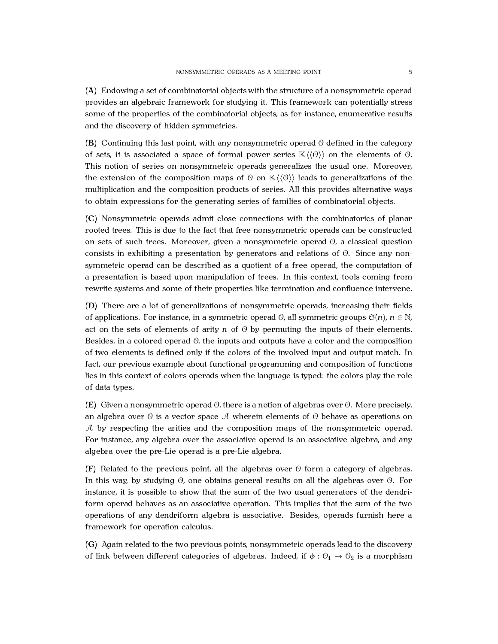**(A)** Endowing a set of combinatorial objects with the structure of a nonsymmetric operad provides an algebraic framework for studying it. This framework can potentially stress some of the properties of the combinatorial objects, as for instance, enumerative results and the discovery of hidden symmetries.

**(B)** Continuing this last point, with any nonsymmetric operad *O* defined in the category of sets, it is associated a space of formal power series  $\mathbb{K}\langle\langle 0\rangle\rangle$  on the elements of  $\mathcal{O}$ . This notion of series on nonsymmetric operads generalizes the usual one. Moreover, the extension of the composition maps of  $\Theta$  on  $\mathbb{K}\langle\langle\Theta\rangle\rangle$  leads to generalizations of the multiplication and the composition products of series. All this provides alternative ways to obtain expressions for the generating series of families of combinatorial objects.

**(C)** Nonsymmetric operads admit close connections with the combinatorics of planar rooted trees. This is due to the fact that free nonsymmetric operads can be constructed on sets of such trees. Moreover, given a nonsymmetric operad *O*, a classical question consists in exhibiting a presentation by generators and relations of *O*. Since any nonsymmetric operad can be described as a quotient of a free operad, the computation of a presentation is based upon manipulation of trees. In this context, tools coming from rewrite systems and some of their properties like termination and confluence intervene.

**(D)** There are a lot of generalizations of nonsymmetric operads, increasing their fields of applications. For instance, in a symmetric operad  $\emptyset$ , all symmetric groups  $\mathfrak{S}(n)$ ,  $n \in \mathbb{N}$ , act on the sets of elements of arity *n* of *O* by permuting the inputs of their elements. Besides, in a colored operad *O*, the inputs and outputs have a color and the composition of two elements is defined only if the colors of the involved input and output match. In fact, our previous example about functional programming and composition of functions lies in this context of colors operads when the language is typed: the colors play the role of data types.

**(E)** Given a nonsymmetric operad *O*, there is a notion of algebras over *O*. More precisely, an algebra over *O* is a vector space *A* wherein elements of *O* behave as operations on *A* by respecting the arities and the composition maps of the nonsymmetric operad. For instance, any algebra over the associative operad is an associative algebra, and any algebra over the pre-Lie operad is a pre-Lie algebra.

**(F)** Related to the previous point, all the algebras over *O* form a category of algebras. In this way, by studying *O*, one obtains general results on all the algebras over *O*. For instance, it is possible to show that the sum of the two usual generators of the dendriform operad behaves as an associative operation. This implies that the sum of the two operations of any dendriform algebra is associative. Besides, operads furnish here a framework for operation calculus.

**(G)** Again related to the two previous points, nonsymmetric operads lead to the discovery of link between different categories of algebras. Indeed, if  $\phi : \mathcal{O}_1 \to \mathcal{O}_2$  is a morphism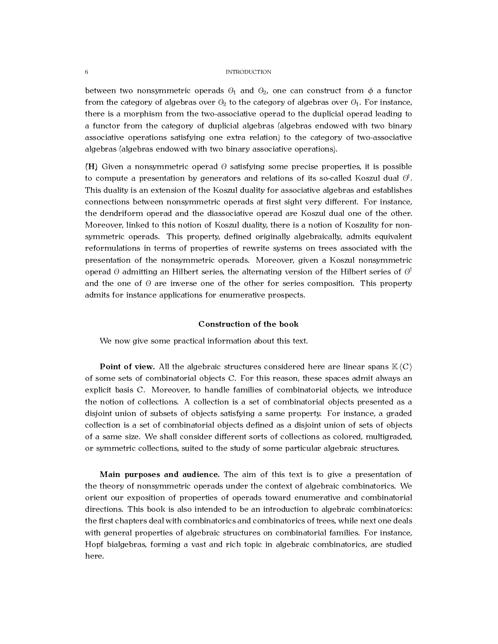### 6 INTRODUCTION

between two nonsymmetric operads  $O_1$  and  $O_2$ , one can construct from  $\phi$  a functor from the category of algebras over  $\mathcal{O}_2$  to the category of algebras over  $\mathcal{O}_1$ . For instance, there is a morphism from the two-associative operad to the duplicial operad leading to a functor from the category of duplicial algebras (algebras endowed with two binary associative operations satisfying one extra relation) to the category of two-associative algebras (algebras endowed with two binary associative operations).

**(H)** Given a nonsymmetric operad *O* satisfying some precise properties, it is possible to compute a presentation by generators and relations of its so-called Koszul dual *O* ! . This duality is an extension of the Koszul duality for associative algebras and establishes connections between nonsymmetric operads at first sight very different. For instance, the dendriform operad and the diassociative operad are Koszul dual one of the other. Moreover, linked to this notion of Koszul duality, there is a notion of Koszulity for nonsymmetric operads. This property, defined originally algebraically, admits equivalent reformulations in terms of properties of rewrite systems on trees associated with the presentation of the nonsymmetric operads. Moreover, given a Koszul nonsymmetric operad *O* admitting an Hilbert series, the alternating version of the Hilbert series of *O* ! and the one of *O* are inverse one of the other for series composition. This property admits for instance applications for enumerative prospects.

## **Construction of the book**

We now give some practical information about this text.

**Point of view.** All the algebraic structures considered here are linear spans  $K(C)$ of some sets of combinatorial objects *C*. For this reason, these spaces admit always an explicit basis *C*. Moreover, to handle families of combinatorial objects, we introduce the notion of collections. A collection is a set of combinatorial objects presented as a disjoint union of subsets of objects satisfying a same property. For instance, a graded collection is a set of combinatorial objects defined as a disjoint union of sets of objects of a same size. We shall consider different sorts of collections as colored, multigraded, or symmetric collections, suited to the study of some particular algebraic structures.

**Main purposes and audience.** The aim of this text is to give a presentation of the theory of nonsymmetric operads under the context of algebraic combinatorics. We orient our exposition of properties of operads toward enumerative and combinatorial directions. This book is also intended to be an introduction to algebraic combinatorics: the first chapters deal with combinatorics and combinatorics of trees, while next one deals with general properties of algebraic structures on combinatorial families. For instance, Hopf bialgebras, forming a vast and rich topic in algebraic combinatorics, are studied here.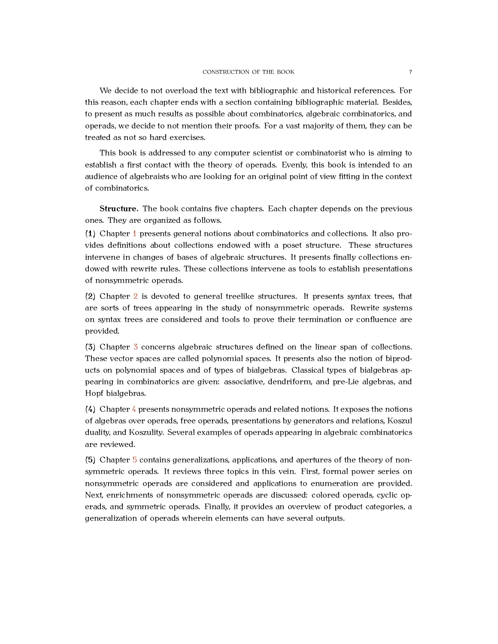We decide to not overload the text with bibliographic and historical references. For this reason, each chapter ends with a section containing bibliographic material. Besides, to present as much results as possible about combinatorics, algebraic combinatorics, and operads, we decide to not mention their proofs. For a vast majority of them, they can be treated as not so hard exercises.

This book is addressed to any computer scientist or combinatorist who is aiming to establish a first contact with the theory of operads. Evenly, this book is intended to an audience of algebraists who are looking for an original point of view fitting in the context of combinatorics.

**Structure.** The book contains five chapters. Each chapter depends on the previous ones. They are organized as follows.

**(1)** Chapter [1](#page-14-0) presents general notions about combinatorics and collections. It also provides definitions about collections endowed with a poset structure. These structures intervene in changes of bases of algebraic structures. It presents finally collections endowed with rewrite rules. These collections intervene as tools to establish presentations of nonsymmetric operads.

**(2)** Chapter [2](#page-38-0) is devoted to general treelike structures. It presents syntax trees, that are sorts of trees appearing in the study of nonsymmetric operads. Rewrite systems on syntax trees are considered and tools to prove their termination or confluence are provided.

**(3)** Chapter [3](#page-58-0) concerns algebraic structures defined on the linear span of collections. These vector spaces are called polynomial spaces. It presents also the notion of biproducts on polynomial spaces and of types of bialgebras. Classical types of bialgebras appearing in combinatorics are given: associative, dendriform, and pre-Lie algebras, and Hopf bialgebras.

**(4)** Chapter [4](#page-86-0) presents nonsymmetric operads and related notions. It exposes the notions of algebras over operads, free operads, presentations by generators and relations, Koszul duality, and Koszulity. Several examples of operads appearing in algebraic combinatorics are reviewed.

**(5)** Chapter [5](#page-122-0) contains generalizations, applications, and apertures of the theory of nonsymmetric operads. It reviews three topics in this vein. First, formal power series on nonsymmetric operads are considered and applications to enumeration are provided. Next, enrichments of nonsymmetric operads are discussed: colored operads, cyclic operads, and symmetric operads. Finally, it provides an overview of product categories, a generalization of operads wherein elements can have several outputs.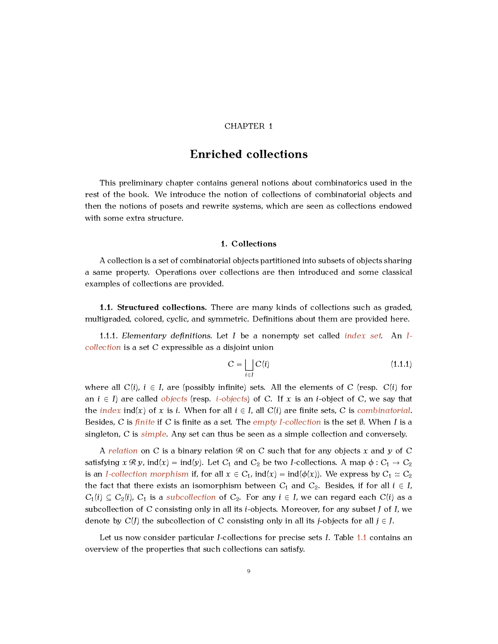# CHAPTER 1

# **Enriched collections**

<span id="page-14-0"></span>This preliminary chapter contains general notions about combinatorics used in the rest of the book. We introduce the notion of collections of combinatorial objects and then the notions of posets and rewrite systems, which are seen as collections endowed with some extra structure.

### **1. Collections**

<span id="page-14-1"></span>A collection is a set of combinatorial objects partitioned into subsets of objects sharing a same property. Operations over collections are then introduced and some classical examples of collections are provided.

<span id="page-14-2"></span>**1.1. Structured collections.** There are many kinds of collections such as graded, multigraded, colored, cyclic, and symmetric. Definitions about them are provided here.

<span id="page-14-3"></span>1.1.1. *Elementary definitions.* Let *I* be a nonempty set called *index set*. An *Icollection* is a set *C* expressible as a disjoint union

$$
C = \bigsqcup_{i \in I} C(i) \tag{1.1.1}
$$

where all  $C(i)$ ,  $i \in I$ , are (possibly infinite) sets. All the elements of C (resp.  $C(i)$  for an  $i \in I$  are called *objects* (resp. *i*-*objects*) of *C*. If *x* is an *i*-*object* of *C*, we say that the *index* ind(*x*) of *x* is *i*. When for all  $i \in I$ , all  $C(i)$  are finite sets, C is *combinatorial*. Besides, *C* is *finite* if *C* is finite as a set. The *empty I-collection* is the set *∅*. When *I* is a singleton, *C* is *simple*. Any set can thus be seen as a simple collection and conversely.

A *relation* on *C* is a binary relation *R* on *C* such that for any objects *x* and *y* of *C* satisfying  $x \mathcal{R} y$ , ind( $x$ ) = ind( $y$ ). Let  $C_1$  and  $C_2$  be two *I*-collections. A map  $\phi : C_1 \rightarrow C_2$ is an *I*-collection morphism if, for all  $x \in C_1$ ,  $ind(x) = ind(\phi(x))$ . We express by  $C_1 \simeq C_2$ the fact that there exists an isomorphism between  $C_1$  and  $C_2$ . Besides, if for all  $i \in I$ ,  $C_1(i) \subseteq C_2(i)$ ,  $C_1$  is a *subcollection* of  $C_2$ . For any  $i \in I$ , we can regard each  $C(i)$  as a subcollection of *C* consisting only in all its *i*-objects. Moreover, for any subset *J* of *I*, we denote by  $C(I)$  the subcollection of C consisting only in all its *j*-objects for all  $j \in I$ .

Let us now consider particular *I*-collections for precise sets *I*. Table [1.1](#page-15-0) contains an overview of the properties that such collections can satisfy.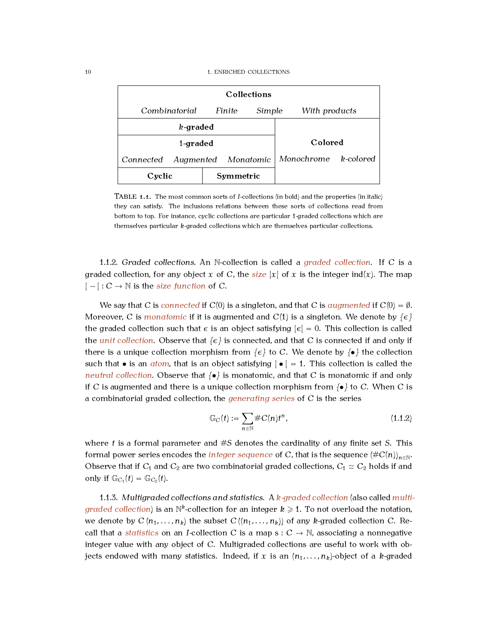| Collections                      |                  |            |               |  |
|----------------------------------|------------------|------------|---------------|--|
| Combinatorial                    | Finite           | Simple     | With products |  |
| k-graded                         |                  |            |               |  |
| 1-graded                         |                  |            | Colored       |  |
| Augmented Monatomic<br>Connected |                  | Monochrome | k-colored     |  |
| Cyclic                           | <b>Symmetric</b> |            |               |  |

<span id="page-15-0"></span>TABLE 1.1. The most common sorts of *I*-collections (in bold) and the properties (in italic) they can satisfy. The inclusions relations between these sorts of collections read from bottom to top. For instance, cyclic collections are particular 1-graded collections which are themselves particular *k*-graded collections which are themselves particular collections.

1.1.2. *Graded collections.* An N-collection is called a *graded collection*. If *C* is a graded collection, for any object x of C, the *size*  $|x|$  of x is the integer ind(x). The map *| − |* : *C →* N is the *size function* of *C*.

We say that *C* is connected if  $C(0)$  is a singleton, and that *C* is *augmented* if  $C(0) = \emptyset$ . Moreover, *C* is *monatomic* if it is augmented and *C*(1) is a singleton. We denote by *{ε}* the graded collection such that  $\epsilon$  is an object satisfying  $|\epsilon| = 0$ . This collection is called the *unit collection*. Observe that *{ε}* is connected, and that *C* is connected if and only if there is a unique collection morphism from *{ε}* to *C*. We denote by *{•}* the collection such that  $\bullet$  is an *atom*, that is an object satisfying  $|\bullet| = 1$ . This collection is called the *neutral collection*. Observe that *{•}* is monatomic, and that *C* is monatomic if and only if *C* is augmented and there is a unique collection morphism from  $\{ \bullet \}$  to *C*. When *C* is a combinatorial graded collection, the *generating series* of *C* is the series

$$
\mathbb{G}_C(t) := \sum_{n \in \mathbb{N}} \#C(n)t^n, \tag{1.1.2}
$$

where *t* is a formal parameter and #*S* denotes the cardinality of any finite set *S*. This formal power series encodes the *integer sequence* of *C,* that is the sequence  $(\#C(n))_{n\in\mathbb{N}}.$ Observe that if  $C_1$  and  $C_2$  are two combinatorial graded collections,  $C_1 \simeq C_2$  holds if and only if  $\mathbb{G}_{C_1}(t) = \mathbb{G}_{C_2}(t)$ .

1.1.3. *Multigraded collections and statistics.* A *k-graded collection* (also called *multigraded collection*) is an  $\mathbb{N}^k$ -collection for an integer  $k \geqslant 1$ . To not overload the notation, we denote by  $C(n_1, \ldots, n_k)$  the subset  $C(\langle n_1, \ldots, n_k \rangle)$  of any *k*-graded collection *C*. Recall that a *statistics* on an *I*-collection *C* is a map  $s: C \to \mathbb{N}$ , associating a nonnegative integer value with any object of *C*. Multigraded collections are useful to work with objects endowed with many statistics. Indeed, if x is an  $(n_1, \ldots, n_k)$ -object of a *k*-graded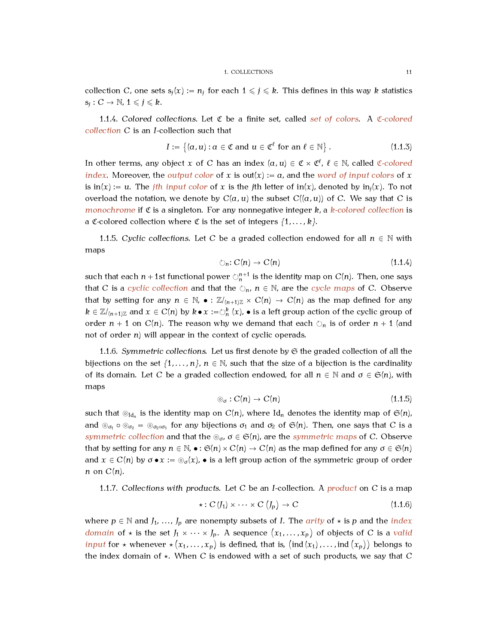collection *C*, one sets  $s_j(x) := n_j$  for each  $1 \leq j \leq k$ . This defines in this way *k* statistics  $s_j: C \to \mathbb{N}, 1 \leqslant j \leqslant k.$ 

1.1.4. *Colored collections.* Let C be a finite set, called *set of colors*. A C*-colored collection C* is an *I*-collection such that

$$
I := \{(\alpha, u) : \alpha \in \mathfrak{C} \text{ and } u \in \mathfrak{C}^{\ell} \text{ for an } \ell \in \mathbb{N}\}.
$$
 (1.1.3)

In other terms, any object *x* of *C* has an index  $(a, u) \in \mathfrak{C} \times \mathfrak{C}^{\ell}$ ,  $\ell \in \mathbb{N}$ , called  $\mathfrak{C}\text{-colored}$ *index.* Moreover, the *output color* of *x* is out(*x*) := *a*, and the *word* of *input colors* of *x* is  $\text{in}(x) := u$ . The *j*th input color of x is the *j*th letter of  $\text{in}(x)$ , denoted by  $\text{in}_i(x)$ . To not overload the notation, we denote by  $C(a, u)$  the subset  $C((a, u))$  of C. We say that C is *monochrome* if C is a singleton. For any nonnegative integer *k*, a *k-colored collection* is a  $\mathfrak{C}\text{-colored collection where } \mathfrak{C}$  is the set of integers  $\{1, \ldots, k\}.$ 

1.1.5. *Cyclic collections.* Let *C* be a graded collection endowed for all  $n \in \mathbb{N}$  with maps

$$
\circlearrowright_n:C(n)\to C(n) \tag{1.1.4}
$$

such that each  $n + 1$ st functional power  $\circlearrowright_n^{n+1}$  is the identity map on  $C(n)$ . Then, one says that *C* is a *cyclic collection* and that the  $\circlearrowright_n$ ,  $n \in \mathbb{N}$ , are the *cycle maps* of *C*. Observe that by setting for any  $n \in \mathbb{N}$ ,  $\bullet : \mathbb{Z}/_{(n+1)\mathbb{Z}} \times C(n) \rightarrow C(n)$  as the map defined for any  $k \in \mathbb{Z}/_{(n+1)\mathbb{Z}}$  and  $x \in C(n)$  by  $k \bullet x := \circlearrowright_n^k(x)$ ,  $\bullet$  is a left group action of the cyclic group of order  $n + 1$  on  $C(n)$ . The reason why we demand that each  $\circlearrowright_n$  is of order  $n + 1$  (and not of order *n*) will appear in the context of cyclic operads.

<span id="page-16-1"></span>1.1.6. *Symmetric collections.* Let us first denote by S the graded collection of all the bijections on the set  $\{1, \ldots, n\}$ ,  $n \in \mathbb{N}$ , such that the size of a bijection is the cardinality of its domain. Let *C* be a graded collection endowed, for all  $n \in \mathbb{N}$  and  $\sigma \in \mathfrak{S}(n)$ , with maps

$$
\circledcirc_{\sigma}: C(n) \to C(n) \tag{1.1.5}
$$

such that  $\odot_{Id_n}$  is the identity map on  $C(n)$ , where Id<sub>n</sub> denotes the identity map of  $\mathfrak{S}(n)$ , and  $\circledcirc_{\sigma_1} \circ \circledcirc_{\sigma_2} = \circledcirc_{\sigma_2 \circ \sigma_1}$  for any bijections  $\sigma_1$  and  $\sigma_2$  of  $\mathfrak{S}(n)$ . Then, one says that *C* is a *symmetric collection* and that the  $\mathcal{O}_\sigma$ ,  $\sigma \in \mathfrak{S}(n)$ , are the *symmetric maps* of *C*. Observe that by setting for any  $n \in \mathbb{N}$ ,  $\bullet : \mathfrak{S}(n) \times C(n) \to C(n)$  as the map defined for any  $\sigma \in \mathfrak{S}(n)$ and  $x \in C(n)$  by  $\sigma \bullet x := \bigcirc_{\sigma}(x)$ ,  $\bullet$  is a left group action of the symmetric group of order *n* on *C*(*n*).

1.1.7. *Collections with products.* Let *C* be an *I*-collection. A *product* on *C* is a map

<span id="page-16-0"></span>
$$
\star: C(J_1) \times \cdots \times C(J_p) \to C \tag{1.1.6}
$$

where  $p \in \mathbb{N}$  and  $J_1, \ldots, J_p$  are nonempty subsets of *I*. The *arity* of  $\star$  is *p* and the *index domain* of  $\star$  is the set  $J_1 \times \cdots \times J_p$ . A sequence  $(x_1, \ldots, x_p)$  of objects of *C* is a *valid input* for  $\star$  whenever  $\star$   $(x_1, ..., x_p)$  is defined, that is,  $(\text{ind}(x_1), ..., \text{ind}(x_p))$  belongs to the index domain of  $\star$ . When *C* is endowed with a set of such products, we say that *C*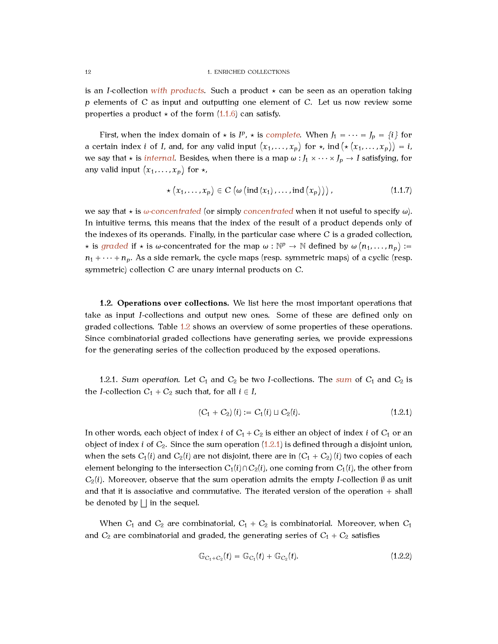is an *I*-collection *with products*. Such a product  $\star$  can be seen as an operation taking *p* elements of *C* as input and outputting one element of *C*. Let us now review some properties a product  $\star$  of the form  $(1.1.6)$  can satisfy.

First, when the index domain of  $\star$  is *I*<sup>p</sup>,  $\star$  is *complete*. When  $J_1 = \cdots = J_p = \{i\}$  for a certain index *i* of *I*, and, for any valid input  $(x_1, \ldots, x_p)$  for  $\star$ , ind  $(\star (x_1, \ldots, x_p)) = i$ , we say that  $\star$  is *internal*. Besides, when there is a map  $\omega : J_1 \times \cdots \times J_p \to I$  satisfying, for any valid input  $(x_1, \ldots, x_p)$  for  $\star$ ,

$$
\star (x_1, \ldots, x_p) \in C \left( \omega \left( \text{ind} \left( x_1 \right), \ldots, \text{ind} \left( x_p \right) \right) \right), \tag{1.1.7}
$$

we say that *?* is *ω-concentrated* (or simply *concentrated* when it not useful to specify *ω*). In intuitive terms, this means that the index of the result of a product depends only of the indexes of its operands. Finally, in the particular case where *C* is a graded collection,  $\star$  is *graded* if  $\star$  is *ω*-concentrated for the map  $\omega : \mathbb{N}^p \to \mathbb{N}$  defined by  $\omega$  $n_1, \ldots, n_p$ ם<br>, :=  $n_1 + \cdots + n_p$ . As a side remark, the cycle maps (resp. symmetric maps) of a cyclic (resp. symmetric) collection *C* are unary internal products on *C*.

<span id="page-17-0"></span>**1.2. Operations over collections.** We list here the most important operations that take as input *I*-collections and output new ones. Some of these are defined only on graded collections. Table [1.2](#page-18-0) shows an overview of some properties of these operations. Since combinatorial graded collections have generating series, we provide expressions for the generating series of the collection produced by the exposed operations.

1.2.1. *Sum operation.* Let  $C_1$  and  $C_2$  be two *I*-collections. The *sum* of  $C_1$  and  $C_2$  is the *I*-collection  $C_1 + C_2$  such that, for all  $i \in I$ ,

<span id="page-17-1"></span>
$$
(C_1 + C_2)(i) := C_1(i) \sqcup C_2(i). \qquad (1.2.1)
$$

In other words, each object of index *i* of  $C_1 + C_2$  is either an object of index *i* of  $C_1$  or an object of index *i* of *C*2. Since the sum operation [\(1.2.1\)](#page-17-1) is defined through a disjoint union, when the sets  $C_1(i)$  and  $C_2(i)$  are not disjoint, there are in  $(C_1 + C_2)(i)$  two copies of each element belonging to the intersection  $C_1(i) \cap C_2(i)$ , one coming from  $C_1(i)$ , the other from  $C_2(i)$ . Moreover, observe that the sum operation admits the empty *I*-collection  $\emptyset$  as unit and that it is associative and commutative. The iterated version of the operation + shall  $\frac{1}{2}$  be denoted by  $\Box$  in the sequel.

When  $C_1$  and  $C_2$  are combinatorial,  $C_1 + C_2$  is combinatorial. Moreover, when  $C_1$ and  $C_2$  are combinatorial and graded, the generating series of  $C_1 + C_2$  satisfies

<span id="page-17-2"></span>
$$
\mathbb{G}_{C_1+C_2}(t) = \mathbb{G}_{C_1}(t) + \mathbb{G}_{C_2}(t). \qquad (1.2.2)
$$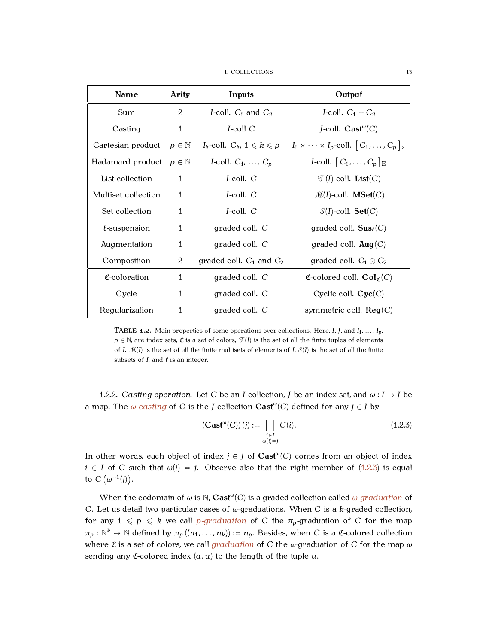1. COLLECTIONS 13

| Name                | Arity              | Inputs                                 | Output                                                              |  |
|---------------------|--------------------|----------------------------------------|---------------------------------------------------------------------|--|
| Sum                 | 2                  | <i>I</i> -coll. $C_1$ and $C_2$        | <i>I</i> -coll. $C_1 + C_2$                                         |  |
| Casting             | $\mathbf{1}$       | $I$ -coll $C$                          | <i>J</i> -coll. $\text{Cast}^{\omega}(C)$                           |  |
| Cartesian product   | $p \in \mathbb{N}$ | $I_k$ -coll. $C_k$ , $1 \leq k \leq p$ | $I_1 \times \cdots \times I_p$ -coll. $[C_1, \ldots, C_p]_{\times}$ |  |
| Hadamard product    | $p \in \mathbb{N}$ | I-coll. $C_1, \ldots, C_p$             | <i>I</i> -coll. $[C_1, \ldots, C_p]_{\boxtimes}$                    |  |
| List collection     | $\mathbf{1}$       | $I$ -coll. $C$                         | $\mathcal{T}(I)$ -coll. List $(C)$                                  |  |
| Multiset collection | $\mathbf{1}$       | $I$ -coll. $C$                         | $\mathcal{M}(I)$ -coll. <b>MSet</b> (C)                             |  |
| Set collection      | $\mathbf{1}$       | $I$ -coll. $C$                         | $S(I)$ -coll. Set $(C)$                                             |  |
| $\ell$ -suspension  | $\mathbf{1}$       | graded coll. C                         | graded coll. $\text{Sus}_{\ell}(C)$                                 |  |
| Augmentation        | $\mathbf{1}$       | graded coll. C                         | graded coll. $\text{Aug}(C)$                                        |  |
| Composition         | $\mathfrak{D}$     | graded coll. $C_1$ and $C_2$           | graded coll. $C_1 \odot C_2$                                        |  |
| C-coloration        | $\overline{1}$     | graded coll. C                         | $\mathfrak{C}\text{-colored cell.}\text{Col}_{\mathfrak{C}}(C)$     |  |
| Cycle               | 1                  | graded coll. C                         | Cyclic coll. $Cyc(C)$                                               |  |
| Regularization      | 1                  | graded coll. C                         | symmetric coll. $Reg(C)$                                            |  |

<span id="page-18-0"></span>TABLE 1.2. Main properties of some operations over collections. Here, *I*, *J*, and *I*1, . . . , *Ip*,  $p \in \mathbb{N}$ , are index sets,  $\mathfrak C$  is a set of colors,  $\mathcal T(I)$  is the set of all the finite tuples of elements of *I*, *M*(*I*) is the set of all the finite multisets of elements of *I*, *S*(*I*) is the set of all the finite subsets of  $I$ , and  $\ell$  is an integer.

1.2.2. *Casting operation.* Let *C* be an *I*-collection, *J* be an index set, and  $\omega : I \rightarrow J$  be a map. The  $\omega$ -casting of C is the *J*-collection  $\textbf{Cast}^{\omega}(C)$  defined for any  $j \in J$  by

<span id="page-18-1"></span>
$$
(\mathbf{Cast}^{\omega}(C)) (j) := \bigsqcup_{\substack{i \in I \\ \omega(i) = j}} C(i). \tag{1.2.3}
$$

In other words, each object of index *j ∈ J* of **Cast***<sup>ω</sup>* (*C*) comes from an object of index  $i \in I$  of *C* such that  $\omega(i) = j$ . Observe also that the right member of  $(1.2.3)$  is equal to *C*  $\overline{\phantom{a}}$ *ω −*1 (*j*)  $\tilde{\cdot}$ .

When the codomain of *ω* is N, **Cast***<sup>ω</sup>* (*C*) is a graded collection called *ω-graduation* of *C*. Let us detail two particular cases of *ω*-graduations. When *C* is a *k*-graded collection, for any  $1 \leq p \leq k$  we call *p-graduation* of *C* the  $\pi_p$ -graduation of *C* for the map  $\pi_p : \mathbb{N}^k \to \mathbb{N}$  defined by  $\pi_p \langle (n_1, \ldots, n_k) \rangle := n_p$ . Besides, when *C* is a C-colored collection where C is a set of colors, we call *graduation* of *C* the *ω*-graduation of *C* for the map *ω* sending any  $\mathfrak{C}$ -colored index  $\langle a, u \rangle$  to the length of the tuple  $u$ .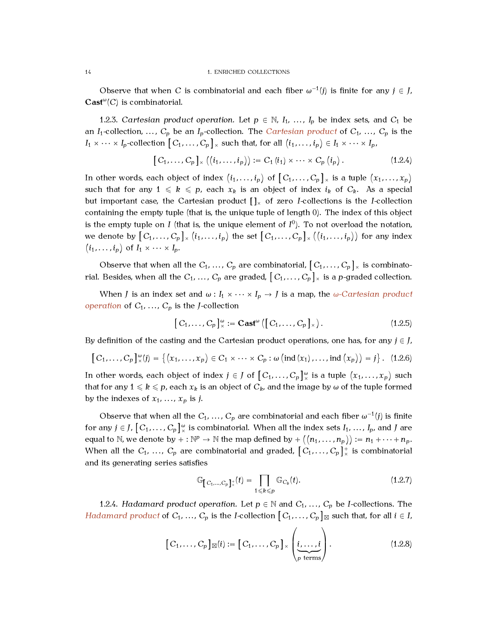Observe that when *C* is combinatorial and each fiber  $\omega^{-1}(j)$  is finite for any  $j \in J$ , **Cast***<sup>ω</sup>* (*C*) is combinatorial.

1.2.3. *Cartesian product operation.* Let  $p \in \mathbb{N}$ ,  $I_1$ , ...,  $I_p$  be index sets, and  $C_1$  be an *I*<sub>1</sub>-collection, ...,  $C_p$  be an *I<sub>p</sub>*-collection. The *Cartesian product* of  $C_1$ , ...,  $C_p$  is the  $I_1 \times \cdots \times I_p$ -collection  $[C_1, \ldots, C_p]_x$  such that, for all  $(i_1, \ldots, i_p) \in I_1 \times \cdots \times I_p$ ,

$$
[C_1, ..., C_p]_{\times} ((i_1, ..., i_p)) := C_1 (i_1) \times \cdots \times C_p (i_p).
$$
 (1.2.4)

In other words, each object of index  $(i_1, \ldots, i_p)$  $\int$  of  $[C_1, \ldots, C_p]$  $\int_{\alpha}$  is a tuple  $(x_1, \ldots, x_p)$ such that for any  $1 \le k \le p$ , each  $x_k$  is an object of index  $i_k$  of  $C_k$ . As a special but important case, the Cartesian product [ ]*<sup>×</sup>* of zero *I*-collections is the *I*-collection containing the empty tuple (that is, the unique tuple of length 0). The index of this object is the empty tuple on *I* (that is, the unique element of  $I^0$ ). To not overload the notation, we denote by  $[C_1, \ldots, C_p]$ ້ *×*  $\cdot$ *i*1*, . . . , i<sup>p</sup>* the set  $[C_1, \ldots, C_p]$ .<br>د we denote by  $[C_1, \ldots, C_p]_x$   $(i_1, \ldots, i_p)$  the set  $[C_1, \ldots, C_p]_x$   $((i_1, \ldots, i_p))$  for any index  $(i_1, \ldots, i_p)$  of  $I_1 \times \cdots \times I_p$ .

Observe that when all the  $C_1, ..., C_p$  are combinatorial,  $[C_1, ..., C_p]$  $\overline{1}$  $[C_1, \ldots, C_p] \times \text{is combinatorial}$ rial. Besides, when all the  $C_1$ , ...,  $C_p$  are graded,  $[C_1, \ldots, C_p]$  is a *p*-graded collection.

When *J* is an index set and  $\omega: I_1 \times \cdots \times I_p \to J$  is a map, the  $\omega$ -Cartesian product *operation* of  $C_1$ , ...,  $C_p$  is the *J*-collection

$$
[C_1,\ldots,C_p]^{\omega}_{\times}:=\mathbf{Cast}^{\omega}\left([C_1,\ldots,C_p]_{\times}\right).
$$
 (1.2.5)

By definition of the casting and the Cartesian product operations, one has, for any  $j \in J$ ,

$$
[C_1, \ldots, C_p]_{\times}^{\omega}(j) = \{ (x_1, \ldots, x_p) \in C_1 \times \cdots \times C_p : \omega \text{ (ind } (x_1), \ldots, \text{ind } (x_p)) = j \}.
$$
 (1.2.6)

In other words, each object of index  $j \in J$  of  $[C_1, \ldots, C_p]$  $\int_{\times}^{\omega}$  is a tuple  $(x_1, \ldots, x_p)$ such that for any  $1 \leq k \leq p$ , each  $x_k$  is an object of  $C_k$ , and the image by  $\omega$  of the tuple formed by the indexes of  $x_1, \ldots, x_p$  is *j*.

Observe that when all the  $C_1$ , ...,  $C_p$  are combinatorial and each fiber  $\omega^{-1}(j)$  is finite for any  $j \in J$ ,  $[C_1, \ldots, C_p]_{\times}^{\omega}$  is combinatorial. When all the index sets  $I_1, \ldots, I_p$ , and  $J$  are equal to N, we denote by  $+ : \mathbb{N}^p \to \mathbb{N}$  the map defined by  $+ ((n_1, \ldots, n_p)) := n_1 + \cdots + n_p$ . When all the  $C_1, \ldots, C_p$  are combinatorial and graded,  $[C_1, \ldots, C_p]^{\dagger}$  is combinatorial and its generating series satisfies

<span id="page-19-0"></span>
$$
\mathbb{G}_{[C_1,...,C_p]_{\times}^+}(t) = \prod_{1 \leq k \leq p} \mathbb{G}_{C_k}(t). \tag{1.2.7}
$$

1.2.4. *Hadamard product operation.* Let  $p \in \mathbb{N}$  and  $C_1, \ldots, C_p$  be *I*-collections. The *Hadamard product* of  $C_1, \ldots, C_p$  is the *I*-collection  $[C_1, \ldots, C_p]$ <sub> $\boxtimes$ </sub> such that, for all  $i \in I$ ,

$$
[C_1, \ldots, C_p]_{\boxtimes}(i) := [C_1, \ldots, C_p] \times \left(\underbrace{i, \ldots, i}_{p \text{ terms}}\right).
$$
 (1.2.8)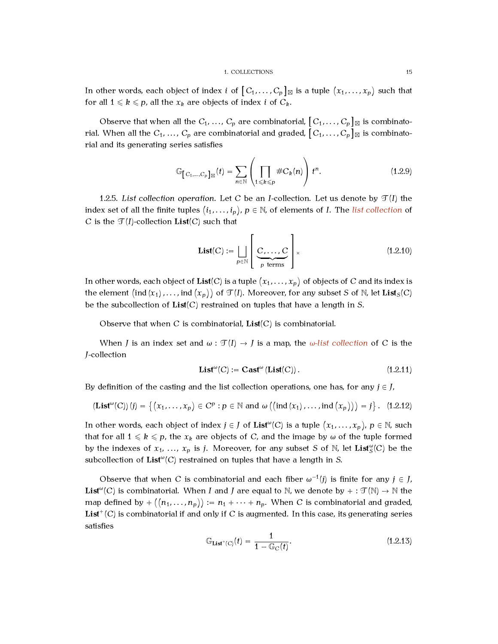### 1. COLLECTIONS 15

In other words, each object of index *i* of  $[C_1, \ldots, C_p]$  $]_{\boxtimes}$  is a tuple  $(x_1, \ldots, x_p)$  $\mathbf{r}$ such that for all  $1 \leq k \leq p$ , all the  $x_k$  are objects of index *i* of  $C_k$ .

Observe that when all the  $C_1, ..., C_p$  are combinatorial,  $[C_1, ..., C_p]$  $] \boxtimes$  is combinatorial. When all the  $C_1$ , ...,  $C_p$  are combinatorial and graded,  $[C_1, \ldots, C_p]$  is combinatorial and its generating series satisfies

$$
\mathbb{G}_{\left[C_{1},...,C_{p}\right]_{\boxtimes}}(t)=\sum_{n\in\mathbb{N}}\left(\prod_{1\leq k\leq p}\#C_{k}(n)\right)t^{n}.
$$
\n(1.2.9)

1.2.5. *List collection operation.* Let *C* be an *I*-collection. Let us denote by *T*(*I*) the index set of all the finite tuples  $(i_1, \ldots, i_p)$ ,  $p \in \mathbb{N}$ , of elements of *I*. The *list collection* of *C* is the  $\mathcal{T}(I)$ -collection **List**(*C*) such that

$$
\mathbf{List}(C) := \bigsqcup_{p \in \mathbb{N}} \left[ \underbrace{C, \dots, C}_{p \text{ terms}} \right] \times \tag{1.2.10}
$$

In other words, each object of  $\textbf{List}(C)$  is a tuple  $(x_1, \ldots, x_p)$  $\overline{a}$ of objects of *C* and its index is the element  $(\text{ind } (x_1), \ldots, \text{ind } (x_p))$  of  $\mathcal{T}(I)$ . Moreover, for any subset *S* of N, let **List**<sub>*S*</sub>(*C*) be the subcollection of **List**(*C*) restrained on tuples that have a length in *S*.

Observe that when *C* is combinatorial, **List**(*C*) is combinatorial.

When *J* is an index set and  $\omega$ :  $\mathcal{T}(I) \to J$  is a map, the  $\omega$ -list collection of *C* is the *J*-collection

$$
\mathbf{List}^{\omega}(C) := \mathbf{Cast}^{\omega}(\mathbf{List}(C)). \tag{1.2.11}
$$

By definition of the casting and the list collection operations, one has, for any *j ∈ J*,

$$
(\mathbf{List}^{\omega}(C)) (j) = \{ (x_1, \ldots, x_p) \in C^p : p \in \mathbb{N} \text{ and } \omega((\text{ind}(x_1), \ldots, \text{ind}(x_p))) = j \}.
$$
 (1.2.12)

In other words, each object of index  $j \in J$  of  $List^{\omega}(C)$  is a tuple  $(x_1, \ldots, x_p)$  , *p ∈* N, such that for all  $1 \leq k \leq p$ , the  $x_k$  are objects of *C*, and the image by  $\omega$  of the tuple formed by the indexes of  $x_1$ , ...,  $x_p$  is *j*. Moreover, for any subset *S* of N, let List<sup> $\omega$ </sup><sub>*S*</sub>(*C*) be the subcollection of **List***<sup>ω</sup>* (*C*) restrained on tuples that have a length in *S*.

Observe that when *C* is combinatorial and each fiber  $\omega^{-1}(j)$  is finite for any  $j \in J$ , **List**<sup>ω</sup>(C) is combinatorial. When *I* and *J* are equal to N, we denote by  $+ : \mathcal{T}(N) \to N$  the  $\lim_{n \to \infty} \int_0^1 f(x) dx$  is combinatorial. When *I* and *f* are equal to *i*, we denote by  $f(x)$  *i* is the map defined by  $f((n_1, \ldots, n_p)) := n_1 + \cdots + n_p$ . When *C* is combinatorial and graded, List<sup>+</sup> $(C)$  is combinatorial if and only if  $C$  is augmented. In this case, its generating series satisfies

<span id="page-20-0"></span>
$$
\mathbb{G}_{\mathbf{List}^+(C)}(t) = \frac{1}{1 - \mathbb{G}_C(t)}.\tag{1.2.13}
$$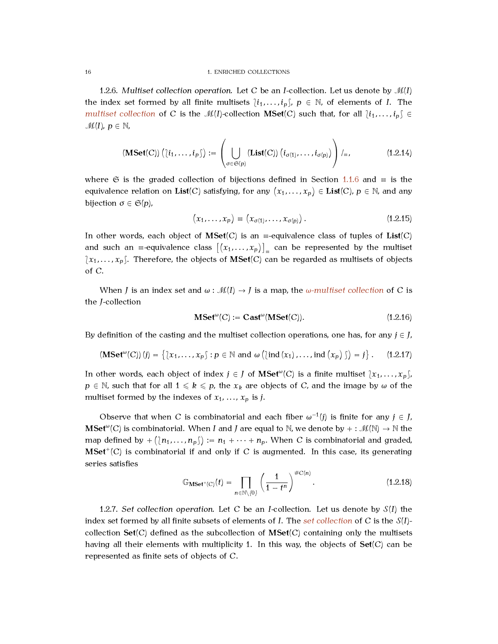1.2.6. *Multiset collection operation.* Let *C* be an *I*-collection. Let us denote by *M*(*I*) the index set formed by all finite multisets  $\{i_1, \ldots, i_p\}$ ,  $p \in \mathbb{N}$ , of elements of *I*. The *multiset collection* of *C* is the *M*(*I*)-collection **MSet**(*C*) such that, for all  $[i_1, \ldots, i_p] \in$  $\mathscr{M}(I), p \in \mathbb{N}$ ,

$$
(\mathbf{MSet}(C))\left(\langle i_1,\ldots,i_p \rangle\right) := \left(\bigcup_{\sigma \in \mathfrak{S}(p)} (\mathbf{List}(C))\left(i_{\sigma(1)},\ldots,i_{\sigma(p)}\right)\right) /_{\equiv},\tag{1.2.14}
$$

where G is the graded collection of bijections defined in Section [1.1.6](#page-16-1) and  $\equiv$  is the equivalence relation on **List**(*C*) satisfying, for any  $(x_1, \ldots, x_p)$  $\epsilon$  **List**(*C*), *p*  $\in$  N, and any bijection  $\sigma \in \mathfrak{S}(p)$ ,

$$
(x_1,\ldots,x_p) \equiv (x_{\sigma(1)},\ldots,x_{\sigma(p)})\,. \tag{1.2.15}
$$

In other words, each object of  $MSet(C)$  is an  $\equiv$ -equivalence class of tuples of  $List(C)$ and such an  $\equiv$ -equivalence class  $[(x_1, ..., x_p)]_{\equiv}$  can be represented by the multiset  $\{x_1, \ldots, x_p\}$ . Therefore, the objects of **MSet**(*C*) can be regarded as multisets of objects of *C*.

When *J* is an index set and  $\omega : \mathcal{M}(I) \to J$  is a map, the  $\omega$ -multiset collection of *C* is the *J*-collection

$$
\mathbf{MSet}^{\omega}(C) := \mathbf{Cast}^{\omega}(\mathbf{MSet}(C)). \tag{1.2.16}
$$

By definition of the casting and the multiset collection operations, one has, for any  $j \in J$ ,

$$
(\mathbf{MSet}^{\omega}(C)) (j) = \{ \langle x_1, \ldots, x_p \rangle : p \in \mathbb{N} \text{ and } \omega (\langle \text{ind}(x_1), \ldots, \text{ind}(x_p) \rangle) = j \}.
$$
 (1.2.17)

In other words, each object of index  $j \in J$  of  $\text{MSet}^{\omega}(C)$  is a finite multiset  $\{x_1, \ldots, x_p\}$  $p \in \mathbb{N}$ , such that for all  $1 \leq k \leq p$ , the  $x_k$  are objects of *C*, and the image by  $\omega$  of the multiset formed by the indexes of  $x_1, \ldots, x_p$  is *j*.

Observe that when *C* is combinatorial and each fiber  $\omega^{-1}(j)$  is finite for any  $j \in J$ , **MSet<sup>ω</sup>**(*C*) is combinatorial. When *I* and *J* are equal to N, we denote by + :  $\mathcal{M}(N) \rightarrow N$  the map defined by  $+$   $($  $(n_1, ..., n_p)$  $) := n_1 + \cdots + n_p$ . When *C* is combinatorial and graded,  $MSet^+(C)$  is combinatorial if and only if C is augmented. In this case, its generating series satisfies

<span id="page-21-0"></span>
$$
\mathbb{G}_{\mathbf{MSet}^+(C)}(t) = \prod_{n \in \mathbb{N} \setminus \{0\}} \left( \frac{1}{1 - t^n} \right)^{\#C(n)}.
$$
 (1.2.18)

1.2.7. *Set collection operation.* Let *C* be an *I*-collection. Let us denote by *S*(*I*) the index set formed by all finite subsets of elements of *I*. The *set collection* of *C* is the *S*(*I*) collection **Set**(*C*) defined as the subcollection of **MSet**(*C*) containing only the multisets having all their elements with multiplicity 1. In this way, the objects of **Set**(*C*) can be represented as finite sets of objects of *C*.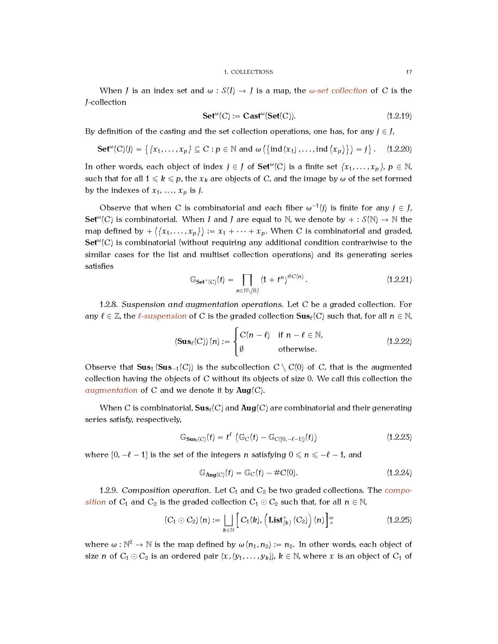When *J* is an index set and  $\omega : S(I) \to J$  is a map, the  $\omega$ -set collection of C is the *J*-collection

$$
\mathbf{Set}^{\omega}(C) := \mathbf{Cast}^{\omega}(\mathbf{Set}(C)). \tag{1.2.19}
$$

By definition of the casting and the set collection operations, one has, for any  $j \in J$ ,

$$
\mathbf{Set}^{\omega}(C)(j) = \left\{ \{x_1, \ldots, x_p\} \subseteq C : p \in \mathbb{N} \text{ and } \omega \left( \left\{ \text{ind}(x_1), \ldots, \text{ind}(x_p) \right\} \right) = j \right\}. \quad (1.2.20)
$$

In other words, each object of index  $j \in J$  of  $Set^{\omega}(C)$  is a finite set  $\{x_1, \ldots, x_p\}$ ,  $p \in \mathbb{N}$ , such that for all  $1 \leq k \leq p$ , the  $x_k$  are objects of *C*, and the image by  $\omega$  of the set formed by the indexes of  $x_1, \ldots, x_p$  is *j*.

Observe that when *C* is combinatorial and each fiber  $\omega^{-1}(j)$  is finite for any  $j \in J$ , **Set<sup>ω</sup>(C)** is combinatorial. When *I* and *J* are equal to N, we denote by  $+ : S(N) \rightarrow N$  the map defined by +  $\cdot$ *{x*1*, . . . , xp}*  $\frac{1}{\sqrt{2}}$  $:= x_1 + \cdots + x_p.$  When *C* is combinatorial and graded, **Set***<sup>ω</sup>* (*C*) is combinatorial (without requiring any additional condition contrariwise to the similar cases for the list and multiset collection operations) and its generating series satisfies

$$
\mathbb{G}_{\mathbf{Set}^+(C)}(t) = \prod_{n \in \mathbb{N} \setminus \{0\}} (1 + t^n)^{\#C(n)}.
$$
 (1.2.21)

1.2.8. *Suspension and augmentation operations.* Let *C* be a graded collection. For any  $\ell \in \mathbb{Z}$ , the  $\ell$ -suspension of *C* is the graded collection  $\text{Sus}_{\ell}(C)$  such that, for all  $n \in \mathbb{N}$ ,

$$
(\mathbf{Sus}_{\ell}(C))(n) := \begin{cases} C(n - \ell) & \text{if } n - \ell \in \mathbb{N}, \\ \emptyset & \text{otherwise.} \end{cases}
$$
 (1.2.22)

Observe that  $\text{Sus}_1(\text{Sus}_1(\text{C}))$  is the subcollection  $C \setminus C(0)$  of C, that is the augmented collection having the objects of *C* without its objects of size 0. We call this collection the *augmentation* of *C* and we denote it by **Aug**(*C*).

When *C* is combinatorial,  $\text{Sus}_\ell(C)$  and  $\text{Aug}(C)$  are combinatorial and their generating series satisfy, respectively,

$$
\mathbb{G}_{\mathbf{Sus}_{\ell}(C)}(t) = t^{\ell} \left( \mathbb{G}_{C}(t) - \mathbb{G}_{C([0,-\ell-1])}(t) \right) \tag{1.2.23}
$$

where  $[0, -\ell - 1]$  is the set of the integers *n* satisfying  $0 \le n \le -\ell - 1$ , and

$$
\mathbb{G}_{\text{Aug}(C)}(t) = \mathbb{G}_C(t) - \#C(0). \tag{1.2.24}
$$

1.2.9. *Composition operation.* Let *C*<sup>1</sup> and *C*<sup>2</sup> be two graded collections. The *composition* of  $C_1$  and  $C_2$  is the graded collection  $C_1 \odot C_2$  such that, for all  $n \in \mathbb{N}$ ,

$$
(C_1 \odot C_2)(n) := \bigsqcup_{k \in \mathbb{N}} \left[ C_1(k), \left( \text{List}_{\{k\}}^+(C_2) \right)(n) \right]_{\times}^{\omega}
$$
 (1.2.25)

where  $\omega : \mathbb{N}^2 \to \mathbb{N}$  is the map defined by  $\omega(n_1, n_2) := n_2$ . In other words, each object of size *n* of  $C_1 \odot C_2$  is an ordered pair  $(x, (y_1, \ldots, y_k))$ ,  $k \in \mathbb{N}$ , where *x* is an object of  $C_1$  of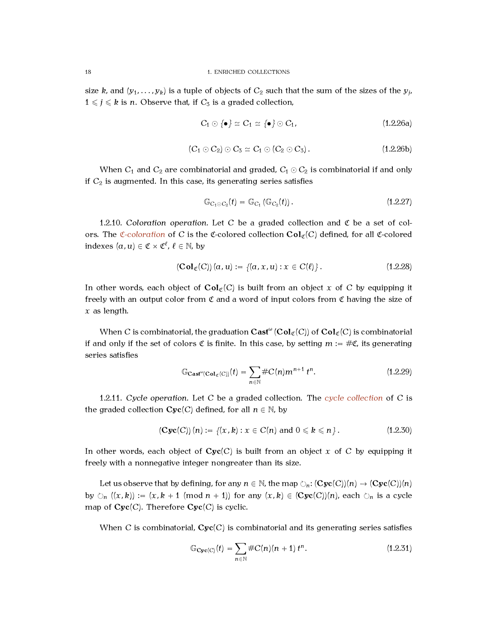size *k*, and  $(y_1, \ldots, y_k)$  is a tuple of objects of  $C_2$  such that the sum of the sizes of the  $y_j$ ,  $1 \leq j \leq k$  is *n*. Observe that, if  $C_3$  is a graded collection,

$$
C_1 \odot \{\bullet\} \simeq C_1 \simeq \{\bullet\} \odot C_1, \tag{1.2.26a}
$$

$$
(C_1 \odot C_2) \odot C_3 \simeq C_1 \odot (C_2 \odot C_3). \qquad (1.2.26b)
$$

When  $C_1$  and  $C_2$  are combinatorial and graded,  $C_1 \odot C_2$  is combinatorial if and only if  $C_2$  is augmented. In this case, its generating series satisfies

$$
\mathbb{G}_{C_1 \odot C_2}(t) = \mathbb{G}_{C_1} (\mathbb{G}_{C_2}(t)).
$$
\n(1.2.27)

1.2.10. *Coloration operation.* Let *C* be a graded collection and C be a set of colors. The  $\mathfrak{C}\text{-}coloration$  of C is the  $\mathfrak{C}\text{-}colored$  collection  $\text{Col}_{\mathfrak{C}}(C)$  defined, for all  $\mathfrak{C}\text{-}colored$  ${\rm indexes\,} (a,u)\in \mathfrak C\times \mathfrak C^\ell,\, \ell\in \mathbb N,$  by

$$
\langle \mathbf{Col}_{\mathfrak{C}}(C) \rangle \langle a, u \rangle := \{ \langle a, x, u \rangle : x \in C(\ell) \}.
$$
 (1.2.28)

In other words, each object of  $\text{Col}_{\mathcal{C}}(C)$  is built from an object x of C by equipping it freely with an output color from  $\mathfrak C$  and a word of input colors from  $\mathfrak C$  having the size of *x* as length.

When  $C$  is combinatorial, the graduation  $\mathbf{Cast}^{\omega}( \mathbf{Col}_{\mathfrak{C}}(C))$  of  $\mathbf{Col}_{\mathfrak{C}}(C)$  is combinatorial if and only if the set of colors  $\mathfrak C$  is finite. In this case, by setting  $m := \# \mathfrak C$ , its generating series satisfies

$$
\mathbb{G}_{\mathbf{Cast}^{\omega}(\mathbf{Col}_{\mathfrak{C}}(C))}(t) = \sum_{n \in \mathbb{N}} \#C(n)m^{n+1} t^n.
$$
 (1.2.29)

1.2.11. *Cycle operation.* Let *C* be a graded collection. The *cycle collection* of *C* is the graded collection  $Cyc(C)$  defined, for all  $n \in \mathbb{N}$ , by

$$
(\text{Cyc}(C))(n) := \{(x, k) : x \in C(n) \text{ and } 0 \leq k \leq n\}.
$$
 (1.2.30)

In other words, each object of  $Cyc(C)$  is built from an object x of C by equipping it freely with a nonnegative integer nongreater than its size.

Let us observe that by defining, for any  $n \in \mathbb{N}$ , the map  $\circlearrowright_n$ :  $(\mathbf{Cyc}(C))(n) \to (\mathbf{Cyc}(C))(n)$ by  $\circlearrowright_n$   $(\langle x, k \rangle) := \langle x, k+1 \pmod{n+1} \rangle$  for any  $(x, k) \in (\mathbf{Cyc}(\mathbf{C}))(n)$ , each  $\circlearrowright_n$  is a cycle map of  $Cyc(C)$ . Therefore  $Cyc(C)$  is cyclic.

When *C* is combinatorial,  $Cyc(C)$  is combinatorial and its generating series satisfies

$$
\mathbb{G}_{\text{Cyc}(C)}(t) = \sum_{n \in \mathbb{N}} \#C(n)(n+1) t^n.
$$
 (1.2.31)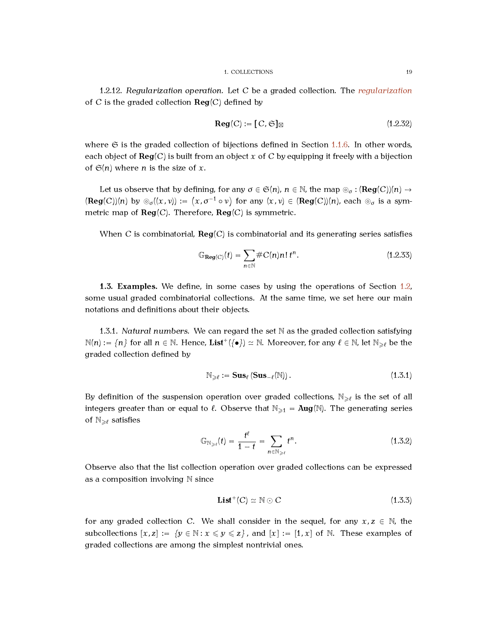1.2.12. *Regularization operation.* Let *C* be a graded collection. The *regularization* of *C* is the graded collection **Reg**(*C*) defined by

$$
\text{Reg}(C) := [C, \mathfrak{S}]_{\boxtimes} \tag{1.2.32}
$$

where  $\mathfrak S$  is the graded collection of bijections defined in Section [1.1.6.](#page-16-1) In other words, each object of  $\text{Reg}(C)$  is built from an object x of C by equipping it freely with a bijection of  $\mathfrak{S}(n)$  where *n* is the size of *x*.

Let us observe that by defining, for any  $\sigma \in \mathfrak{S}(n)$ ,  $n \in \mathbb{N}$ , the map  $\mathfrak{O}_{\sigma} : (\text{Reg}(C))(n) \rightarrow$  $(\text{Reg}(C))(n)$  by  $\textcircled{\circ}_{\sigma}((x, v)) := (x, \sigma^{-1} \circ v)$  for any  $(x, v) \in (\text{Reg}(C))(n)$ , each  $\textcircled{\circ}_{\sigma}$  is a symmetric map of **Reg**(*C*). Therefore, **Reg**(*C*) is symmetric.

When *C* is combinatorial, **Reg**(*C*) is combinatorial and its generating series satisfies

$$
\mathbb{G}_{\text{Reg}(C)}(t) = \sum_{n \in \mathbb{N}} \#C(n)n! \ t^n.
$$
 (1.2.33)

<span id="page-24-0"></span>**1.3. Examples.** We define, in some cases by using the operations of Section [1.2,](#page-17-0) some usual graded combinatorial collections. At the same time, we set here our main notations and definitions about their objects.

<span id="page-24-1"></span>1.3.1. *Natural numbers.* We can regard the set  $\mathbb N$  as the graded collection satisfying  $\mathbb{N}(n) := \{n\}$  for all  $n \in \mathbb{N}$ . Hence,  $\mathbf{List}^+(\{\bullet\}) \simeq \mathbb{N}$ . Moreover, for any  $\ell \in \mathbb{N}$ , let  $\mathbb{N}_{\geqslant \ell}$  be the graded collection defined by

$$
\mathbb{N}_{\geq \ell} := \mathbf{Sus}_{\ell} \left( \mathbf{Sus}_{-\ell}(\mathbb{N}) \right). \tag{1.3.1}
$$

By definition of the suspension operation over graded collections,  $\mathbb{N}_{\geqslant \ell}$  is the set of all integers greater than or equal to  $\ell$ . Observe that  $\mathbb{N}_{\geq 1} = \text{Aug}(\mathbb{N})$ . The generating series of N<sup>&</sup>gt;*`* satisfies

<span id="page-24-2"></span>
$$
\mathbb{G}_{\mathbb{N}_{\geqslant \ell}}(t)=\frac{t^{\ell}}{1-t}=\sum_{n\in\mathbb{N}_{\geqslant \ell}}t^n.
$$
 (1.3.2)

Observe also that the list collection operation over graded collections can be expressed as a composition involving  $N$  since

$$
\mathbf{List}^+(C) \simeq \mathbb{N} \odot C \tag{1.3.3}
$$

for any graded collection *C*. We shall consider in the sequel, for any  $x, z \in \mathbb{N}$ , the subcollections  $[x, z] := \{y \in \mathbb{N} : x \leq y \leq z\}$ , and  $[x] := [1, x]$  of  $\mathbb{N}$ . These examples of graded collections are among the simplest nontrivial ones.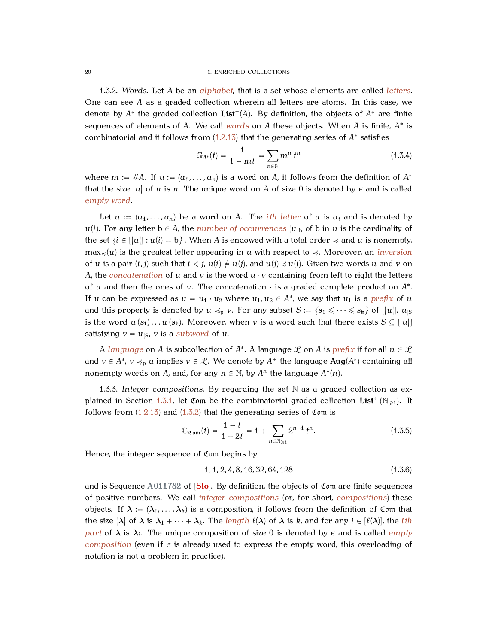#### 20 1. ENRICHED COLLECTIONS

1.3.2. *Words.* Let *A* be an *alphabet*, that is a set whose elements are called *letters*. One can see *A* as a graded collection wherein all letters are atoms. In this case, we denote by  $A^*$  the graded collection  $List^+(A)$ . By definition, the objects of  $A^*$  are finite sequences of elements of *A*. We call *words* on *A* these objects. When *A* is finite, *A ∗* is combinatorial and it follows from [\(1.2.13\)](#page-20-0) that the generating series of *A ∗* satisfies

$$
\mathbb{G}_{A^*}(t) = \frac{1}{1 - mt} = \sum_{n \in \mathbb{N}} m^n \ t^n \tag{1.3.4}
$$

where  $m := \#A$ . If  $u := (a_1, \ldots, a_n)$  is a word on  $A$ , it follows from the definition of  $A^*$ that the size |u| of *u* is *n*. The unique word on *A* of size 0 is denoted by  $\epsilon$  and is called *empty word*.

Let  $u := (a_1, \ldots, a_n)$  be a word on A. The *i*th letter of  $u$  is  $a_i$  and is denoted by *u*(*i*). For any letter  $b \in A$ , the *number of occurrences*  $|u|_b$  of b in *u* is the cardinality of the set  $\{i \in [u] : u(i) = b\}$ . When A is endowed with a total order  $\preccurlyeq$  and *u* is nonempty,  $\max_{\leq} \langle u \rangle$  is the greatest letter appearing in *u* with respect to  $\leq$ . Moreover, an *inversion* of *u* is a pair  $(i, j)$  such that  $i < j$ ,  $u(i) \neq u(j)$ , and  $u(j) \preccurlyeq u(i)$ . Given two words *u* and *v* on *A*, the *concatenation* of *u* and *v* is the word  $u \cdot v$  containing from left to right the letters of *u* and then the ones of *v*. The concatenation *·* is a graded complete product on *A ∗* . If *u* can be expressed as  $u = u_1 \cdot u_2$  where  $u_1, u_2 \in A^*$ , we say that  $u_1$  is a *prefix* of *u* and this property is denoted by  $u \preccurlyeq_{p} v$ . For any subset  $S := \{s_1 \leq \cdots \leq s_k\}$  of  $[|u|]$ ,  $u_{|S}$ is the word  $u(s_1) \ldots u(s_k)$ . Moreover, when *v* is a word such that there exists  $S \subseteq ||u||$ satisfying  $v = u_{\vert S}$ , *v* is a *subword* of *u*.

A *language* on *A* is subcollection of *A ∗* . A language *L* on *A* is *prefix* if for all *u ∈ L* and  $v \in A^*$ ,  $v \preccurlyeq_{p} u$  implies  $v \in \mathcal{L}$ . We denote by  $A^+$  the language  $\text{Aug}(A^*)$  containing all nonempty words on *A*, and, for any  $n \in \mathbb{N}$ , by  $A^n$  the language  $A^*(n)$ .

1.3.3. *Integer compositions.* By regarding the set  $N$  as a graded collection as ex-plained in Section [1.3.1,](#page-24-1) let  $\mathfrak{Com}$  be the combinatorial graded collection  $List^+(N_{\geq 1})$ . It follows from  $(1.2.13)$  and  $(1.3.2)$  that the generating series of Com is

$$
\mathbb{G}_{\mathfrak{Com}}(t) = \frac{1-t}{1-2t} = 1 + \sum_{n \in \mathbb{N}_{\geq 1}} 2^{n-1} t^n.
$$
 (1.3.5)

Hence, the integer sequence of Com begins by

$$
1, 1, 2, 4, 8, 16, 32, 64, 128 \tag{1.3.6}
$$

and is Sequence **[A011782](http://oeis.org/A011782)** of [**[Slo](#page-151-0)**]. By definition, the objects of Com are finite sequences of positive numbers. We call *integer compositions* (or, for short, *compositions*) these objects. If  $\lambda := (\lambda_1, \ldots, \lambda_k)$  is a composition, it follows from the definition of Com that the size  $|\lambda|$  of  $\lambda$  is  $\lambda_1 + \cdots + \lambda_k$ . The *length*  $\ell(\lambda)$  of  $\lambda$  is  $k$ , and for any  $i \in [\ell(\lambda)]$ , the *ith part* of  $\lambda$  is  $\lambda_i$ . The unique composition of size 0 is denoted by  $\epsilon$  and is called *empty composition* (even if *ε* is already used to express the empty word, this overloading of notation is not a problem in practice).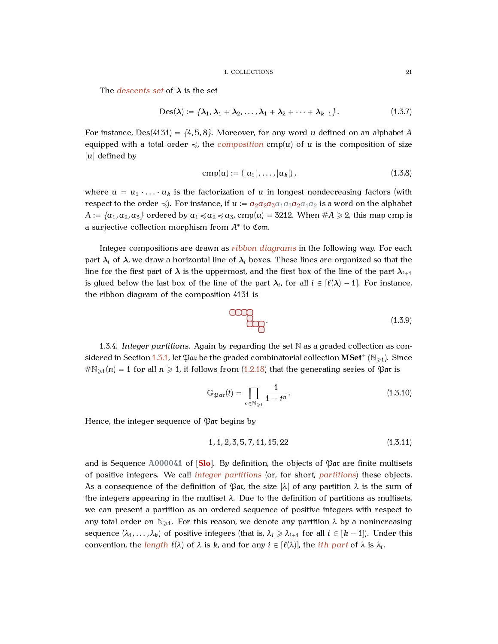#### 1. COLLECTIONS 21

The *descents set* of  $\lambda$  is the set

$$
Des(\lambda) := {\lambda_1, \lambda_1 + \lambda_2, \ldots, \lambda_1 + \lambda_2 + \cdots + \lambda_{k-1}}.
$$
 (1.3.7)

For instance, Des(4131) = *{*4*,* 5*,* 8*}*. Moreover, for any word *u* defined on an alphabet *A* equipped with a total order  $\leq$ , the *composition* cmp(*u*) of *u* is the composition of size *|u|* defined by

$$
cmp(u) := (|u_1|, \ldots, |u_k|), \qquad (1.3.8)
$$

where  $u = u_1 \cdot \ldots \cdot u_k$  is the factorization of *u* in longest nondecreasing factors (with respect to the order  $\leq$ ). For instance, if  $u := a_2 a_2 a_3 a_1 a_3 a_2 a_1 a_2$  is a word on the alphabet  $A := \{a_1, a_2, a_3\}$  ordered by  $a_1 \preccurlyeq a_2 \preccurlyeq a_3$ , cmp(*u*) = 3212. When  $\#A \ge 2$ , this map cmp is a surjective collection morphism from *A ∗* to Com.

Integer compositions are drawn as *ribbon diagrams* in the following way. For each part  $\lambda_i$  of  $\lambda$ , we draw a horizontal line of  $\lambda_i$  boxes. These lines are organized so that the line for the first part of  $\lambda$  is the uppermost, and the first box of the line of the part  $\lambda_{i+1}$ is glued below the last box of the line of the part  $\lambda_i$ , for all  $i \in [\ell(\lambda) - 1]$ . For instance, the ribbon diagram of the composition 4131 is

$$
\text{CCC} \tag{1.3.9}
$$

1.3.4. *Integer partitions.* Again by regarding the set N as a graded collection as con-sidered in Section [1.3.1,](#page-24-1) let  $\mathfrak{Par}$  be the graded combinatorial collection  $\mathbf{MSet}^+$  ( $\mathbb{N}_{\geqslant 1}$ ). Since  $\#\mathbb{N}_{\geq 1}(n) = 1$  for all  $n \geq 1$ , it follows from [\(1.2.18\)](#page-21-0) that the generating series of  $\mathfrak{Par}$  is

$$
\mathbb{G}_{\mathfrak{Par}}(t) = \prod_{n \in \mathbb{N}_{\geqslant 1}} \frac{1}{1 - t^n}.
$$
 (1.3.10)

Hence, the integer sequence of  $\mathfrak{Par}$  begins by

$$
1, 1, 2, 3, 5, 7, 11, 15, 22 \tag{1.3.11}
$$

and is Sequence **[A000041](http://oeis.org/A000041)** of [**[Slo](#page-151-0)**]. By definition, the objects of Par are finite multisets of positive integers. We call *integer partitions* (or, for short, *partitions*) these objects. As a consequence of the definition of  $\mathfrak{Par}$ , the size  $|\lambda|$  of any partition  $\lambda$  is the sum of the integers appearing in the multiset  $\lambda$ . Due to the definition of partitions as multisets, we can present a partition as an ordered sequence of positive integers with respect to any total order on  $\mathbb{N}_{\geq 1}$ . For this reason, we denote any partition  $\lambda$  by a nonincreasing sequence  $(\lambda_1, \ldots, \lambda_k)$  of positive integers (that is,  $\lambda_i \geq \lambda_{i+1}$  for all  $i \in [k-1]$ ). Under this convention, the *length*  $\ell(\lambda)$  of  $\lambda$  is  $k$ , and for any  $i \in [\ell(\lambda)]$ , the ith part of  $\lambda$  is  $\lambda_i$ .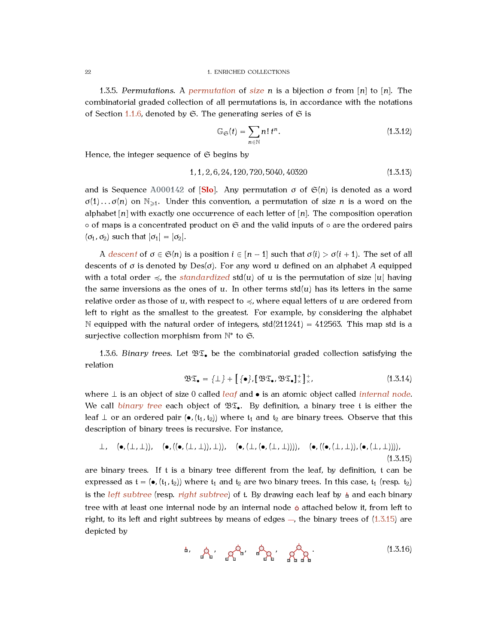1.3.5. *Permutations.* A *permutation* of *size n* is a bijection *σ* from [*n*] to [*n*]. The combinatorial graded collection of all permutations is, in accordance with the notations of Section [1.1.6,](#page-16-1) denoted by  $\mathfrak{S}$ . The generating series of  $\mathfrak{S}$  is

$$
\mathbb{G}_{\mathfrak{S}}(t) = \sum_{n \in \mathbb{N}} n! \, t^n. \tag{1.3.12}
$$

Hence, the integer sequence of  $\mathfrak S$  begins by

$$
1, 1, 2, 6, 24, 120, 720, 5040, 40320 \tag{1.3.13}
$$

and is Sequence **[A000142](http://oeis.org/A000142)** of [**[Slo](#page-151-0)**]. Any permutation *σ* of S(*n*) is denoted as a word  $\sigma(1) \dots \sigma(n)$  on  $\mathbb{N}_{\geq 1}$ . Under this convention, a permutation of size *n* is a word on the alphabet [*n*] with exactly one occurrence of each letter of [*n*]. The composition operation *◦* of maps is a concentrated product on S and the valid inputs of *◦* are the ordered pairs  $(\sigma_1, \sigma_2)$  such that  $|\sigma_1| = |\sigma_2|$ .

A *descent* of  $\sigma \in \mathfrak{S}(n)$  is a position  $i \in [n-1]$  such that  $\sigma(i) > \sigma(i+1)$ . The set of all descents of *σ* is denoted by Des(*σ*). For any word *u* defined on an alphabet *A* equipped with a total order  $\leq$ , the *standardized* std(*u*) of *u* is the permutation of size |*u*| having the same inversions as the ones of  $u$ . In other terms  $std(u)$  has its letters in the same relative order as those of *u*, with respect to  $\leq$ , where equal letters of *u* are ordered from left to right as the smallest to the greatest. For example, by considering the alphabet N equipped with the natural order of integers,  $std(211241) = 412563$ . This map std is a surjective collection morphism from N *∗* to S.

1.3.6. *Binary trees.* Let  $\mathfrak{BT}_{\bullet}$  be the combinatorial graded collection satisfying the relation

$$
\mathfrak{BT}_{\bullet} = {\perp} + [{\bullet}],[\mathfrak{BT}_{\bullet}, \mathfrak{BT}_{\bullet}]_{\times}^{+}]_{\times}^{+},
$$
\n(1.3.14)

where *⊥* is an object of size 0 called *leaf* and *•* is an atomic object called *internal node*. We call *binary tree* each object of  $\mathfrak{BT}_{\bullet}$ . By definition, a binary tree t is either the leaf  $\perp$  or an ordered pair ( $\bullet$ , ( $t_1$ ,  $t_2$ )) where  $t_1$  and  $t_2$  are binary trees. Observe that this description of binary trees is recursive. For instance,

<span id="page-27-0"></span>
$$
\perp, \quad (\bullet, (\perp, \perp)), \quad (\bullet, ((\bullet, (\perp, \perp)), \perp)), \quad (\bullet, (\perp, (\bullet, (\perp, \perp)))) \quad (\bullet, ((\bullet, (\perp, \perp)), (\bullet, (\perp, \perp)))) \tag{1.3.15}
$$

are binary trees. If t is a binary tree different from the leaf, by definition, t can be expressed as  $t = (•, (t_1, t_2))$  where  $t_1$  and  $t_2$  are two binary trees. In this case,  $t_1$  (resp.  $t_2$ ) is the *left subtree* (resp. *right subtree*) of t. By drawing each leaf by  $\frac{1}{4}$  and each binary tree with at least one internal node by an internal node  $\phi$  attached below it, from left to right, to its left and right subtrees by means of edges  $-$ , the binary trees of  $(1.3.15)$  are depicted by

$$
\mathbf{a} \cdot \mathbf{a} \cdot \mathbf{a} \cdot \mathbf{a} \cdot \mathbf{a} \cdot \mathbf{a} \cdot \mathbf{a} \cdot \mathbf{a} \tag{1.3.16}
$$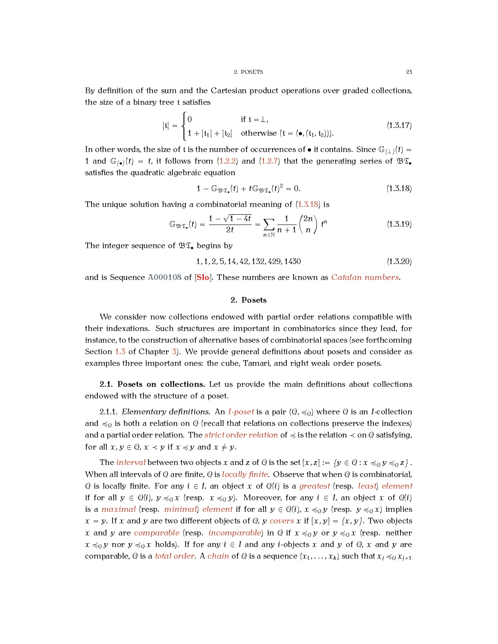By definition of the sum and the Cartesian product operations over graded collections, the size of a binary tree t satisfies  $\overline{a}$ 

$$
|\mathfrak{t}| = \begin{cases} 0 & \text{if } \mathfrak{t} = \bot, \\ 1 + |\mathfrak{t}_1| + |\mathfrak{t}_2| & \text{otherwise } (\mathfrak{t} = \langle \bullet, (\mathfrak{t}_1, \mathfrak{t}_2) \rangle). \end{cases} \tag{1.3.17}
$$

In other words, the size of t is the number of occurrences of • it contains. Since  $\mathbb{G}_{\{1\}}(t)$ 1 and  $\mathbb{G}_{\ell \bullet}$  (*t*) = *t*, it follows from [\(1.2.2\)](#page-17-2) and [\(1.2.7\)](#page-19-0) that the generating series of  $\mathfrak{BT}_{\bullet}$ satisfies the quadratic algebraic equation

<span id="page-28-2"></span>
$$
1 - \mathbb{G}_{\mathfrak{BT}_{\bullet}}(t) + t\mathbb{G}_{\mathfrak{BT}_{\bullet}}(t)^2 = 0. \qquad (1.3.18)
$$

The unique solution having a combinatorial meaning of  $(1.3.18)$  is

$$
\mathbb{G}_{\mathfrak{B}\mathfrak{T}_{\bullet}}(t) = \frac{1 - \sqrt{1 - 4t}}{2t} = \sum_{n \in \mathbb{N}} \frac{1}{n+1} {2n \choose n} t^{n}
$$
 (1.3.19)

The integer sequence of  $\mathfrak{BT}_{\bullet}$  begins by

$$
1, 1, 2, 5, 14, 42, 132, 429, 1430 \tag{1.3.20}
$$

<span id="page-28-0"></span>and is Sequence **[A000108](http://oeis.org/A000108)** of [**[Slo](#page-151-0)**]. These numbers are known as *Catalan numbers*.

# **2. Posets**

We consider now collections endowed with partial order relations compatible with their indexations. Such structures are important in combinatorics since they lead, for instance, to the construction of alternative bases of combinatorial spaces (see forthcoming Section [1.3](#page-64-0) of Chapter [3\)](#page-58-0). We provide general definitions about posets and consider as examples three important ones: the cube, Tamari, and right weak order posets.

<span id="page-28-1"></span>**2.1. Posets on collections.** Let us provide the main definitions about collections endowed with the structure of a poset.

2.1.1. *Elementary definitions.* An *I-poset* is a pair  $(\mathcal{Q}, \preccurlyeq_{\mathcal{Q}})$  where  $\mathcal Q$  is an *I*-collection and  $\preccurlyeq_{\mathcal{Q}}$  is both a relation on  $\mathcal{Q}$  (recall that relations on collections preserve the indexes) and a partial order relation. The *strict order relation* of  $\le$  is the relation  $\lt$  on *Q* satisfying, for all  $x, y \in \mathbb{Q}, x \prec y$  if  $x \preccurlyeq y$  and  $x \neq y$ .

The *interval* between two objects *x* and *z* of  $Q$  is the set  $[x, z] := \{y \in Q : x \preccurlyeq_0 z \}$ . When all intervals of *Q* are finite, *Q* is *locally finite*. Observe that when *Q* is combinatorial, *Q* is locally finite. For any *i ∈ I*, an object *x* of *Q*(*i*) is a *greatest* (resp. *least*) *element* if for all  $y \in \mathbb{Q}(i)$ ,  $y \preccurlyeq_{\mathbb{Q}} x$  (resp.  $x \preccurlyeq_{\mathbb{Q}} y$ ). Moreover, for any  $i \in I$ , an object x of  $\mathbb{Q}(i)$ is a *maximal* (resp. *minimal*) *element* if for all  $y \in \mathbb{Q}(i)$ ,  $x \preccurlyeq_{\mathbb{Q}} y$  (resp.  $y \preccurlyeq_{\mathbb{Q}} x$ ) implies  $x = y$ . If *x* and *y* are two different objects of *Q*, *y covers x* if  $[x, y] = \{x, y\}$ . Two objects *x* and *y* are *comparable* (resp. *incomparable*) in *Q* if  $x \preccurlyeq_0 y$  or  $y \preccurlyeq_0 x$  (resp. neither *x*  $\leq$  *g y* nor *y*  $\leq$  *q x* holds). If for any *i*  $\in$  *I* and any *i*-objects *x* and *y* of *Q*, *x* and *y* are comparable, *Q* is a *total order*. A *chain* of *Q* is a sequence  $(x_1, \ldots, x_k)$  such that  $x_j \preccurlyeq_0 x_{j+1}$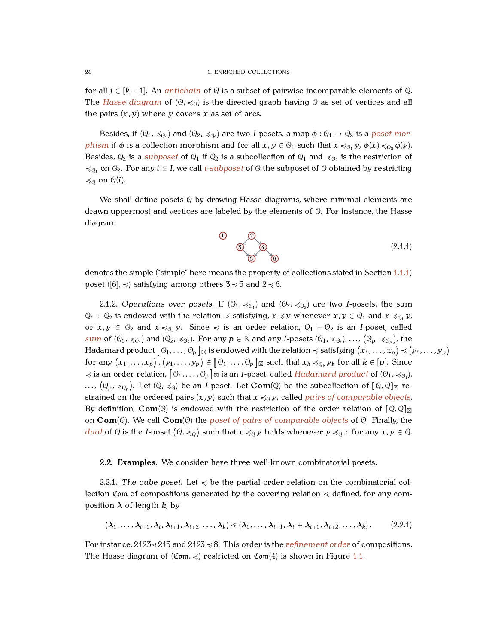for all *j ∈* [*k −* 1]. An *antichain* of *Q* is a subset of pairwise incomparable elements of *Q*. The *Hasse diagram* of  $(Q, \preccurlyeq_Q)$  is the directed graph having Q as set of vertices and all the pairs  $(x, y)$  where *y* covers *x* as set of arcs.

Besides, if  $(Q_1, \preccurlyeq_{Q_1})$  and  $(Q_2, \preccurlyeq_{Q_2})$  are two *I*-posets, a map  $\phi: Q_1 \to Q_2$  is a *poset morphism* if  $\phi$  is a collection morphism and for all  $x, y \in Q_1$  such that  $x \preccurlyeq_{Q_1} y$ ,  $\phi(x) \preccurlyeq_{Q_2} \phi(y)$ . Besides,  $\mathbb{Q}_2$  is a *subposet* of  $\mathbb{Q}_1$  if  $\mathbb{Q}_2$  is a subcollection of  $\mathbb{Q}_1$  and  $\preccurlyeq_{\mathbb{Q}_2}$  is the restriction of 4*<sup>Q</sup>*<sup>1</sup> on *Q*2. For any *i ∈ I*, we call *i-subposet* of *Q* the subposet of *Q* obtained by restricting  $\preccurlyeq_{\Theta}$  on  $\mathbb{Q}(i)$ .

We shall define posets *Q* by drawing Hasse diagrams, where minimal elements are drawn uppermost and vertices are labeled by the elements of *Q*. For instance, the Hasse diagram

$$
\begin{array}{c}\n\textcircled{1} \\
\textcircled{2} \\
\textcircled{3} \\
\textcircled{4}\n\end{array}
$$
\n
$$
\begin{array}{c}\n\textcircled{2} \\
\textcircled{3} \\
\textcircled{4}\n\end{array}
$$
\n
$$
\begin{array}{c}\n\textcircled{3} \\
\textcircled{4} \\
\textcircled{5}\n\end{array}
$$
\n
$$
\begin{array}{c}\n\textcircled{3} \\
\textcircled{4} \\
\textcircled{5}\n\end{array}
$$
\n
$$
\begin{array}{c}\n\textcircled{4} \\
\textcircled{5} \\
\textcircled{6}\n\end{array}
$$
\n
$$
\begin{array}{c}\n\textcircled{4} \\
\textcircled{5} \\
\textcircled{6}\n\end{array}
$$
\n
$$
\begin{array}{c}\n\textcircled{5} \\
\textcircled{6} \\
\textcircled{7} \\
\textcircled{8}\n\end{array}
$$
\n
$$
\begin{array}{c}\n\textcircled{6} \\
\textcircled{7} \\
\textcircled{8} \\
\textcircled{9} \\
\textcircled{9} \\
\textcircled{1} \\
\textcircled{1} \\
\textcircled{1} \\
\textcircled{1} \\
\textcircled{1} \\
\textcircled{1} \\
\textcircled{1} \\
\textcircled{1} \\
\textcircled{1} \\
\textcircled{1} \\
\textcircled{1} \\
\textcircled{1} \\
\textcircled{2} \\
\textcircled{3} \\
\textcircled{4} \\
\textcircled{5} \\
\textcircled{6} \\
\textcircled{7} \\
\textcircled{9} \\
\textcircled{1} \\
\textcircled{1} \\
\textcircled{3} \\
\textcircled{4} \\
\textcircled{5} \\
\textcircled{6} \\
\textcircled{7} \\
\textcircled{9} \\
\textcircled{1} \\
\textcircled{1} \\
\textcircled{1} \\
\textcircled{3} \\
\textcircled{4} \\
\textcircled{5} \\
\textcircled{6} \\
\textcircled{7} \\
\textcircled{9} \\
\textcircled{1} \\
\textcircled{1} \\
\textcircled{1} \\
\textcircled{1} \\
\textcircled{3} \\
\textcircled{4} \\
\textcircled{5} \\
\textcircled{6} \\
\textcircled{7} \\
\textcircled{9} \\
\textcircled{1} \\
\textcircled{
$$

 $\mathbf{r}$ 

denotes the simple ("simple" here means the property of collections stated in Section [1.1.1\)](#page-14-3) poset ([6],  $\leq$ ) satisfying among others  $3 \leq 5$  and  $2 \leq 6$ .

2.1.2. *Operations over posets.* If  $(Q_1, \preccurlyeq_{Q_1})$  and  $(Q_2, \preccurlyeq_{Q_2})$  are two *I*-posets, the sum  $Q_1 + Q_2$  is endowed with the relation  $\preccurlyeq$  satisfying,  $x \preccurlyeq y$  whenever  $x, y \in Q_1$  and  $x \preccurlyeq_{Q_1} y$ , or  $x, y \in Q_2$  and  $x \preccurlyeq_{Q_2} y$ . Since  $\preccurlyeq$  is an order relation,  $Q_1 + Q_2$  is an *I*-poset, called sum of  $(Q_1, \preccurlyeq_{Q_1})$  and  $(Q_2, \preccurlyeq_{Q_2})$ . For any  $p \in \mathbb{N}$  and any *I*-posets  $(Q_1, \preccurlyeq_{Q_1})$ , ...,  $(Q_p, \preccurlyeq_{Q_p})$ , the  $\mathcal{L}$  is endowed with the relation  $\preccurlyeq$  satisfying  $(x_1, \ldots, x_p) \preccurlyeq (y_1, \ldots, y_p)$ .<br>Hadamard product  $[\, \mathcal{Q}_1, \ldots, \mathcal{Q}_p\, ]\ \boxtimes$  is endowed with the relation  $\preccurlyeq$  satisfying  $(x_1, \ldots, x_p) \preccurlyeq (y_1, \ldots, y_p)$ for any  $(x_1, \ldots, x_p)$  $\frac{1}{\sqrt{2}}$ *,*  $\tilde{\ }$ *y*1*, . . . , y<sup>p</sup>* ש<br>\ *∈*  $[Q_1, \ldots, Q_p]$  $\{Q_1, \ldots, Q_p\}$  such that  $x_k \preccurlyeq_{Q_k} y_k$  for all  $k \in [p]$ . Since  $\alpha_1, \ldots, \alpha_p, \ldots, \alpha_p \in \left[\alpha_1, \ldots, \alpha_p\right]$  is an *I*-poset, called *Hadamard product* of  $(0_1, \preccurlyeq 0_1)$ ,  $\alpha_2, \ldots, \alpha_p \in \left[\alpha_1, \ldots, \alpha_p\right]$  is an *I*-poset, called *Hadamard product* of  $(0_1, \preccurlyeq 0_1)$ , ...,  $(\mathcal{Q}_p, \preccurlyeq_{\mathcal{Q}_p})$ . Let  $(\mathcal{Q}, \preccurlyeq_{\mathcal{Q}})$  be an *I*-poset. Let  $\text{Com}(\mathcal{Q})$  be the subcollection of  $[\mathcal{Q}, \mathcal{Q}]_{\boxtimes}$  restrained on the ordered pairs  $(x, y)$  such that  $x \preccurlyeq_{\mathbb{Q}} y$ , called *pairs of comparable objects*. By definition,  $\text{Com}(\mathcal{Q})$  is endowed with the restriction of the order relation of  $[\mathcal{Q}, \mathcal{Q}]_{\boxtimes}$ on **Com**(*Q*). We call **Com**(*Q*) the *poset of pairs of comparable objects* of *Q*. Finally, the *dual* of *Q* is the *I*-poset  $(\mathbb{Q}, \leq_{\mathbb{Q}})$  such that  $x \leq_{\mathbb{Q}} y$  holds whenever  $y \leq_{\mathbb{Q}} x$  for any  $x, y \in \mathbb{Q}$ .

<span id="page-29-0"></span>**2.2. Examples.** We consider here three well-known combinatorial posets.

<span id="page-29-1"></span>2.2.1. The cube poset. Let  $\preccurlyeq$  be the partial order relation on the combinatorial collection Com of compositions generated by the covering relation  $\leq$  defined, for any composition  $\lambda$  of length  $k$ , by

$$
(\lambda_1,\ldots,\lambda_{i-1},\lambda_i,\lambda_{i+1},\lambda_{i+2},\ldots,\lambda_k)\leq (\lambda_1,\ldots,\lambda_{i-1},\lambda_i+\lambda_{i+1},\lambda_{i+2},\ldots,\lambda_k).
$$
 (2.2.1)

For instance,  $2123 \le 215$  and  $2123 \le 8$ . This order is the *refinement order* of compositions. The Hasse diagram of  $(\mathfrak{Com}, \preccurlyeq)$  restricted on  $\mathfrak{Com}(4)$  is shown in Figure [1.1.](#page-30-1)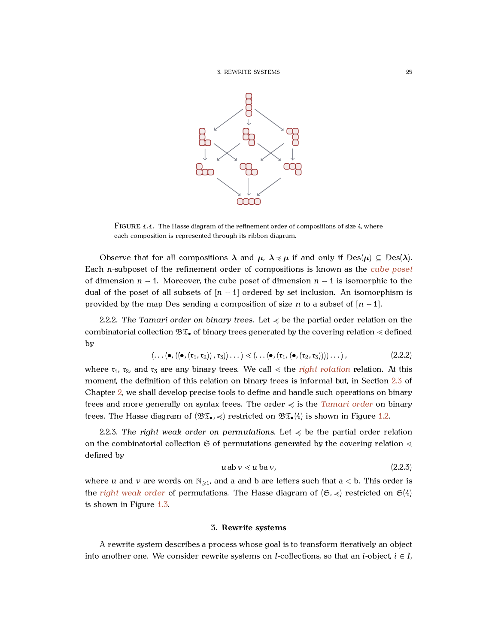

<span id="page-30-1"></span>FIGURE 1.1. The Hasse diagram of the refinement order of compositions of size 4, where each composition is represented through its ribbon diagram.

Observe that for all compositions  $\lambda$  and  $\mu$ ,  $\lambda \preccurlyeq \mu$  if and only if Des $(\mu) \subseteq \text{Des}(\lambda)$ . Each *n*-subposet of the refinement order of compositions is known as the *cube poset* of dimension *n −* 1. Moreover, the cube poset of dimension *n −* 1 is isomorphic to the dual of the poset of all subsets of  $[n - 1]$  ordered by set inclusion. An isomorphism is provided by the map Des sending a composition of size *n* to a subset of  $[n-1]$ .

2.2.2. The Tamari order on binary trees. Let  $\preccurlyeq$  be the partial order relation on the combinatorial collection  $\mathfrak{BT}_{\bullet}$  of binary trees generated by the covering relation  $\lt$  defined by

$$
(\ldots \left(\bullet, \left(\left(\bullet, \left(\mathfrak{r}_{1}, \mathfrak{r}_{2}\right)\right), \mathfrak{r}_{3}\right)\right)\ldots\right) \leq (\ldots \left(\bullet, \left(\mathfrak{r}_{1}, \left(\bullet, \left(\mathfrak{r}_{2}, \mathfrak{r}_{3}\right)\right)\right)\right)\ldots\right), \tag{2.2.2}
$$

where  $r_1$ ,  $r_2$ , and  $r_3$  are any binary trees. We call  $\lt$  the *right rotation* relation. At this moment, the definition of this relation on binary trees is informal but, in Section [2.3](#page-49-0) of Chapter [2,](#page-38-0) we shall develop precise tools to define and handle such operations on binary trees and more generally on syntax trees. The order  $\preccurlyeq$  is the *Tamari order* on binary trees. The Hasse diagram of ( $\mathfrak{BT}_{\bullet}$ ,  $\preccurlyeq$ ) restricted on  $\mathfrak{BT}_{\bullet}(4)$  is shown in Figure [1.2.](#page-31-1)

2.2.3. The right weak order on permutations. Let  $\leq$  be the partial order relation on the combinatorial collection  $\mathfrak S$  of permutations generated by the covering relation  $\leq$ defined by

$$
u \, ab \, v \ll u \, ba \, v, \tag{2.2.3}
$$

where *u* and *v* are words on  $\mathbb{N}_{\geq 1}$ , and a and b are letters such that  $a < b$ . This order is the *right weak order* of permutations. The Hasse diagram of  $(\mathfrak{S}, \preccurlyeq)$  restricted on  $\mathfrak{S}(4)$ is shown in Figure [1.3.](#page-32-0)

# **3. Rewrite systems**

<span id="page-30-0"></span>A rewrite system describes a process whose goal is to transform iteratively an object into another one. We consider rewrite systems on *I*-collections, so that an *i*-object,  $i \in I$ ,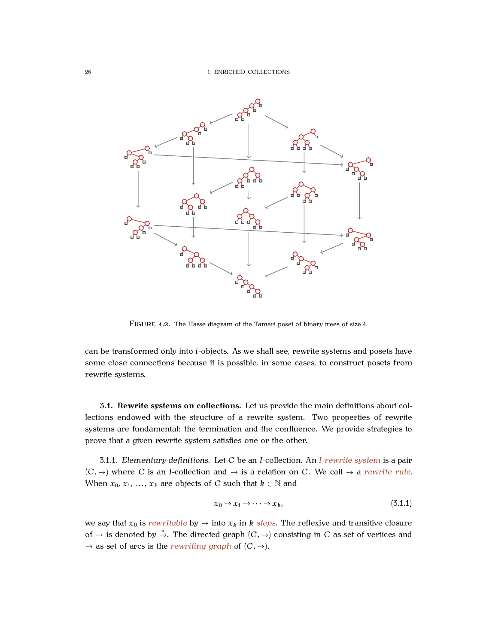

<span id="page-31-1"></span>FIGURE 1.2. The Hasse diagram of the Tamari poset of binary trees of size 4.

can be transformed only into *i*-objects. As we shall see, rewrite systems and posets have some close connections because it is possible, in some cases, to construct posets from rewrite systems.

<span id="page-31-0"></span>**3.1. Rewrite systems on collections.** Let us provide the main definitions about collections endowed with the structure of a rewrite system. Two properties of rewrite systems are fundamental: the termination and the confluence. We provide strategies to prove that a given rewrite system satisfies one or the other.

3.1.1. *Elementary definitions.* Let *C* be an *I*-collection. An *I-rewrite system* is a pair  $(C, \rightarrow)$  where *C* is an *I*-collection and  $\rightarrow$  is a relation on *C*. We call  $\rightarrow$  a *rewrite rule*. When  $x_0$ ,  $x_1$ , ...,  $x_k$  are objects of *C* such that  $k \in \mathbb{N}$  and

$$
x_0 \to x_1 \to \cdots \to x_k, \tag{3.1.1}
$$

we say that  $x_0$  is *rewritable* by  $\rightarrow$  into  $x_k$  in *k steps*. The reflexive and transitive closure of *→* is denoted by *<sup>∗</sup>→*. The directed graph (*C, →*) consisting in *C* as set of vertices and *→* as set of arcs is the *rewriting graph* of (*C, →*).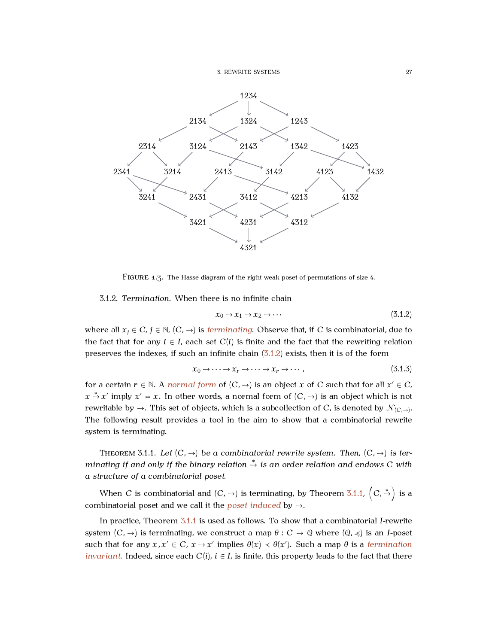

<span id="page-32-0"></span>FIGURE 1.3. The Hasse diagram of the right weak poset of permutations of size 4.

3.1.2. *Termination.* When there is no infinite chain

<span id="page-32-1"></span>
$$
x_0 \to x_1 \to x_2 \to \cdots \tag{3.1.2}
$$

where all  $x_i \in C$ ,  $j \in \mathbb{N}$ ,  $(C, \rightarrow)$  is *terminating*. Observe that, if C is combinatorial, due to the fact that for any  $i \in I$ , each set  $C(i)$  is finite and the fact that the rewriting relation preserves the indexes, if such an infinite chain  $(3.1.2)$  exists, then it is of the form

<span id="page-32-3"></span>
$$
x_0 \to \cdots \to x_r \to \cdots \to x_r \to \cdots \tag{3.1.3}
$$

for a certain  $r \in \mathbb{N}$ . A *normal form* of  $(C, \rightarrow)$  is an object  $x$  of  $C$  such that for all  $x' \in C$ ,  $x \stackrel{*}{\rightarrow} x'$  imply  $x' = x$ . In other words, a normal form of  $(C, \rightarrow)$  is an object which is not rewritable by *→*. This set of objects, which is a subcollection of *C*, is denoted by *N*(*C,→*) . The following result provides a tool in the aim to show that a combinatorial rewrite system is terminating.

<span id="page-32-2"></span>THEOREM 3.1.1. Let  $(C, \rightarrow)$  be a combinatorial rewrite system. Then,  $(C, \rightarrow)$  is ter*minating if and only if the binary relation*  $\stackrel{*}{\rightarrow}$  *is an order relation and endows C with a structure of a combinatorial poset.*

When *C* is combinatorial and  $(C, \rightarrow)$  is terminating, by Theorem [3.1.1,](#page-32-2) *C, <sup>∗</sup>→* is a combinatorial poset and we call it the *poset induced* by *→*.

In practice, Theorem [3.1.1](#page-32-2) is used as follows. To show that a combinatorial *I*-rewrite system  $(C, \rightarrow)$  is terminating, we construct a map  $\theta : C \rightarrow \mathbb{Q}$  where  $(\mathbb{Q}, \preccurlyeq)$  is an *I*-poset such that for any  $x, x' \in C$ ,  $x \to x'$  implies  $\theta(x) \prec \theta(x')$ . Such a map  $\theta$  is a *termination invariant.* Indeed, since each  $C(i)$ ,  $i \in I$ , is finite, this property leads to the fact that there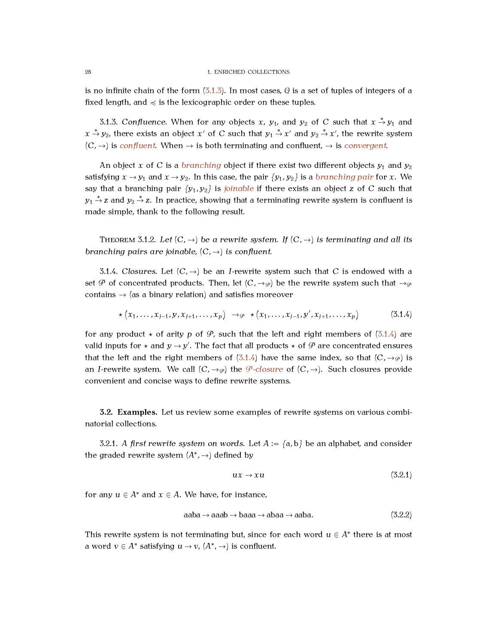is no infinite chain of the form [\(3.1.3\)](#page-32-3). In most cases, *Q* is a set of tuples of integers of a fixed length, and  $\leq$  is the lexicographic order on these tuples.

3.1.3. *Confluence.* When for any objects  $x$ ,  $y_1$ , and  $y_2$  of  $C$  such that  $x \stackrel{*}{\rightarrow} y_1$  and  $x \stackrel{*}{\rightarrow} y_2$ , there exists an object  $x'$  of *C* such that  $y_1 \stackrel{*}{\rightarrow} x'$  and  $y_2 \stackrel{*}{\rightarrow} x'$ , the rewrite system (*C, →*) is *confluent*. When *→* is both terminating and confluent, *→* is *convergent*.

An object *x* of *C* is a *branching* object if there exist two different objects  $y_1$  and  $y_2$ satisfying  $x \rightarrow y_1$  and  $x \rightarrow y_2$ . In this case, the pair  $\{y_1, y_2\}$  is a *branching pair* for *x*. We say that a branching pair *{y*1*, y*2*}* is *joinable* if there exists an object *z* of *C* such that *y*1 *<sup>∗</sup>→z* and *y*<sup>2</sup> *<sup>∗</sup>→z*. In practice, showing that a terminating rewrite system is confluent is made simple, thank to the following result.

THEOREM 3.1.2. Let  $(C, \rightarrow)$  be a rewrite system. If  $(C, \rightarrow)$  is terminating and all its *branching pairs are joinable,* (*C, →*) *is confluent.*

3.1.4. *Closures.* Let  $(C, \rightarrow)$  be an *I*-rewrite system such that *C* is endowed with a set  $\mathcal P$  of concentrated products. Then, let  $(C, \rightarrow \varphi)$  be the rewrite system such that  $\rightarrow \varphi$ contains *→* (as a binary relation) and satisfies moreover

<span id="page-33-1"></span>
$$
\star (x_1, \ldots, x_{j-1}, y, x_{j+1}, \ldots, x_p) \rightarrow \varphi \star (x_1, \ldots, x_{j-1}, y', x_{j+1}, \ldots, x_p) \tag{3.1.4}
$$

for any product  $\star$  of arity *p* of  $\mathcal{P}$ , such that the left and right members of  $(3.1.4)$  are valid inputs for  $\star$  and  $y \to y'$ . The fact that all products  $\star$  of  $\mathscr P$  are concentrated ensures that the left and the right members of  $(3.1.4)$  have the same index, so that  $(C, \rightarrow \varphi)$  is an *I*-rewrite system. We call  $(C, \rightarrow)$  the *P*-closure of  $(C, \rightarrow)$ . Such closures provide convenient and concise ways to define rewrite systems.

<span id="page-33-0"></span>**3.2. Examples.** Let us review some examples of rewrite systems on various combinatorial collections.

3.2.1. *A first rewrite system on words.* Let  $A := \{a, b\}$  be an alphabet, and consider the graded rewrite system  $(A^*, \rightarrow)$  defined by

$$
ux \to xu \tag{3.2.1}
$$

for any  $u \in A^*$  and  $x \in A$ . We have, for instance,

$$
aaba \to aaab \to baaa \to abaa \to aaba. \tag{3.2.2}
$$

This rewrite system is not terminating but, since for each word  $u \in A^*$  there is at most a word  $v \in A^*$  satisfying  $u \to v$ ,  $\langle A^*, \to \rangle$  is confluent.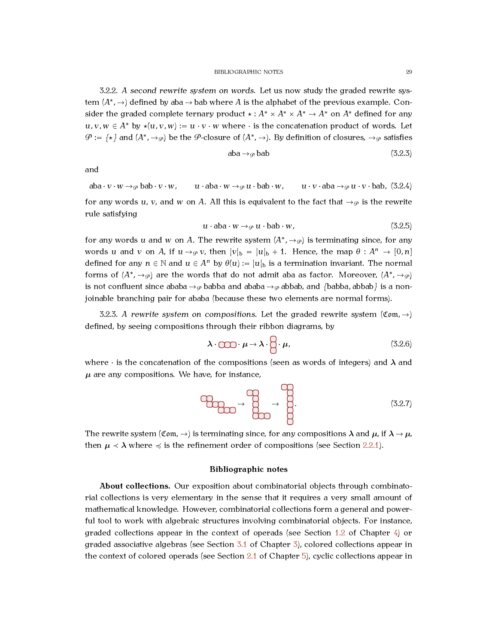3.2.2. *A second rewrite system on words.* Let us now study the graded rewrite system (*A ∗ , →*) defined by aba *→*bab where *A* is the alphabet of the previous example. Consider the graded complete ternary product  $\star : A^* \times A^* \times A^* \to A^*$  on  $A^*$  defined for any  $u, v, w \in A^*$  by  $\star$ (*u, v, w*) :=  $u \cdot v \cdot w$  where  $\cdot$  is the concatenation product of words. Let  $\mathcal{P}$  :=  $\{\star\}$  and  $\langle A^*, \to \varphi \rangle$  be the  $\mathcal{P}$ -closure of  $\langle A^*, \to \rangle$ . By definition of closures,  $\to \varphi$  satisfies

$$
aba \to \varphi \text{ bab} \tag{3.2.3}
$$

and

aba · v · w →
$$
\varphi
$$
 bab · v · w,  $u \cdot aba \cdot w \rightarrow \varphi u \cdot bab \cdot w$ ,  $u \cdot v \cdot aba \rightarrow \varphi u \cdot v \cdot bab$ , (3.2.4)  
for any words u, v, and w on A. All this is equivalent to the fact that  $\rightarrow \varphi$  is the rewrite  
rule satisfying

$$
u \cdot \text{aba} \cdot w \rightarrow_{\mathcal{P}} u \cdot \text{bab} \cdot w,\tag{3.2.5}
$$

for any words *u* and *w* on *A*. The rewrite system  $(A^*, \rightarrow \varphi)$  is terminating since, for any words *u* and *v* on *A*, if  $u \rightarrow \varphi v$ , then  $|v|_b = |u|_b + 1$ . Hence, the map  $\theta : A^n \rightarrow [0, n]$ defined for any  $n \in \mathbb{N}$  and  $u \in A^n$  by  $\theta(u) := |u|_{\mathbf{b}}$  is a termination invariant. The normal forms of  $(A^*, \rightarrow \varphi)$  are the words that do not admit aba as factor. Moreover,  $(A^*, \rightarrow \varphi)$ is not confluent since ababa  $\rightarrow \varphi$  babba and ababa  $\rightarrow \varphi$  abbab, and *{*babba*, abbab}* is a nonjoinable branching pair for ababa (because these two elements are normal forms).

3.2.3. *A rewrite system on compositions.* Let the graded rewrite system ( $\mathfrak{Com}, \rightarrow$ ) defined, by seeing compositions through their ribbon diagrams, by

$$
\lambda \cdot \text{CCD} \cdot \mu \to \lambda \cdot \bigg\} \cdot \mu,\tag{3.2.6}
$$

where  $\cdot$  is the concatenation of the compositions (seen as words of integers) and  $\lambda$  and  $\mu$  are any compositions. We have, for instance,

$$
\begin{array}{ccc}\n\mathbf{Q} & \mathbf{Q} & \mathbf{Q} \\
\hline\n\mathbf{Q} & \mathbf{Q} & \mathbf{Q} \\
\hline\n\mathbf{Q} & \mathbf{Q} & \mathbf{Q}\n\end{array} \tag{3.2.7}
$$

The rewrite system (Com,  $\rightarrow$ ) is terminating since, for any compositions  $\lambda$  and  $\mu$ , if  $\lambda \rightarrow \mu$ , then  $\mu \prec \lambda$  where  $\preccurlyeq$  is the refinement order of compositions (see Section [2.2.1\)](#page-29-1).

# **Bibliographic notes**

**About collections.** Our exposition about combinatorial objects through combinatorial collections is very elementary in the sense that it requires a very small amount of mathematical knowledge. However, combinatorial collections form a general and powerful tool to work with algebraic structures involving combinatorial objects. For instance, graded collections appear in the context of operads (see Section [1.2](#page-92-0) of Chapter [4\)](#page-86-0) or graded associative algebras (see Section [3.1](#page-74-1) of Chapter [3\)](#page-58-0), colored collections appear in the context of colored operads (see Section [2.1](#page-128-1) of Chapter [5\)](#page-122-0), cyclic collections appear in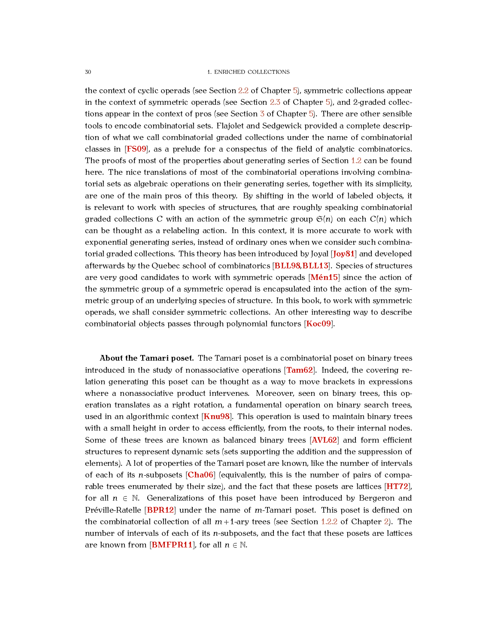the context of cyclic operads (see Section [2.2](#page-131-0) of Chapter [5\)](#page-122-0), symmetric collections appear in the context of symmetric operads (see Section  $2.3$  of Chapter [5\)](#page-122-0), and 2-graded collections appear in the context of pros (see Section [3](#page-137-0) of Chapter [5\)](#page-122-0). There are other sensible tools to encode combinatorial sets. Flajolet and Sedgewick provided a complete description of what we call combinatorial graded collections under the name of combinatorial classes in [**[FS09](#page-148-0)**], as a prelude for a conspectus of the field of analytic combinatorics. The proofs of most of the properties about generating series of Section [1.2](#page-17-0) can be found here. The nice translations of most of the combinatorial operations involving combinatorial sets as algebraic operations on their generating series, together with its simplicity, are one of the main pros of this theory. By shifting in the world of labeled objects, it is relevant to work with species of structures, that are roughly speaking combinatorial graded collections *C* with an action of the symmetric group  $\mathfrak{S}(n)$  on each  $C(n)$  which can be thought as a relabeling action. In this context, it is more accurate to work with exponential generating series, instead of ordinary ones when we consider such combinatorial graded collections. This theory has been introduced by Joyal [**[Joy81](#page-149-0)**] and developed afterwards by the Quebec school of combinatorics [**[BLL98](#page-146-1)**,**[BLL13](#page-146-2)**]. Species of structures are very good candidates to work with symmetric operads [**[Mén15](#page-150-0)**] since the action of the symmetric group of a symmetric operad is encapsulated into the action of the symmetric group of an underlying species of structure. In this book, to work with symmetric operads, we shall consider symmetric collections. An other interesting way to describe combinatorial objects passes through polynomial functors [**[Koc09](#page-149-1)**].

**About the Tamari poset.** The Tamari poset is a combinatorial poset on binary trees introduced in the study of nonassociative operations [**[Tam62](#page-151-1)**]. Indeed, the covering relation generating this poset can be thought as a way to move brackets in expressions where a nonassociative product intervenes. Moreover, seen on binary trees, this operation translates as a right rotation, a fundamental operation on binary search trees, used in an algorithmic context [**[Knu98](#page-149-2)**]. This operation is used to maintain binary trees with a small height in order to access efficiently, from the roots, to their internal nodes. Some of these trees are known as balanced binary trees [**[AVL62](#page-146-3)**] and form efficient structures to represent dynamic sets (sets supporting the addition and the suppression of elements). A lot of properties of the Tamari poset are known, like the number of intervals of each of its *n*-subposets [**[Cha06](#page-147-0)**] (equivalently, this is the number of pairs of comparable trees enumerated by their size), and the fact that these posets are lattices [**[HT72](#page-149-3)**], for all  $n \in \mathbb{N}$ . Generalizations of this poset have been introduced by Bergeron and Préville-Ratelle [**[BPR12](#page-146-4)**] under the name of *m*-Tamari poset. This poset is defined on the combinatorial collection of all  $m+1$ -ary trees (see Section [1.2.2](#page-42-1) of Chapter [2\)](#page-38-0). The number of intervals of each of its *n*-subposets, and the fact that these posets are lattices are known from [**[BMFPR11](#page-146-5)**], for all  $n \in \mathbb{N}$ .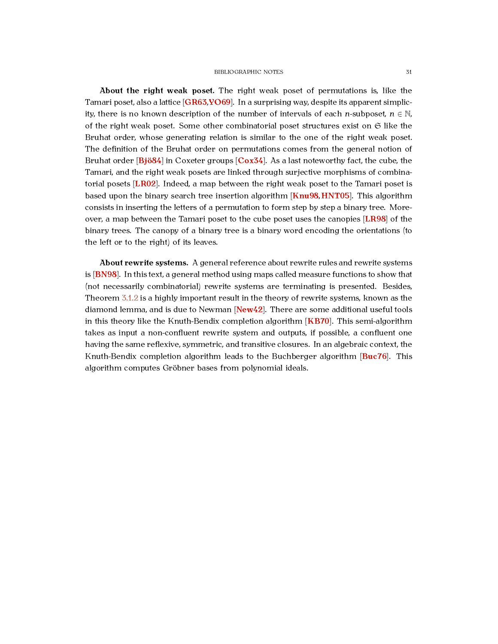**About the right weak poset.** The right weak poset of permutations is, like the Tamari poset, also a lattice [**[GR63](#page-148-0)**,**[YO69](#page-151-0)**]. In a surprising way, despite its apparent simplicity, there is no known description of the number of intervals of each *n*-subposet,  $n \in \mathbb{N}$ , of the right weak poset. Some other combinatorial poset structures exist on  $\mathfrak S$  like the Bruhat order, whose generating relation is similar to the one of the right weak poset. The definition of the Bruhat order on permutations comes from the general notion of Bruhat order [**[Bjö84](#page-146-0)**] in Coxeter groups [**[Cox34](#page-147-0)**]. As a last noteworthy fact, the cube, the Tamari, and the right weak posets are linked through surjective morphisms of combinatorial posets [**[LR02](#page-150-0)**]. Indeed, a map between the right weak poset to the Tamari poset is based upon the binary search tree insertion algorithm [**[Knu98](#page-149-0)**,**[HNT05](#page-148-1)**]. This algorithm consists in inserting the letters of a permutation to form step by step a binary tree. Moreover, a map between the Tamari poset to the cube poset uses the canopies [**[LR98](#page-150-1)**] of the binary trees. The canopy of a binary tree is a binary word encoding the orientations (to the left or to the right) of its leaves.

**About rewrite systems.** A general reference about rewrite rules and rewrite systems is [**[BN98](#page-146-1)**]. In this text, a general method using maps called measure functions to show that (not necessarily combinatorial) rewrite systems are terminating is presented. Besides, Theorem [3.1.2](#page-33-0) is a highly important result in the theory of rewrite systems, known as the diamond lemma, and is due to Newman [**[New42](#page-150-2)**]. There are some additional useful tools in this theory like the Knuth-Bendix completion algorithm [**[KB70](#page-149-1)**]. This semi-algorithm takes as input a non-confluent rewrite system and outputs, if possible, a confluent one having the same reflexive, symmetric, and transitive closures. In an algebraic context, the Knuth-Bendix completion algorithm leads to the Buchberger algorithm [**[Buc76](#page-147-1)**]. This algorithm computes Gröbner bases from polynomial ideals.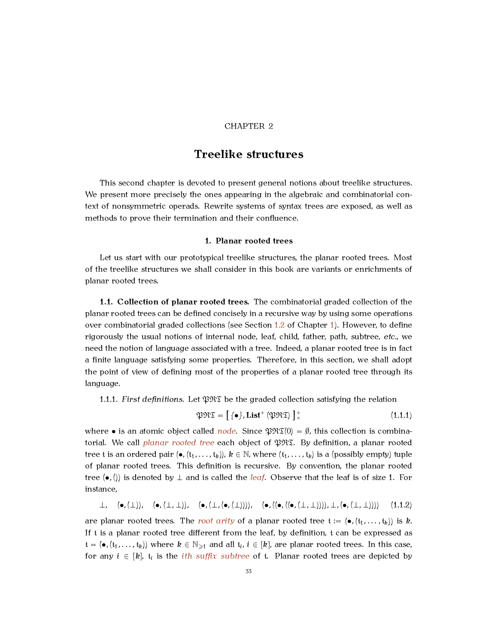# CHAPTER 2

# **Treelike structures**

This second chapter is devoted to present general notions about treelike structures. We present more precisely the ones appearing in the algebraic and combinatorial context of nonsymmetric operads. Rewrite systems of syntax trees are exposed, as well as methods to prove their termination and their confluence.

# **1. Planar rooted trees**

<span id="page-38-2"></span>Let us start with our prototypical treelike structures, the planar rooted trees. Most of the treelike structures we shall consider in this book are variants or enrichments of planar rooted trees.

**1.1. Collection of planar rooted trees.** The combinatorial graded collection of the planar rooted trees can be defined concisely in a recursive way by using some operations over combinatorial graded collections (see Section [1.2](#page-17-0) of Chapter [1\)](#page-14-0). However, to define rigorously the usual notions of internal node, leaf, child, father, path, subtree, *etc.*, we need the notion of language associated with a tree. Indeed, a planar rooted tree is in fact a finite language satisfying some properties. Therefore, in this section, we shall adopt the point of view of defining most of the properties of a planar rooted tree through its language.

1.1.1. *First definitions.* Let  $\mathfrak{P} \mathfrak{R} \mathfrak{D}$  be the graded collection satisfying the relation

<span id="page-38-1"></span>
$$
\mathfrak{P}\mathfrak{R}\mathfrak{T} = \left[ \{ \bullet \}, \mathbf{List}^+(\mathfrak{P}\mathfrak{R}\mathfrak{T}) \right]_{\times}^+ \tag{1.1.1}
$$

where • is an atomic object called *node*. Since  $\mathfrak{P}\mathfrak{R}\mathfrak{T}(0) = \emptyset$ , this collection is combinatorial. We call *planar rooted tree* each object of PRT. By definition, a planar rooted tree t is an ordered pair  $(\bullet, (t_1, \ldots, t_k)), k \in \mathbb{N}$ , where  $(t_1, \ldots, t_k)$  is a (possibly empty) tuple of planar rooted trees. This definition is recursive. By convention, the planar rooted tree (*•,* ()) is denoted by *⊥* and is called the *leaf*. Observe that the leaf is of size 1. For instance,

<span id="page-38-0"></span>
$$
\perp, \quad (\bullet, (\perp)), \quad (\bullet, (\perp, \perp)), \quad (\bullet, (\perp, (\bullet, (\perp)))) , \quad (\bullet, ((\bullet, ((\bullet, (\perp, \perp)))) , \perp, (\bullet, (\perp, \perp)))) \tag{1.1.2}
$$

are planar rooted trees. The root arity of a planar rooted tree  $t := (\bullet, (t_1, \ldots, t_k))$  is k. If t is a planar rooted tree different from the leaf, by definition, t can be expressed as  $t = (\bullet, (t_1, \ldots, t_k))$  where  $k \in \mathbb{N}_{\geq 1}$  and all  $t_i, i \in [k]$ , are planar rooted trees. In this case, for any *i ∈* [*k*], t*<sup>i</sup>* is the *ith suffix subtree* of t. Planar rooted trees are depicted by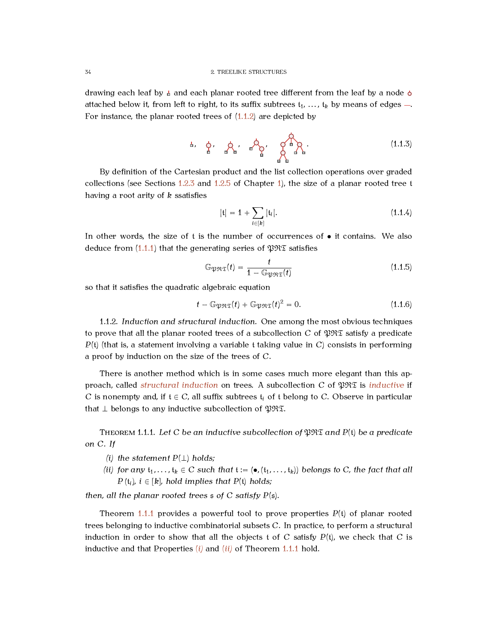## 34 2. TREELIKE STRUCTURES

drawing each leaf by  $\frac{1}{4}$  and each planar rooted tree different from the leaf by a node  $\phi$ attached below it, from left to right, to its suffix subtrees  $t_1, \ldots, t_k$  by means of edges  $-$ . For instance, the planar rooted trees of  $(1.1.2)$  are depicted by

$$
\mathbf{a}, \quad \mathbf{b}, \quad \mathbf{c}, \quad \mathbf{c}, \quad \mathbf{c}, \quad \mathbf{c}, \quad \mathbf{c}, \quad \mathbf{c} \tag{1.1.3}
$$

By definition of the Cartesian product and the list collection operations over graded collections (see Sections [1.2.3](#page-19-0) and [1.2.5](#page-20-0) of Chapter [1\)](#page-14-0), the size of a planar rooted tree t having a root arity of *k* ssatisfies

$$
|t| = 1 + \sum_{i \in [k]} |t_i|. \tag{1.1.4}
$$

In other words, the size of t is the number of occurrences of *•* it contains. We also deduce from  $(1.1.1)$  that the generating series of  $\mathfrak{P} \mathfrak{R} \mathfrak{T}$  satisfies

$$
\mathbb{G}_{\mathfrak{P}\mathfrak{R}\mathfrak{T}}(t) = \frac{t}{1 - \mathbb{G}_{\mathfrak{P}\mathfrak{R}\mathfrak{T}}(t)}\tag{1.1.5}
$$

so that it satisfies the quadratic algebraic equation

<span id="page-39-3"></span>
$$
t - \mathbb{G}_{\mathfrak{P}\mathfrak{R}\mathfrak{T}}(t) + \mathbb{G}_{\mathfrak{P}\mathfrak{R}\mathfrak{T}}(t)^2 = 0.
$$
 (1.1.6)

<span id="page-39-4"></span>1.1.2. *Induction and structural induction.* One among the most obvious techniques to prove that all the planar rooted trees of a subcollection *C* of PRT satisfy a predicate *P*(t) (that is, a statement involving a variable t taking value in *C*) consists in performing a proof by induction on the size of the trees of *C*.

There is another method which is in some cases much more elegant than this approach, called *structural induction* on trees. A subcollection *C* of PRT is *inductive* if *C* is nonempty and, if t ∈ *C*, all suffix subtrees t<sub>i</sub> of t belong to *C*. Observe in particular that ⊥ belongs to any inductive subcollection of  $\mathfrak{P} \mathfrak{R} \mathfrak{T}$ .

<span id="page-39-0"></span>THEOREM 1.1.1. *Let C be an inductive subcollection of* PRT *and P*(t) *be a predicate on C. If*

- <span id="page-39-1"></span>*(i) the statement P*(*⊥*) *holds;*
- <span id="page-39-2"></span>*(ii) for any*  $t_1, \ldots, t_k \in C$  *such that*  $t := (\bullet, (t_1, \ldots, t_k))$  *belongs to C, the fact that all P*( $t_i$ ),  $i$  ∈ [ $k$ ], hold implies that  $P(t)$  holds;

*then, all the planar rooted trees*  $\mathfrak s$  *of*  $C$  *satisfy*  $P(\mathfrak s)$ *.* 

Theorem [1.1.1](#page-39-0) provides a powerful tool to prove properties *P*(t) of planar rooted trees belonging to inductive combinatorial subsets *C*. In practice, to perform a structural induction in order to show that all the objects t of  $C$  satisfy  $P(t)$ , we check that  $C$  is inductive and that Properties (*[i\)](#page-39-1)* and (*[ii\)](#page-39-2)* of Theorem [1.1.1](#page-39-0) hold.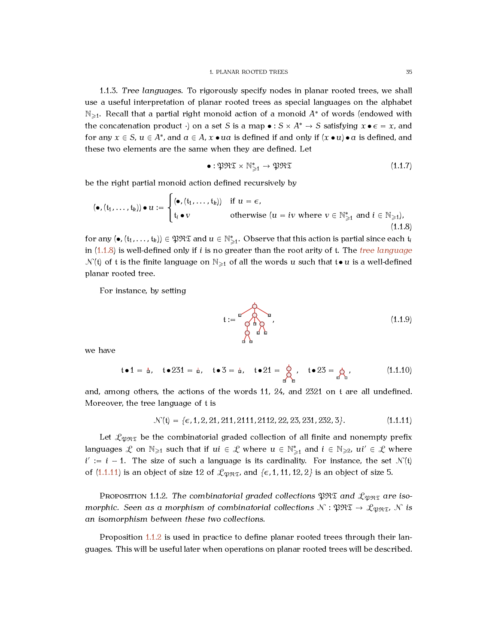1.1.3. *Tree languages.* To rigorously specify nodes in planar rooted trees, we shall use a useful interpretation of planar rooted trees as special languages on the alphabet N>1. Recall that a partial right monoid action of a monoid *A <sup>∗</sup>* of words (endowed with the concatenation product *·*) on a set *S* is a map  $\bullet$  :  $S \times A^* \to S$  satisfying  $x \bullet \epsilon = x$ , and for any  $x \in S$ ,  $u \in A^*$ , and  $a \in A$ ,  $x \cdot u$  is defined if and only if  $(x \cdot u) \cdot a$  is defined, and these two elements are the same when they are defined. Let

$$
\bullet: \mathfrak{PRT} \times \mathbb{N}^*_{\geq 1} \to \mathfrak{PRT} \tag{1.1.7}
$$

be the right partial monoid action defined recursively by

<span id="page-40-0"></span>
$$
(\bullet,(t_1,\ldots,t_k)) \bullet u := \begin{cases} (\bullet,(t_1,\ldots,t_k)) & \text{if } u = \epsilon, \\ t_i \bullet v & \text{otherwise } (u = iv \text{ where } v \in \mathbb{N}_{\geq 1}^* \text{ and } i \in \mathbb{N}_{\geq 1}), \\ (1.1.8)
$$

 $\{f \in \mathbb{R}^d : \langle f_1, \ldots, f_k \rangle\} \in \mathfrak{P} \mathfrak{R} \mathfrak{T}$  and  $u \in \mathbb{N}_{\geqslant 1}^*.$  Observe that this action is partial since each  $\mathfrak{t}_i$ in [\(1.1.8\)](#page-40-0) is well-defined only if *i* is no greater than the root arity of t. The *tree language N*(t) of t is the finite language on  $\mathbb{N}_{\geq 1}$  of all the words *u* such that  $\cdot \bullet u$  is a well-defined planar rooted tree.

For instance, by setting

<span id="page-40-3"></span>
$$
t := \underbrace{\bigcirc}_{\begin{smallmatrix} 0 \\ \beta_1 \\ \beta_2 \end{smallmatrix}} \bigcirc
$$
 (1.1.9)

we have

$$
\mathfrak{t} \bullet 1 = \mathfrak{b}, \quad \mathfrak{t} \bullet 231 = \mathfrak{b}, \quad \mathfrak{t} \bullet 3 = \mathfrak{b}, \quad \mathfrak{t} \bullet 21 = \bigotimes_{\mathfrak{g} \bullet} \mathfrak{f} \bullet 23 = \bigotimes_{\mathfrak{g} \bullet} \mathfrak{f} \tag{1.1.10}
$$

and, among others, the actions of the words 11, 24, and 2321 on t are all undefined. Moreover, the tree language of t is

<span id="page-40-1"></span>
$$
\mathcal{N}(t) = \{ \epsilon, 1, 2, 21, 211, 2111, 2112, 22, 23, 231, 232, 3 \}. \tag{1.1.11}
$$

Let  $\mathcal{L}_{\mathfrak{P}\mathfrak{R}\mathfrak{T}}$  be the combinatorial graded collection of all finite and nonempty prefix languages  $\mathcal{L}$  on  $\mathbb{N}_{\geqslant 1}$  such that if  $ui \in \mathcal{L}$  where  $u \in \mathbb{N}^*_{\geqslant 1}$  and  $i \in \mathbb{N}_{\geqslant 2}$ ,  $ui' \in \mathcal{L}$  where  $i' := i - 1$ . The size of such a language is its cardinality. For instance, the set *N*(t) of  $(1.1.11)$  is an object of size 12 of  $\mathcal{L}_{\text{RPR}}$ , and  $\{\epsilon, 1, 11, 12, 2\}$  is an object of size 5.

<span id="page-40-2"></span>*PROPOSITION 1.1.2. The combinatorial graded collections*  $\mathfrak{P} \mathfrak{R} \mathfrak{T}$  *and*  $\mathcal{L}_{\mathfrak{P} \mathfrak{R} \mathfrak{T}}$  *are isomorphic. Seen as a morphism of combinatorial collections*  $N : \mathfrak{P} \mathfrak{R} \mathfrak{T} \to \mathfrak{L}_{\mathfrak{P} \mathfrak{R} \mathfrak{T}}$ ,  $N$  *is an isomorphism between these two collections.*

Proposition [1.1.2](#page-40-2) is used in practice to define planar rooted trees through their languages. This will be useful later when operations on planar rooted trees will be described.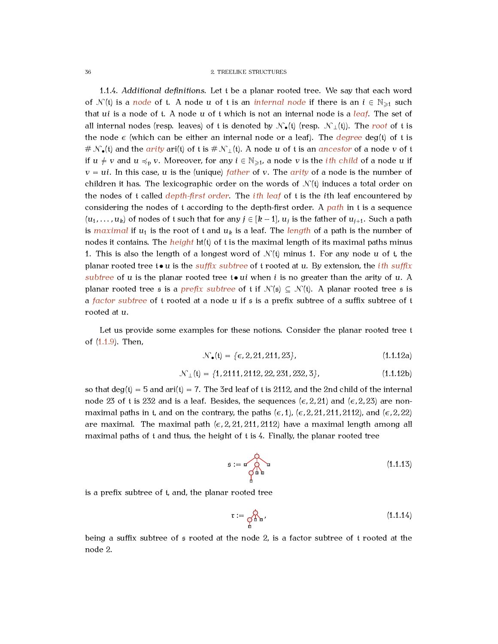36 2. TREELIKE STRUCTURES

1.1.4. *Additional definitions.* Let t be a planar rooted tree. We say that each word of *N*(t) is a *node* of t. A node *u* of t is an *internal node* if there is an  $i \in \mathbb{N}_{\geq 1}$  such that *ui* is a node of t. A node *u* of t which is not an internal node is a *leaf*. The set of all internal nodes (resp. leaves) of t is denoted by  $\mathcal{N}_{\bullet}(t)$  (resp.  $\mathcal{N}_{\perp}(t)$ ). The *root* of t is the node  $\epsilon$  (which can be either an internal node or a leaf). The *degree* deg(t) of t is #*N•*(t) and the *arity* ari(t) of t is #*N⊥*(t). A node *u* of t is an *ancestor* of a node *v* of t if  $u \neq v$  and  $u \preccurlyeq_{\mathbb{R}} v$ . Moreover, for any  $i \in \mathbb{N}_{\geq 1}$ , a node *v* is the *i*th child of a node *u* if *v* = *ui*. In this case, *u* is the (unique) *father* of *v*. The *arity* of a node is the number of children it has. The lexicographic order on the words of *N*(t) induces a total order on the nodes of t called *depth-first order*. The *ith leaf* of t is the *i*th leaf encountered by considering the nodes of t according to the depth-first order. A *path* in t is a sequence  $(u_1, \ldots, u_k)$  of nodes of t such that for any  $j \in [k-1]$ ,  $u_j$  is the father of  $u_{j+1}$ . Such a path is *maximal* if  $u_1$  is the root of t and  $u_k$  is a leaf. The *length* of a path is the number of nodes it contains. The *height* ht(t) of t is the maximal length of its maximal paths minus 1. This is also the length of a longest word of *N*(t) minus 1. For any node *u* of t, the planar rooted tree t *• u* is the *suffix subtree* of t rooted at *u*. By extension, the *ith suffix subtree* of *u* is the planar rooted tree  $t \cdot u$  when *i* is no greater than the arity of *u*. A planar rooted tree s is a *prefix subtree* of t if *N*(s) *⊆ N*(t). A planar rooted tree s is a *factor subtree* of t rooted at a node *u* if s is a prefix subtree of a suffix subtree of t rooted at *u*.

Let us provide some examples for these notions. Consider the planar rooted tree t of [\(1.1.9\)](#page-40-3). Then,

$$
\mathcal{N}_{\bullet}(\mathfrak{t}) = \{ \epsilon, 2, 21, 211, 23 \},\tag{1.1.12a}
$$

$$
\mathcal{N}_{\perp}(\mathfrak{t}) = \{1, 2111, 2112, 22, 231, 232, 3\},\tag{1.1.12b}
$$

so that deg(t) = 5 and ari(t) = 7. The 3rd leaf of t is 2112, and the 2nd child of the internal node 23 of t is 232 and is a leaf. Besides, the sequences  $(\epsilon, 2, 21)$  and  $(\epsilon, 2, 23)$  are nonmaximal paths in t, and on the contrary, the paths  $(\epsilon, 1)$ ,  $(\epsilon, 2, 21, 211, 2112)$ , and  $(\epsilon, 2, 22)$ are maximal. The maximal path  $(\epsilon, 2, 21, 211, 2112)$  have a maximal length among all maximal paths of t and thus, the height of t is 4. Finally, the planar rooted tree

$$
\mathfrak{s} := \bigotimes_{\mathbf{Q} \in \mathbf{b}} \mathfrak{p} \tag{1.1.13}
$$

is a prefix subtree of t, and, the planar rooted tree

$$
\mathfrak{r} := \bigcirc_{\mathfrak{b}} \mathfrak{d}_{\mathfrak{b}} \,, \tag{1.1.14}
$$

being a suffix subtree of s rooted at the node 2, is a factor subtree of t rooted at the node 2.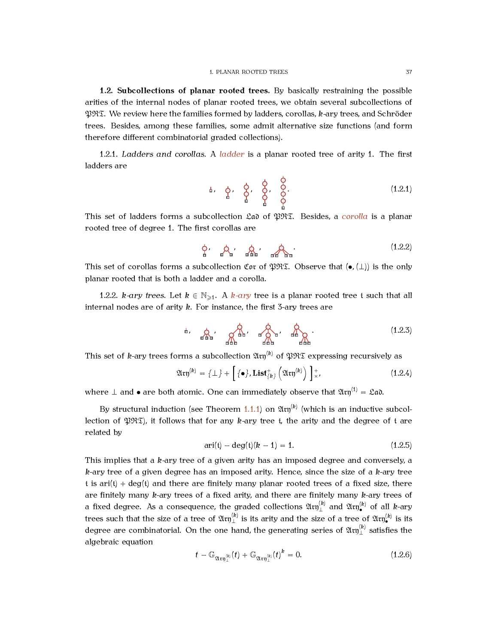<span id="page-42-1"></span>**1.2. Subcollections of planar rooted trees.** By basically restraining the possible arities of the internal nodes of planar rooted trees, we obtain several subcollections of PRT. We review here the families formed by ladders, corollas, *k*-ary trees, and Schröder trees. Besides, among these families, some admit alternative size functions (and form therefore different combinatorial graded collections).

1.2.1. *Ladders and corollas.* A *ladder* is a planar rooted tree of arity 1. The first ladders are

$$
\mathbf{a}, \quad \mathbf{b}, \quad \mathbf{c}, \quad \mathbf{c}, \quad \mathbf{c}, \quad \mathbf{c}, \quad \mathbf{c}, \quad \mathbf{c}, \quad \mathbf{c}, \quad \mathbf{c}, \quad \mathbf{c}, \quad \mathbf{c}, \quad \mathbf{c}, \quad \mathbf{c}, \quad \mathbf{c}, \quad \mathbf{c}, \quad \mathbf{c}, \quad \mathbf{c}, \quad \mathbf{c}, \quad \mathbf{c}, \quad \mathbf{c}, \quad \mathbf{c}, \quad \mathbf{c}, \quad \mathbf{c}, \quad \mathbf{c}, \quad \mathbf{c}, \quad \mathbf{c}, \quad \mathbf{c}, \quad \mathbf{c}, \quad \mathbf{c}, \quad \mathbf{c}, \quad \mathbf{c}, \quad \mathbf{c}, \quad \mathbf{c}, \quad \mathbf{c}, \quad \mathbf{c}, \quad \mathbf{c}, \quad \mathbf{c}, \quad \mathbf{c}, \quad \mathbf{c}, \quad \mathbf{c}, \quad \mathbf{c}, \quad \mathbf{c}, \quad \mathbf{c}, \quad \mathbf{c}, \quad \mathbf{c}, \quad \mathbf{c}, \quad \mathbf{c}, \quad \mathbf{c}, \quad \mathbf{c}, \quad \mathbf{c}, \quad \mathbf{c}, \quad \mathbf{c}, \quad \mathbf{c}, \quad \mathbf{c}, \quad \mathbf{c}, \quad \mathbf{c}, \quad \mathbf{c}, \quad \mathbf{c}, \quad \mathbf{c}, \quad \mathbf{c}, \quad \mathbf{c}, \quad \mathbf{c}, \quad \mathbf{c}, \quad \mathbf{c}, \quad \mathbf{c}, \quad \mathbf{c}, \quad \mathbf{c}, \quad \mathbf{c}, \quad \mathbf{c}, \quad \mathbf{c}, \quad \mathbf{c}, \quad \mathbf{c}, \quad \mathbf{c}, \quad \mathbf{c}, \quad \mathbf{c}, \quad \mathbf{c}, \quad \mathbf{c}, \quad \mathbf{c}, \quad \mathbf{c}, \quad \mathbf{c}, \quad \mathbf{c}, \quad \mathbf{c}, \quad \mathbf{c}, \quad \mathbf{c}, \quad \mathbf{c}, \quad \mathbf{c}, \quad \mathbf{c}, \quad \mathbf{c}, \quad \mathbf{c}, \quad \mathbf{c}, \quad \mathbf{c}, \quad \mathbf{c}, \quad \mathbf{c}, \quad \mathbf{c}, \quad
$$

This set of ladders forms a subcollection Lad of PRT. Besides, a *corolla* is a planar rooted tree of degree 1. The first corollas are

$$
2' \quad A' \quad A' \quad A' \quad (1.2.2)
$$

This set of corollas forms a subcollection Cor of  $\mathfrak{P}\mathfrak{R}\mathfrak{T}$ . Observe that  $(\bullet, (\perp))$  is the only planar rooted that is both a ladder and a corolla.

1.2.2. *k*-ary trees. Let  $k \in \mathbb{N}_{\geq 1}$ . A *k*-ary tree is a planar rooted tree t such that all internal nodes are of arity *k*. For instance, the first 3-ary trees are

$$
\mathbf{a}, \quad \mathbf{a}, \quad \mathbf{a}, \quad \mathbf{a}, \quad \mathbf{a}, \quad \mathbf{a}, \quad \mathbf{a}, \quad \mathbf{a}, \quad \mathbf{a}, \quad \mathbf{a}, \quad \mathbf{a}, \quad \mathbf{a}, \quad \mathbf{a}, \quad \mathbf{a}, \quad \mathbf{a}, \quad \mathbf{a}, \quad \mathbf{a}, \quad \mathbf{a}, \quad \mathbf{a}, \quad \mathbf{a}, \quad \mathbf{a}, \quad \mathbf{a}, \quad \mathbf{a}, \quad \mathbf{a}, \quad \mathbf{a}, \quad \mathbf{a}, \quad \mathbf{a}, \quad \mathbf{a}, \quad \mathbf{a}, \quad \mathbf{a}, \quad \mathbf{a}, \quad \mathbf{a}, \quad \mathbf{a}, \quad \mathbf{a}, \quad \mathbf{a}, \quad \mathbf{a}, \quad \mathbf{a}, \quad \mathbf{a}, \quad \mathbf{a}, \quad \mathbf{a}, \quad \mathbf{a}, \quad \mathbf{a}, \quad \mathbf{a}, \quad \mathbf{a}, \quad \mathbf{a}, \quad \mathbf{a}, \quad \mathbf{a}, \quad \mathbf{a}, \quad \mathbf{a}, \quad \mathbf{a}, \quad \mathbf{a}, \quad \mathbf{a}, \quad \mathbf{a}, \quad \mathbf{a}, \quad \mathbf{a}, \quad \mathbf{a}, \quad \mathbf{a}, \quad \mathbf{a}, \quad \mathbf{a}, \quad \mathbf{a}, \quad \mathbf{a}, \quad \mathbf{a}, \quad \mathbf{a}, \quad \mathbf{a}, \quad \mathbf{a}, \quad \mathbf{a}, \quad \mathbf{a}, \quad \mathbf{a}, \quad \mathbf{a}, \quad \mathbf{a}, \quad \mathbf{a}, \quad \mathbf{a}, \quad \mathbf{a}, \quad \mathbf{a}, \quad \mathbf{a}, \quad \mathbf{a}, \quad \mathbf{a}, \quad \mathbf{a}, \quad \mathbf{a}, \quad \mathbf{a}, \quad \mathbf{a}, \quad \mathbf{a}, \quad \mathbf{a}, \quad \mathbf{a}, \quad \mathbf{a}, \quad \mathbf{a}, \quad \mathbf{a}, \quad \mathbf{a}, \quad \mathbf{a}, \quad \mathbf{a}, \quad \mathbf{a}, \quad \mathbf{a}, \quad \mathbf{a}, \quad \mathbf{a}, \quad \mathbf{a}, \quad
$$

This set of *k*-ary trees forms a subcollection  $\mathfrak{Nm}^{(k)}$  of  $\mathfrak{PRI}$  expressing recursively as

$$
\mathfrak{Rep}^{(k)} = \{\perp\} + \left[ \{ \bullet \}, \mathbf{List}_{\{k\}}^{+} \left( \mathfrak{Rep}^{(k)} \right) \right]_{\times}^{+}, \tag{1.2.4}
$$

where  $\perp$  and • are both atomic. One can immediately observe that  $\mathfrak{A}(\mathfrak{n})^{\{1\}} = \mathfrak{L} \mathfrak{a} \mathfrak{d}$ .

By structural induction (see Theorem [1.1.1\)](#page-39-0) on  $\mathfrak{A} \mathfrak{r}^{(k)}$  (which is an inductive subcollection of  $\mathfrak{P}\mathfrak{R}\mathfrak{T}$ ), it follows that for any *k*-ary tree t, the arity and the degree of t are related by

$$
ari(t) - deg(t)(k - 1) = 1.
$$
 (1.2.5)

This implies that a *k*-ary tree of a given arity has an imposed degree and conversely, a *k*-ary tree of a given degree has an imposed arity. Hence, since the size of a *k*-ary tree t is ari(t) + deg(t) and there are finitely many planar rooted trees of a fixed size, there are finitely many *k*-ary trees of a fixed arity, and there are finitely many *k*-ary trees of a fixed degree. As a consequence, the graded collections Ary(*k*) *<sup>⊥</sup>* and Ary(*k*) *•* of all *k*-ary trees such that the size of a tree of থ(ry)<sup>(k)</sup> is its arity and the size of a tree of থ(ry)(k) is its degree are combinatorial. On the one hand, the generating series of Ary(*k*) *<sup>⊥</sup>* satisfies the algebraic equation

<span id="page-42-0"></span>
$$
t - \mathbb{G}_{\mathfrak{A}\mathfrak{r}\mathfrak{y}_\perp^{(k)}}(t) + \mathbb{G}_{\mathfrak{A}\mathfrak{r}\mathfrak{y}_\perp^{(k)}}(t)^k = 0.
$$
 (1.2.6)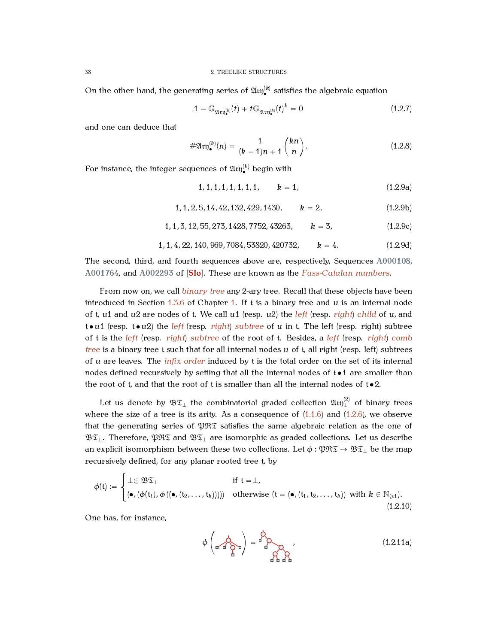On the other hand, the generating series of  $\mathfrak{Arr}^{(k)}_{\bullet}$  satisfies the algebraic equation

$$
1 - \mathbb{G}_{\mathfrak{A}\mathfrak{r}\mathfrak{v}_\bullet^{(k)}}(t) + t \mathbb{G}_{\mathfrak{A}\mathfrak{r}\mathfrak{v}_\bullet^{(k)}}(t)^k = 0 \qquad (1.2.7)
$$

and one can deduce that

<span id="page-43-1"></span>
$$
\#\mathfrak{A}\mathfrak{r}\mathfrak{y}_{\bullet}^{(k)}(n)=\frac{1}{(k-1)n+1}\binom{kn}{n}.
$$
 (1.2.8)

For instance, the integer sequences of Ary(*k*) *•* begin with

- 1*,* 1*,* 1*,* 1*,* 1*,* 1*,* 1*,* 1*, k* = 1*,* (1.2.9a)
- 1*,* 1*,* 2*,* 5*,* 14*,* 42*,* 132*,* 429*,* 1430*, k* = 2*,* (1.2.9b)
- 1*,* 1*,* 3*,* 12*,* 55*,* 273*,* 1428*,* 7752*,* 43263*, k* = 3*,* (1.2.9c)

$$
1, 1, 4, 22, 140, 969, 7084, 53820, 420732, \qquad k = 4. \tag{1.2.9d}
$$

The second, third, and fourth sequences above are, respectively, Sequences **[A000108](http://oeis.org/A000108)**, **[A001764](http://oeis.org/A001764)**, and **[A002293](http://oeis.org/A002293)** of [**[Slo](#page-151-1)**]. These are known as the *Fuss-Catalan numbers*.

From now on, we call *binary tree* any 2-ary tree. Recall that these objects have been introduced in Section [1.3.6](#page-27-0) of Chapter [1.](#page-14-0) If t is a binary tree and *u* is an internal node of t, *u*1 and *u*2 are nodes of t. We call *u*1 (resp. *u*2) the *left* (resp. *right*) *child* of *u*, and t *• u*1 (resp. t *• u*2) the *left* (resp. *right*) *subtree* of *u* in t. The left (resp. right) subtree of t is the *left* (resp. *right*) *subtree* of the root of t. Besides, a *left* (resp. *right*) *comb tree* is a binary tree t such that for all internal nodes *u* of t, all right (resp. left) subtrees of *u* are leaves. The *infix order* induced by t is the total order on the set of its internal nodes defined recursively by setting that all the internal nodes of  $\mathfrak{t} \bullet \mathfrak{1}$  are smaller than the root of t, and that the root of t is smaller than all the internal nodes of t *•* 2.

Let us denote by BT*<sup>⊥</sup>* the combinatorial graded collection Ary(2) *<sup>⊥</sup>* of binary trees where the size of a tree is its arity. As a consequence of  $(1.1.6)$  and  $(1.2.6)$ , we observe that the generating series of  $\mathfrak{P} \mathfrak{R} \mathfrak{T}$  satisfies the same algebraic relation as the one of BT*⊥*. Therefore, PRT and BT*<sup>⊥</sup>* are isomorphic as graded collections. Let us describe an explicit isomorphism between these two collections. Let  $\phi : \mathfrak{P} \mathfrak{R} \mathfrak{I} \to \mathfrak{B} \mathfrak{I}$ <sub>*l*</sub> be the map recursively defined, for any planar rooted tree t, by

<span id="page-43-0"></span>
$$
\phi(\mathfrak{t}) := \begin{cases} \bot \in \mathfrak{BT}_{\bot} & \text{if } \mathfrak{t} = \bot, \\ (\bullet, (\phi(\mathfrak{t}_1), \phi((\bullet, (\mathfrak{t}_2, ..., \mathfrak{t}_k)))) & \text{otherwise } (\mathfrak{t} = (\bullet, (\mathfrak{t}_1, \mathfrak{t}_2, ..., \mathfrak{t}_k)) \text{ with } k \in \mathbb{N}_{\geq 1}). \\ (1.2.10)
$$

One has, for instance,

$$
\phi\left(\bigotimes_{\mathbf{d}}\bigotimes_{\mathbf{d}}\mathbf{d}\right) = \bigotimes_{\mathbf{d}}\bigotimes_{\mathbf{d}}\bigotimes_{\mathbf{d}}\tag{1.2.11a}
$$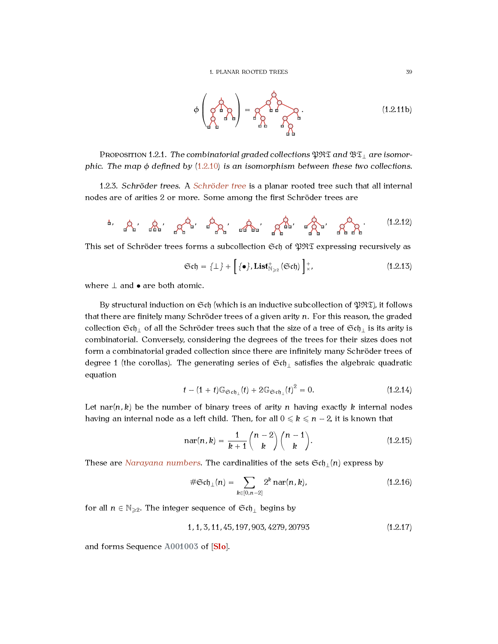

<span id="page-44-0"></span>PROPOSITION 1.2.1. *The combinatorial graded collections* PRT *and* BT*<sup>⊥</sup> are isomorphic. The map φ defined by* [\(1.2.10\)](#page-43-0) *is an isomorphism between these two collections.*

1.2.3. *Schröder trees.* A *Schröder tree* is a planar rooted tree such that all internal nodes are of arities 2 or more. Some among the first Schröder trees are

$$
\mathbf{a}, \quad \mathbf{a}, \quad \mathbf{a}, \quad \mathbf{a}, \quad \mathbf{a}, \quad \mathbf{a}, \quad \mathbf{a}, \quad \mathbf{a}, \quad \mathbf{a}, \quad \mathbf{a}, \quad \mathbf{a}, \quad \mathbf{a}, \quad \mathbf{a}, \quad \mathbf{a}, \quad \mathbf{a}, \quad \mathbf{a}, \quad \mathbf{a}, \quad \mathbf{a}, \quad \mathbf{a}, \quad \mathbf{a}, \quad \mathbf{a}, \quad \mathbf{a}, \quad \mathbf{a}, \quad \mathbf{a}, \quad \mathbf{a}, \quad \mathbf{a}, \quad \mathbf{a}, \quad \mathbf{a}, \quad \mathbf{a}, \quad \mathbf{a}, \quad \mathbf{a}, \quad \mathbf{a}, \quad \mathbf{a}, \quad \mathbf{a}, \quad \mathbf{a}, \quad \mathbf{a}, \quad \mathbf{a}, \quad \mathbf{a}, \quad \mathbf{a}, \quad \mathbf{a}, \quad \mathbf{a}, \quad \mathbf{a}, \quad \mathbf{a}, \quad \mathbf{a}, \quad \mathbf{a}, \quad \mathbf{a}, \quad \mathbf{a}, \quad \mathbf{a}, \quad \mathbf{a}, \quad \mathbf{a}, \quad \mathbf{a}, \quad \mathbf{a}, \quad \mathbf{a}, \quad \mathbf{a}, \quad \mathbf{a}, \quad \mathbf{a}, \quad \mathbf{a}, \quad \mathbf{a}, \quad \mathbf{a}, \quad \mathbf{a}, \quad \mathbf{a}, \quad \mathbf{a}, \quad \mathbf{a}, \quad \mathbf{a}, \quad \mathbf{a}, \quad \mathbf{a}, \quad \mathbf{a}, \quad \mathbf{a}, \quad \mathbf{a}, \quad \mathbf{a}, \quad \mathbf{a}, \quad \mathbf{a}, \quad \mathbf{a}, \quad \mathbf{a}, \quad \mathbf{a}, \quad \mathbf{a}, \quad \mathbf{a}, \quad \mathbf{a}, \quad \mathbf{a}, \quad \mathbf{a}, \quad \mathbf{a}, \quad \mathbf{a}, \quad \mathbf{a}, \quad \mathbf{a}, \quad \mathbf{a}, \quad \mathbf{a}, \quad \mathbf{a}, \quad \mathbf{a}, \quad \mathbf{a}, \quad \mathbf{a}, \quad \mathbf{a}, \quad \mathbf{a}, \quad \mathbf{a}, \quad \mathbf{a}, \quad \mathbf{a}, \quad
$$

This set of Schröder trees forms a subcollection  $\mathfrak{Sch}$  of  $\mathfrak{P} \mathfrak{R} \mathfrak{X}$  expressing recursively as

$$
\mathfrak{Sch} = \{\perp\} + \left[ \{ \bullet \}, \mathbf{List}_{\mathbb{N}_{\geq 2}}^+(\mathfrak{Sch}) \right]_{\times}^+, \tag{1.2.13}
$$

where *⊥* and *•* are both atomic.

By structural induction on  $\mathfrak{S}$ ch (which is an inductive subcollection of  $\mathfrak{P}\mathfrak{R}\mathfrak{T}$ ), it follows that there are finitely many Schröder trees of a given arity *n*. For this reason, the graded collection Sch*<sup>⊥</sup>* of all the Schröder trees such that the size of a tree of Sch*<sup>⊥</sup>* is its arity is combinatorial. Conversely, considering the degrees of the trees for their sizes does not form a combinatorial graded collection since there are infinitely many Schröder trees of degree 1 (the corollas). The generating series of Sch*<sup>⊥</sup>* satisfies the algebraic quadratic equation

$$
t - (1+t)\mathbb{G}_{\mathfrak{Sch}_{\perp}}(t) + 2\mathbb{G}_{\mathfrak{Sch}_{\perp}}(t)^{2} = 0.
$$
 (1.2.14)

Let  $n(x, k)$  be the number of binary trees of arity *n* having exactly *k* internal nodes having an internal node as a left child. Then, for all  $0 \leq k \leq n-2$ , it is known that

$$
nar(n,k) = \frac{1}{k+1} {n-2 \choose k} {n-1 \choose k}. \qquad (1.2.15)
$$

These are *Narayana numbers*. The cardinalities of the sets Sch*⊥*(*n*) express by

<span id="page-44-1"></span>
$$
\#\mathfrak{Sch}_{\perp}(n) = \sum_{k \in [0,n-2]} 2^k \operatorname{nar}(n,k), \qquad (1.2.16)
$$

for all  $n \in \mathbb{N}_{\ge 2}$ . The integer sequence of  $\mathfrak{Sch}_{\perp}$  begins by

$$
1, 1, 3, 11, 45, 197, 903, 4279, 20793 \tag{1.2.17}
$$

and forms Sequence **[A001003](http://oeis.org/A001003)** of [**[Slo](#page-151-1)**].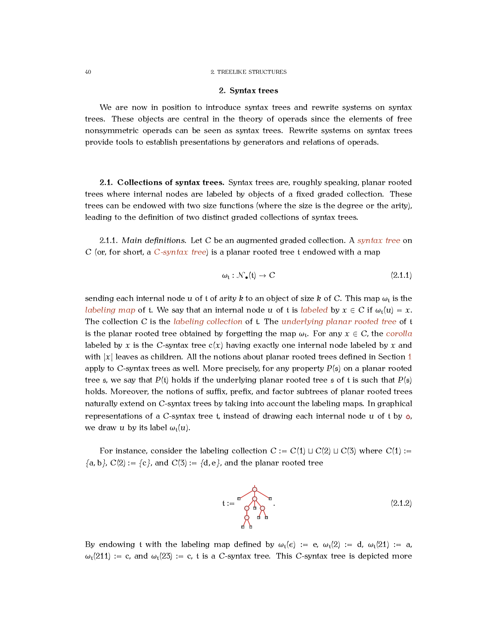## 40 2. TREELIKE STRUCTURES

## **2. Syntax trees**

We are now in position to introduce syntax trees and rewrite systems on syntax trees. These objects are central in the theory of operads since the elements of free nonsymmetric operads can be seen as syntax trees. Rewrite systems on syntax trees provide tools to establish presentations by generators and relations of operads.

**2.1. Collections of syntax trees.** Syntax trees are, roughly speaking, planar rooted trees where internal nodes are labeled by objects of a fixed graded collection. These trees can be endowed with two size functions (where the size is the degree or the arity), leading to the definition of two distinct graded collections of syntax trees.

2.1.1. *Main definitions.* Let *C* be an augmented graded collection. A *syntax tree* on *C* (or, for short, a *C-syntax tree*) is a planar rooted tree t endowed with a map

$$
\omega_{t}: \mathcal{N}_{\bullet}(t) \to C \tag{2.1.1}
$$

sending each internal node  $u$  of  $t$  of arity  $k$  to an object of size  $k$  of  $C$ . This map  $\omega_t$  is the *labeling map* of *t*. We say that an internal node *u* of *t* is *labeled* by  $x \in C$  if  $\omega_t(u) = x$ . The collection *C* is the *labeling collection* of t. The *underlying planar rooted tree* of t is the planar rooted tree obtained by forgetting the map  $\omega_t$ . For any  $x \in C$ , the corolla labeled by x is the C-syntax tree  $c(x)$  having exactly one internal node labeled by x and with |x| leaves as children. All the notions about planar rooted trees defined in Section [1](#page-38-2) apply to *C*-syntax trees as well. More precisely, for any property *P*(s) on a planar rooted tree s, we say that  $P(t)$  holds if the underlying planar rooted tree s of t is such that  $P(s)$ holds. Moreover, the notions of suffix, prefix, and factor subtrees of planar rooted trees naturally extend on *C*-syntax trees by taking into account the labeling maps. In graphical representations of a *C*-syntax tree t, instead of drawing each internal node *u* of t by  $\phi$ , we draw *u* by its label  $\omega_t(u)$ .

For instance, consider the labeling collection  $C := C(1) \sqcup C(2) \sqcup C(3)$  where  $C(1) :=$  $\{a, b\}$ ,  $C(2) := \{c\}$ , and  $C(3) := \{d, e\}$ , and the planar rooted tree

$$
t := \bigotimes_{\begin{subarray}{c}\mathbf{a} \\ \mathbf{b} \\ \mathbf{b} \end{subarray}} \bigotimes_{\begin{subarray}{c}\mathbf{a} \\ \mathbf{b} \end{subarray}} (2.1.2)
$$

By endowing t with the labeling map defined by  $\omega_t(\epsilon) := e$ ,  $\omega_t(2) := d$ ,  $\omega_t(21) := a$ ,  $\omega_t(211) := c$ , and  $\omega_t(23) := c$ , t is a *C*-syntax tree. This *C*-syntax tree is depicted more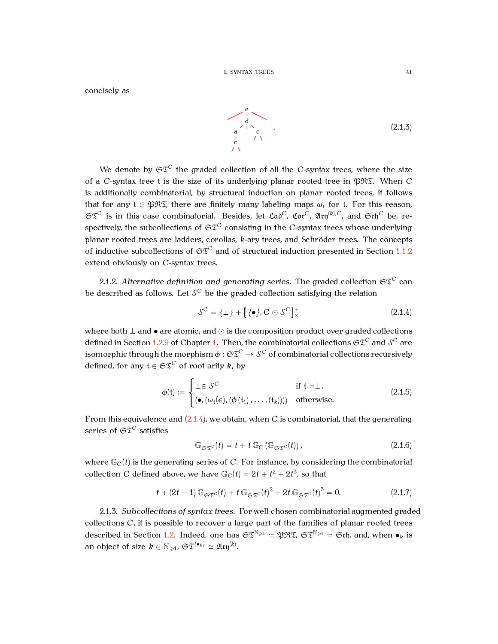concisely as



We denote by ST*<sup>C</sup>* the graded collection of all the *C*-syntax trees, where the size of a *C*-syntax tree t is the size of its underlying planar rooted tree in PRT. When *C* is additionally combinatorial, by structural induction on planar rooted trees, it follows that for any  $t \in \mathfrak{P} \mathfrak{R} \mathfrak{T}$ , there are finitely many labeling maps  $\omega_t$  for t. For this reason,  $\mathfrak{ST}^C$  is in this case combinatorial. Besides, let  $\mathfrak{Lao}^C$ ,  $\mathfrak{Cor}^C$ ,  $\mathfrak{Arr}^{(k),C}$ , and  $\mathfrak{Sch}^C$  be, respectively, the subcollections of  $\mathfrak{ST}^C$  consisting in the *C-*syntax trees whose underlying planar rooted trees are ladders, corollas, *k*-ary trees, and Schröder trees. The concepts of inductive subcollections of  $\mathfrak{ST}^C$  and of structural induction presented in Section [1.1.2](#page-39-4) extend obviously on *C*-syntax trees.

2.1.2. *Alternative definition and generating series.* The graded collection  $\mathfrak{S} \mathfrak{T}^C$  can be described as follows. Let  $\mathcal{S}^C$  be the graded collection satisfying the relation

<span id="page-46-0"></span>
$$
S^{C} = \{\perp\} + [\{\bullet\}, C \odot S^{C}]\big|_{\times}^{+}
$$
 (2.1.4)

where both *⊥* and *•* are atomic, and  is the composition product over graded collections defined in Section [1.2.9](#page-22-0) of Chapter [1.](#page-14-0) Then, the combinatorial collections  $\mathfrak{ST}^\mathbb{C}$  and  $\mathfrak{S}^\mathbb{C}$  are isomorphic through the morphism  $\phi : \mathfrak{ST}^C \to \mathfrak{S}^C$  of combinatorial collections recursively defined, for any  $t \in \mathfrak{ST}^C$  of root arity *k*, by

$$
\phi(\mathfrak{t}) := \begin{cases} \bot \in \mathcal{S}^C & \text{if } \mathfrak{t} = \bot, \\ (\bullet, (\omega_{\mathfrak{t}}(\epsilon), (\phi(\mathfrak{t}_1), \dots, (\mathfrak{t}_k)))) & \text{otherwise.} \end{cases}
$$
(2.1.5)

From this equivalence and [\(2.1.4\)](#page-46-0), we obtain, when *C* is combinatorial, that the generating series of ST*<sup>C</sup>* satisfies

$$
\mathbb{G}_{\mathfrak{S}\mathfrak{T}}c(t) = t + t \mathbb{G}_C \left( \mathbb{G}_{\mathfrak{S}\mathfrak{T}}c(t) \right), \tag{2.1.6}
$$

where  $\mathbb{G}_C(t)$  is the generating series of *C*. For instance, by considering the combinatorial collection *C* defined above, we have  $\mathbb{G}_C(t) = 2t + t^2 + 2t^3$ , so that

$$
t + (2t - 1) \mathbb{G}_{\mathfrak{S} \mathfrak{T}^c}(t) + t \mathbb{G}_{\mathfrak{S} \mathfrak{T}^c}(t)^2 + 2t \mathbb{G}_{\mathfrak{S} \mathfrak{T}^c}(t)^3 = 0.
$$
 (2.1.7)

2.1.3. *Subcollections of syntax trees.* For well-chosen combinatorial augmented graded collections *C*, it is possible to recover a large part of the families of planar rooted trees described in Section [1.2.](#page-42-1) Indeed, one has  $\mathfrak{ST}^{\mathbb{N}_{\geq 1}} \simeq \mathfrak{PSL}$ ,  $\mathfrak{ST}^{\mathbb{N}_{\geq 2}} \simeq \mathfrak{Sch}$ , and, when  $\bullet_k$  is an object of size  $k \in \mathbb{N}_{\geqslant 1}$ ,  $\mathfrak{ST}^{\{\bullet_k\}} \simeq \mathfrak{Arr}^{(k)}.$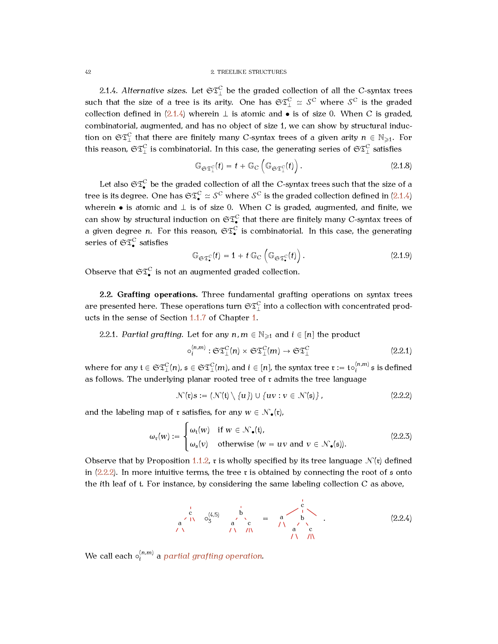# 42 2. TREELIKE STRUCTURES

2.1.4. *Alternative sizes.* Let ST*<sup>C</sup> <sup>⊥</sup>* be the graded collection of all the *C*-syntax trees such that the size of a tree is its arity. One has  $\mathfrak{ST}_\perp^C \simeq \mathcal{S}^C$  where  $\mathcal{S}^C$  is the graded collection defined in [\(2.1.4\)](#page-46-0) wherein *⊥* is atomic and *•* is of size 0. When *C* is graded, combinatorial, augmented, and has no object of size 1, we can show by structural induction on  $\mathfrak{ST}_\bot^C$  that there are finitely many *C*-syntax trees of a given arity  $n\in\mathbb{N}_{\geqslant 1}.$  For this reason, ST*<sup>C</sup> <sup>⊥</sup>* is combinatorial. In this case, the generating series of ST*<sup>C</sup> <sup>⊥</sup>* satisfies

$$
\mathbb{G}_{\mathfrak{S}\mathfrak{T}_{\perp}^C}(t) = t + \mathbb{G}_C \left( \mathbb{G}_{\mathfrak{S}\mathfrak{T}_{\perp}^C}(t) \right). \tag{2.1.8}
$$

Let also  $\mathfrak{ST}_\bullet^C$  be the graded collection of all the *C-syntax trees such that the size of a* tree is its degree. One has  $\mathfrak{ST}_\bullet^\mathbb{C}\simeq\mathcal{S}^\mathbb{C}$  where  $\mathcal{S}^\mathbb{C}$  is the graded collection defined in [\(2.1.4\)](#page-46-0) wherein *•* is atomic and *⊥* is of size 0. When *C* is graded, augmented, and finite, we can show by structural induction on  $\mathfrak{ST}_\bullet^C$  that there are finitely many *C*-syntax trees of a given degree *n*. For this reason,  $\mathfrak{ST}_\bullet^C$  is combinatorial. In this case, the generating series of ST*<sup>C</sup> •* satisfies  $\overline{ }$  $\mathbf{r}$ 

$$
\mathbb{G}_{\mathfrak{S}\mathfrak{T}_{\bullet}^{\mathcal{C}}}(t) = 1 + t \, \mathbb{G}_{\mathcal{C}}\left(\mathbb{G}_{\mathfrak{S}\mathfrak{T}_{\bullet}^{\mathcal{C}}}(t)\right). \tag{2.1.9}
$$

Observe that  $\mathfrak{ST}_\bullet^C$  is not an augmented graded collection.

**2.2. Grafting operations.** Three fundamental grafting operations on syntax trees are presented here. These operations turn ST*<sup>C</sup> <sup>⊥</sup>* into a collection with concentrated products in the sense of Section [1.1.7](#page-16-0) of Chapter [1.](#page-14-0)

<span id="page-47-1"></span>2.2.1. *Partial grafting.* Let for any  $n, m \in \mathbb{N}_{\geq 1}$  and  $i \in [n]$  the product

$$
\circ_i^{(n,m)} : \mathfrak{ST}^C_\perp(n) \times \mathfrak{ST}^C_\perp(m) \to \mathfrak{ST}^C_\perp
$$
\n(2.2.1)

where for any  $\mathfrak{t}\in\mathfrak{ST}_{\bot}^C(n)$ ,  $\mathfrak{s}\in\mathfrak{ST}_{\bot}^C(m)$ , and  $i\in[n]$ , the syntax tree  $\mathfrak{r}:=\mathfrak{t}\circ_i^{(n,m)}$  $\int_{i}^{(n,m)}$  s is defined as follows. The underlying planar rooted tree of  $r$  admits the tree language

<span id="page-47-0"></span>
$$
\mathcal{N}(\mathfrak{r})s := (\mathcal{N}(\mathfrak{t}) \setminus \{u\}) \cup \{uv : v \in \mathcal{N}(\mathfrak{s})\},\tag{2.2.2}
$$

and the labeling map of *r* satisfies, for any  $w \in \mathcal{N}_\bullet(\mathfrak{r})$ ,  $\overline{a}$ 

$$
\omega_{\mathfrak{r}}(w) := \begin{cases} \omega_{\mathfrak{t}}(w) & \text{if } w \in \mathcal{N}_{\bullet}(\mathfrak{t}), \\ \omega_{\mathfrak{s}}(v) & \text{otherwise } (w = uv \text{ and } v \in \mathcal{N}_{\bullet}(\mathfrak{s})). \end{cases} (2.2.3)
$$

Observe that by Proposition [1.1.2,](#page-40-2) r is wholly specified by its tree language  $\mathcal{N}(r)$  defined in  $(2.2.2)$ . In more intuitive terms, the tree r is obtained by connecting the root of s onto the *i*th leaf of t. For instance, by considering the same labeling collection *C* as above,

a c *◦* (4*,*5) 3 a b c = a c a b c *.* (2.2.4)

We call each *◦* (*n,m*) *i* a *partial grafting operation*.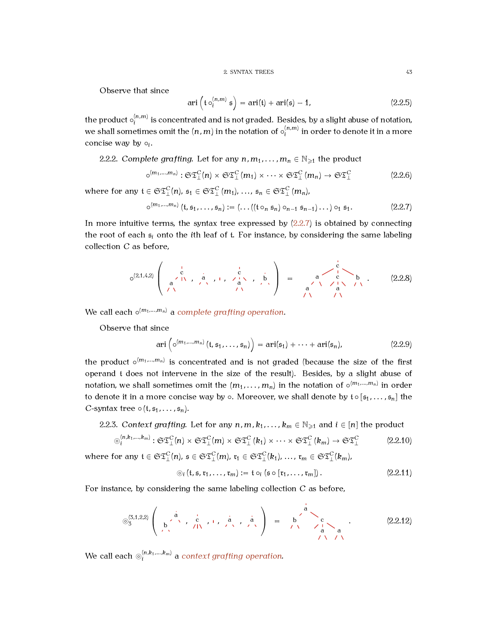Observe that since

$$
\operatorname{ari}\left(\operatorname{t}\circ_i^{(n,m)}\mathfrak{s}\right)=\operatorname{ari}(\operatorname{t})+\operatorname{ari}(\mathfrak{s})-1,\tag{2.2.5}
$$

the product *◦* (*n,m*)  $i<sub>i</sub>$ , $i<sub>i</sub>$ , $i<sub>i</sub>$ ) is concentrated and is not graded. Besides, by a slight abuse of notation, we shall sometimes omit the  $(n,m)$  in the notation of  $\circ_i^{(n,m)}$  $i$ <sup>(*u*,*m*)</sup> in order to denote it in a more concise way by *◦<sup>i</sup>* .

<span id="page-48-2"></span>2.2.2. *Complete grafting.* Let for any  $n, m_1, \ldots, m_n \in \mathbb{N}_{\geq 1}$  the product

$$
\circ^{(m_1,\dots,m_n)} : \mathfrak{ST}_\perp^C(n) \times \mathfrak{ST}_\perp^C(m_1) \times \cdots \times \mathfrak{ST}_\perp^C(m_n) \to \mathfrak{ST}_\perp^C
$$
 (2.2.6)

 $\mathfrak{m}$  and  $\mathfrak{m}$  **z**  $\in$   $\mathfrak{ST}^C_\perp(n)$ ,  $\mathfrak{s}_1 \in \mathfrak{ST}^C_\perp(m_1)$ ,  $\ldots$ ,  $\mathfrak{s}_n \in \mathfrak{ST}^C_\perp(m_n)$ ,

<span id="page-48-0"></span>
$$
\circ^{(m_1,...,m_n)}(t, s_1,...,s_n) := (...(t \circ_n s_n) \circ_{n-1} s_{n-1}) ... ) \circ_1 s_1.
$$
 (2.2.7)

In more intuitive terms, the syntax tree expressed by  $(2.2.7)$  is obtained by connecting the root of each s*<sup>i</sup>* onto the *i*th leaf of t. For instance, by considering the same labeling collection *C* as before,

*◦* (2*,*1*,*4*,*2) <sup>a</sup> c *,* a *, ,* c a *,* b <sup>=</sup> a a b c c a *.* (2.2.8)

We call each *◦* (*m*1*,...,mn*) a *complete grafting operation*.

Observe that since

$$
\operatorname{ari}\left(\circ^{(m_1,\ldots,m_n)}(t,\mathfrak{s}_1,\ldots,\mathfrak{s}_n)\right)=\operatorname{ari}(\mathfrak{s}_1)+\cdots+\operatorname{ari}(\mathfrak{s}_n),\tag{2.2.9}
$$

the product *◦* (*m*1*,...,mn*) is concentrated and is not graded (because the size of the first operand t does not intervene in the size of the result). Besides, by a slight abuse of notation, we shall sometimes omit the  $(m_1, \ldots, m_n)$  in the notation of  $\circ^{(m_1, \ldots, m_n)}$  in order to denote it in a more concise way by *◦*. Moreover, we shall denote by t *◦* [s1*, . . . ,* s*n*] the *C*-syntax tree  $\circ$  (t,  $s_1, \ldots, s_n$ ).

<span id="page-48-1"></span>2.2.3. *Context grafting.* Let for any  $n, m, k_1, \ldots, k_m \in \mathbb{N}_{\geq 1}$  and  $i \in [n]$  the product

$$
\odot_i^{(n,k_1,\ldots,k_m)} : \mathfrak{ST}_\perp^C(n) \times \mathfrak{ST}_\perp^C(m) \times \mathfrak{ST}_\perp^C(k_1) \times \cdots \times \mathfrak{ST}_\perp^C(k_m) \to \mathfrak{ST}_\perp^C
$$
 (2.2.10)

 $\text{where for any } \mathfrak{t} \in \mathfrak{ST}_\bot^C(n) \text{, } \mathfrak{s} \in \mathfrak{ST}_\bot^C(m) \text{, } \mathfrak{r}_1 \in \mathfrak{ST}_\bot^C(k_1) \text{, } \dots \text{, } \mathfrak{r}_m \in \mathfrak{ST}_\bot^C(k_m) \text{,}$ 

$$
\circledcirc_i(t, \mathfrak{s}, \mathfrak{r}_1, \ldots, \mathfrak{r}_m) := \mathfrak{t} \circ_i (\mathfrak{s} \circ [\mathfrak{r}_1, \ldots, \mathfrak{r}_m]). \tag{2.2.11}
$$

For instance, by considering the same labeling collection *C* as before,

$$
\odot_3^{(3,1,2,2)} \left( \begin{array}{cccc} a & \vdots & \ddots & \vdots \\ b & \ddots & \ddots & \ddots & \vdots \\ b & \ddots & \ddots & \ddots & \ddots \\ \end{array} \right) \quad = \quad \begin{array}{c} a & \vdots & \ddots & \vdots \\ b & \ddots & \ddots & \vdots \\ b & \ddots & \ddots & \ddots \\ \end{array} \right) \tag{2.2.12}
$$

We call each  $\circledcirc^{(n,k_1,...,k_m)}_i$  a *context grafting operation*.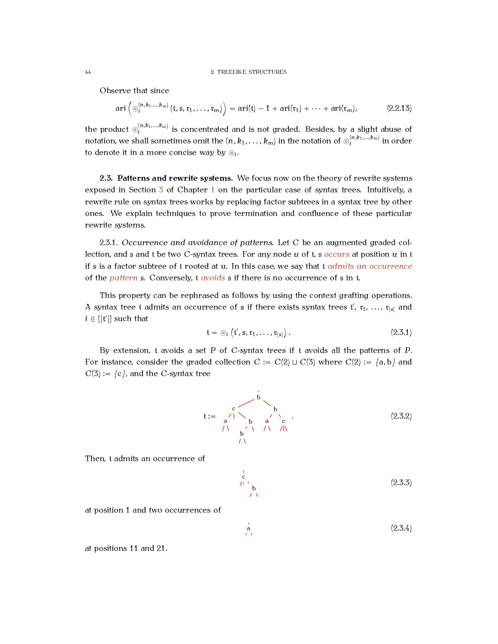## 44 2. TREELIKE STRUCTURES

Observe that since

$$
\mathrm{ari}\left(\odot_i^{(n,k_1,\ldots,k_m)}(t,\mathfrak{s},\mathfrak{r}_1,\ldots,\mathfrak{r}_m)\right)=\mathrm{ari}(\mathfrak{t})-1+\mathrm{ari}(\mathfrak{r}_1)+\cdots+\mathrm{ari}(\mathfrak{r}_m),\hspace{1cm} (2.2.13)
$$

the product  $\odot^{(n,k_1,...,k_m)}_i$  is concentrated and is not graded. Besides, by a slight abuse of notation, we shall sometimes omit the  $(n, k_1, \ldots, k_m)$  in the notation of  $\odot^{(n, k_1, \ldots, k_m)}_i$  in order to denote it in a more concise way by  $\circledcirc_i$ .

<span id="page-49-0"></span>**2.3. Patterns and rewrite systems.** We focus now on the theory of rewrite systems exposed in Section [3](#page-30-0) of Chapter [1](#page-14-0) on the particular case of syntax trees. Intuitively, a rewrite rule on syntax trees works by replacing factor subtrees in a syntax tree by other ones. We explain techniques to prove termination and confluence of these particular rewrite systems.

2.3.1. *Occurrence and avoidance of patterns.* Let *C* be an augmented graded collection, and s and t be two *C*-syntax trees. For any node *u* of t, s *occurs* at position *u* in t if s is a factor subtree of t rooted at *u*. In this case, we say that t *admits an occurrence* of the *pattern* s. Conversely, t *avoids* s if there is no occurrence of s in t.

This property can be rephrased as follows by using the context grafting operations. A syntax tree t admits an occurrence of  $\epsilon$  if there exists syntax trees  $f$ ,  $r_1$ , ...,  $r_{|\epsilon|}$  and  $i \in [[\mathfrak{t}']]$  such that

$$
\mathfrak{t} = \odot_i \left( \mathfrak{t}', \mathfrak{s}, \mathfrak{r}_1, \ldots, \mathfrak{r}_{|\mathfrak{s}|} \right). \tag{2.3.1}
$$

By extension, t avoids a set *P* of *C*-syntax trees if t avoids all the patterns of *P*. For instance, consider the graded collection  $C := C(2) \sqcup C(3)$  where  $C(2) := \{a, b\}$  and  $C(3) := \{c\}$ , and the *C*-syntax tree

$$
t := \begin{array}{c|c}\n & b \\
a & b \\
c & c \\
c & c \\
c & d \\
f & h\n\end{array}
$$
\n(2.3.2)

Then, t admits an occurrence of

$$
\begin{array}{c}\n \downarrow \\
 \downarrow \\
 \downarrow \\
 \downarrow\n \end{array}
$$
\n
$$
\begin{array}{c}\n \downarrow \\
 \downarrow \\
 \downarrow\n \end{array}
$$
\n
$$
(2.3.3)
$$

at position 1 and two occurrences of

$$
\frac{1}{a} \tag{2.3.4}
$$

at positions 11 and 21.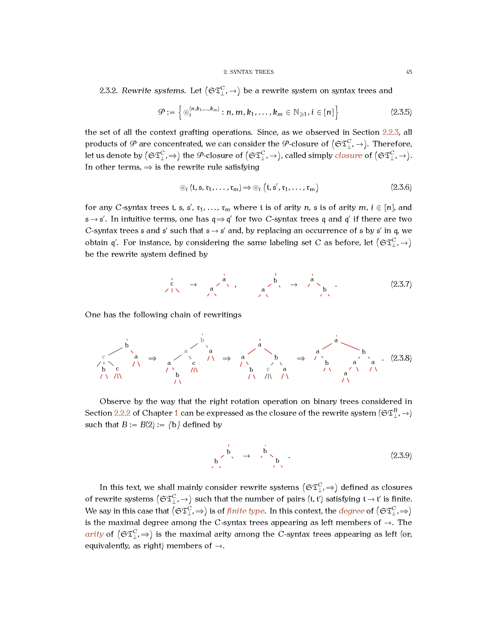## 2. SYNTAX TREES 45

2.3.2. *Rewrite systems.* Let ST*<sup>C</sup> <sup>⊥</sup>, →*  $\mathbf{r}$ be a rewrite system on syntax trees and

$$
\mathcal{P} := \left\{ \odot_i^{(n,k_1,\ldots,k_m)} : n,m,k_1,\ldots,k_m \in \mathbb{N}_{\geq 1}, i \in [n] \right\}
$$
 (2.3.5)

the set of all the context grafting operations. Since, as we observed in Section [2.2.3,](#page-48-1) all products of  $\mathcal P$  are concentrated, we can consider the  $\mathcal P$ -closure of  $(\mathfrak S \mathfrak T^C_\perp, \rightarrow$  $\tilde{\zeta}$ . Therefore,  $\text{let us denote by } (\mathfrak{ST}^C_\perp, \Rightarrow)$ the  $\mathcal{P}$ -closure of  $(\mathfrak{ST}^C_\perp, \rightarrow)$ *z*  $\frac{1}{2}$  *o* closure of  $C^2$  *µ n*  $\frac{1}{2}$  *n*  $\rightarrow$  *n*  $\frac{1}{2}$  *n*  $\rightarrow$  *n*  $\frac{1}{2}$  *n*  $\rightarrow$  *n*  $\frac{1}{2}$  *n*  $\rightarrow$  *n*  $\frac{1}{2}$  *n*  $\rightarrow$  *n*  $\frac{1}{2}$  *n*  $\rightarrow$  *n*  $\frac{1}{2}$  *n*  $\rightarrow$  *n*  $\frac{1}{2}$  *n*  $\rightarrow$ 、<br>、 . In other terms,  $\Rightarrow$  is the rewrite rule satisfying

<span id="page-50-0"></span>
$$
\textcircled{\scriptsize{e_i}}\left(t,\mathfrak{s},\mathfrak{r}_1,\ldots,\mathfrak{r}_m\right) \Longrightarrow \textcircled{\scriptsize{e_i}}\left(t,\mathfrak{s}',\mathfrak{r}_1,\ldots,\mathfrak{r}_m\right) \tag{2.3.6}
$$

for any *C*-syntax trees t, s, s',  $x_1$ , ...,  $x_m$  where t is of arity *n*, s is of arity *m*,  $i \in [n]$ , and  $\mathfrak{s} \rightarrow \mathfrak{s}'$ . In intuitive terms, one has  $\mathfrak{q} \rightarrow \mathfrak{q}'$  for two *C*-syntax trees q and  $\mathfrak{q}'$  if there are two *C*-syntax trees  $\mathfrak s$  and  $\mathfrak s'$  such that  $\mathfrak s \to \mathfrak s'$  and, by replacing an occurrence of  $\mathfrak s$  by  $\mathfrak s'$  in  $\mathfrak q$ , we obtain q'. For instance, by considering the same labeling set *C* as before, let  $(\mathfrak{ST}^C_1, \rightarrow)$ 、<br>、 be the rewrite system defined by

<span id="page-50-1"></span>
$$
\begin{array}{ccccccc}\n & \downarrow & & \downarrow & & \downarrow & \\
\downarrow & \uparrow & & & \downarrow & & \downarrow & & \\
\swarrow & & & & & & \downarrow & & \\
\swarrow & & & & & & & \\
\swarrow & & & & & & & \\
\swarrow & & & & & & & \\
\end{array}
$$
\n
$$
\begin{array}{ccccccc}\n & \downarrow & & & \downarrow & & \\
\swarrow & & & & & & \\
\swarrow & & & & & & \\
\end{array}
$$
\n
$$
\begin{array}{ccccccc}\n & \downarrow & & & & \\
\swarrow & & & & & & \\
\swarrow & & & & & & \\
\end{array}
$$
\n
$$
\begin{array}{ccccccc}\n & \downarrow & & & & \\
\swarrow & & & & & & \\
\swarrow & & & & & & \\
\end{array}
$$
\n
$$
\begin{array}{ccccccc}\n & \downarrow & & & & \\
\swarrow & & & & & & \\
\swarrow & & & & & & \\
\end{array}
$$
\n
$$
\begin{array}{ccccccc}\n & \downarrow & & & & \\
\swarrow & & & & & & \\
\swarrow & & & & & & \\
\end{array}
$$
\n
$$
\begin{array}{ccccccc}\n & \downarrow & & & & \\
\swarrow & & & & & & \\
\end{array}
$$
\n
$$
\begin{array}{ccccccc}\n & \downarrow & & & & \\
\swarrow & & & & & & \\
\end{array}
$$
\n
$$
\begin{array}{ccccccc}\n &
$$

One has the following chain of rewritings

c a b c b *<sup>Ñ</sup>* <sup>a</sup> b a b a c *Ñ* a b b a a c *Ñ* a b b a a a a *.* (2.3.8)

Observe by the way that the right rotation operation on binary trees considered in Section [2.2.2](#page-30-1) of Chapter [1](#page-14-0) can be expressed as the closure of the rewrite system (ST*<sup>B</sup> <sup>⊥</sup>, →*) such that  $B := B(2) := \{b\}$  defined by

$$
b \rightarrow b \rightarrow b \rightarrow b \tag{2.3.9}
$$

In this text, we shall mainly consider rewrite systems ST*<sup>C</sup> <sup>⊥</sup>, Ñ*  $\mathbf{r}$ defined as closures of rewrite systems  $(\mathfrak{ST}^C_\perp, \rightarrow)$ such that the number of pairs  $(t, t')$  satisfying  $t \rightarrow t'$  is finite.  $\forall$ *C*  $\leq$   $\perp$ ,  $\rightarrow$   $\frac{1}{2}$   $\Rightarrow$ <br>We say in this case that  $(\Im \mathfrak{T}_{\perp}^C \Rightarrow$ for the *finite type*. In this context, the *degree* of  $(\mathfrak{S} \mathfrak{T}^C_1, \Rightarrow)$  $\tilde{\cdot}$ is the maximal degree among the *C*-syntax trees appearing as left members of *→*. The  $\frac{arity}{dt}$  of  $(\mathfrak{S}^C \mathfrak{T}^C) \Rightarrow$  is the maximal arity among the *C*-syntax trees appearing as left (or, equivalently, as right) members of *→*.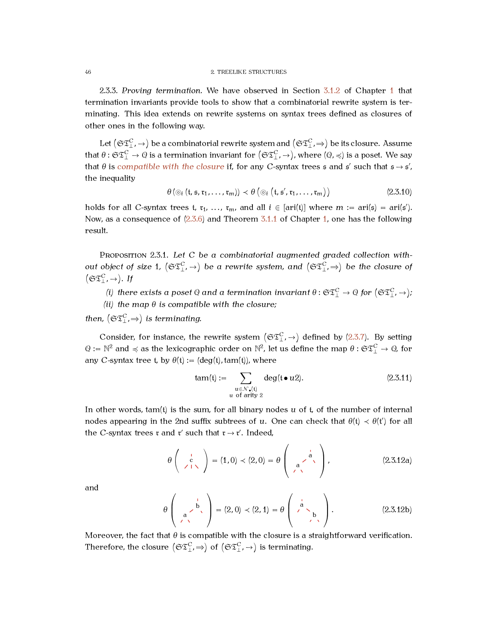# 46 2. TREELIKE STRUCTURES

<span id="page-51-0"></span>2.3.3. *Proving termination.* We have observed in Section [3.1.2](#page-32-0) of Chapter [1](#page-14-0) that termination invariants provide tools to show that a combinatorial rewrite system is terminating. This idea extends on rewrite systems on syntax trees defined as closures of other ones in the following way.

Let ST*<sup>C</sup> <sup>⊥</sup>, →*  $\phi$  be a combinatorial rewrite system and  $(\mathfrak{S} \mathfrak{T}^{\mathcal{C}}_{\perp}, \Rightarrow)$  $\overline{a}$ be its closure. Assume that  $\theta$  :  $\mathfrak{ST}_{\perp}^C \rightarrow \mathbb{Q}$  is a termination invariant for  $(\mathfrak{ST}_{\perp}^C \rightarrow \mathfrak{Q})$  $(\forall z_1 \rightarrow)$  be no crosure. Assume<br>, where  $(\mathcal{Q}, \preccurlyeq)$  is a poset. We say that  $\theta$  is *compatible with the closure* if, for any *C*-syntax trees  $\mathfrak s$  and  $\mathfrak s'$  such that  $\mathfrak s \to \mathfrak s'$ , the inequality

$$
\theta\left(\circledcirc_i\left(\mathfrak{t},\mathfrak{s},\mathfrak{r}_1,\ldots,\mathfrak{r}_m\right)\right) \prec \theta\left(\circledcirc_i\left(\mathfrak{t},\mathfrak{s}',\mathfrak{r}_1,\ldots,\mathfrak{r}_m\right)\right) \tag{2.3.10}
$$

holds for all *C*-syntax trees t,  $r_1$ , ...,  $r_m$ , and all  $i \in [ari(t)]$  where  $m := ari(s) = ari(s')$ . Now, as a consequence of [\(2.3.6\)](#page-50-0) and Theorem [3.1.1](#page-32-1) of Chapter [1,](#page-14-0) one has the following result.

<span id="page-51-1"></span>PROPOSITION 2.3.1. *Let C be a combinatorial augmented graded collection without object of size* 1*, u Let* <del>○</del><br>  $($  <del>C</del><sub> $\mathcal{I}$ <sup>*C*</sup><sub> $\bot$ </sub> *→*</sub> *be a rewrite system, and*  $(\mathfrak{ST}^C_1, \Rightarrow)$  $\tilde{\zeta}$ *be the closure of* ST*<sup>C</sup> <sup>⊥</sup>, →* ۳.<br>۱ *. If*

*(i) there exists a poset*  $Q$  *and a termination invariant*  $\theta$  :  $C \subset \mathbb{C}$   $\to Q$  *for*  $(C \subset \mathbb{C}^C_+$ ,  $\to Q$  $\overline{a}$ *;*

*(ii) the map θ is compatible with the closure;*  $\mathbf{r}$ 

 $then, (E \mathfrak{T}_{\perp}^C) \Rightarrow$ *is terminating.*

Consider, for instance, the rewrite system ST*<sup>C</sup> <sup>⊥</sup>, →*  $\overline{a}$ defined by [\(2.3.7\)](#page-50-1). By setting  $Q := \mathbb{N}^2$  and  $\preccurlyeq$  as the lexicographic order on  $\mathbb{N}^2$ , let us define the map  $\theta : \mathfrak{ST}^\mathbb{C}_\bot \to \mathbb{Q}$ , for any *C*-syntax tree t, by  $\theta(t) := \langle deg(t), tam(t) \rangle$ , where

$$
\text{tam}(\mathfrak{t}) := \sum_{\substack{u \in \mathcal{N}_{\bullet}(\mathfrak{t}) \\ u \text{ of arity } 2}} \text{deg}(\mathfrak{t} \bullet u2). \tag{2.3.11}
$$

In other words, tam(t) is the sum, for all binary nodes *u* of t, of the number of internal nodes appearing in the 2nd suffix subtrees of *u*. One can check that  $\theta(t) \prec \theta(t')$  for all the *C*-syntax trees  $\mathfrak{r}$  and  $\mathfrak{r}'$  such that  $\mathfrak{r} \to \mathfrak{r}'$ . Indeed,

$$
\theta\left(\begin{array}{c} \vdots \\ \zeta & \zeta \end{array}\right) = (1,0) \prec (2,0) = \theta\left(\begin{array}{c} \vdots \\ \zeta & \zeta \end{array}\right), \tag{2.3.12a}
$$

and

$$
\theta\left(\bigwedge_{\substack{a\\ \ell\leq N}}\bigwedge_{\substack{b\\ \ell\leq N}}^{i}\right)=(2,0)\prec(2,1)=\theta\left(\bigwedge_{\substack{a\\ \ell\leq N}}^{i}\searrow_{b}\right).
$$
\n(2.3.12b)

Moreover, the fact that *θ* is compatible with the closure is a straightforward verification. Therefore, the closure  $(\mathfrak{ST}^C_\perp, \Rightarrow)$  $\int$  of  $(\mathfrak{S} \mathfrak{T}_{\perp}^C, \rightarrow$  $\frac{1}{\sqrt{2}}$ is terminating.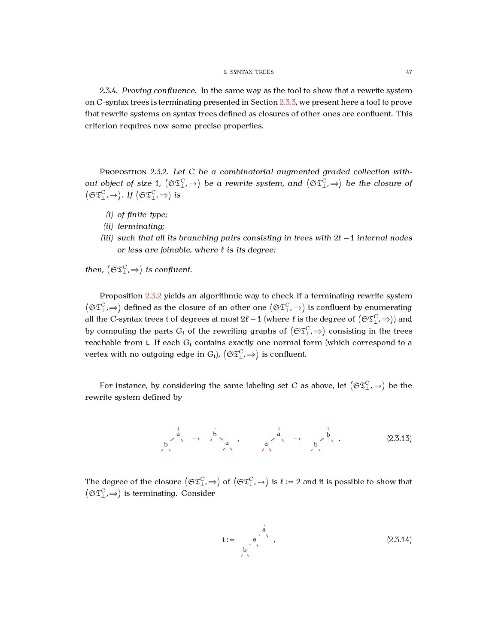2.3.4. *Proving confluence.* In the same way as the tool to show that a rewrite system on *C*-syntax trees is terminating presented in Section [2.3.3,](#page-51-0) we present here a tool to prove that rewrite systems on syntax trees defined as closures of other ones are confluent. This criterion requires now some precise properties.

<span id="page-52-0"></span>PROPOSITION 2.3.2. *Let C be a combinatorial augmented graded collection without object of size* 1*,* ST*<sup>C</sup> <sup>⊥</sup>, → be a rewrite system, and*  $(\mathfrak{ST}^C_\perp, \Rightarrow)$  $\tilde{\zeta}$ *be the closure of* ST*<sup>C</sup> <sup>⊥</sup>, →*  $\int$ *, If* ( $\mathfrak{S}^{\mathcal{C}}$ <sub>⊥</sub>*,*  $\Rightarrow$  $\tilde{\phantom{a}}$ *is*

- *(i) of finite type;*
- *(ii) terminating;*
- *(iii) such that all its branching pairs consisting in trees with* 2*` −*1 *internal nodes or less are joinable, where ` is its degree;*

*then,*  $\left( \mathfrak{ST}^C_1 \right) \Rightarrow$  $\overline{a}$ *is confluent.*

Proposition [2.3.2](#page-52-0) yields an algorithmic way to check if a terminating rewrite system  $($ <del>⊘  $\mathfrak{T}^{\mathcal{C}}_{\mathcal{I}}$   $\rightarrow$ </del> defined as the closure of an other one  $(\mathfrak{S}^{\mathcal{L}}_{\perp}, \rightarrow)$  $\overline{a}$ is confluent by enumerating all the *C*-syntax trees t of degrees at most  $2\ell - 1$  (where  $\ell$  is the degree of  $(\mathfrak{ST}_{\perp}^{\mathcal{C}}) \Rightarrow$  $\frac{1}{\sqrt{2}}$ ) and by computing the parts  $G_t$  of the rewriting graphs of  $(\mathfrak{ST}^C_\perp, \Rightarrow)$  $\ddot{\phantom{0}}$ consisting in the trees reachable from t. If each  $G_t$  contains exactly one normal form (which correspond to a vertex with no outgoing edge in  $G_t$ ),  $(\mathfrak{ST}^C_\perp, \Rightarrow)$  is confluent.

 $\frac{1}{2}$  For instance, by considering the same labeling set  $C$  as above, let  $(\mathfrak{S} \mathfrak{T}^C_\perp, \rightarrow \mathfrak{S}^C_\perp)$  $\mathbf{r}$ be the rewrite system defined by



The degree of the closure  $(\mathfrak{ST}^C_\perp, \Rightarrow)$  $\int$  of  $(\mathfrak{ST}^C_\perp, \rightarrow)$  $\mathbf{r}$ The degree of the closure  $(\mathfrak{ST}^C_\perp \rightarrow)$  of  $(\mathfrak{ST}^C_\perp \rightarrow)$  is  $\ell := 2$  and it is possible to show that ST*<sup>C</sup> <sup>⊥</sup>, Ñ* is terminating. Consider

$$
t := \int_{0}^{t} \left( \int_{0}^{\frac{1}{\sqrt{3}}} \right)^{n} \tag{2.3.14}
$$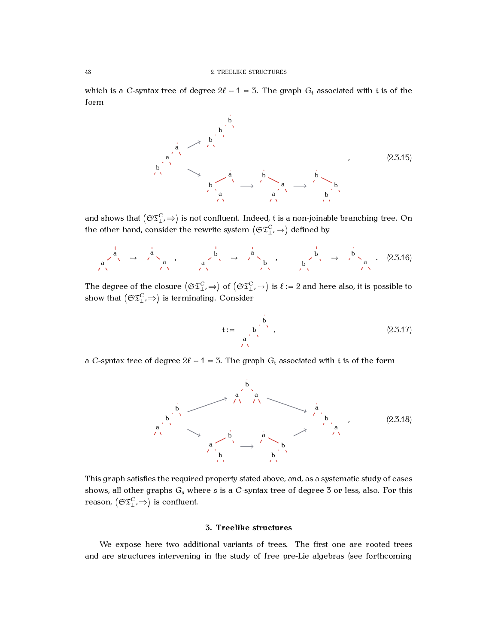which is a *C*-syntax tree of degree  $2\ell - 1 = 3$ . The graph  $G_t$  associated with t is of the form



and shows that  $(\mathfrak{ST}^C_\perp, \Rightarrow)$ ) is not confluent. Indeed, t is a non-joinable branching tree. On the other hand, consider the rewrite system  $(\mathfrak{S} \mathfrak{T}^C) \rightarrow$  $\ddot{\phantom{0}}$ defined by

a <sup>a</sup> *<sup>→</sup>* a a *,* a <sup>b</sup> *→* a b *,* b <sup>b</sup> *→* b a *.* (2.3.16)

The degree of the closure  $(\mathfrak{ST}^C_\perp,\Rightarrow)$  of ST*<sup>C</sup> <sup>⊥</sup>, →*  $\mathbf{r}$ is  $\ell := 2$  and here also, it is possible to show that  $(\mathfrak{ST}^C_\perp, \Rightarrow)$  $\frac{1}{\sqrt{2}}$ is terminating. Consider

$$
t := \begin{array}{cc} b \\ b \end{array}, \tag{2.3.17}
$$

a *C*-syntax tree of degree  $2\ell - 1 = 3$ . The graph  $G_t$  associated with t is of the form



This graph satisfies the required property stated above, and, as a systematic study of cases shows, all other graphs  $G<sub>s</sub>$  where  $\frak s$  is a *C*-syntax tree of degree 3 or less, also. For this  $\text{reasons}, \ (\mathfrak{ST}^C_\perp, \Rightarrow)$ ิ<br>ั is confluent.

#### **3. Treelike structures**

We expose here two additional variants of trees. The first one are rooted trees and are structures intervening in the study of free pre-Lie algebras (see forthcoming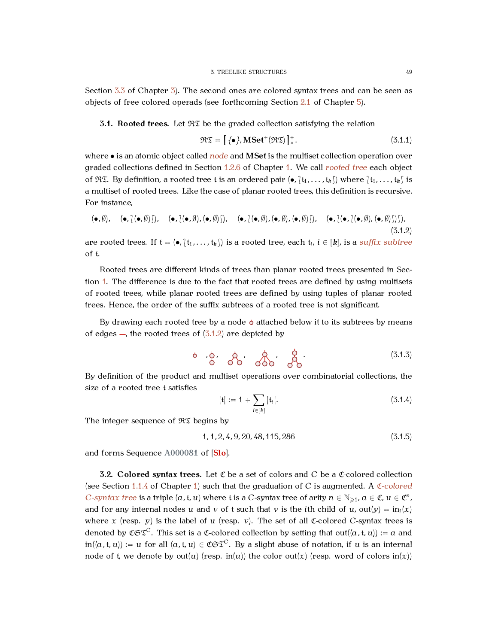Section [3.3](#page-77-0) of Chapter [3\)](#page-58-0). The second ones are colored syntax trees and can be seen as objects of free colored operads (see forthcoming Section [2.1](#page-128-0) of Chapter [5\)](#page-122-0).

# **3.1. Rooted trees.** Let  $\mathfrak{RT}$  be the graded collection satisfying the relation

$$
\mathfrak{RT} = \left[ \{ \bullet \}, \mathbf{MSet}^+(\mathfrak{RT}) \right]_{\times}^+.
$$
 (3.1.1)

where *•* is an atomic object called *node* and **MSet** is the multiset collection operation over graded collections defined in Section [1.2.6](#page-21-0) of Chapter [1.](#page-14-0) We call *rooted tree* each object of  $\mathfrak{R} \mathfrak{X}$ . By definition, a rooted tree t is an ordered pair  $(\bullet, \{t_1, \ldots, t_k\})$  where  $\{t_1, \ldots, t_k\}$  is a multiset of rooted trees. Like the case of planar rooted trees, this definition is recursive. For instance,

<span id="page-54-0"></span>
$$
(\bullet,\emptyset), \quad (\bullet,\{( \bullet,\emptyset)\}), \quad (\bullet,\{( \bullet,\emptyset),(\bullet,\emptyset)\}), \quad (\bullet,\{( \bullet,\emptyset),(\bullet,\emptyset),(\bullet,\emptyset)\}), \quad (\bullet,\{( \bullet,\emptyset),(\bullet,\emptyset)\})\}, \tag{3.1.2}
$$

are rooted trees. If  $t = (\bullet, \{t_1, \ldots, t_k\})$  is a rooted tree, each  $t_i$ ,  $i \in [k]$ , is a *suffix subtree* of t.

Rooted trees are different kinds of trees than planar rooted trees presented in Section [1.](#page-38-2) The difference is due to the fact that rooted trees are defined by using multisets of rooted trees, while planar rooted trees are defined by using tuples of planar rooted trees. Hence, the order of the suffix subtrees of a rooted tree is not significant.

By drawing each rooted tree by a node  $\phi$  attached below it to its subtrees by means of edges  $-$ , the rooted trees of  $(3.1.2)$  are depicted by

*, , , , .* (3.1.3)

By definition of the product and multiset operations over combinatorial collections, the size of a rooted tree t satisfies

$$
|t| := 1 + \sum_{i \in [k]} |t_i|.
$$
 (3.1.4)

The integer sequence of  $\mathfrak{RT}$  begins by

$$
1, 1, 2, 4, 9, 20, 48, 115, 286 \tag{3.1.5}
$$

and forms Sequence **[A000081](http://oeis.org/A000081)** of [**[Slo](#page-151-1)**].

**3.2. Colored syntax trees.** Let C be a set of colors and *C* be a C-colored collection (see Section [1.1.4](#page-16-1) of Chapter [1\)](#page-14-0) such that the graduation of *C* is augmented. A C*-colored C*-syntax tree is a triple  $(a, t, u)$  where t is a *C*-syntax tree of arity  $n \in \mathbb{N}_{\geq 1}$ ,  $a \in \mathfrak{C}$ ,  $u \in \mathfrak{C}^n$ , and for any internal nodes *u* and *v* of t such that *v* is the *i*th child of *u*, out(*y*) =  $in_i(x)$ where *x* (resp. *y*) is the label of *u* (resp. *v*). The set of all C-colored C-syntax trees is denoted by  $\mathfrak{C}\mathfrak{S}\mathfrak{T}^C.$  This set is a  $\mathfrak{C}\text{-colored collection}$  by setting that  $\text{out}(\langle a,\mathfrak{t},u\rangle):=a$  and  $\text{in}(\langle a,t,u\rangle):=u$  for all  $\langle a,t,u\rangle\in\mathfrak{C}\mathfrak{S}\mathfrak{T}^C.$  By a slight abuse of notation, if  $u$  is an internal node of t, we denote by  $out(u)$  (resp.  $in(u)$ ) the color  $out(x)$  (resp. word of colors  $in(x)$ )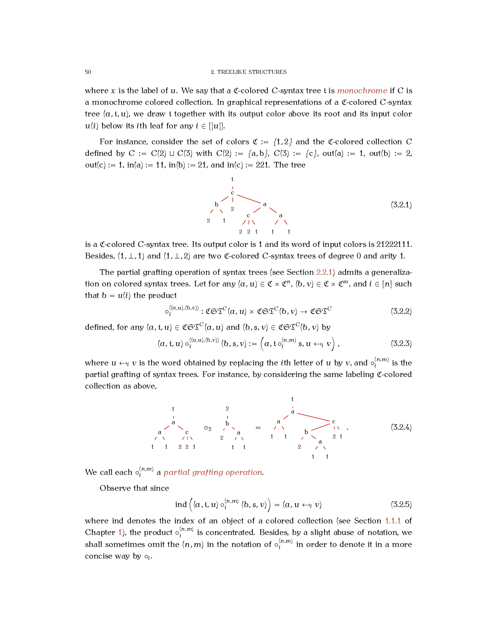where  $x$  is the label of  $u$ . We say that a  $C$ -colored  $C$ -syntax tree t is *monochrome* if  $C$  is a monochrome colored collection. In graphical representations of a C-colored *C*-syntax tree  $(a, t, u)$ , we draw t together with its output color above its root and its input color *u*(*i*) below its *i*th leaf for any *i* ∈ [|*u*|].

For instance, consider the set of colors  $\mathfrak{C} := \{1,2\}$  and the C-colored collection C defined by  $C := C(2) \sqcup C(3)$  with  $C(2) := \{a, b\}$ ,  $C(3) := \{c\}$ ,  $out(a) := 1$ ,  $out(b) := 2$ , out(c) := 1, in(a) := 11, in(b) := 21, and in(c) := 221. The tree



is a C-colored *C*-syntax tree. Its output color is 1 and its word of input colors is 21222111. Besides,  $(1, \perp, 1)$  and  $(1, \perp, 2)$  are two C-colored *C*-syntax trees of degree 0 and arity 1.

The partial grafting operation of syntax trees (see Section [2.2.1\)](#page-47-1) admits a generalization on colored syntax trees. Let for any  $(a, u) \in \mathfrak{C} \times \mathfrak{C}^n$ ,  $(b, v) \in \mathfrak{C} \times \mathfrak{C}^m$ , and  $i \in [n]$  such that  $b = u(i)$  the product

$$
\circ_i^{(\langle a,u\rangle,\langle b,v\rangle)} : \mathfrak{C} \mathfrak{S} \mathfrak{T}^C(a,u) \times \mathfrak{C} \mathfrak{S} \mathfrak{T}^C(b,v) \to \mathfrak{C} \mathfrak{S} \mathfrak{T}^C
$$
\n
$$
(3.2.2)
$$

defined, for any  $\langle a,t,u\rangle\in\mathfrak{C}\mathfrak{S}\mathfrak{T}^C(a,u)$  and  $\langle b,\mathfrak{s},v\rangle\in\mathfrak{C}\mathfrak{S}\mathfrak{T}^C(b,v)$  by

$$
(a, t, u) \circ_i^{((a, u), (b, v))} (b, s, v) := (a, t \circ_i^{(n, m)} s, u \leftarrow_i v),
$$
 (3.2.3)

where  $u \leftarrow_i v$  is the word obtained by replacing the *i*th letter of *u* by *v*, and  $\circ_i^{(n,m)}$  $\int_{i}^{\left(n,m\right)}$  is the partial grafting of syntax trees. For instance, by considering the same labeling C-colored collection as above,



We call each *◦* (*n,m*) *i* a *partial grafting operation*.

Observe that since

$$
\text{ind}\left((a,\mathfrak{t},u)\circ_i^{(n,m)}(b,\mathfrak{s},v)\right)=(a,u\leftrightarrow_i v)\tag{3.2.5}
$$

where ind denotes the index of an object of a colored collection (see Section [1.1.1](#page-14-1) of Chapter [1\)](#page-14-0), the product  $\circ_i^{(n,m)}$  $i<sub>i</sub>$  is concentrated. Besides, by a slight abuse of notation, we shall sometimes omit the  $(n, m)$  in the notation of  $\circ_i^{(n,m)}$  $i$ <sup>(*n*,*m*)</sub> in order to denote it in a more</sup> concise way by *◦<sup>i</sup>* .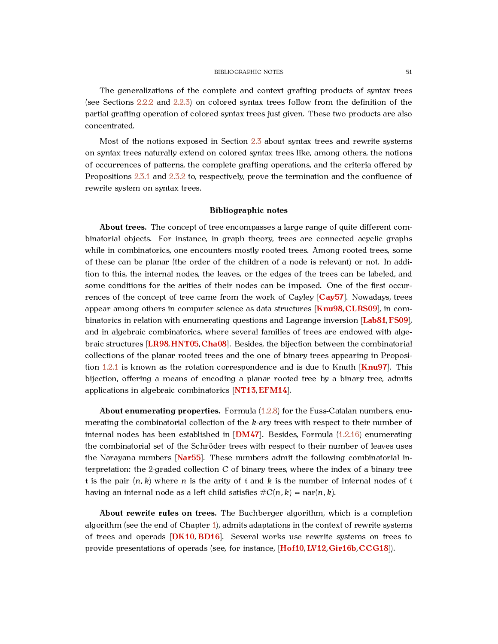The generalizations of the complete and context grafting products of syntax trees (see Sections [2.2.2](#page-48-2) and [2.2.3\)](#page-48-1) on colored syntax trees follow from the definition of the partial grafting operation of colored syntax trees just given. These two products are also concentrated.

Most of the notions exposed in Section [2.3](#page-49-0) about syntax trees and rewrite systems on syntax trees naturally extend on colored syntax trees like, among others, the notions of occurrences of patterns, the complete grafting operations, and the criteria offered by Propositions [2.3.1](#page-51-1) and [2.3.2](#page-52-0) to, respectively, prove the termination and the confluence of rewrite system on syntax trees.

# **Bibliographic notes**

**About trees.** The concept of tree encompasses a large range of quite different combinatorial objects. For instance, in graph theory, trees are connected acyclic graphs while in combinatorics, one encounters mostly rooted trees. Among rooted trees, some of these can be planar (the order of the children of a node is relevant) or not. In addition to this, the internal nodes, the leaves, or the edges of the trees can be labeled, and some conditions for the arities of their nodes can be imposed. One of the first occurrences of the concept of tree came from the work of Cayley [**[Cay57](#page-147-2)**]. Nowadays, trees appear among others in computer science as data structures [**[Knu98](#page-149-0)**,**[CLRS09](#page-147-3)**], in combinatorics in relation with enumerating questions and Lagrange inversion [**[Lab81](#page-149-2)**,**[FS09](#page-148-2)**], and in algebraic combinatorics, where several families of trees are endowed with algebraic structures [**[LR98](#page-150-1)**,**[HNT05](#page-148-1)**,**[Cha08](#page-147-4)**]. Besides, the bijection between the combinatorial collections of the planar rooted trees and the one of binary trees appearing in Proposition [1.2.1](#page-44-0) is known as the rotation correspondence and is due to Knuth [**[Knu97](#page-149-3)**]. This bijection, offering a means of encoding a planar rooted tree by a binary tree, admits applications in algebraic combinatorics [**[NT13](#page-150-3)**,**[EFM14](#page-147-5)**].

**About enumerating properties.** Formula [\(1.2.8\)](#page-43-1) for the Fuss-Catalan numbers, enumerating the combinatorial collection of the *k*-ary trees with respect to their number of internal nodes has been established in [**[DM47](#page-147-6)**]. Besides, Formula [\(1.2.16\)](#page-44-1) enumerating the combinatorial set of the Schröder trees with respect to their number of leaves uses the Narayana numbers [**[Nar55](#page-150-4)**]. These numbers admit the following combinatorial interpretation: the 2-graded collection *C* of binary trees, where the index of a binary tree t is the pair (*n, k*) where *n* is the arity of t and *k* is the number of internal nodes of t having an internal node as a left child satisfies  $\#C(n, k) = \text{nar}(n, k)$ .

**About rewrite rules on trees.** The Buchberger algorithm, which is a completion algorithm (see the end of Chapter [1\)](#page-14-0), admits adaptations in the context of rewrite systems of trees and operads [**[DK10](#page-147-7)**, **[BD16](#page-146-2)**]. Several works use rewrite systems on trees to provide presentations of operads (see, for instance, [**[Hof10](#page-149-4)**,**[LV12](#page-150-5)**,**[Gir16b](#page-148-3)**,**[CCG18](#page-147-8)**]).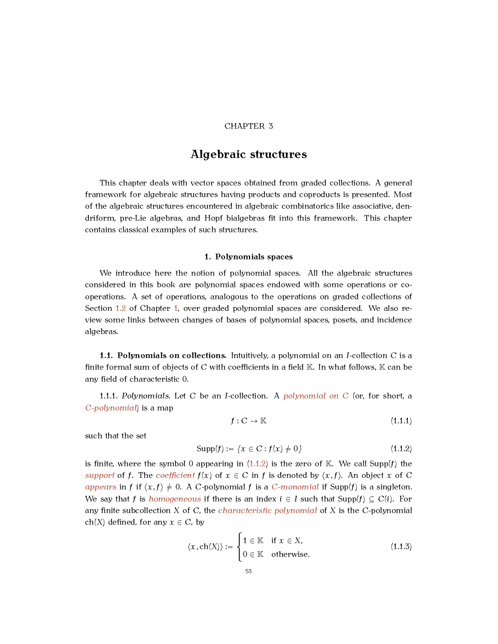# CHAPTER 3

# **Algebraic structures**

<span id="page-58-0"></span>This chapter deals with vector spaces obtained from graded collections. A general framework for algebraic structures having products and coproducts is presented. Most of the algebraic structures encountered in algebraic combinatorics like associative, dendriform, pre-Lie algebras, and Hopf bialgebras fit into this framework. This chapter contains classical examples of such structures.

## **1. Polynomials spaces**

We introduce here the notion of polynomial spaces. All the algebraic structures considered in this book are polynomial spaces endowed with some operations or cooperations. A set of operations, analogous to the operations on graded collections of Section [1.2](#page-17-0) of Chapter [1,](#page-14-0) over graded polynomial spaces are considered. We also review some links between changes of bases of polynomial spaces, posets, and incidence algebras.

**1.1. Polynomials on collections.** Intuitively, a polynomial on an *I*-collection *C* is a finite formal sum of objects of  $C$  with coefficients in a field  $K$ . In what follows,  $K$  can be any field of characteristic 0.

<span id="page-58-2"></span>1.1.1. *Polynomials.* Let *C* be an *I*-collection. A *polynomial on C* (or, for short, a *C-polynomial*) is a map

$$
f: C \to \mathbb{K} \tag{1.1.1}
$$

such that the set

<span id="page-58-1"></span>
$$
Supp(f) := \{x \in C : f(x) \neq 0\}
$$
\n(1.1.2)

is finite, where the symbol 0 appearing in  $(1.1.2)$  is the zero of K. We call Supp(f) the *support* of *f*. The *coefficient*  $f(x)$  of  $x \in C$  in *f* is denoted by  $\langle x, f \rangle$ . An object x of C *appears* in *f* if  $\langle x, f \rangle \neq 0$ . A *C*-polynomial *f* is a *C-monomial* if Supp(*f*) is a singleton. We say that *f* is *homogeneous* if there is an index  $i \in I$  such that Supp(*f*)  $\subseteq C(i)$ . For any finite subcollection *X* of *C*, the *characteristic polynomial* of *X* is the *C*-polynomial ch(*X*) defined, for any  $x \in C$ , by  $\overline{a}$ 

$$
\langle x, \text{ch}(X) \rangle := \begin{cases} 1 \in \mathbb{K} & \text{if } x \in X, \\ 0 \in \mathbb{K} & \text{otherwise.} \end{cases}
$$
 (1.1.3)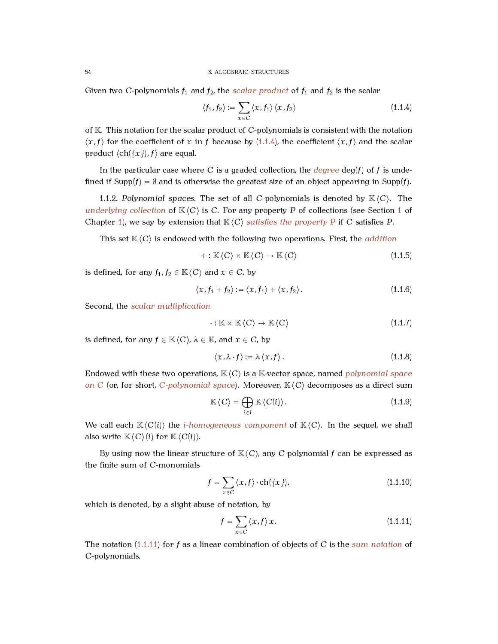Given two *C*-polynomials  $f_1$  and  $f_2$ , the *scalar product* of  $f_1$  and  $f_2$  is the scalar

<span id="page-59-0"></span>
$$
\langle f_1, f_2 \rangle := \sum_{x \in C} \langle x, f_1 \rangle \langle x, f_2 \rangle \tag{1.1.4}
$$

of K. This notation for the scalar product of *C*-polynomials is consistent with the notation  $\langle x, f \rangle$  for the coefficient of *x* in *f* because by [\(1.1.4\)](#page-59-0), the coefficient  $\langle x, f \rangle$  and the scalar product  $\langle ch(\{x\}), f\rangle$  are equal.

In the particular case where *C* is a graded collection, the *degree* deg(*f*) of *f* is undefined if  $\text{Supp}(f) = \emptyset$  and is otherwise the greatest size of an object appearing in  $\text{Supp}(f)$ .

1.1.2. *Polynomial spaces.* The set of all *C*-polynomials is denoted by  $K \langle C \rangle$ . The *underlying collection* of  $K \langle C \rangle$  is *C*. For any property *P* of collections (see Section [1](#page-14-2) of Chapter [1\)](#page-14-0), we say by extension that  $\mathbb{K}\langle C \rangle$  *satisfies the property* P if C satisfies P.

This set  $K \langle C \rangle$  is endowed with the following two operations. First, the *addition* 

$$
+: \mathbb{K}\langle C \rangle \times \mathbb{K}\langle C \rangle \to \mathbb{K}\langle C \rangle \tag{1.1.5}
$$

is defined, for any  $f_1, f_2 \in \mathbb{K} \langle C \rangle$  and  $x \in C$ , by

$$
\langle x, f_1 + f_2 \rangle := \langle x, f_1 \rangle + \langle x, f_2 \rangle. \tag{1.1.6}
$$

Second, the *scalar multiplication*

$$
\cdot : \mathbb{K} \times \mathbb{K} \langle C \rangle \to \mathbb{K} \langle C \rangle \tag{1.1.7}
$$

is defined, for any  $f \in \mathbb{K} \langle C \rangle$ ,  $\lambda \in \mathbb{K}$ , and  $x \in C$ , by

$$
\langle x, \lambda \cdot f \rangle := \lambda \langle x, f \rangle. \tag{1.1.8}
$$

Endowed with these two operations,  $\mathbb{K}\langle C \rangle$  is a K-vector space, named *polynomial space on C* (or, for short, *C-polynomial space*). Moreover,  $K \langle C \rangle$  decomposes as a direct sum

<span id="page-59-2"></span>
$$
\mathbb{K}\left\langle C\right\rangle = \bigoplus_{i\in I} \mathbb{K}\left\langle C(i)\right\rangle. \tag{1.1.9}
$$

We call each  $\mathbb{K}\langle C(i)\rangle$  the *i*-homogeneous component of  $\mathbb{K}\langle C\rangle$ . In the sequel, we shall also write  $\mathbb{K} \langle C \rangle$  *(i)* for  $\mathbb{K} \langle C \rangle$ *(i)*.

By using now the linear structure of  $K \langle C \rangle$ , any *C*-polynomial *f* can be expressed as the finite sum of *C*-monomials

$$
f = \sum_{x \in C} \langle x, f \rangle \cdot \text{ch}(\{x\}),\tag{1.1.10}
$$

which is denoted, by a slight abuse of notation, by

<span id="page-59-1"></span>
$$
f = \sum_{x \in C} \langle x, f \rangle x.
$$
 (1.1.11)

The notation [\(1.1.11\)](#page-59-1) for *f* as a linear combination of objects of *C* is the *sum notation* of *C*-polynomials.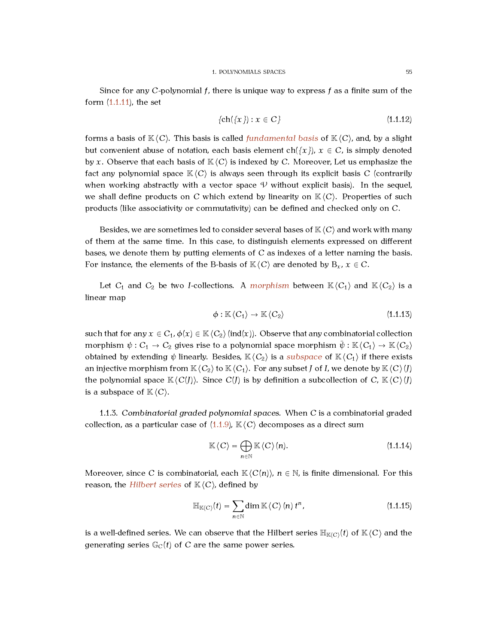Since for any *C*-polynomial *f*, there is unique way to express *f* as a finite sum of the form  $(1.1.11)$ , the set

$$
\{\text{ch}(\{x\}): x \in C\} \tag{1.1.12}
$$

forms a basis of  $K \langle C \rangle$ . This basis is called *fundamental basis* of  $K \langle C \rangle$ , and, by a slight but convenient abuse of notation, each basis element  $ch(\lbrace x \rbrace)$ ,  $x \in C$ , is simply denoted by x. Observe that each basis of  $K(\mathcal{C})$  is indexed by C. Moreover, Let us emphasize the fact any polynomial space  $\mathbb{K}\langle C \rangle$  is always seen through its explicit basis *C* (contrarily when working abstractly with a vector space  $\mathcal V$  without explicit basis). In the sequel, we shall define products on *C* which extend by linearity on  $\mathbb{K}\langle C \rangle$ . Properties of such products (like associativity or commutativity) can be defined and checked only on *C*.

Besides, we are sometimes led to consider several bases of  $K\langle C \rangle$  and work with many of them at the same time. In this case, to distinguish elements expressed on different bases, we denote them by putting elements of *C* as indexes of a letter naming the basis. For instance, the elements of the B-basis of  $K \langle C \rangle$  are denoted by  $B_x$ ,  $x \in C$ .

Let  $C_1$  and  $C_2$  be two *I*-collections. A *morphism* between  $\mathbb{K}\langle C_1 \rangle$  and  $\mathbb{K}\langle C_2 \rangle$  is a linear map

$$
\phi: \mathbb{K}\left\langle C_1 \right\rangle \to \mathbb{K}\left\langle C_2 \right\rangle \tag{1.1.13}
$$

such that for any  $x \in C_1$ ,  $\phi(x) \in \mathbb{K} \langle C_2 \rangle$  (ind(*x*)). Observe that any combinatorial collection morphism  $\psi: C_1 \to C_2$  gives rise to a polynomial space morphism  $\psi: \mathbb{K} \langle C_1 \rangle \to \mathbb{K} \langle C_2 \rangle$ obtained by extending  $\psi$  linearly. Besides,  $\mathbb{K} \langle C_2 \rangle$  is a *subspace* of  $\mathbb{K} \langle C_1 \rangle$  if there exists an injective morphism from  $\mathbb{K}\langle C_2 \rangle$  to  $\mathbb{K}\langle C_1 \rangle$ . For any subset *J* of *I*, we denote by  $\mathbb{K}\langle C \rangle$  *(J)* the polynomial space  $\mathbb{K}\langle C(J)\rangle$ . Since  $C(J)$  is by definition a subcollection of C,  $\mathbb{K}\langle C\rangle\langle J\rangle$ is a subspace of  $K \langle C \rangle$ .

1.1.3. *Combinatorial graded polynomial spaces.* When *C* is a combinatorial graded collection, as a particular case of  $(1.1.9)$ ,  $\mathbb{K}\langle C \rangle$  decomposes as a direct sum

$$
\mathbb{K}\left\langle C\right\rangle = \bigoplus_{n\in\mathbb{N}}\mathbb{K}\left\langle C\right\rangle(n). \tag{1.1.14}
$$

Moreover, since *C* is combinatorial, each  $\mathbb{K} \langle C(n) \rangle$ ,  $n \in \mathbb{N}$ , is finite dimensional. For this reason, the *Hilbert series* of  $K \langle C \rangle$ , defined by

$$
\mathbb{H}_{\mathbb{K}\langle C\rangle}(t)=\sum_{n\in\mathbb{N}}\dim\mathbb{K}\langle C\rangle\langle n\rangle t^{n},\qquad(1.1.15)
$$

is a well-defined series. We can observe that the Hilbert series  $\mathbb{H}_{K(C)}(t)$  of  $K\langle C\rangle$  and the generating series  $\mathbb{G}_C(t)$  of C are the same power series.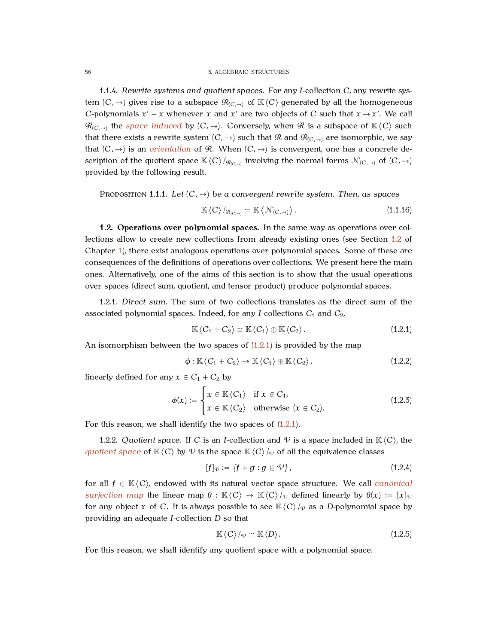56 3. ALGEBRAIC STRUCTURES

1.1.4. *Rewrite systems and quotient spaces.* For any *I*-collection *C*, any rewrite system  $(C, \rightarrow)$  gives rise to a subspace  $\mathcal{R}_{(C, \rightarrow)}$  of  $\mathbb{K} \langle C \rangle$  generated by all the homogeneous *C*-polynomials  $x' - x$  whenever *x* and  $x'$  are two objects of *C* such that  $x \rightarrow x'$ . We call  $\mathcal{R}_{(C,\to)}$  the *space induced* by  $(C,\to)$ . Conversely, when  $\mathcal{R}$  is a subspace of  $\mathbb{K}\langle C\rangle$  such that there exists a rewrite system  $(C, \rightarrow)$  such that  $\Re$  and  $\Re_{(C, \rightarrow)}$  are isomorphic, we say that  $(C, \rightarrow)$  is an *orientation* of  $\mathcal{R}$ . When  $(C, \rightarrow)$  is convergent, one has a concrete description of the quotient space  $\mathbb{K}\langle C\rangle/\mathcal{B}_{\langle C,\rightarrow\rangle}$  involving the normal forms  $\mathcal{N}_{(C,\rightarrow)}$  of  $(C,\rightarrow)$ provided by the following result.

PROPOSITION 1.1.1. Let  $(C, \rightarrow)$  be a convergent rewrite system. Then, as spaces

$$
\mathbb{K}\left\langle C\right\rangle /_{\mathcal{R}_{\left(C,\rightarrow\right)}}\simeq \mathbb{K}\left\langle \mathcal{N}_{\left(C,\rightarrow\right)}\right\rangle .\tag{1.1.16}
$$

<span id="page-61-1"></span>**1.2. Operations over polynomial spaces.** In the same way as operations over collections allow to create new collections from already existing ones (see Section [1.2](#page-17-0) of Chapter [1\)](#page-14-0), there exist analogous operations over polynomial spaces. Some of these are consequences of the definitions of operations over collections. We present here the main ones. Alternatively, one of the aims of this section is to show that the usual operations over spaces (direct sum, quotient, and tensor product) produce polynomial spaces.

1.2.1. *Direct sum.* The sum of two collections translates as the direct sum of the associated polynomial spaces. Indeed, for any *I*-collections  $C_1$  and  $C_2$ ,

<span id="page-61-0"></span>
$$
\mathbb{K}\left\langle C_1 + C_2 \right\rangle \simeq \mathbb{K}\left\langle C_1 \right\rangle \oplus \mathbb{K}\left\langle C_2 \right\rangle. \tag{1.2.1}
$$

An isomorphism between the two spaces of  $(1.2.1)$  is provided by the map

$$
\phi: \mathbb{K}\left\langle C_1 + C_2 \right\rangle \to \mathbb{K}\left\langle C_1 \right\rangle \oplus \mathbb{K}\left\langle C_2 \right\rangle, \tag{1.2.2}
$$

linearly defined for any  $x \in C_1 + C_2$  by

$$
\phi(x) := \begin{cases} x \in \mathbb{K} \langle C_1 \rangle & \text{if } x \in C_1, \\ x \in \mathbb{K} \langle C_2 \rangle & \text{otherwise } (x \in C_2). \end{cases}
$$
\n(1.2.3)

For this reason, we shall identify the two spaces of  $(1.2.1)$ .

1.2.2. *Quotient space.* If *C* is an *I*-collection and  $\mathcal{V}$  is a space included in  $\mathbb{K}\langle C \rangle$ , the *quotient space* of  $K \langle C \rangle$  by  $\mathcal V$  is the space  $K \langle C \rangle / \mathcal V$  of all the equivalence classes

$$
[f]_{\mathcal{V}} := \{ f + g : g \in \mathcal{V} \},\tag{1.2.4}
$$

for all *f ∈* K *hCi*, endowed with its natural vector space structure. We call *canonical surjection map* the linear map  $\theta$  :  $\mathbb{K}(C) \rightarrow \mathbb{K}(C)/\psi$  defined linearly by  $\theta(x) := [x]_{\psi}$ for any object *x* of *C*. It is always possible to see  $\mathbb{K}\langle C \rangle/\sqrt{v}$  as a *D*-polynomial space by providing an adequate *I*-collection *D* so that

$$
\mathbb{K}\left\langle C\right\rangle /_{\mathcal{V}}\simeq\mathbb{K}\left\langle D\right\rangle .\tag{1.2.5}
$$

For this reason, we shall identify any quotient space with a polynomial space.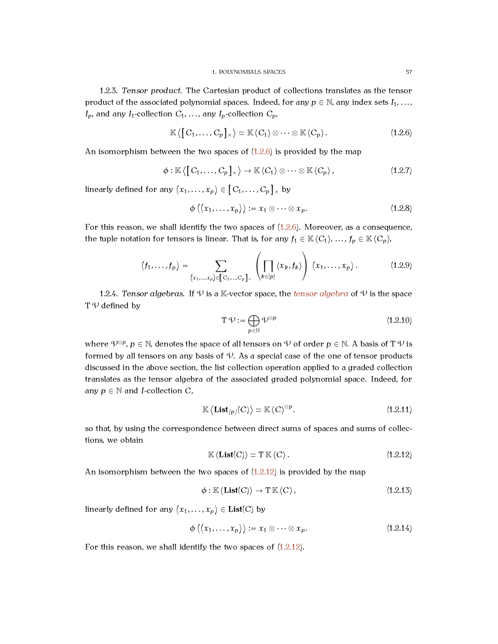1.2.3. *Tensor product.* The Cartesian product of collections translates as the tensor product of the associated polynomial spaces. Indeed, for any  $p \in \mathbb{N}$ , any index sets  $I_1, \ldots$ ,  $I_p$ , and any  $I_1$ -collection  $C_1$ , ..., any  $I_p$ -collection  $C_p$ ,

<span id="page-62-0"></span>
$$
\mathbb{K}\left\langle [C_1,\ldots,C_p]_{\times}\right\rangle\simeq \mathbb{K}\left\langle C_1\right\rangle\otimes\cdots\otimes\mathbb{K}\left\langle C_p\right\rangle. \tag{1.2.6}
$$

An isomorphism between the two spaces of  $(1.2.6)$  is provided by the map

$$
\phi: \mathbb{K}\left\langle [C_1,\ldots,C_p]_{\times} \right\rangle \to \mathbb{K}\left\langle C_1\right\rangle \otimes \cdots \otimes \mathbb{K}\left\langle C_p\right\rangle, \tag{1.2.7}
$$

linearly defined for any  $(x_1, \ldots, x_p)$ *∈*  $C_1, \ldots, C_p$ *<sup>×</sup>* by

$$
\phi\left(\left(x_1,\ldots,x_p\right)\right):=x_1\otimes\cdots\otimes x_p. \hspace{1cm} (1.2.8)
$$

For this reason, we shall identify the two spaces of [\(1.2.6\)](#page-62-0). Moreover, as a consequence, the tuple notation for tensors is linear. That is, for any  $f_1 \in \mathbb{K} \langle C_1 \rangle, \ldots, f_p \in \mathbb{K} \langle C_p \rangle$ ,

$$
(f_1,\ldots,f_p) = \sum_{(x_1,\ldots,x_p)\in [C_1,\ldots,C_p]_{\times}} \left(\prod_{k\in [p]} \langle x_k,f_k\rangle\right) (x_1,\ldots,x_p).
$$
 (1.2.9)

1.2.4. *Tensor algebras.* If  $\Psi$  is a K-vector space, the *tensor algebra* of  $\Psi$  is the space T *V* defined by

$$
\mathbf{T}\,\mathcal{V} := \bigoplus_{p \in \mathbb{N}} \mathcal{V}^{\otimes p} \tag{1.2.10}
$$

where  $\mathcal{P}^{\otimes p}$ ,  $p \in \mathbb{N}$ , denotes the space of all tensors on  $\mathcal V$  of order  $p \in \mathbb{N}$ . A basis of T  $\mathcal V$  is formed by all tensors on any basis of  $\mathcal{V}$ . As a special case of the one of tensor products discussed in the above section, the list collection operation applied to a graded collection translates as the tensor algebra of the associated graded polynomial space. Indeed, for any  $p \in \mathbb{N}$  and *I*-collection *C*,

$$
\mathbb{K}\left\langle\mathbf{List}_{\{p\}}(C)\right\rangle\simeq\mathbb{K}\left\langle C\right\rangle^{\otimes p}.\tag{1.2.11}
$$

so that, by using the correspondence between direct sums of spaces and sums of collections, we obtain

<span id="page-62-1"></span>
$$
\mathbb{K} \langle \mathbf{List}(C) \rangle \simeq \mathrm{T} \mathbb{K} \langle C \rangle. \tag{1.2.12}
$$

An isomorphism between the two spaces of  $(1.2.12)$  is provided by the map

$$
\phi: \mathbb{K} \langle \mathbf{List}(C) \rangle \to \mathbf{T} \mathbb{K} \langle C \rangle, \tag{1.2.13}
$$

linearly defined for any  $(x_1, \ldots, x_p)$  $\mathbf{r}$ *∈* **List**(*C*) by

$$
\phi\left(\left(x_1,\ldots,x_p\right)\right):=x_1\otimes\cdots\otimes x_p. \hspace{1cm} (1.2.14)
$$

For this reason, we shall identify the two spaces of  $(1.2.12)$ .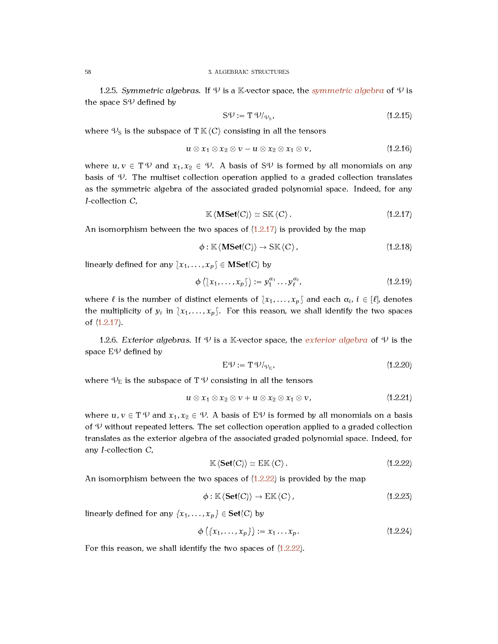1.2.5. *Symmetric algebras.* If  $\Psi$  is a K-vector space, the *symmetric algebra* of  $\Psi$  is the space S*V* defined by

$$
S\mathcal{V} := T\mathcal{V}/\varphi_{s},\tag{1.2.15}
$$

where  $\mathcal{V}_S$  is the subspace of  $T K \langle C \rangle$  consisting in all the tensors

$$
u\otimes x_1\otimes x_2\otimes v-u\otimes x_2\otimes x_1\otimes v, \qquad (1.2.16)
$$

where  $u, v \in \mathcal{T} \mathcal{V}$  and  $x_1, x_2 \in \mathcal{V}$ . A basis of S $\mathcal{V}$  is formed by all monomials on any basis of *V*. The multiset collection operation applied to a graded collection translates as the symmetric algebra of the associated graded polynomial space. Indeed, for any *I*-collection *C*,

<span id="page-63-0"></span>
$$
\mathbb{K} \langle \mathbf{MSet}(C) \rangle \simeq \mathbb{SK} \langle C \rangle. \tag{1.2.17}
$$

An isomorphism between the two spaces of  $(1.2.17)$  is provided by the map

$$
\phi: \mathbb{K} \langle \mathbf{MSet}(C) \rangle \to \mathbb{SK} \langle C \rangle, \tag{1.2.18}
$$

linearly defined for any  $\{x_1, \ldots, x_p\} \in \mathbf{MSet}(C)$  by

$$
\phi\left(\left\{x_1,\ldots,x_p\right\}\right) := y_1^{\alpha_1}\ldots y_\ell^{\alpha_\ell},\tag{1.2.19}
$$

where  $\ell$  is the number of distinct elements of  $\{x_1, \ldots, x_p\}$  and each  $\alpha_i, i \in [\ell]$ , denotes the multiplicity of  $y_i$  in  $\{x_1, \ldots, x_p\}$ . For this reason, we shall identify the two spaces of [\(1.2.17\)](#page-63-0).

1.2.6. *Exterior algebras.* If  $\mathcal V$  is a K-vector space, the *exterior algebra* of  $\mathcal V$  is the space E*V* defined by

$$
E\mathcal{V} := T\mathcal{V}/\varphi_{E},\tag{1.2.20}
$$

where  $\mathcal{V}_E$  is the subspace of  $T \mathcal{V}$  consisting in all the tensors

$$
u\otimes x_1\otimes x_2\otimes v+u\otimes x_2\otimes x_1\otimes v, \qquad (1.2.21)
$$

where  $u, v \in T \mathcal{V}$  and  $x_1, x_2 \in \mathcal{V}$ . A basis of E $\mathcal{V}$  is formed by all monomials on a basis of *V* without repeated letters. The set collection operation applied to a graded collection translates as the exterior algebra of the associated graded polynomial space. Indeed, for any *I*-collection *C*,

<span id="page-63-1"></span>
$$
\mathbb{K} \langle \mathbf{Set}(C) \rangle \simeq \mathbb{E} \mathbb{K} \langle C \rangle. \tag{1.2.22}
$$

An isomorphism between the two spaces of  $(1.2.22)$  is provided by the map

$$
\phi: \mathbb{K} \langle \mathbf{Set}(C) \rangle \to \mathbb{E} \mathbb{K} \langle C \rangle, \tag{1.2.23}
$$

linearly defined for any  $\{x_1, \ldots, x_p\} \in \mathbf{Set}(C)$  by

$$
\phi\left(\{x_1,\ldots,x_p\}\right) := x_1\ldots x_p. \tag{1.2.24}
$$

For this reason, we shall identify the two spaces of [\(1.2.22\)](#page-63-1).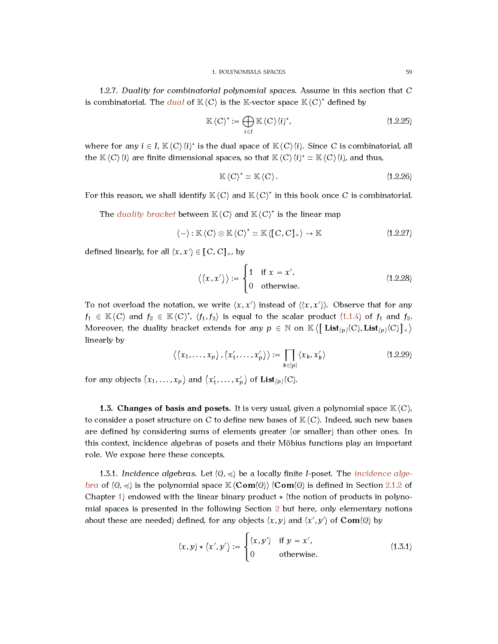<span id="page-64-0"></span>1.2.7. *Duality for combinatorial polynomial spaces.* Assume in this section that *C* is combinatorial. The  $dual$  of  $\mathbb{K}\langle C \rangle$  is the  $\mathbb{K}\text{-vector}$  space  $\mathbb{K}\langle C \rangle^*$  defined by

$$
\mathbb{K}\left\langle C\right\rangle^{\star}:=\bigoplus_{i\in I}\mathbb{K}\left\langle C\right\rangle\left\langle i\right\rangle^{\star},\tag{1.2.25}
$$

where for any  $i \in I$ ,  $\mathbb{K}\langle C\rangle\langle i\rangle^*$  is the dual space of  $\mathbb{K}\langle C\rangle\langle i\rangle$ . Since  $C$  is combinatorial, all the  $\mathbb{K} \langle C \rangle$  (*i*) are finite dimensional spaces, so that  $\mathbb{K} \langle C \rangle$  (*i*)<sup>\*</sup>  $\simeq \mathbb{K} \langle C \rangle$  (*i*), and thus,

$$
\mathbb{K}\left\langle C\right\rangle^{\star}\simeq\mathbb{K}\left\langle C\right\rangle. \tag{1.2.26}
$$

For this reason, we shall identify  $\mathbb{K}\langle C\rangle$  and  $\mathbb{K}\langle C\rangle^\star$  in this book once  $C$  is combinatorial.

The *duality* bracket between  $\mathbb{K}\langle C \rangle$  and  $\mathbb{K}\langle C \rangle^*$  is the linear map

$$
\langle - \rangle : \mathbb{K} \langle C \rangle \otimes \mathbb{K} \langle C \rangle^* \simeq \mathbb{K} \langle [C, C]_{\times} \rangle \to \mathbb{K}
$$
 (1.2.27)

defined linearly, for all  $(x, x') \in [C, C]_{\times}$ , by

$$
\langle (x, x') \rangle := \begin{cases} 1 & \text{if } x = x', \\ 0 & \text{otherwise.} \end{cases}
$$
 (1.2.28)

To not overload the notation, we write  $\langle x, x' \rangle$  instead of  $\langle (x, x') \rangle$ . Observe that for any  $f_1 \in \mathbb{K}\langle C \rangle$  and  $f_2 \in \mathbb{K}\langle C \rangle^*$ ,  $\langle f_1, f_2 \rangle$  is equal to the scalar product  $(1.1.4)$  of  $f_1$  and  $f_2$ . Moreover, the duality bracket extends for any  $p \in \mathbb{N}$  on  $\mathbb{K}\langle\left[\right. \mathbf{List}_{\{p\}}(C),\mathbf{List}_{\{p\}}(C)\right]_{\times}$ linearly by

$$
\langle (x_1, \ldots, x_p) \cdot (x'_1, \ldots, x'_p) \rangle := \prod_{k \in [p]} \langle x_k, x'_k \rangle \tag{1.2.29}
$$

for any objects  $(x_1, \ldots, x_p)$ ) and  $(x'_1, \ldots, x'_p)$  $\mathbf{r}$ of **List***{p}*(*C*).

**1.3. Changes of basis and posets.** It is very usual, given a polynomial space  $\mathbb{K} \langle C \rangle$ , to consider a poset structure on *C* to define new bases of  $K\langle C \rangle$ . Indeed, such new bases are defined by considering sums of elements greater (or smaller) than other ones. In this context, incidence algebras of posets and their Möbius functions play an important role. We expose here these concepts.

1.3.1. *Incidence algebras.* Let  $(Q, \preccurlyeq)$  be a locally finite *I*-poset. The *incidence algebra* of  $(Q, \preccurlyeq)$  is the polynomial space  $\mathbb{K} \langle \mathbf{Com}(\mathcal{Q}) \rangle$  ( $\mathbf{Com}(\mathcal{Q})$ ) is defined in Section [2.1.2](#page-29-0) of Chapter [1\)](#page-14-0) endowed with the linear binary product  $\star$  (the notion of products in polynomial spaces is presented in the following Section  $2$  but here, only elementary notions about these are needed) defined, for any objects  $(x, y)$  and  $(x', y')$  of  $Com(Q)$  by

$$
(x, y) \star (x', y') := \begin{cases} (x, y') & \text{if } y = x', \\ 0 & \text{otherwise.} \end{cases}
$$
 (1.3.1)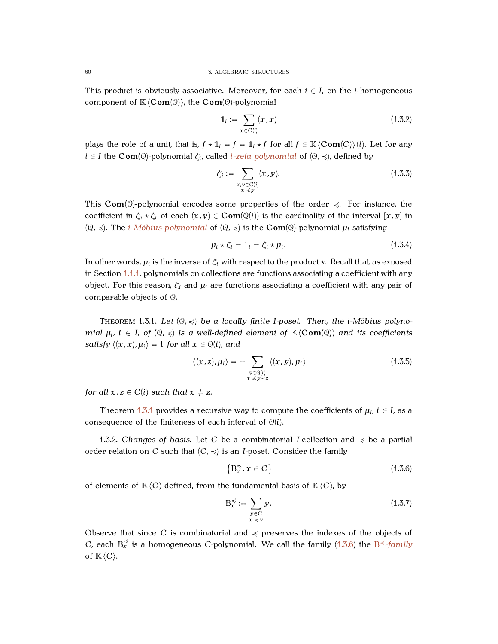This product is obviously associative. Moreover, for each  $i \in I$ , on the *i*-homogeneous component of  $\mathbb{K} \langle \mathbf{Com}(\mathbb{Q}) \rangle$ , the  $\mathbf{Com}(\mathbb{Q})$ -polynomial

$$
1_{i} := \sum_{x \in C(i)} (x, x)
$$
 (1.3.2)

plays the role of a unit, that is,  $f \star 1_i = f = 1_i \star f$  for all  $f \in K \langle Com(C) \rangle$  *(i)*. Let for any *i* ∈ *I* the **Com**(*Q*)-polynomial  $\zeta$ <sup>*i*</sup>, called *i-zeta polynomial* of (*Q*,  $\preccurlyeq$ ), defined by

$$
\mathcal{E}_i := \sum_{\substack{x, y \in C(i) \\ x \preccurlyeq y}} (x, y). \tag{1.3.3}
$$

This  $Com(\mathbb{Q})$ -polynomial encodes some properties of the order  $\preccurlyeq$ . For instance, the coefficient in  $\zeta_i \star \zeta_i$  of each  $(x, y) \in \text{Com}(\mathbb{Q}(i))$  is the cardinality of the interval  $[x, y]$  in  $(Q, \leq)$ . The *i*-Möbius polynomial of  $(Q, \leq)$  is the **Com** $(Q)$ -polynomial  $\mu_i$  satisfying

$$
\mu_i \star \zeta_i = \mathbb{1}_i = \zeta_i \star \mu_i. \tag{1.3.4}
$$

In other words,  $\mu_i$  is the inverse of  $\zeta_i$  with respect to the product  $\star$ . Recall that, as exposed in Section [1.1.1,](#page-58-2) polynomials on collections are functions associating a coefficient with any object. For this reason, *ζ<sup>i</sup>* and *µ<sup>i</sup>* are functions associating a coefficient with any pair of comparable objects of *Q*.

<span id="page-65-0"></span>THEOREM 1.3.1. Let  $(Q, \preccurlyeq)$  be a locally finite *I-poset*. Then, the *i-Möbius polynomial*  $\mu_i$ ,  $i \in I$ , of  $(Q, \preccurlyeq)$  *is a well-defined element of*  $\mathbb{K}\langle \mathbf{Com}(\mathbb{Q})\rangle$  *and its coefficients satisfy*  $\langle (x, x), \mu_i \rangle = 1$  *for all*  $x \in \mathbb{Q}(i)$ *, and* 

$$
\langle (x,z),\mu_i \rangle = - \sum_{\substack{y \in \mathbb{Q}(i) \\ x \preccurlyeq y < z}} \langle (x,y),\mu_i \rangle \tag{1.3.5}
$$

*for all*  $x, z \in C(i)$  *such that*  $x \neq z$ *.* 

Theorem [1.3.1](#page-65-0) provides a recursive way to compute the coefficients of  $\mu_i$ ,  $i \in I$ , as a consequence of the finiteness of each interval of *Q*(*i*).

1.3.2. *Changes of basis.* Let *C* be a combinatorial *I*-collection and  $\preccurlyeq$  be a partial order relation on *C* such that  $(C, \preccurlyeq)$  is an *I*-poset. Consider the family

<span id="page-65-1"></span>
$$
\left\{ \mathbf{B}_{x}^{\preccurlyeq}, x \in \mathcal{C} \right\} \tag{1.3.6}
$$

of elements of  $K \langle C \rangle$  defined, from the fundamental basis of  $K \langle C \rangle$ , by

$$
B_x^{\preccurlyeq} := \sum_{\substack{y \in C \\ x \preccurlyeq y}} y. \tag{1.3.7}
$$

Observe that since C is combinatorial and  $\preccurlyeq$  preserves the indexes of the objects of *C*, each  $B_x^{\preccurlyeq}$  is a homogeneous *C*-polynomial. We call the family [\(1.3.6\)](#page-65-1) the  $B^{\preccurlyeq}$ -family of  $K \langle C \rangle$ .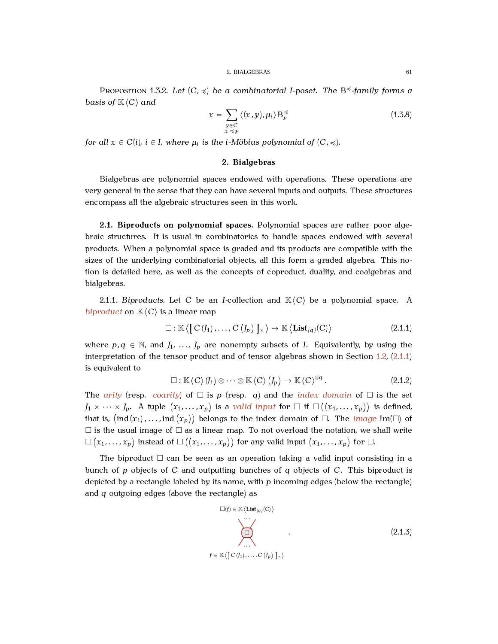PROPOSITION 1.3.2. *Let* (*C,* 4) *be a combinatorial I-poset. The* B <sup>4</sup>*-family forms a basis of*  $K \langle C \rangle$  *and* 

$$
x = \sum_{\substack{y \in C \\ x \preccurlyeq y}} \langle (x, y), \mu_i \rangle B_y^{\preccurlyeq} \tag{1.3.8}
$$

<span id="page-66-0"></span>*for all*  $x \in C(i)$ *,*  $i \in I$ *, where*  $\mu_i$  *is the i-Möbius polynomial of*  $(C, \preccurlyeq)$ *.* 

# **2. Bialgebras**

Bialgebras are polynomial spaces endowed with operations. These operations are very general in the sense that they can have several inputs and outputs. These structures encompass all the algebraic structures seen in this work.

**2.1. Biproducts on polynomial spaces.** Polynomial spaces are rather poor algebraic structures. It is usual in combinatorics to handle spaces endowed with several products. When a polynomial space is graded and its products are compatible with the sizes of the underlying combinatorial objects, all this form a graded algebra. This notion is detailed here, as well as the concepts of coproduct, duality, and coalgebras and bialgebras.

2.1.1. *Biproducts.* Let *C* be an *I*-collection and  $K\langle C \rangle$  be a polynomial space. A *biproduct* on  $K \langle C \rangle$  is a linear map

<span id="page-66-1"></span>
$$
\Box: \mathbb{K} \langle [C (J_1), \ldots, C (J_p)]_{\times} \rangle \to \mathbb{K} \langle \mathbf{List}_{\{q\}}(C) \rangle \qquad (2.1.1)
$$

where  $p, q \in \mathbb{N}$ , and  $J_1, \ldots, J_p$  are nonempty subsets of *I*. Equivalently, by using the interpretation of the tensor product and of tensor algebras shown in Section [1.2,](#page-61-1) [\(2.1.1\)](#page-66-1) is equivalent to

$$
\Box: \mathbb{K} \langle C \rangle \langle I_1 \rangle \otimes \cdots \otimes \mathbb{K} \langle C \rangle \langle I_p \rangle \to \mathbb{K} \langle C \rangle^{\otimes q} . \tag{2.1.2}
$$

The *arity* (resp. *coarity*) of  $\square$  is *p* (resp. *q*) and the *index domain* of  $\square$  is the set  $J_1 \times \cdots \times J_p$ . A tuple  $(x_1, \ldots, x_p)$ is p (resp. q) and the *index domain* of  $\Box$  is the set is a *valid input* for  $\Box$  if  $\Box ((x_1, \ldots, x_p))$  is defined, that is,  $(\text{ind } (x_1), \ldots, \text{ind } (x_p))$  belongs to the index domain of  $\square$ . The *image* Im( $\square$ ) of the *index* domain of  $\square$ .  $\Box$  is the usual image of  $\Box$  as a linear map. To not overload the notation, we shall write — 1<br>∏ ( *x*1*, . . . , x<sup>p</sup>* in image of  $\Box$  as a finear high. To not overload the hotal on, we .<br> $\int$  for  $\Box$ .

The biproduct  $\Box$  can be seen as an operation taking a valid input consisting in a bunch of *p* objects of *C* and outputting bunches of *q* objects of *C*. This biproduct is depicted by a rectangle labeled by its name, with *p* incoming edges (below the rectangle) and *q* outgoing edges (above the rectangle) as

$$
\Box(f) \in \mathbb{K} \langle \mathbf{List}_{\{q\}}(C) \rangle
$$
\n
$$
f \in \mathbb{K} \langle [C \langle I_1 \rangle, \dots, C \langle I_p \rangle] \rangle \rangle
$$
\n
$$
(2.1.3)
$$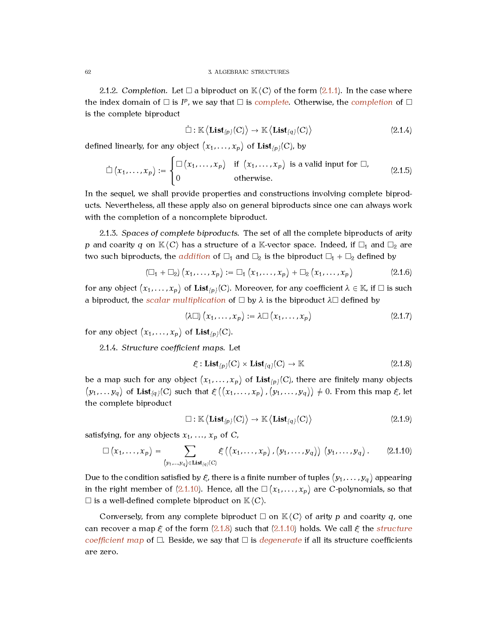2.1.2. *Completion.* Let  $\Box$  a biproduct on  $\mathbb{K}\langle C \rangle$  of the form [\(2.1.1\)](#page-66-1). In the case where the index domain of  $\square$  is  $I^p$ , we say that  $\square$  is *complete*. Otherwise, the *completion* of  $\square$ is the complete biproduct

$$
\dot{\Box} : \mathbb{K} \left\langle \mathbf{List}_{\{p\}}(C) \right\rangle \to \mathbb{K} \left\langle \mathbf{List}_{\{q\}}(C) \right\rangle \tag{2.1.4}
$$

defined linearly, for any object  $(x_1, \ldots, x_p)$  $\mathbf{r}$ of **List***{p}*(*C*), by

$$
\Box (x_1,...,x_p) := \begin{cases} \Box (x_1,...,x_p) & \text{if } (x_1,...,x_p) \text{ is a valid input for } \Box, \\ 0 & \text{otherwise.} \end{cases}
$$
 (2.1.5)

In the sequel, we shall provide properties and constructions involving complete biproducts. Nevertheless, all these apply also on general biproducts since one can always work with the completion of a noncomplete biproduct.

2.1.3. *Spaces of complete biproducts.* The set of all the complete biproducts of arity *p* and coarity *q* on  $\mathbb{K}\langle C \rangle$  has a structure of a K-vector space. Indeed, if  $\Box_1$  and  $\Box_2$  are two such biproducts, the *addition* of  $\Box_1$  and  $\Box_2$  is the biproduct  $\Box_1 + \Box_2$  defined by

$$
(\Box_1 + \Box_2) (x_1, ..., x_p) := \Box_1 (x_1, ..., x_p) + \Box_2 (x_1, ..., x_p)
$$
 (2.1.6)

for any object  $(x_1, \ldots, x_p)$ ) of  $\mathbf{List}_{\{p\}}(C)$ . Moreover, for any coefficient  $\lambda \in \mathbb{K}$ , if  $\square$  is such a biproduct, the *scalar multiplication* of  $\Box$  by  $\lambda$  is the biproduct  $\lambda \Box$  defined by

$$
(\lambda \Box) (x_1, \ldots, x_p) := \lambda \Box (x_1, \ldots, x_p) \qquad (2.1.7)
$$

for any object  $(x_1, \ldots, x_p)$  $\mathbf{r}$ of **List***{p}*(*C*).

2.1.4. *Structure coefficient maps.* Let

<span id="page-67-1"></span>
$$
\xi: \mathbf{List}_{\{p\}}(C) \times \mathbf{List}_{\{q\}}(C) \to \mathbb{K}
$$
\n(2.1.8)

be a map such for any object  $(x_1, \ldots, x_p)$  $\mathbf{r}$ be a map such for any object  $(x_1, \ldots, x_p)$  of **List**<sub> $\{p\}$ </sub> $(C)$ , there are finitely many objects *y*<sub>1</sub>, . . . *y*<sub>q</sub>) of **List**<sub>{q}</sub>(*C*) such that  $\xi$  ((*x*<sub>1</sub>, . . . *, x*<sub>p</sub>), (*y*<sub>1</sub>, . . . *, y*<sub>q</sub>))  $\neq$  0. From this map  $\xi$ , let the complete biproduct

$$
\Box: \mathbb{K} \left\langle \mathbf{List}_{\{p\}}(C) \right\rangle \to \mathbb{K} \left\langle \mathbf{List}_{\{q\}}(C) \right\rangle \tag{2.1.9}
$$

satisfying, for any objects  $x_1, \ldots, x_p$  of *C*,

<span id="page-67-0"></span>
$$
\Box (x_1,\ldots,x_p) = \sum_{(y_1,\ldots,y_q)\in \mathbf{List}_{\{q\}}(C)} \xi ((x_1,\ldots,x_p), (y_1,\ldots,y_q)) (y_1,\ldots,y_q).
$$
 (2.1.10)

Due to the condition satisfied by  $\xi$ , there is a finite number of tuples  $(y_1,\ldots,y_q)$ number of tuples  $(y_1, \ldots, y_q)$  appearing in the right member of [\(2.1.10\)](#page-67-0). Hence, all the  $\square$   $(x_1, \ldots, x_p)$  are *C*-polynomials, so that  $\Box$  is a well-defined complete biproduct on  $\mathbb{K}\langle C\rangle$ .

Conversely, from any complete biproduct  $\Box$  on  $\mathbb{K}\langle C\rangle$  of arity p and coarity q, one can recover a map *ξ* of the form [\(2.1.8\)](#page-67-1) such that [\(2.1.10\)](#page-67-0) holds. We call *ξ* the *structure coefficient map* of  $\Box$ . Beside, we say that  $\Box$  is *degenerate* if all its structure coefficients are zero.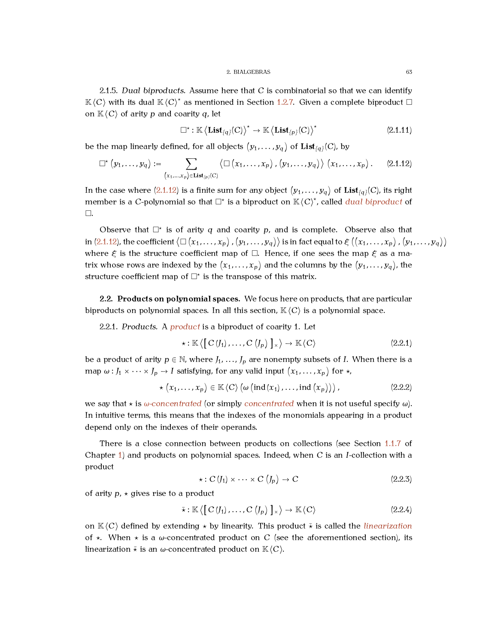## 2. BIALGEBRAS 63

<span id="page-68-2"></span>2.1.5. *Dual biproducts.* Assume here that *C* is combinatorial so that we can identify  $\mathbb{K}\langle C\rangle$  with its dual  $\mathbb{K}\langle C\rangle^*$  as mentioned in Section [1.2.7.](#page-64-0) Given a complete biproduct  $\Box$ on  $K \langle C \rangle$  of arity *p* and coarity *q*, let

$$
\Box^*: \mathbb{K} \left\langle \mathbf{List}_{\{q\}}(C) \right\rangle^* \to \mathbb{K} \left\langle \mathbf{List}_{\{p\}}(C) \right\rangle^* \tag{2.1.11}
$$

be the map linearly defined, for all objects  $(y_1, \ldots, y_q)$  $\overline{a}$ of **List***{q}*(*C*), by

<span id="page-68-0"></span>
$$
\Box^{\star} (y_1,\ldots,y_q) := \sum_{(x_1,\ldots,x_p)\in \mathbf{List}_{\{p\}}(C)} \langle \Box (x_1,\ldots,x_p) , (y_1,\ldots,y_q) \rangle (x_1,\ldots,x_p) . \qquad (2.1.12)
$$

In the case where [\(2.1.12\)](#page-68-0) is a finite sum for any object  $(y_1, \ldots, y_q)$  $\overline{a}$ of **List***{q}*(*C*), its right member is a *C-*polynomial so that  $\Box^*$  is a biproduct on  $\mathbb{K}\langle C\rangle^*$ , called *dual biproduct* of  $\Box.$ 

Observe that  $\Box^*$  is of arity *q* and coarity *p*, and is complete. Observe also that  $\left( \frac{2.1.12}{2.0}$ , the coefficient  $\left( \frac{\Box (x_1, \ldots, x_p)}{\Box (x_1, \ldots, x_p)} \right)$  is in fact equal to  $\xi ((x_1, \ldots, x_p), (y_1, \ldots, y_q))$  $\frac{1}{\sqrt{2}}$ where  $\xi$  is the structure coefficient map of  $\Box$ . Hence, if one sees the map  $\xi$  as a matrix whose rows are indexed by the  $(x_1, \ldots, x_p)$  and the columns by the  $(y_1, \ldots, y_q)$ , the structure coefficient map of  $\Box^*$  is the transpose of this matrix.

**2.2. Products on polynomial spaces.** We focus here on products, that are particular biproducts on polynomial spaces. In all this section,  $\mathbb{K} \langle C \rangle$  is a polynomial space.

<span id="page-68-3"></span>2.2.1. *Products.* A *product* is a biproduct of coarity 1. Let

<span id="page-68-1"></span>
$$
\star : \mathbb{K} \left\langle \left[ C \left( J_1 \right), \ldots, C \left( J_p \right) \right]_{\times} \right\rangle \to \mathbb{K} \left\langle C \right\rangle \tag{2.2.1}
$$

be a product of arity  $p \in \mathbb{N}$ , where  $J_1, \ldots, J_p$  are nonempty subsets of *I*. When there is a  $\lim_{\Delta x \to 0} \omega : J_1 \times \cdots \times J_p \to I$  satisfying, for any valid input  $(x_1, \ldots, x_p)$  for  $\star$ ,

$$
\star (x_1, \ldots, x_p) \in \mathbb{K} \langle C \rangle \left( \omega \left( \text{ind} \left( x_1 \right), \ldots, \text{ind} \left( x_p \right) \right) \right), \tag{2.2.2}
$$

we say that *?* is *ω-concentrated* (or simply *concentrated* when it is not useful specify *ω*). In intuitive terms, this means that the indexes of the monomials appearing in a product depend only on the indexes of their operands.

There is a close connection between products on collections (see Section [1.1.7](#page-16-0) of Chapter [1\)](#page-14-0) and products on polynomial spaces. Indeed, when *C* is an *I*-collection with a product

$$
\star: C(J_1) \times \cdots \times C(J_p) \to C \tag{2.2.3}
$$

of arity  $p \star q$  ives rise to a product

$$
\bar{\star} : \mathbb{K} \left\langle \left[ C \left( J_1 \right), \ldots, C \left( J_p \right) \right] \right\rangle \right\rangle \to \mathbb{K} \left\langle C \right\rangle \tag{2.2.4}
$$

on  $\mathbb{K}\langle C \rangle$  defined by extending  $\star$  by linearity. This product  $\overline{\star}$  is called the *linearization* of  $\star$ . When  $\star$  is a *ω*-concentrated product on *C* (see the aforementioned section), its linearization  $\bar{x}$  is an *ω*-concentrated product on  $\mathbb{K}\langle C \rangle$ .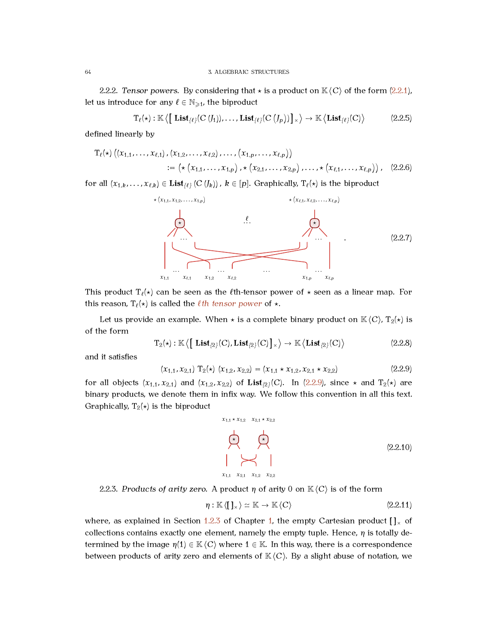2.2.2. *Tensor powers.* By considering that  $\star$  is a product on  $\mathbb{K}\langle C \rangle$  of the form [\(2.2.1\)](#page-68-1), let us introduce for any  $\ell \in \mathbb{N}_{\geq 1}$ , the biproduct

$$
T_{\ell}(\star) : \mathbb{K} \left\langle \left[ \ \mathbf{List}_{\{\ell\}}(C \ (J_1)), \ldots, \mathbf{List}_{\{\ell\}}(C \ (J_p)) \right]_{\times} \right\rangle \to \mathbb{K} \left\langle \mathbf{List}_{\{\ell\}}(C) \right\rangle \tag{2.2.5}
$$

defined linearly by

$$
T_{\ell}(\star) ((x_{1,1},...,x_{\ell,1}), (x_{1,2},...,x_{\ell,2}),..., (x_{1,p},...,x_{\ell,p}))
$$
  
 :=  $(\star (x_{1,1},...,x_{1,p}), \star (x_{2,1},...,x_{2,p}),..., \star (x_{\ell,1},...,x_{\ell,p}))$ , (2.2.6)

for all  $(x_{1,k},...,x_{\ell,k}) \in \text{List}_{\{\ell\}}(C(J_k))$ ,  $k \in [p]$ . Graphically,  $T_{\ell}(\star)$  is the biproduct



This product  $T_{\ell}(\star)$  can be seen as the *l*<sup>th</sup>-tensor power of  $\star$  seen as a linear map. For this reason,  $T_{\ell}(\star)$  is called the *l*th tensor power of  $\star$ .

Let us provide an example. When  $\star$  is a complete binary product on  $\mathbb{K}\langle C\rangle$ ,  $T_2(\star)$  is of the form

$$
T_2(\star): \mathbb{K}\left\langle \left[\text{ List}_{\{2\}}(C),\text{List}_{\{2\}}(C)\right]_{\times}\right\rangle \to \mathbb{K}\left\langle \text{List}_{\{2\}}(C)\right\rangle \tag{2.2.8}
$$

and it satisfies

<span id="page-69-0"></span>
$$
(x_{1,1}, x_{2,1}) T_2(\star) (x_{1,2}, x_{2,2}) = (x_{1,1} \star x_{1,2}, x_{2,1} \star x_{2,2})
$$
\n(2.2.9)

for all objects  $(x_{1,1}, x_{2,1})$  and  $(x_{1,2}, x_{2,2})$  of List<sub> $\{2\}$ </sub>(C). In  $(2.2.9)$ , since  $\star$  and  $T_2(\star)$  are binary products, we denote them in infix way. We follow this convention in all this text. Graphically,  $T_2(\star)$  is the biproduct



2.2.3. *Products of arity zero.* A product  $\eta$  of arity 0 on  $\mathbb{K}\langle C \rangle$  is of the form

$$
\eta: \mathbb{K}\left\langle [1]_{\times}\right\rangle \simeq \mathbb{K} \to \mathbb{K}\left\langle C\right\rangle \tag{2.2.11}
$$

where, as explained in Section [1.2.3](#page-19-0) of Chapter [1,](#page-14-0) the empty Cartesian product [ ]*<sup>×</sup>* of collections contains exactly one element, namely the empty tuple. Hence,  $\eta$  is totally determined by the image  $\eta(1) \in \mathbb{K} \langle C \rangle$  where  $1 \in \mathbb{K}$ . In this way, there is a correspondence between products of arity zero and elements of  $K(\mathcal{C})$ . By a slight abuse of notation, we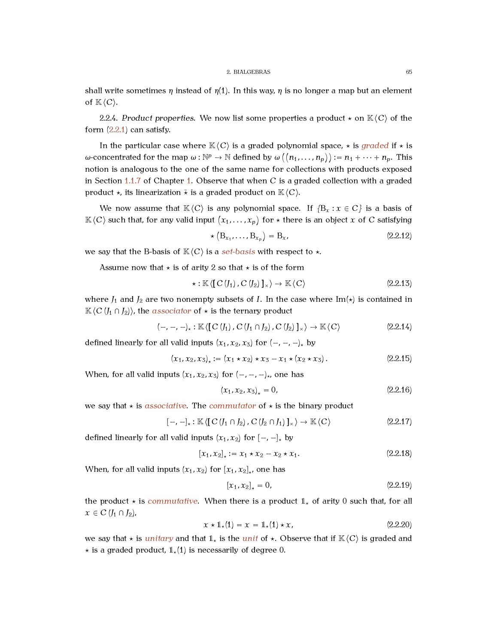#### 2. BIALGEBRAS 65

shall write sometimes *η* instead of  $η(1)$ . In this way, *η* is no longer a map but an element of  $\mathbb{K}\langle C\rangle$ .

<span id="page-70-0"></span>2.2.4. *Product properties.* We now list some properties a product  $\star$  on  $\mathbb{K} \langle C \rangle$  of the form  $(2.2.1)$  can satisfy.

In the particular case where  $\mathbb{K}\langle C \rangle$  is a graded polynomial space,  $\star$  is graded if  $\star$  is *ω*-concentrated for the map  $ω : \mathbb{N}^p \to \mathbb{N}$  defined by  $ω((n_1, ..., n_p)) := n_1 + \cdots + n_p$ . This notion is analogous to the one of the same name for collections with products exposed in Section [1.1.7](#page-16-0) of Chapter [1.](#page-14-0) Observe that when *C* is a graded collection with a graded product  $\star$ , its linearization  $\overline{\star}$  is a graded product on  $\mathbb{K} \langle C \rangle$ .

We now assume that  $\mathbb{K}\langle C \rangle$  is any polynomial space. If  $\{B_x : x \in C\}$  is a basis of  $\mathbb{K}\langle C\rangle$  such that, for any valid input  $(x_1, \ldots, x_p)$ י<br>י for  $\star$  there is an object  $x$  of  $C$  satisfying

$$
\star (B_{x_1},\ldots,B_{x_p}) = B_x, \qquad (2.2.12)
$$

we say that the B-basis of  $K \langle C \rangle$  is a *set-basis* with respect to  $\star$ .

Assume now that  $\star$  is of arity 2 so that  $\star$  is of the form

$$
\star : \mathbb{K} \left\langle [C(J_1), C(J_2)]_{\times} \right\rangle \to \mathbb{K} \left\langle C \right\rangle \tag{2.2.13}
$$

where  $J_1$  and  $J_2$  are two nonempty subsets of *I*. In the case where Im( $\star$ ) is contained in  $\mathbb{K}\langle C\left(\mathcal{J}_1\cap\mathcal{J}_2\right)\rangle$ , the *associator* of  $\star$  is the ternary product

$$
(-,-,-)_\star: \mathbb{K}\left\langle [C\left(J_1\right),C\left(J_1\cap J_2\right),C\left(J_2\right)]_\times\right\rangle \to \mathbb{K}\left\langle C\right\rangle \tag{2.2.14}
$$

defined linearly for all valid inputs  $(x_1, x_2, x_3)$  for  $(-, -, -)_*$  by

$$
(x_1, x_2, x_3)_* := (x_1 \star x_2) \star x_3 - x_1 \star (x_2 \star x_3).
$$
 (2.2.15)

When, for all valid inputs  $(x_1, x_2, x_3)$  for  $(-, -, -)_*$ , one has

$$
(x_1, x_2, x_3)_\star = 0,\tag{2.2.16}
$$

we say that  $\star$  is *associative*. The *commutator* of  $\star$  is the binary product

$$
[-,-]_{\star} : \mathbb{K} \langle [C (J_1 \cap J_2), C (J_2 \cap J_1)]_{\times} \rangle \to \mathbb{K} \langle C \rangle \qquad (2.2.17)
$$

defined linearly for all valid inputs  $(x_1, x_2)$  for  $[-, -]$ <sup>2</sup>

$$
[x_1, x_2]_\star := x_1 \star x_2 - x_2 \star x_1. \tag{2.2.18}
$$

When, for all valid inputs  $(x_1, x_2)$  for  $[x_1, x_2]_{\star}$ , one has

$$
[x_1, x_2]_\star = 0,\tag{2.2.19}
$$

the product  $\star$  is *commutative*. When there is a product  $\mathbb{1}_{\star}$  of arity 0 such that, for all  $x \in C$  ( $J_1 ∩ J_2$ ),

$$
x \star \mathbb{1}_{\star}(1) = x = \mathbb{1}_{\star}(1) \star x, \tag{2.2.20}
$$

we say that  $\star$  is *unitary* and that  $\mathbb{1}_{\star}$  is the *unit* of  $\star$ . Observe that if  $\mathbb{K} \langle C \rangle$  is graded and  $\star$  is a graded product,  $\mathbb{1}_{\star}(1)$  is necessarily of degree 0.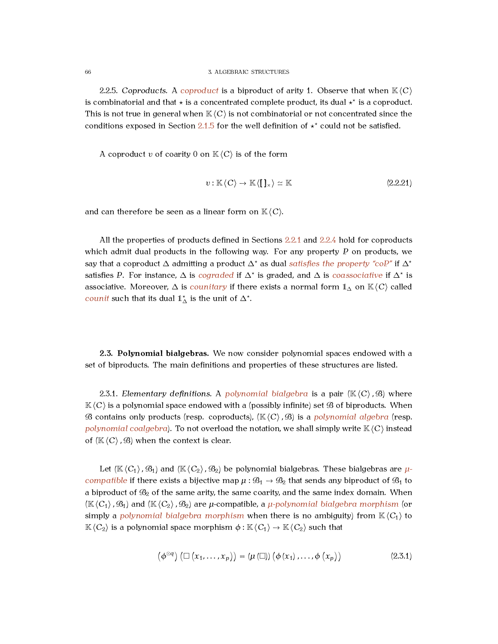## 66 3. ALGEBRAIC STRUCTURES

2.2.5. *Coproducts.* A *coproduct* is a biproduct of arity 1. Observe that when  $\mathbb{K}\langle C \rangle$ is combinatorial and that  $\star$  is a concentrated complete product, its dual  $\star^{\star}$  is a coproduct. This is not true in general when  $\mathbb{K}\langle C \rangle$  is not combinatorial or not concentrated since the conditions exposed in Section  $2.1.5$  for the well definition of  $\star^*$  could not be satisfied.

A coproduct *v* of coarity 0 on K $\langle C \rangle$  is of the form

$$
v: \mathbb{K}\langle C \rangle \to \mathbb{K}\langle [1_x \rangle \simeq \mathbb{K} \tag{2.2.21}
$$

and can therefore be seen as a linear form on  $K \langle C \rangle$ .

All the properties of products defined in Sections [2.2.1](#page-68-3) and [2.2.4](#page-70-0) hold for coproducts which admit dual products in the following way. For any property *P* on products, we say that a coproduct ∆ admitting a product ∆*?* as dual *satisfies the property "coP"* if ∆*?* satisfies *P*. For instance, ∆ is *cograded* if ∆*?* is graded, and ∆ is *coassociative* if ∆*?* is associative. Moreover, ∆ is *counitary* if there exists a normal form 1<sup>∆</sup> on K *hCi* called *counit* such that its dual  $1^{\star}_{\Delta}$  is the unit of  $\Delta^*$ .

**2.3. Polynomial bialgebras.** We now consider polynomial spaces endowed with a set of biproducts. The main definitions and properties of these structures are listed.

2.3.1. *Elementary definitions.* A *polynomial bialgebra* is a pair  $(\mathbb{K}\langle C \rangle, \mathcal{B})$  where  $\mathbb{K}\langle C \rangle$  is a polynomial space endowed with a (possibly infinite) set *B* of biproducts. When  $\mathcal B$  contains only products (resp. coproducts),  $(\mathbb K \langle C \rangle, \mathcal B)$  is a *polynomial algebra* (resp. *polynomial coalgebra*). To not overload the notation, we shall simply write  $K \langle C \rangle$  instead of  $(\mathbb{K}\langle C\rangle, \mathcal{B})$  when the context is clear.

Let  $(\mathbb{K}\langle C_1\rangle, \mathcal{B}_1)$  and  $(\mathbb{K}\langle C_2\rangle, \mathcal{B}_2)$  be polynomial bialgebras. These bialgebras are  $\mu$ *compatible* if there exists a bijective map  $\mu : \mathcal{B}_1 \to \mathcal{B}_2$  that sends any biproduct of  $\mathcal{B}_1$  to a biproduct of *B*<sup>2</sup> of the same arity, the same coarity, and the same index domain. When  $(\mathbb{K}\langle C_1\rangle, \mathcal{B}_1)$  and  $(\mathbb{K}\langle C_2\rangle, \mathcal{B}_2)$  are *µ*-compatible, a *µ*-polynomial bialgebra morphism (or simply a *polynomial bialgebra morphism* when there is no ambiguity) from  $\mathbb{K}\langle C_1 \rangle$  to  $\mathbb{K} \langle C_2 \rangle$  is a polynomial space morphism  $\phi : \mathbb{K} \langle C_1 \rangle \to \mathbb{K} \langle C_2 \rangle$  such that

$$
(\phi^{\otimes q})\left(\Box(x_1,\ldots,x_p)\right)=(\mu(\Box))\left(\phi(x_1),\ldots,\phi(x_p)\right)
$$
 (2.3.1)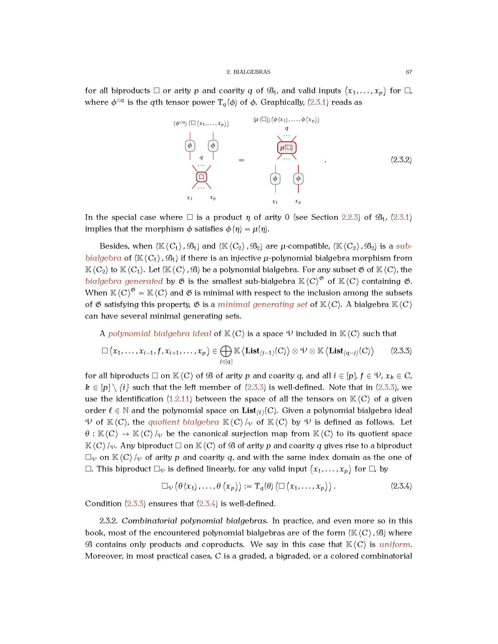for all biproducts  $\Box$  or arity  $p$  and coarity  $q$  of  $\mathcal{B}_1$ , and valid inputs  $(x_1, \ldots, x_p)$ ) for  $\Box$ , where  $\phi^{\otimes q}$  is the  $q$ th tensor power  $\mathrm{T}_q(\phi)$  of  $\phi$ . Graphically, [\(2.3.1\)](#page-71-0) reads as



In the special case where  $\Box$  is a product *η* of arity 0 (see Section [2.2.3\)](#page-69-0) of  $\mathcal{B}_1$ , [\(2.3.1\)](#page-71-0) implies that the morphism  $\phi$  satisfies  $\phi(\eta) = \mu(\eta)$ .

Besides, when  $(\mathbb{K}\langle C_1\rangle, \mathcal{B}_1)$  and  $(\mathbb{K}\langle C_2\rangle, \mathcal{B}_2)$  are  $\mu$ -compatible,  $(\mathbb{K}\langle C_2\rangle, \mathcal{B}_2)$  is a *subbialgebra* of ( $\mathbb{K}\langle C_1 \rangle$ ,  $\mathcal{B}_1$ ) if there is an injective  $\mu$ -polynomial bialgebra morphism from  $\mathbb{K}\langle C_2\rangle$  to  $\mathbb{K}\langle C_1\rangle$ . Let  $(\mathbb{K}\langle C\rangle, \mathfrak{B})$  be a polynomial bialgebra. For any subset  $\mathfrak{G}$  of  $\mathbb{K}\langle C\rangle$ , the *bialgebra generated* by  $\mathfrak G$  is the smallest sub-bialgebra  $\mathbb K\langle C\rangle^{\mathfrak G}$  of  $\mathbb K\langle C\rangle$  containing  $\mathfrak G$ . When  $\mathbb{K}\left\langle C \right\rangle ^{\frak{G}}=\mathbb{K}\left\langle C \right\rangle$  and  $\frak{G}$  is minimal with respect to the inclusion among the subsets of  $\mathfrak G$  satisfying this property,  $\mathfrak G$  is a *minimal generating set* of  $\mathbb K \langle C \rangle$ . A bialgebra  $\mathbb K \langle C \rangle$ can have several minimal generating sets.

A *polynomial bialgebra ideal* of  $K(C)$  is a space  $\mathcal V$  included in  $K(C)$  such that

<span id="page-72-0"></span>
$$
\Box(x_1,\ldots,x_{i-1},f,x_{i+1},\ldots,x_p)\in \bigoplus_{j\in [q]} \mathbb{K} \left\langle \mathbf{List}_{\{j-1\}}(C)\right\rangle \otimes \Psi \otimes \mathbb{K} \left\langle \mathbf{List}_{\{q-j\}}(C)\right\rangle \qquad (2.3.3)
$$

for all biproducts  $\Box$  on  $\mathbb{K}\langle C\rangle$  of  $\mathcal{B}$  of arity  $p$  and coarity  $q$ , and all  $i \in [p], f \in \mathcal{V}, x_k \in C$ ,  $k \in [p] \setminus \{i\}$  such that the left member of [\(2.3.3\)](#page-72-0) is well-defined. Note that in (2.3.3), we use the identification  $(1.2.11)$  between the space of all the tensors on  $\mathbb{K}\langle C \rangle$  of a given order  $\ell$  ∈ N and the polynomial space on **List**<sub> $\ell$ </sub>{ $C$ }. Given a polynomial bialgebra ideal *V* of  $K \langle C \rangle$ , the *quotient bialgebra*  $K \langle C \rangle / \varphi$  of  $K \langle C \rangle$  by *V* is defined as follows. Let  $\theta$  :  $\mathbb{K}\langle C\rangle \rightarrow \mathbb{K}\langle C\rangle/\varphi$  be the canonical surjection map from  $\mathbb{K}\langle C\rangle$  to its quotient space  $\mathbb{K}\langle C\rangle/\varphi$ . Any biproduct  $\square$  on  $\mathbb{K}\langle C\rangle$  of  $\mathfrak{B}$  of arity *p* and coarity *q* gives rise to a biproduct  $\Box_{\mathcal{V}}$  on  $\mathbb{K}\langle C\rangle/\varphi$  of arity *p* and coarity *q*, and with the same index domain as the one of  $\Box \psi$  on  $\Box x \langle \psi \rangle/\psi$  or  $\Box x \partial \psi$  is defined linearly, for any valid input  $(x_1, \ldots, x_p)$  $\lim_{x \to 0}$  for  $\Box$ , by

<span id="page-72-1"></span>
$$
\Box_{\mathcal{V}}\left(\theta\left(x_{1}\right),\ldots,\theta\left(x_{p}\right)\right):=\mathrm{T}_{q}(\theta)\left(\Box\left(x_{1},\ldots,x_{p}\right)\right).
$$
 (2.3.4)

Condition  $(2.3.3)$  ensures that  $(2.3.4)$  is well-defined.

2.3.2. *Combinatorial polynomial bialgebras.* In practice, and even more so in this book, most of the encountered polynomial bialgebras are of the form  $(\mathbb{K}\langle C\rangle, \mathcal{B})$  where  $\mathcal B$  contains only products and coproducts. We say in this case that  $\mathbb K \langle C \rangle$  is *uniform*. Moreover, in most practical cases, *C* is a graded, a bigraded, or a colored combinatorial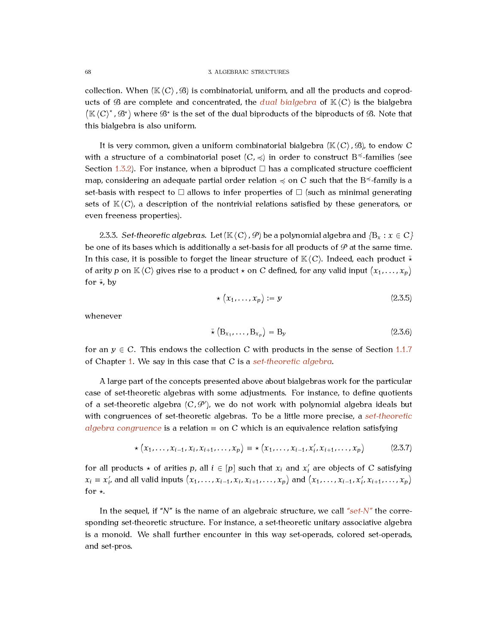collection. When  $(\mathbb{K}\langle C\rangle,\mathcal{B})$  is combinatorial, uniform, and all the products and coproducts of  $\mathcal{B}$  are complete and concentrated, the *dual bialgebra* of  $\mathbb{K} \langle C \rangle$  is the bialgebra  $\mathbb{K}\langle C\rangle^{\star}$  *,*  $\mathfrak{B}^{\star}$  *)* where  $\mathfrak{B}^{\star}$  is the set of the dual biproducts of the biproducts of  $\mathfrak{B}$ . Note that this bialgebra is also uniform.

It is very common, given a uniform combinatorial bialgebra ( $\mathbb{K}\langle C \rangle$ ,  $\mathcal{B}$ ), to endow C with a structure of a combinatorial poset  $(C, \preccurlyeq)$  in order to construct B<sup> $\preccurlyeq$ </sup>-families (see Section [1.3.2\)](#page-65-0). For instance, when a biproduct  $\Box$  has a complicated structure coefficient map, considering an adequate partial order relation  $\preccurlyeq$  on  $C$  such that the B $^{\preccurlyeq}$ -family is a set-basis with respect to  $\Box$  allows to infer properties of  $\Box$  (such as minimal generating sets of  $K(\mathcal{C})$ , a description of the nontrivial relations satisfied by these generators, or even freeness properties).

<span id="page-73-0"></span>2.3.3. *Set-theoretic algebras.* Let ( $\mathbb{K}\langle C \rangle$ ,  $\mathscr{P}$ ) be a polynomial algebra and  $\{B_x : x \in C\}$ be one of its bases which is additionally a set-basis for all products of  $\mathcal P$  at the same time. In this case, it is possible to forget the linear structure of  $K \langle C \rangle$ . Indeed, each product  $\overline{Z}$ of arity *p* on  $\mathbb{K}\langle C \rangle$  gives rise to a product  $\star$  on *C* defined, for any valid input  $(x_1, \ldots, x_p)$ for  $\bar{\star}$ , by

$$
\star (x_1, \ldots, x_p) := y \tag{2.3.5}
$$

whenever

$$
\bar{\star} (B_{x_1}, \ldots, B_{x_p}) = B_y \qquad (2.3.6)
$$

for an  $y \in C$ . This endows the collection C with products in the sense of Section [1.1.7](#page-16-0) of Chapter [1.](#page-14-0) We say in this case that *C* is a *set-theoretic algebra*.

A large part of the concepts presented above about bialgebras work for the particular case of set-theoretic algebras with some adjustments. For instance, to define quotients of a set-theoretic algebra  $(C, \mathcal{P}')$ , we do not work with polynomial algebra ideals but with congruences of set-theoretic algebras. To be a little more precise, a *set-theoretic algebra congruence* is a relation  $\equiv$  on *C* which is an equivalence relation satisfying

$$
\star (x_1, \ldots, x_{i-1}, x_i, x_{i+1}, \ldots, x_p) \equiv \star (x_1, \ldots, x_{i-1}, x'_i, x_{i+1}, \ldots, x_p) \tag{2.3.7}
$$

for all products  $\star$  of arities *p*, all  $i \in [p]$  such that  $x_i$  and  $x'_i$  are objects of *C* satisfying  $x_i \equiv x'_i$ , and all valid inputs  $(x_1, \ldots, x_{i-1}, x_i, x_{i+1}, \ldots, x_p)$  and  $(x_1, \ldots, x_{i-1}, x'_i, x_{i+1}, \ldots, x_p)$ for  $\star$ .

In the sequel, if "*N*" is the name of an algebraic structure, we call *"set-N"* the corresponding set-theoretic structure. For instance, a set-theoretic unitary associative algebra is a monoid. We shall further encounter in this way set-operads, colored set-operads, and set-pros.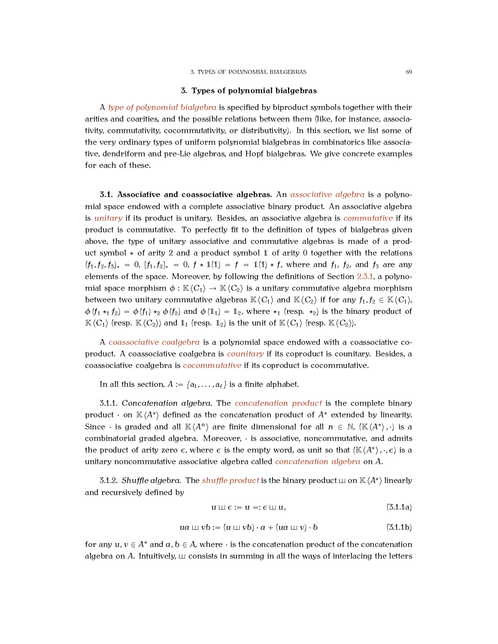### **3. Types of polynomial bialgebras**

<span id="page-74-4"></span>A *type of polynomial bialgebra* is specified by biproduct symbols together with their arities and coarities, and the possible relations between them (like, for instance, associativity, commutativity, cocommutativity, or distributivity). In this section, we list some of the very ordinary types of uniform polynomial bialgebras in combinatorics like associative, dendriform and pre-Lie algebras, and Hopf bialgebras. We give concrete examples for each of these.

**3.1. Associative and coassociative algebras.** An *associative algebra* is a polynomial space endowed with a complete associative binary product. An associative algebra is *unitary* if its product is unitary. Besides, an associative algebra is *commutative* if its product is commutative. To perfectly fit to the definition of types of bialgebras given above, the type of unitary associative and commutative algebras is made of a product symbol  $\star$  of arity 2 and a product symbol 1 of arity 0 together with the relations  $(f_1, f_2, f_3)_* = 0$ ,  $[f_1, f_2]_* = 0$ ,  $f * 1(1) = f = 1(1) * f$ , where and  $f_1, f_2$ , and  $f_3$  are any elements of the space. Moreover, by following the definitions of Section [2.3.1,](#page-71-1) a polynomial space morphism  $\phi : \mathbb{K} \langle C_1 \rangle \to \mathbb{K} \langle C_2 \rangle$  is a unitary commutative algebra morphism between two unitary commutative algebras  $\mathbb{K} \langle C_1 \rangle$  and  $\mathbb{K} \langle C_2 \rangle$  if for any  $f_1, f_2 \in \mathbb{K} \langle C_1 \rangle$ ,  $\phi$  (*f*<sub>1</sub>  $\star$ <sub>1</sub> *f*<sub>2</sub>) =  $\phi$  (*f*<sub>1</sub>)  $\star$ <sub>2</sub>  $\phi$  (*f*<sub>2</sub>) and  $\phi$  (1<sub>1</sub>) = 1<sub>2</sub>, where  $\star$ <sub>1</sub> (resp.  $\star$ <sub>2</sub>) is the binary product of  $\mathbb{K}\langle C_1\rangle$  (resp.  $\mathbb{K}\langle C_2\rangle$ ) and  $1_1$  (resp.  $1_2$ ) is the unit of  $\mathbb{K}\langle C_1\rangle$  (resp.  $\mathbb{K}\langle C_2\rangle$ ).

A *coassociative coalgebra* is a polynomial space endowed with a coassociative coproduct. A coassociative coalgebra is *counitary* if its coproduct is counitary. Besides, a coassociative coalgebra is *cocommutative* if its coproduct is cocommutative.

In all this section,  $A := \{a_1, \ldots, a_\ell\}$  is a finite alphabet.

<span id="page-74-0"></span>3.1.1. *Concatenation algebra.* The *concatenation product* is the complete binary product  $\cdot$  on  $\mathbb{K}\langle A^* \rangle$  defined as the concatenation product of  $A^*$  extended by linearity. Since  $\cdot$  is graded and all  $\mathbb{K} \langle A^n \rangle$  are finite dimensional for all  $n \in \mathbb{N}$ ,  $(\mathbb{K} \langle A^* \rangle, \cdot)$  is a combinatorial graded algebra. Moreover, *·* is associative, noncommutative, and admits the product of arity zero  $\epsilon$ , where  $\epsilon$  is the empty word, as unit so that  $(\mathbb{K}\langle A^*\rangle,\cdot,\epsilon)$  is a unitary noncommutative associative algebra called *concatenation algebra* on *A*.

<span id="page-74-3"></span>3.1.2. *Shuffle algebra.* The *shuffle product* is the binary product  $\sqcup$  on  $\mathbb{K} \langle A^* \rangle$  linearly and recursively defined by

<span id="page-74-1"></span>
$$
u \sqcup \epsilon := u =: \epsilon \sqcup u, \tag{3.1.1a}
$$

<span id="page-74-2"></span>
$$
ua \sqcup vb := (u \sqcup vb) \cdot a + (ua \sqcup v) \cdot b \tag{3.1.1b}
$$

for any  $u, v \in A^*$  and  $a, b \in A$ , where  $\cdot$  is the concatenation product of the concatenation algebra on *A*. Intuitively,  $\sqcup$  consists in summing in all the ways of interlacing the letters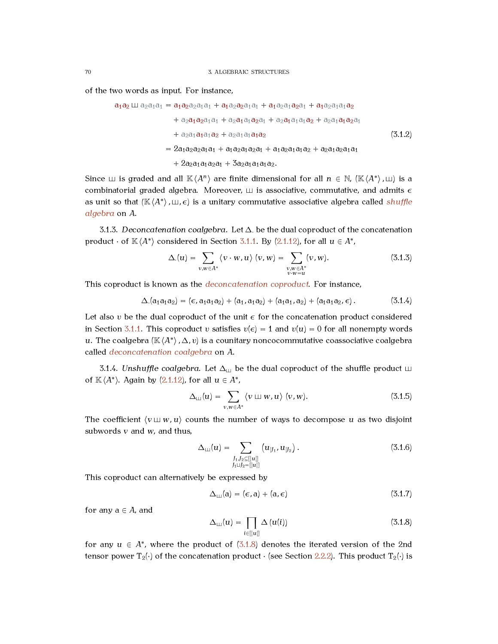of the two words as input. For instance,

$$
a_1a_2 \boxplus a_2a_1a_1 = a_1a_2a_2a_1a_1 + a_1a_2a_2a_1a_1 + a_1a_2a_1a_2a_1 + a_1a_2a_1a_1a_2 + a_2a_1a_2a_1a_1 + a_2a_1a_1a_2a_1 + a_2a_1a_1a_2 + a_2a_1a_1a_1a_2
$$
\n
$$
+ a_2a_1a_1a_1a_2 + a_2a_1a_1a_1a_2
$$
\n
$$
= 2a_1a_2a_2a_1a_1 + a_1a_2a_1a_2a_1 + a_1a_2a_1a_1a_2 + a_2a_1a_2a_1a_1
$$
\n
$$
+ 2a_2a_1a_1a_2a_1 + 3a_2a_1a_1a_1a_2.
$$
\n(3.1.2)

Since  $\sqcup$  is graded and all  $\mathbb{K} \langle A^n \rangle$  are finite dimensional for all  $n \in \mathbb{N}$ ,  $(\mathbb{K} \langle A^* \rangle, \sqcup)$  is a combinatorial graded algebra. Moreover, is associative, commutative, and admits *ε* as unit so that  $(\mathbb{K}\langle A^*\rangle,\sqcup,\epsilon)$  is a unitary commutative associative algebra called *shuffle algebra* on *A*.

<span id="page-75-1"></span>3.1.3. *Deconcatenation coalgebra.* Let ∆*·* be the dual coproduct of the concatenation product  $\cdot$  of  $\mathbb{K} \langle A^* \rangle$  considered in Section [3.1.1.](#page-74-0) By [\(2.1.12\)](#page-68-0), for all  $u \in A^*$ ,

$$
\Delta.(u) = \sum_{v,w \in A^*} \langle v \cdot w, u \rangle \langle v, w \rangle = \sum_{\substack{v,w \in A^* \ v \cdot w = u}} \langle v, w \rangle.
$$
 (3.1.3)

This coproduct is known as the *deconcatenation coproduct*. For instance,

$$
\Delta.\langle a_1a_1a_2\rangle = \langle \epsilon, a_1a_1a_2\rangle + \langle a_1, a_1a_2\rangle + \langle a_1a_1, a_2\rangle + \langle a_1a_1a_2, \epsilon\rangle.
$$
 (3.1.4)

Let also *υ* be the dual coproduct of the unit *ε* for the concatenation product considered in Section [3.1.1.](#page-74-0) This coproduct *v* satisfies  $v(\epsilon) = 1$  and  $v(u) = 0$  for all nonempty words *u*. The coalgebra (K ⟨A\*⟩, ∆, υ⟩ is a counitary noncocommutative coassociative coalgebra called *deconcatenation coalgebra* on *A*.

<span id="page-75-2"></span>3.1.4. *Unshuffle coalgebra.* Let  $\Delta_{\text{L}}$  be the dual coproduct of the shuffle product  $\text{L}$ of  $\mathbb{K} \langle A^* \rangle$ . Again by [\(2.1.12\)](#page-68-0), for all  $u \in A^*$ ,

$$
\Delta_{\text{LL}}(u) = \sum_{v,w \in A^*} \langle v \sqcup w, u \rangle \langle v, w \rangle. \tag{3.1.5}
$$

The coefficient  $\langle v \sqcup w, u \rangle$  counts the number of ways to decompose *u* as two disjoint subwords *v* and *w*, and thus,

$$
\Delta_{\text{LL}}(u) = \sum_{\substack{J_1, J_2 \subseteq [[u]] \\ J_1 \sqcup J_2 = [[u]]}} (u_{|J_1}, u_{|J_2}). \tag{3.1.6}
$$

This coproduct can alternatively be expressed by

$$
\Delta_{\text{LL}}(\mathbf{a}) = (\epsilon, \mathbf{a}) + (\mathbf{a}, \epsilon) \tag{3.1.7}
$$

for any  $a \in A$ , and

<span id="page-75-0"></span>
$$
\Delta_{\text{LL}}(u) = \prod_{i \in [|u|]} \Delta(u(i)) \tag{3.1.8}
$$

for any  $u \in A^*$ , where the product of  $(3.1.8)$  denotes the iterated version of the 2nd tensor power  $T_2(\cdot)$  of the concatenation product  $\cdot$  (see Section [2.2.2\)](#page-69-1). This product  $T_2(\cdot)$  is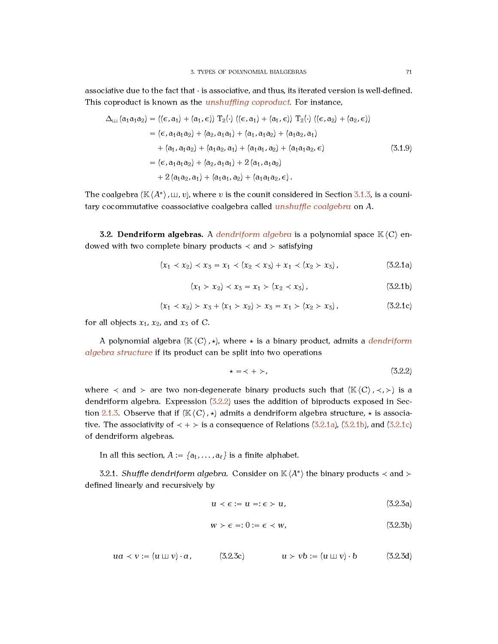associative due to the fact that *·* is associative, and thus, its iterated version is well-defined. This coproduct is known as the *unshuffling coproduct*. For instance,

$$
\Delta_{\text{LL}} (a_1 a_1 a_2) = ((\epsilon, a_1) + (a_1, \epsilon)) T_2(\cdot) ((\epsilon, a_1) + (a_1, \epsilon)) T_2(\cdot) ((\epsilon, a_2) + (a_2, \epsilon))
$$
  
\n
$$
= (\epsilon, a_1 a_1 a_2) + (a_2, a_1 a_1) + (a_1, a_1 a_2) + (a_1 a_2, a_1)
$$
  
\n
$$
+ (a_1, a_1 a_2) + (a_1 a_2, a_1) + (a_1 a_1, a_2) + (a_1 a_1 a_2, \epsilon)
$$
  
\n
$$
= (\epsilon, a_1 a_1 a_2) + (a_2, a_1 a_1) + 2 (a_1, a_1 a_2)
$$
  
\n
$$
+ 2 (a_1 a_2, a_1) + (a_1 a_1, a_2) + (a_1 a_1 a_2, \epsilon).
$$
\n(3.1.9)

The coalgebra (K *hA ∗ i, , υ*), where *υ* is the counit considered in Section [3.1.3,](#page-75-1) is a counitary cocommutative coassociative coalgebra called *unshuffle coalgebra* on *A*.

<span id="page-76-5"></span>**3.2. Dendriform algebras.** A *dendriform algebra* is a polynomial space  $K \langle C \rangle$  endowed with two complete binary products  $\prec$  and  $\succ$  satisfying

<span id="page-76-1"></span>
$$
(x_1 \prec x_2) \prec x_3 = x_1 \prec (x_2 \prec x_3) + x_1 \prec (x_2 \succ x_3), \tag{3.2.1a}
$$

<span id="page-76-2"></span>
$$
(x_1 > x_2) \prec x_3 = x_1 \succ (x_2 \prec x_3), \tag{3.2.1b}
$$

<span id="page-76-3"></span>
$$
(x_1 \prec x_2) \succ x_3 + (x_1 \succ x_2) \succ x_3 = x_1 \succ (x_2 \succ x_3), \tag{3.2.1c}
$$

for all objects  $x_1$ ,  $x_2$ , and  $x_3$  of C.

A polynomial algebra  $(\mathbb{K}\langle C\rangle, \star)$ , where  $\star$  is a binary product, admits a *dendriform algebra structure* if its product can be split into two operations

<span id="page-76-0"></span>
$$
\star = \prec + \succ, \tag{3.2.2}
$$

where  $\prec$  and  $\succ$  are two non-degenerate binary products such that  $(\mathbb{K}\langle C\rangle,\prec,\succ)$  is a dendriform algebra. Expression [\(3.2.2\)](#page-76-0) uses the addition of biproducts exposed in Sec-tion [2.1.3.](#page-67-0) Observe that if  $(K \langle C \rangle, \star)$  admits a dendriform algebra structure,  $\star$  is associative. The associativity of  $\langle + \rangle$  is a consequence of Relations [\(3.2.1a\)](#page-76-1), [\(3.2.1b\)](#page-76-2), and [\(3.2.1c\)](#page-76-3) of dendriform algebras.

In all this section,  $A := \{a_1, \ldots, a_\ell\}$  is a finite alphabet.

<span id="page-76-4"></span>3.2.1. *Shuffle dendriform algebra.* Consider on  $\mathbb{K}\langle A^* \rangle$  the binary products  $\prec$  and  $\succ$ defined linearly and recursively by

$$
u \prec \epsilon := u = \epsilon \succ u,\tag{3.2.3a}
$$

$$
w \succ \epsilon =: 0 := \epsilon \prec w,\tag{3.2.3b}
$$

$$
ua \prec v := (u \sqcup v) \cdot a, \qquad (3.2.3c) \qquad u \succ v b := (u \sqcup v) \cdot b \qquad (3.2.3d)
$$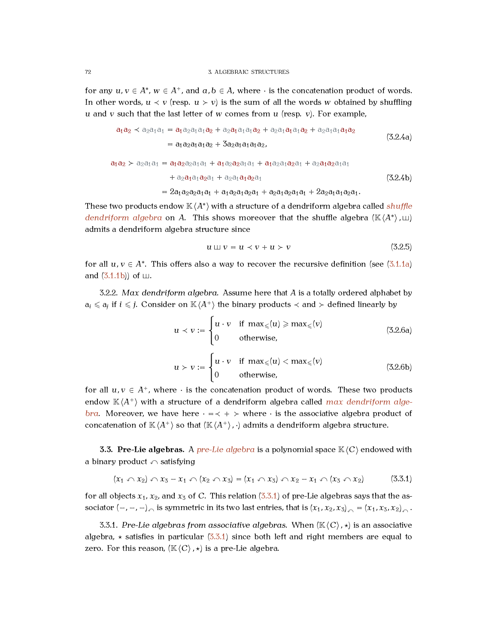for any  $u, v \in A^*$ ,  $w \in A^+$ , and  $a, b \in A$ , where  $\cdot$  is the concatenation product of words. In other words,  $u \lt v$  (resp.  $u \gt v$ ) is the sum of all the words *w* obtained by shuffling *u* and *v* such that the last letter of *w* comes from *u* (resp. *v*). For example,

$$
a_1a_2 \prec a_2a_1a_1 = a_1a_2a_1a_1a_2 + a_2a_1a_1a_1a_2 + a_2a_1a_1a_1a_2 + a_2a_1a_1a_1a_2
$$
\n
$$
= a_1a_2a_1a_1a_2 + 3a_2a_1a_1a_1a_2,
$$
\n(3.2.4a)

$$
a_1a_2 > a_2a_1a_1 = a_1a_2a_2a_1a_1 + a_1a_2a_2a_1a_1 + a_1a_2a_1a_2a_1 + a_2a_1a_2a_1
$$
\n
$$
+ a_2a_1a_1a_2a_1 + a_2a_1a_1a_2a_1
$$
\n(3.2.4b)

 $= 2a_1a_2a_2a_1a_1 + a_1a_2a_1a_2a_1 + a_2a_1a_2a_1a_1 + 2a_2a_1a_1a_2a_1.$ 

These two products endow  $\mathbb{K}\langle A^* \rangle$  with a structure of a dendriform algebra called *shuffle dendriform algebra* on *A*. This shows moreover that the shuffle algebra  $(\mathbb{K}\langle A^* \rangle, \square)$ admits a dendriform algebra structure since

$$
u \sqcup v = u \prec v + u \succ v \tag{3.2.5}
$$

for all  $u, v \in A^*$ . This offers also a way to recover the recursive definition (see  $(3.1.1a)$ ) and  $(3.1.1b)$  of  $\Box$ .

3.2.2. *Max dendriform algebra.* Assume here that *A* is a totally ordered alphabet by  $a_i \leqslant a_j$  if  $i \leqslant j$ . Consider on  $\mathbb{K} \langle A^+ \rangle$  the binary products  $\prec$  and  $\succ$  defined linearly by

$$
u \lt v := \begin{cases} u \cdot v & \text{if } \max_{\leqslant} (u) \geqslant \max_{\leqslant} (v) \\ 0 & \text{otherwise,} \end{cases}
$$
 (3.2.6a)

$$
u \succ v := \begin{cases} u \cdot v & \text{if } \max\{\langle u \rangle < \max\{\langle v \rangle\} \\ 0 & \text{otherwise,} \end{cases} \tag{3.2.6b}
$$

for all  $u, v \in A^+$ , where  $\cdot$  is the concatenation product of words. These two products endow  $\mathbb{K}\langle A^+\rangle$  with a structure of a dendriform algebra called *max dendriform algebra*. Moreover, we have here  $\cdot$  =  $\times$  +  $\times$  where  $\cdot$  is the associative algebra product of concatenation of  $\mathbb{K}\langle A^+\rangle$  so that  $\langle \mathbb{K}\langle A^+\rangle$  , $\cdot\rangle$  admits a dendriform algebra structure.

**3.3. Pre-Lie algebras.** A *pre-Lie algebra* is a polynomial space  $\mathbb{K}\langle C \rangle$  endowed with a binary product  $\curvearrowleft$  satisfying

<span id="page-77-0"></span>
$$
(x_1 \wedge x_2) \wedge x_3 - x_1 \wedge (x_2 \wedge x_3) = (x_1 \wedge x_3) \wedge x_2 - x_1 \wedge (x_3 \wedge x_2) \tag{3.3.1}
$$

for all objects  $x_1$ ,  $x_2$ , and  $x_3$  of *C*. This relation [\(3.3.1\)](#page-77-0) of pre-Lie algebras says that the associator  $(-,-,-)$  is symmetric in its two last entries, that is  $(x_1, x_2, x_3)$ ,  $($  =  $(x_1, x_3, x_2)$ ,  $\ldots$ 

3.3.1. *Pre-Lie algebras from associative algebras.* When  $(\mathbb{K}\langle C \rangle, \star)$  is an associative algebra,  $\star$  satisfies in particular  $(3.3.1)$  since both left and right members are equal to zero. For this reason,  $(\mathbb{K}\langle C\rangle, \star)$  is a pre-Lie algebra.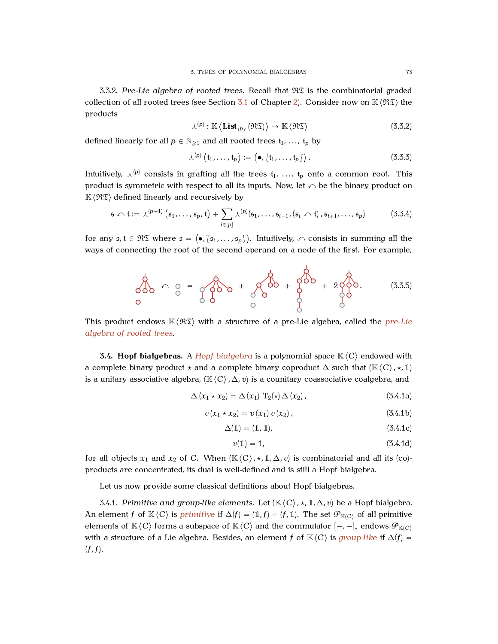$$
\wedge^{(p)} : \mathbb{K} \left\langle \mathbf{List}_{\{p\}} (\Re \mathfrak{T}) \right\rangle \to \mathbb{K} \left\langle \Re \mathfrak{T} \right\rangle \tag{3.3.2}
$$

<span id="page-78-0"></span>defined linearly for all  $p \in \mathbb{N}_{\geq 1}$  and all rooted trees  $t_1, \ldots, t_p$  by

$$
\lambda^{(p)}(t_1,\ldots,t_p):=(\bullet,\{t_1,\ldots,t_p\})
$$
 (3.3.3)

ï

Intuitively,  $\mathcal{A}^{(p)}$  consists in grafting all the trees  $t_1$ , ...,  $t_p$  onto a common root. This product is symmetric with respect to all its inputs. Now, let  $\curvearrowleft$  be the binary product on  $\mathbb{K}\langle\mathfrak{RT}\rangle$  defined linearly and recursively by

$$
\mathfrak{s} \curvearrowleft \mathfrak{t} := \wedge^{(p+1)} (\mathfrak{s}_1, \dots, \mathfrak{s}_p, \mathfrak{t}) + \sum_{i \in [p]} \wedge^{(p)} (\mathfrak{s}_1, \dots, \mathfrak{s}_{i-1}, (\mathfrak{s}_i \curvearrowleft \mathfrak{t}), \mathfrak{s}_{i+1}, \dots, \mathfrak{s}_p) \qquad (3.3.4)
$$

for any  $\mathfrak{s}, \mathfrak{t} \in \mathfrak{RT}$  where  $\mathfrak{s} = (\bullet, [\mathfrak{s}_1, \ldots, \mathfrak{s}_p])$ . Intuitively,  $\curvearrowleft$  consists in summing all the ways of connecting the root of the second operand on a node of the first. For example,

$$
900 - 8 = 9000 + 800 + 900 + 2900.
$$
 (3.3.5)

This product endows  $\mathbb{K}\langle\mathfrak{R}\mathfrak{T}\rangle$  with a structure of a pre-Lie algebra, called the *pre-Lie algebra of rooted trees*.

**3.4. Hopf bialgebras.** A *Hopf bialgebra* is a polynomial space  $\mathbb{K}(C)$  endowed with a complete binary product  $\star$  and a complete binary coproduct  $\Delta$  such that (K $\langle C \rangle$ , $\star$ , 1) is a unitary associative algebra,  $(\mathbb{K}\langle C\rangle, \Delta, v)$  is a counitary coassociative coalgebra, and

$$
\Delta (x_1 \star x_2) = \Delta (x_1) T_2(\star) \Delta (x_2), \qquad (3.4.1a)
$$

$$
v(x_1 \star x_2) = v(x_1) v(x_2), \qquad (3.4.1b)
$$

$$
\Delta(\mathbb{1}) = (\mathbb{1}, \mathbb{1}),\tag{3.4.1c}
$$

$$
v(1) = 1, \t(3.4.1d)
$$

for all objects  $x_1$  and  $x_2$  of C. When  $(\mathbb{K}\langle C\rangle, \star, \mathbb{1}, \Delta, \nu)$  is combinatorial and all its (co)products are concentrated, its dual is well-defined and is still a Hopf bialgebra.

Let us now provide some classical definitions about Hopf bialgebras.

3.4.1. *Primitive and group-like elements.* Let (K *hCi, ?,* 1*,* ∆*, υ*) be a Hopf bialgebra. An element *f* of  $\mathbb{K}\langle C\rangle$  is *primitive* if  $\Delta(f) = (1, f) + (f, 1)$ . The set  $\mathcal{P}_{\mathbb{K}\langle C\rangle}$  of all primitive elements of  $\mathbb{K}\langle C\rangle$  forms a subspace of  $\mathbb{K}\langle C\rangle$  and the commutator  $[-,-]_k$  endows  $\mathcal{P}_{\mathbb{K}\langle C\rangle}$ with a structure of a Lie algebra. Besides, an element *f* of  $K\langle C \rangle$  is *group-like* if  $\Delta(f)$  = (*f, f*).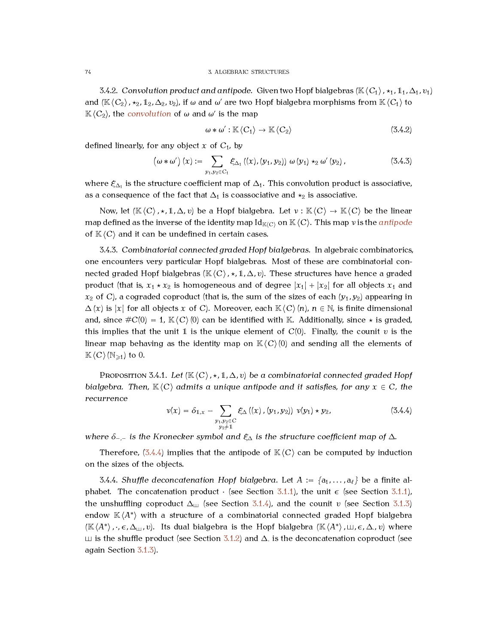3.4.2. *Convolution product and antipode.* Given two Hopf bialgebras ( $\mathbb{K}\langle C_1 \rangle$ ,  $\star_1$ ,  $\mathbb{1}_1$ ,  $\Delta_1$ ,  $v_1$ ) and  $(\mathbb{K}\langle C_2\rangle, \star_2, \mathbb{1}_2, \Delta_2, \nu_2)$ , if  $\omega$  and  $\omega'$  are two Hopf bialgebra morphisms from  $\mathbb{K}\langle C_1\rangle$  to  $\mathbb{K}\langle C_2 \rangle$ , the *convolution* of  $\omega$  and  $\omega'$  is the map

$$
\omega * \omega' : \mathbb{K} \langle C_1 \rangle \to \mathbb{K} \langle C_2 \rangle \tag{3.4.2}
$$

defined linearly, for any object  $x$  of  $C_1$ , by

$$
\left(\omega*\omega'\right)(x):=\sum_{y_1,y_2\in C_1}\xi_{\Delta_1}\left(\langle x\rangle,\langle y_1,y_2\rangle\right)\,\omega\left(y_1\right)\star_2\,\omega'\left(y_2\right),\tag{3.4.3}
$$

where  $\xi_{\Delta_1}$  is the structure coefficient map of  $\Delta_1$ . This convolution product is associative, as a consequence of the fact that  $\Delta_1$  is coassociative and  $\star_2$  is associative.

Now, let  $(\mathbb{K}\langle C\rangle, \star, 1, \Delta, \nu)$  be a Hopf bialgebra. Let  $\nu : \mathbb{K}\langle C\rangle \to \mathbb{K}\langle C\rangle$  be the linear map defined as the inverse of the identity map  $Id_{K(C)}$  on  $K(\mathcal{C})$ . This map *v* is the *antipode* of  $K \langle C \rangle$  and it can be undefined in certain cases.

3.4.3. *Combinatorial connected graded Hopf bialgebras.* In algebraic combinatorics, one encounters very particular Hopf bialgebras. Most of these are combinatorial connected graded Hopf bialgebras (K  $\langle C \rangle$ , ★, 1, Δ, *v*). These structures have hence a graded product (that is,  $x_1 \star x_2$  is homogeneous and of degree  $|x_1| + |x_2|$  for all objects  $x_1$  and  $x_2$  of *C*), a cograded coproduct (that is, the sum of the sizes of each  $(y_1, y_2)$  appearing in  $\Delta(x)$  is |x| for all objects x of C). Moreover, each  $\mathbb{K}\langle C\rangle(n)$ ,  $n \in \mathbb{N}$ , is finite dimensional and, since  $\#C(0) = 1$ ,  $\mathbb{K}\langle C\rangle(0)$  can be identified with K. Additionally, since  $\star$  is graded, this implies that the unit 1 is the unique element of *C*(0). Finally, the counit *υ* is the linear map behaving as the identity map on  $K\langle C\rangle(0)$  and sending all the elements of  $\mathbb{K}\langle C\rangle(\mathbb{N}_{\geq 1})$  to 0.

PROPOSITION 3.4.1. Let  $(\mathbb{K}\langle C\rangle, \star, 1, \Delta, v)$  be a combinatorial connected graded Hopf *bialgebra. Then,*  $\mathbb{K}\langle C \rangle$  *admits a unique antipode and it satisfies, for any*  $x \in C$ *, the recurrence*  $\overline{ }$ 

<span id="page-79-0"></span>
$$
\nu(x) = \delta_{1,x} - \sum_{\substack{y_1, y_2 \in C \\ y_2 \neq 1}} \xi_{\Delta}((x), (y_1, y_2)) \nu(y_1) \star y_2, \tag{3.4.4}
$$

*where δ−,− is the Kronecker symbol and ξ*<sup>∆</sup> *is the structure coefficient map of* ∆*.*

Therefore,  $(3.4.4)$  implies that the antipode of  $\mathbb{K}\langle C \rangle$  can be computed by induction on the sizes of the objects.

3.4.4. *Shuffle deconcatenation Hopf bialgebra.* Let  $A := \{a_1, \ldots, a_\ell\}$  be a finite alphabet. The concatenation product  $\cdot$  (see Section [3.1.1\)](#page-74-0), the unit  $\epsilon$  (see Section 3.1.1), the unshuffling coproduct  $\Delta_{\text{u}}$  (see Section [3.1.4\)](#page-75-2), and the counit *v* (see Section [3.1.3\)](#page-75-1) endow K $\langle A^* \rangle$  with a structure of a combinatorial connected graded Hopf bialgebra  $(\mathbb{K} \langle A^* \rangle, \cdot, \epsilon, \Delta_{\text{L}} \rangle, \nu)$ . Its dual bialgebra is the Hopf bialgebra  $(\mathbb{K} \langle A^* \rangle, \text{L}, \epsilon, \Delta, \nu)$  where is the shuffle product (see Section [3.1.2\)](#page-74-3) and ∆*·* is the deconcatenation coproduct (see again Section [3.1.3\)](#page-75-1).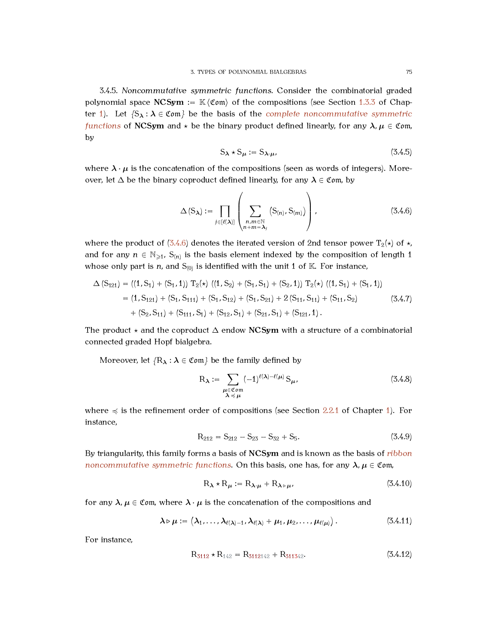3.4.5. *Noncommutative symmetric functions.* Consider the combinatorial graded polynomial space  $NCSym := K(\mathfrak{Com})$  of the compositions (see Section [1.3.3](#page-25-0) of Chap-ter [1\)](#page-14-0). Let  ${S_\lambda : \lambda \in \mathfrak{Com} }$  be the basis of the *complete noncommutative symmetric functions* of **NCSym** and  $\star$  be the binary product defined linearly, for any  $\lambda, \mu \in \mathfrak{Com}$ , by

$$
S_{\lambda} \star S_{\mu} := S_{\lambda \cdot \mu}, \tag{3.4.5}
$$

where  $\lambda \cdot \mu$  is the concatenation of the compositions (seen as words of integers). Moreover, let  $\Delta$  be the binary coproduct defined linearly, for any  $\lambda \in \mathfrak{Com}$ , by

<span id="page-80-0"></span>
$$
\Delta(S_{\lambda}) := \prod_{j \in [\ell(\lambda)]} \left( \sum_{\substack{n,m \in \mathbb{N} \\ n+m=\lambda_j}} (S_{(n)}, S_{(m)}) \right), \tag{3.4.6}
$$

where the product of  $(3.4.6)$  denotes the iterated version of 2nd tensor power  $T_2(\star)$  of  $\star$ , and for any  $n \in \mathbb{N}_{\geq 1}$ ,  $S(n)$  is the basis element indexed by the composition of length 1 whose only part is *n*, and  $S_{(0)}$  is identified with the unit 1 of K. For instance,

$$
\Delta (S_{121}) = ((1, S_1) + (S_1, 1)) T_2(*) ((1, S_2) + (S_1, S_1) + (S_2, 1)) T_2(*) ((1, S_1) + (S_1, 1))
$$
  
= (1, S<sub>121</sub>) + (S<sub>1</sub>, S<sub>111</sub>) + (S<sub>1</sub>, S<sub>12</sub>) + (S<sub>1</sub>, S<sub>21</sub>) + 2 (S<sub>11</sub>, S<sub>11</sub>) + (S<sub>11</sub>, S<sub>2</sub>) (3.4.7)  
+ (S<sub>2</sub>, S<sub>11</sub>) + (S<sub>111</sub>, S<sub>1</sub>) + (S<sub>12</sub>, S<sub>1</sub>) + (S<sub>21</sub>, S<sub>1</sub>) + (S<sub>121</sub>, 1).

The product *?* and the coproduct ∆ endow **NCSym** with a structure of a combinatorial connected graded Hopf bialgebra.

Moreover, let  ${R_{\lambda} : \lambda \in \mathfrak{Com} }$  be the family defined by

$$
R_{\lambda} := \sum_{\substack{\mu \in \mathfrak{Com} \\ \lambda \preccurlyeq \mu}} (-1)^{\ell(\lambda) - \ell(\mu)} S_{\mu},
$$
\n(3.4.8)

where  $\preccurlyeq$  is the refinement order of compositions (see Section [2.2.1](#page-29-0) of Chapter [1\)](#page-14-0). For instance,

$$
R_{212} = S_{212} - S_{23} - S_{32} + S_5. \tag{3.4.9}
$$

By triangularity, this family forms a basis of **NCSym** and is known as the basis of *ribbon noncommutative symmetric functions.* On this basis, one has, for any  $\lambda, \mu \in \mathfrak{Com}$ ,

$$
R_{\lambda} \star R_{\mu} := R_{\lambda \cdot \mu} + R_{\lambda \circ \mu}, \qquad (3.4.10)
$$

for any  $\lambda, \mu \in \mathfrak{Com}$ , where  $\lambda \cdot \mu$  is the concatenation of the compositions and

$$
\lambda \triangleright \mu := (\lambda_1, \ldots, \lambda_{\ell(\lambda)-1}, \lambda_{\ell(\lambda)} + \mu_1, \mu_2, \ldots, \mu_{\ell(\mu)}).
$$
 (3.4.11)

For instance,

$$
R_{3112} \star R_{142} = R_{3112142} + R_{311342}. \tag{3.4.12}
$$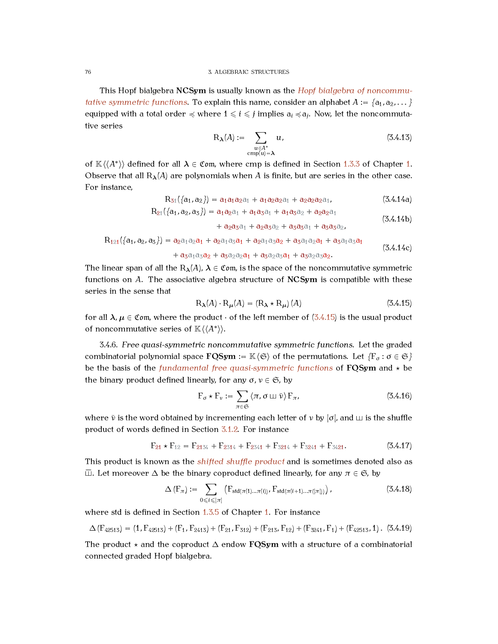76 3. ALGEBRAIC STRUCTURES

This Hopf bialgebra **NCSym** is usually known as the *Hopf bialgebra of noncommutative symmetric functions.* To explain this name, consider an alphabet  $A := \{a_1, a_2, \dots\}$ equipped with a total order  $\preccurlyeq$  where  $1 \leqslant i \leqslant j$  implies  $a_i \preccurlyeq a_j$ . Now, let the noncommutative series

$$
R_{\lambda}(A) := \sum_{\substack{u \in A^* \\ \text{cmp}(u) = \lambda}} u,
$$
 (3.4.13)

of  $\mathbb{K}\langle\langle A^*\rangle\rangle$  defined for all  $\lambda \in \mathfrak{Com}$ , where cmp is defined in Section [1.3.3](#page-25-0) of Chapter [1.](#page-14-0) Observe that all  $R_{\lambda}(A)$  are polynomials when A is finite, but are series in the other case. For instance,

$$
R_{31}(\{a_1, a_2\}) = a_1a_1a_2a_1 + a_1a_2a_2a_1 + a_2a_2a_2a_1,
$$
\n(3.4.14a)

$$
R_{21}(\{a_1, a_2, a_3\}) = a_1 a_2 a_1 + a_1 a_3 a_1 + a_1 a_3 a_2 + a_2 a_2 a_1
$$
\n(3.4.14b)

$$
+ a_2 a_3 a_1 + a_2 a_3 a_2 + a_3 a_3 a_1 + a_3 a_3 a_2,
$$

<span id="page-81-1"></span>
$$
R_{121}(\{a_1, a_2, a_3\}) = a_2 a_1 a_2 a_1 + a_2 a_1 a_3 a_1 + a_2 a_1 a_3 a_2 + a_3 a_1 a_2 a_1 + a_3 a_1 a_3 a_1 \tag{3.4.14c}
$$

 $+$   $a_3a_1a_3a_2 + a_3a_2a_2a_1 + a_3a_2a_3a_1 + a_3a_2a_3a_2.$ 

The linear span of all the  $R_{\lambda}(A)$ ,  $\lambda \in \mathfrak{Com}$ , is the space of the noncommutative symmetric functions on *A*. The associative algebra structure of **NCSym** is compatible with these series in the sense that

<span id="page-81-0"></span>
$$
R_{\lambda}(A) \cdot R_{\mu}(A) = (R_{\lambda} * R_{\mu})(A) \tag{3.4.15}
$$

for all  $\lambda, \mu \in \mathfrak{Com}$ , where the product  $\cdot$  of the left member of  $(3.4.15)$  is the usual product of noncommutative series of  $K \langle A^* \rangle$ .

3.4.6. *Free quasi-symmetric noncommutative symmetric functions.* Let the graded combinatorial polynomial space  $\mathbf{FQSym} := \mathbb{K} \langle \mathfrak{S} \rangle$  of the permutations. Let  $\{F_{\sigma} : \sigma \in \mathfrak{S}\}\$ be the basis of the *fundamental free quasi-symmetric functions* of  $\text{FQSym}$  and  $\star$  be the binary product defined linearly, for any  $\sigma, \nu \in \mathfrak{S}$ , by

$$
F_{\sigma} \star F_{\nu} := \sum_{\pi \in \mathfrak{S}} \langle \pi, \sigma \sqcup \bar{\nu} \rangle F_{\pi}, \tag{3.4.16}
$$

where *ν* is the word obtained by incrementing each letter of *ν* by |σ|, and  $\sqcup$  is the shuffle product of words defined in Section [3.1.2.](#page-74-3) For instance

$$
F_{21} \star F_{12} = F_{2134} + F_{2314} + F_{2341} + F_{3214} + F_{3241} + F_{3421}.
$$
 (3.4.17)

This product is known as the *shifted shuffle product* and is sometimes denoted also as  $\overline{\sqcup}.$  Let moreover  $\Delta$  be the binary coproduct defined linearly, for any  $\pi \in \mathfrak{S}$ , by

$$
\Delta\left(\mathbf{F}_{\pi}\right) := \sum_{0 \leqslant i \leqslant |\pi|} \left(\mathbf{F}_{\text{std}(\pi(1)\dots\pi(i))}, \mathbf{F}_{\text{std}(\pi(i+1)\dots\pi(|\pi|))}\right),\tag{3.4.18}
$$

where std is defined in Section [1.3.5](#page-27-0) of Chapter [1.](#page-14-0) For instance

$$
\Delta \left( F_{42513} \right) = \left( 1, F_{42513} \right) + \left( F_1, F_{2413} \right) + \left( F_{21}, F_{312} \right) + \left( F_{213}, F_{12} \right) + \left( F_{3241}, F_1 \right) + \left( F_{42513}, 1 \right). \tag{3.4.19}
$$

The product *?* and the coproduct ∆ endow **FQSym** with a structure of a combinatorial connected graded Hopf bialgebra.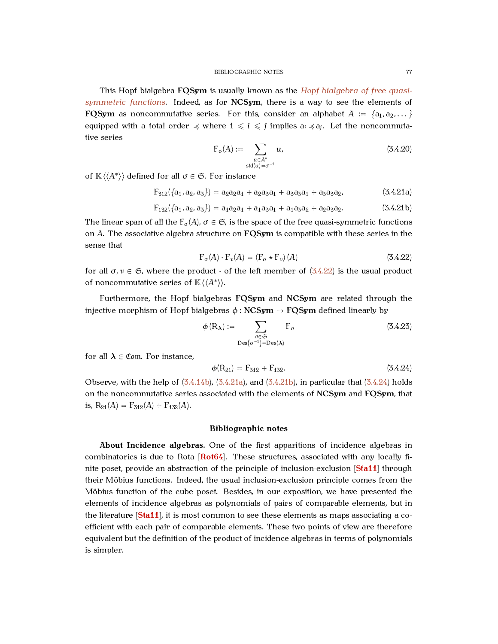This Hopf bialgebra **FQSym** is usually known as the *Hopf bialgebra of free quasisymmetric functions*. Indeed, as for **NCSym**, there is a way to see the elements of **FQSym** as noncommutative series. For this, consider an alphabet  $A := \{a_1, a_2, \ldots\}$ equipped with a total order  $\preccurlyeq$  where  $1 \leq i \leq j$  implies  $a_i \preccurlyeq a_j$ . Let the noncommutative series

$$
F_{\sigma}(A) := \sum_{\substack{u \in A^* \\ \text{std}(u) = \sigma^{-1}}} u,
$$
 (3.4.20)

of  $\mathbb{K}\langle\langle A^*\rangle\rangle$  defined for all  $\sigma \in \mathfrak{S}$ . For instance

<span id="page-82-1"></span>
$$
F_{312}(\{a_1, a_2, a_3\}) = a_2 a_2 a_1 + a_2 a_3 a_1 + a_3 a_3 a_1 + a_3 a_3 a_2,
$$
 (3.4.21a)

<span id="page-82-2"></span>
$$
F_{132}(\{a_1, a_2, a_3\}) = a_1 a_2 a_1 + a_1 a_3 a_1 + a_1 a_3 a_2 + a_2 a_3 a_2.
$$
 (3.4.21b)

The linear span of all the  $F_{\sigma}(A)$ ,  $\sigma \in \mathfrak{S}$ , is the space of the free quasi-symmetric functions on *A*. The associative algebra structure on **FQSym** is compatible with these series in the sense that

<span id="page-82-0"></span>
$$
F_{\sigma}(A) \cdot F_{\nu}(A) = (F_{\sigma} \star F_{\nu}) \cdot (A) \tag{3.4.22}
$$

for all  $\sigma, \nu \in \mathfrak{S}$ , where the product  $\cdot$  of the left member of  $(3.4.22)$  is the usual product of noncommutative series of  $K \langle \langle A^* \rangle \rangle$ .

Furthermore, the Hopf bialgebras **FQSym** and **NCSym** are related through the injective morphism of Hopf bialgebras *φ* : **NCSym** *→* **FQSym** defined linearly by

$$
\phi(R_{\lambda}) := \sum_{\substack{\sigma \in \mathfrak{S} \\ \text{Des}(\sigma^{-1}) = \text{Des}(\lambda)}} F_{\sigma}
$$
 (3.4.23)

for all  $\lambda \in \mathfrak{Com}$ . For instance,

<span id="page-82-3"></span>
$$
\phi(R_{21}) = F_{312} + F_{132}.
$$
\n(3.4.24)

Observe, with the help of  $(3.4.14b)$ ,  $(3.4.21a)$ , and  $(3.4.21b)$ , in particular that  $(3.4.24)$  holds on the noncommutative series associated with the elements of **NCSym** and **FQSym**, that is,  $R_{21}(A) = F_{312}(A) + F_{132}(A)$ .

### **Bibliographic notes**

**About Incidence algebras.** One of the first apparitions of incidence algebras in combinatorics is due to Rota [**[Rot64](#page-150-0)**]. These structures, associated with any locally finite poset, provide an abstraction of the principle of inclusion-exclusion [**[Sta11](#page-151-0)**] through their Möbius functions. Indeed, the usual inclusion-exclusion principle comes from the Möbius function of the cube poset. Besides, in our exposition, we have presented the elements of incidence algebras as polynomials of pairs of comparable elements, but in the literature [**[Sta11](#page-151-0)**], it is most common to see these elements as maps associating a coefficient with each pair of comparable elements. These two points of view are therefore equivalent but the definition of the product of incidence algebras in terms of polynomials is simpler.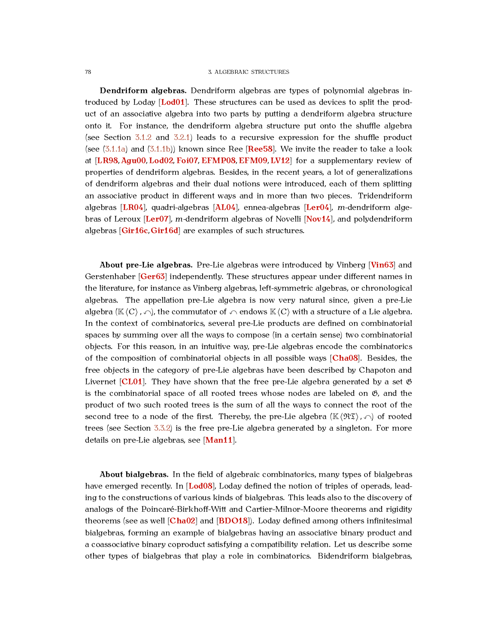#### 78 3. ALGEBRAIC STRUCTURES

**Dendriform algebras.** Dendriform algebras are types of polynomial algebras introduced by Loday [**[Lod01](#page-149-0)**]. These structures can be used as devices to split the product of an associative algebra into two parts by putting a dendriform algebra structure onto it. For instance, the dendriform algebra structure put onto the shuffle algebra (see Section [3.1.2](#page-74-3) and [3.2.1\)](#page-76-4) leads to a recursive expression for the shuffle product (see [\(3.1.1a\)](#page-74-1) and [\(3.1.1b\)](#page-74-2)) known since Ree [**[Ree58](#page-150-1)**]. We invite the reader to take a look at [**[LR98](#page-150-2)**, **[Agu00](#page-146-0)**, **[Lod02](#page-149-1)**, **[Foi07](#page-148-0)**, **[EFMP08](#page-148-1)**, **[EFM09](#page-147-0)**, **[LV12](#page-150-3)**] for a supplementary review of properties of dendriform algebras. Besides, in the recent years, a lot of generalizations of dendriform algebras and their dual notions were introduced, each of them splitting an associative product in different ways and in more than two pieces. Tridendriform algebras [**[LR04](#page-150-4)**], quadri-algebras [**[AL04](#page-146-1)**], ennea-algebras [**[Ler04](#page-149-2)**], *m*-dendriform algebras of Leroux [**[Ler07](#page-149-3)**], *m*-dendriform algebras of Novelli [**[Nov14](#page-150-5)**], and polydendriform algebras [**[Gir16c](#page-148-2)**,**[Gir16d](#page-148-3)**] are examples of such structures.

**About pre-Lie algebras.** Pre-Lie algebras were introduced by Vinberg [**[Vin63](#page-151-1)**] and Gerstenhaber [**[Ger63](#page-148-4)**] independently. These structures appear under different names in the literature, for instance as Vinberg algebras, left-symmetric algebras, or chronological algebras. The appellation pre-Lie algebra is now very natural since, given a pre-Lie algebra  $(\mathbb{K}\langle C\rangle,\triangle)$ , the commutator of  $\triangle$  endows  $\mathbb{K}\langle C\rangle$  with a structure of a Lie algebra. In the context of combinatorics, several pre-Lie products are defined on combinatorial spaces by summing over all the ways to compose (in a certain sense) two combinatorial objects. For this reason, in an intuitive way, pre-Lie algebras encode the combinatorics of the composition of combinatorial objects in all possible ways [**[Cha08](#page-147-1)**]. Besides, the free objects in the category of pre-Lie algebras have been described by Chapoton and Livernet [**[CL01](#page-147-2)**]. They have shown that the free pre-Lie algebra generated by a set G is the combinatorial space of all rooted trees whose nodes are labeled on  $\mathfrak{G}$ , and the product of two such rooted trees is the sum of all the ways to connect the root of the second tree to a node of the first. Thereby, the pre-Lie algebra  $(\mathbb{K} \langle \mathfrak{R} \mathfrak{T} \rangle, \cap)$  of rooted trees (see Section [3.3.2\)](#page-78-0) is the free pre-Lie algebra generated by a singleton. For more details on pre-Lie algebras, see [**[Man11](#page-150-6)**].

**About bialgebras.** In the field of algebraic combinatorics, many types of bialgebras have emerged recently. In [**[Lod08](#page-149-4)**], Loday defined the notion of triples of operads, leading to the constructions of various kinds of bialgebras. This leads also to the discovery of analogs of the Poincaré-Birkhoff-Witt and Cartier-Milnor-Moore theorems and rigidity theorems (see as well [**[Cha02](#page-147-3)**] and [**[BDO18](#page-146-2)**]). Loday defined among others infinitesimal bialgebras, forming an example of bialgebras having an associative binary product and a coassociative binary coproduct satisfying a compatibility relation. Let us describe some other types of bialgebras that play a role in combinatorics. Bidendriform bialgebras,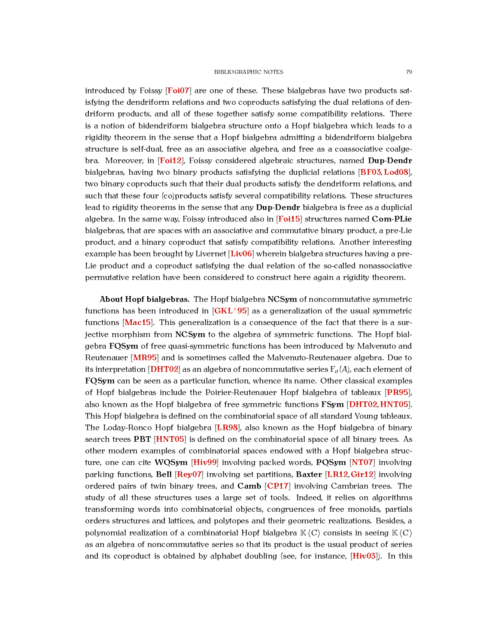#### BIBLIOGRAPHIC NOTES 79

introduced by Foissy [**[Foi07](#page-148-0)**] are one of these. These bialgebras have two products satisfying the dendriform relations and two coproducts satisfying the dual relations of dendriform products, and all of these together satisfy some compatibility relations. There is a notion of bidendriform bialgebra structure onto a Hopf bialgebra which leads to a rigidity theorem in the sense that a Hopf bialgebra admitting a bidendriform bialgebra structure is self-dual, free as an associative algebra, and free as a coassociative coalgebra. Moreover, in [**[Foi12](#page-148-5)**], Foissy considered algebraic structures, named **Dup**-**Dendr** bialgebras, having two binary products satisfying the duplicial relations [**[BF03](#page-146-3)**, **[Lod08](#page-149-4)**], two binary coproducts such that their dual products satisfy the dendriform relations, and such that these four (co)products satisfy several compatibility relations. These structures lead to rigidity theorems in the sense that any **Dup**-**Dendr** bialgebra is free as a duplicial algebra. In the same way, Foissy introduced also in [**[Foi15](#page-148-6)**] structures named **Com**-**PLie** bialgebras, that are spaces with an associative and commutative binary product, a pre-Lie product, and a binary coproduct that satisfy compatibility relations. Another interesting example has been brought by Livernet [**[Liv06](#page-149-5)**] wherein bialgebra structures having a pre-Lie product and a coproduct satisfying the dual relation of the so-called nonassociative permutative relation have been considered to construct here again a rigidity theorem.

**About Hopf bialgebras.** The Hopf bialgebra **NCSym** of noncommutative symmetric functions has been introduced in [**[GKL](#page-148-7)**+**95**] as a generalization of the usual symmetric functions [**[Mac15](#page-150-7)**]. This generalization is a consequence of the fact that there is a surjective morphism from **NCSym** to the algebra of symmetric functions. The Hopf bialgebra **FQSym** of free quasi-symmetric functions has been introduced by Malvenuto and Reutenauer [**[MR95](#page-150-8)**] and is sometimes called the Malvenuto-Reutenauer algebra. Due to its interpretation [[DHT02](#page-147-4)] as an algebra of noncommutative series  $F_{\sigma}(A)$ , each element of **FQSym** can be seen as a particular function, whence its name. Other classical examples of Hopf bialgebras include the Poirier-Reutenauer Hopf bialgebra of tableaux [**[PR95](#page-150-9)**], also known as the Hopf bialgebra of free symmetric functions **FSym** [**[DHT02](#page-147-4)**,**[HNT05](#page-148-8)**]. This Hopf bialgebra is defined on the combinatorial space of all standard Young tableaux. The Loday-Ronco Hopf bialgebra [**[LR98](#page-150-2)**], also known as the Hopf bialgebra of binary search trees **PBT** [**[HNT05](#page-148-8)**] is defined on the combinatorial space of all binary trees. As other modern examples of combinatorial spaces endowed with a Hopf bialgebra structure, one can cite **WQSym** [**[Hiv99](#page-148-9)**] involving packed words, **PQSym** [**[NT07](#page-150-10)**] involving parking functions, **Bell** [**[Rey07](#page-150-11)**] involving set partitions, **Baxter** [**[LR12](#page-150-12)**, **[Gir12](#page-148-10)**] involving ordered pairs of twin binary trees, and **Camb** [**[CP17](#page-147-5)**] involving Cambrian trees. The study of all these structures uses a large set of tools. Indeed, it relies on algorithms transforming words into combinatorial objects, congruences of free monoids, partials orders structures and lattices, and polytopes and their geometric realizations. Besides, a polynomial realization of a combinatorial Hopf bialgebra  $\mathbb{K}\langle C \rangle$  consists in seeing  $\mathbb{K}\langle C \rangle$ as an algebra of noncommutative series so that its product is the usual product of series and its coproduct is obtained by alphabet doubling (see, for instance, [**[Hiv03](#page-148-11)**]). In this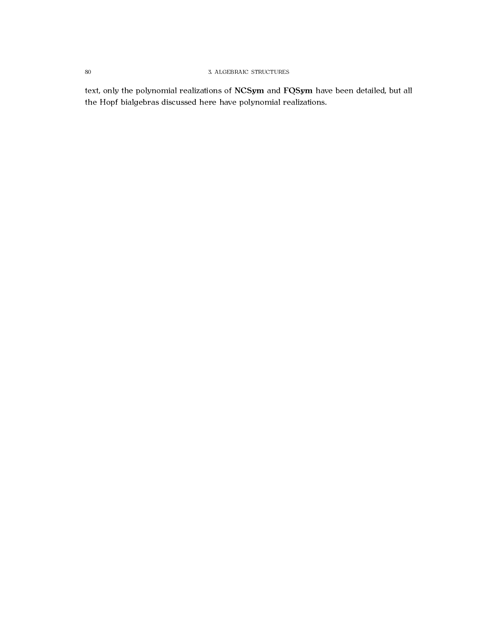text, only the polynomial realizations of **NCSym** and **FQSym** have been detailed, but all the Hopf bialgebras discussed here have polynomial realizations.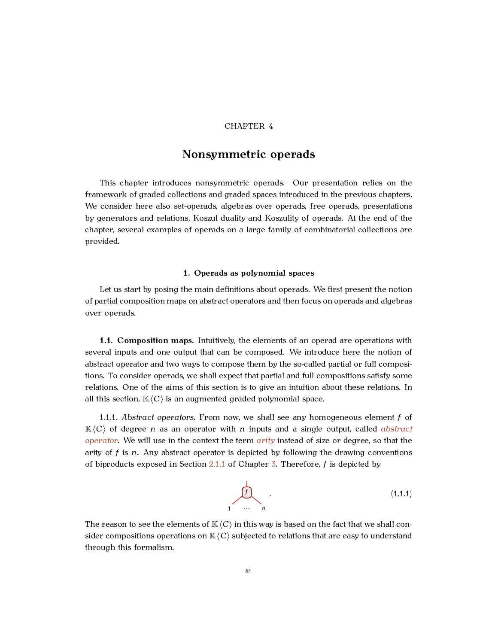# CHAPTER 4

# **Nonsymmetric operads**

This chapter introduces nonsymmetric operads. Our presentation relies on the framework of graded collections and graded spaces introduced in the previous chapters. We consider here also set-operads, algebras over operads, free operads, presentations by generators and relations, Koszul duality and Koszulity of operads. At the end of the chapter, several examples of operads on a large family of combinatorial collections are provided.

# **1. Operads as polynomial spaces**

Let us start by posing the main definitions about operads. We first present the notion of partial composition maps on abstract operators and then focus on operads and algebras over operads.

**1.1. Composition maps.** Intuitively, the elements of an operad are operations with several inputs and one output that can be composed. We introduce here the notion of abstract operator and two ways to compose them by the so-called partial or full compositions. To consider operads, we shall expect that partial and full compositions satisfy some relations. One of the aims of this section is to give an intuition about these relations. In all this section,  $\mathbb{K}\langle C \rangle$  is an augmented graded polynomial space.

1.1.1. *Abstract operators.* From now, we shall see any homogeneous element *f* of  $\mathbb{K}\langle C \rangle$  of degree *n* as an operator with *n* inputs and a single output, called *abstract operator*. We will use in the context the term *arity* instead of size or degree, so that the arity of *f* is *n*. Any abstract operator is depicted by following the drawing conventions of biproducts exposed in Section [2.1.1](#page-66-0) of Chapter [3.](#page-58-0) Therefore, *f* is depicted by

$$
\underbrace{\int}_{1} \underbrace{\cdot \cdot \cdot}_{n} \tag{1.1.1}
$$

The reason to see the elements of  $K \langle C \rangle$  in this way is based on the fact that we shall consider compositions operations on  $\mathbb{K}\langle C\rangle$  subjected to relations that are easy to understand through this formalism.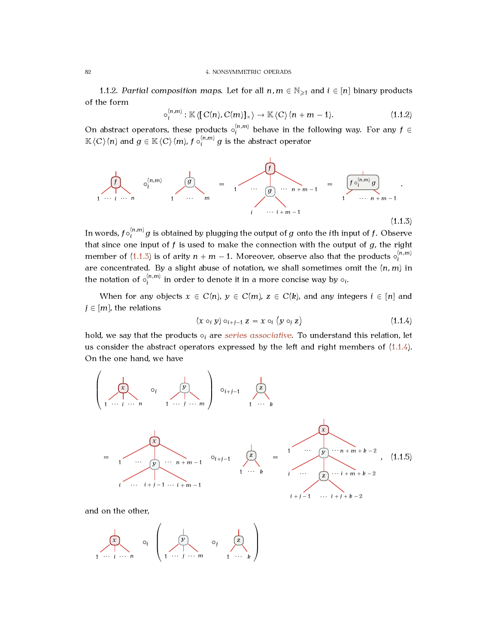1.1.2. *Partial composition maps.* Let for all  $n, m \in \mathbb{N}_{\geq 1}$  and  $i \in [n]$  binary products of the form

$$
\circ_i^{(n,m)} : \mathbb{K} \left\langle [C(n), C(m)]_{\times} \right\rangle \to \mathbb{K} \left\langle C \right\rangle (n + m - 1). \tag{1.1.2}
$$

On abstract operators, these products  $\circ_i^{(n,m)}$  behave in the following way. For any  $f \in$  $\mathbb{K}\left\langle C\right\rangle\left(n\right)$  and  $g\in\mathbb{K}\left\langle C\right\rangle\left(m\right)$ ,  $f\circ_{i}^{(n,m)}g$  is the abstract operator

<span id="page-87-0"></span>*f* 1 *. . . i . . . n ◦* (*n,m*) *i g* 1 *. . . m* = *f* 1 *n* + *m −* 1 *. . . . . . g i i* + *m −* 1 *. . .* = *f ◦* (*n,m*) *i g* 1 *n* + *m −* 1 *. . . .* (1.1.3)

In words,  $f\circ _i^{(n,m)}g$  is obtained by plugging the output of  $g$  onto the  $i$ th input of  $f.$  Observe that since one input of  $f$  is used to make the connection with the output of  $g$ , the right member of  $(1.1.3)$  is of arity  $n + m - 1$ . Moreover, observe also that the products  $\circ_i^{(n,m)}$ *i* are concentrated. By a slight abuse of notation, we shall sometimes omit the (*n, m*) in the notation of  $\circ_i^{(n,m)}$  $\sum_{i=1}^{n_i}$  in order to denote it in a more concise way by  $\circ_i$ .

When for any objects  $x \in C(n)$ ,  $y \in C(m)$ ,  $z \in C(k)$ , and any integers  $i \in [n]$  and  $j \in [m]$ , the relations

<span id="page-87-1"></span>
$$
(x \circ_i y) \circ_{i+j-1} z = x \circ_i (y \circ_j z) \tag{1.1.4}
$$

hold, we say that the products *◦<sup>i</sup>* are *series associative*. To understand this relation, let us consider the abstract operators expressed by the left and right members of  $(1.1.4)$ . On the one hand, we have



and on the other,

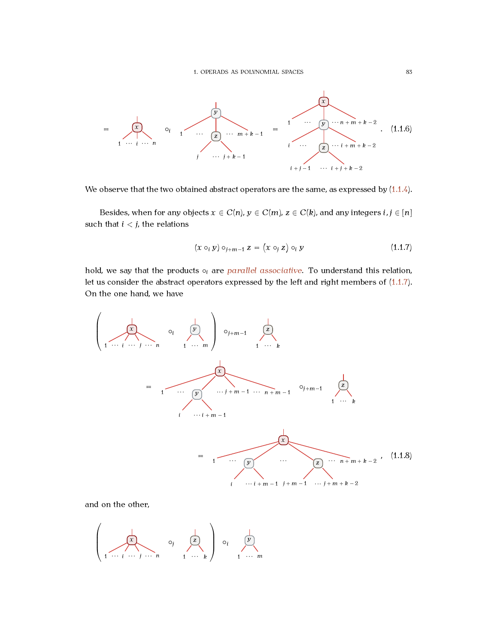

We observe that the two obtained abstract operators are the same, as expressed by  $(1.1.4)$ .

Besides, when for any objects  $x \in C(n)$ ,  $y \in C(m)$ ,  $z \in C(k)$ , and any integers  $i, j \in [n]$ such that  $i < j$ , the relations

<span id="page-88-0"></span>
$$
(x \circ_i y) \circ_{j+m-1} z = (x \circ_j z) \circ_i y \tag{1.1.7}
$$

hold, we say that the products *◦<sup>i</sup>* are *parallel associative*. To understand this relation, let us consider the abstract operators expressed by the left and right members of [\(1.1.7\)](#page-88-0). On the one hand, we have



and on the other,

 *x* 1 *. . . i . . . j . . . n ◦j z* 1 *. . . k ◦<sup>i</sup> y* 1 *. . . m*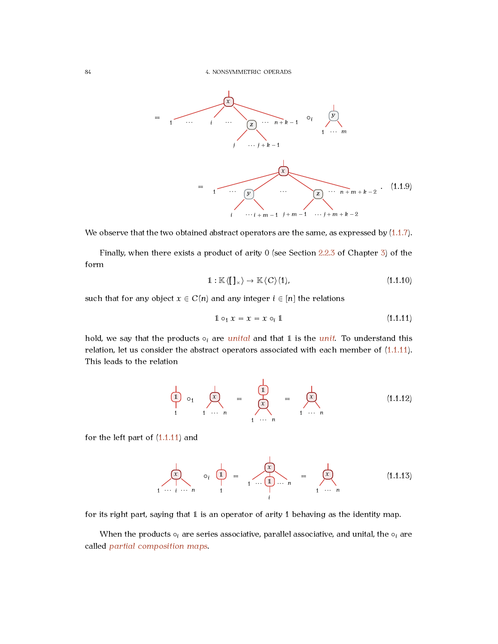

We observe that the two obtained abstract operators are the same, as expressed by  $(1.1.7)$ .

Finally, when there exists a product of arity 0 (see Section [2.2.3](#page-69-0) of Chapter [3\)](#page-58-0) of the form

$$
1\colon\mathbb{K}\left\langle\left[\right]_{\times}\right\rangle \to\mathbb{K}\left\langle C\right\rangle\left(1\right),\tag{1.1.10}
$$

such that for any object  $x \in C(n)$  and any integer  $i \in [n]$  the relations

<span id="page-89-0"></span>
$$
1 \circ_1 x = x = x \circ_i 1 \tag{1.1.11}
$$

hold, we say that the products *◦<sup>i</sup>* are *unital* and that 1 is the *unit*. To understand this relation, let us consider the abstract operators associated with each member of [\(1.1.11\)](#page-89-0). This leads to the relation

1 1 *◦*1 *x* 1 *. . . n* = 1 *x* 1 *. . . n* = *<sup>x</sup>* 1 *. . . n* (1.1.12)

for the left part of  $(1.1.11)$  and

*x* 1 *. . . i . . . n ◦i* 1 1 = *x* 1 *. . .* <sup>1</sup> *. . . <sup>n</sup> i* = *<sup>x</sup>* 1 *. . . n* (1.1.13)

for its right part, saying that 1 is an operator of arity 1 behaving as the identity map.

When the products *◦<sup>i</sup>* are series associative, parallel associative, and unital, the *◦<sup>i</sup>* are called *partial composition maps*.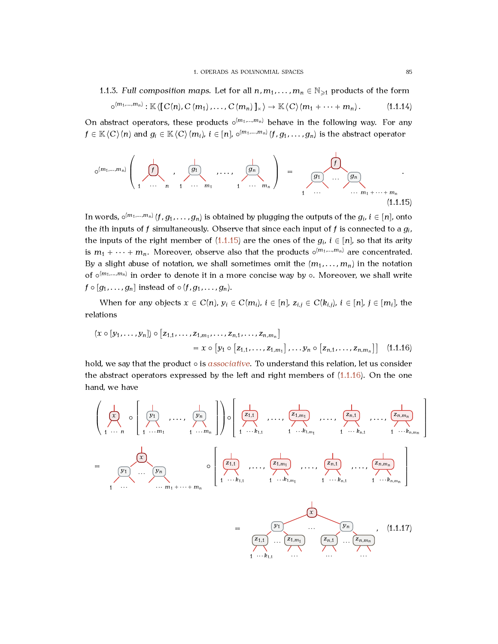1.1.3. *Full composition maps.* Let for all  $n, m_1, \ldots, m_n \in \mathbb{N}_{\geq 1}$  products of the form

<span id="page-90-0"></span>
$$
\circ^{(m_1,\ldots,m_n)}:\mathbb{K}\left\langle\left[\,C(n),C\,(m_1)\,\ldots,\,C\,(m_n)\,\right]_{\times}\right\rangle\rightarrow\mathbb{K}\left\langle C\right\rangle\left(m_1+\cdots+m_n\right).
$$
 (1.1.14)

On abstract operators, these products  $\circ^{(m_1,...,m_n)}$  behave in the following way. For any  $f\in\mathbb{K}\left\langle C\right\rangle(n)$  and  $g_{i}\in\mathbb{K}\left\langle C\right\rangle(m_{i})$ ,  $i\in[n]$ ,  $\circ^{(m_{1},...,m_{n})}(f,g_{1},\ldots,g_{n})$  is the abstract operator

$$
O^{(m_1,\ldots,m_n)}\left(\bigoplus_{1\cdots n}\left(\bigoplus_{1\cdots n}\left(\bigoplus_{1\cdots n}\left(\bigoplus_{1\cdots n}\left(\bigoplus_{1\cdots n}\left(\bigoplus_{1\cdots n}\right)\right)\right)\right)\right) = \bigoplus_{1\cdots n}\left(\bigoplus_{1\cdots n}\left(\bigoplus_{1\cdots n}\left(\bigoplus_{1\cdots n}\left(\bigoplus_{1\cdots n}\left(\bigoplus_{1\cdots n}\left(\bigoplus_{1\cdots n}\left(\bigoplus_{1\cdots n}\left(\bigoplus_{1\cdots n}\left(\bigoplus_{1\cdots n}\left(\bigoplus_{1\cdots n}\left(\bigoplus_{1\cdots n}\left(\bigoplus_{1\cdots n}\left(\bigoplus_{1\cdots n}\left(\bigoplus_{1\cdots n}\left(\bigoplus_{1\cdots n}\left(\bigoplus_{1\cdots n}\left(\bigoplus_{1\cdots n}\left(\bigoplus_{1\cdots n}\left(\bigoplus_{1\cdots n}\left(\bigoplus_{1\cdots n}\left(\bigoplus_{1\cdots n}\left(\bigoplus_{1\cdots n}\left(\bigoplus_{1\cdots n}\left(\bigoplus_{1\cdots n}\left(\bigoplus_{1\cdots n}\left(\bigoplus_{1\cdots n}\left(\bigoplus_{1\cdots n}\left(\bigoplus_{1\cdots n}\left(\bigoplus_{1\cdots n}\left(\bigoplus_{1\cdots n}\left(\bigoplus_{1\cdots n}\left(\bigoplus_{1\cdots n}\left(\bigoplus_{1\cdots n}\left(\bigoplus_{1\cdots n}\left(\bigoplus_{1\cdots n}\left(\bigoplus_{1\cdots n}\left(\bigoplus_{1\cdots n}\left(\bigoplus_{1\cdots n}\left(\bigoplus_{1\cdots n}\left(\bigoplus_{1\cdots n}\left(\bigoplus_{1\cdots n}\left(\bigoplus_{1\cdots n}\left(\bigoplus_{1\cdots n}\left(\bigoplus_{1\cdots n}\left(\bigoplus_{1\cdots n}\left(\bigoplus_{1\cdots n}\left(\bigoplus_{1\cdots n}\left(\bigoplus_{1\cdots n}\left(\bigoplus_{1\cdots n}\left(\bigoplus_{1\cdots n}\left(\bigoplus_{1\cdots n}\left(\bigoplus_{1\cdots n}\left(\bigoplus_{1\cdots n}\left(\bigoplus_{1\cdots n}\left(\bigopl
$$

In words,  $\circ^{(m_1,...,m_n)}(f,g_1,\ldots,g_n)$  is obtained by plugging the outputs of the  $g_i$ ,  $i\in [n]$ , onto the *i*th inputs of *f* simultaneously. Observe that since each input of *f* is connected to a *g<sup>i</sup>* , the inputs of the right member of  $(1.1.15)$  are the ones of the  $g_i$ ,  $i \in [n]$ , so that its arity is  $m_1 + \cdots + m_n$ . Moreover, observe also that the products  $\circ^{(m_1,\ldots,m_n)}$  are concentrated. By a slight abuse of notation, we shall sometimes omit the  $(m_1, \ldots, m_n)$  in the notation of *◦* (*m*1*,...,mn*) in order to denote it in a more concise way by *◦*. Moreover, we shall write  $f \circ [g_1, \ldots, g_n]$  instead of  $\circ (f, g_1, \ldots, g_n)$ .

When for any objects  $x \in C(n)$ ,  $y_i \in C(m_i)$ ,  $i \in [n]$ ,  $z_{i,j} \in C(k_{i,j})$ ,  $i \in [n]$ ,  $j \in [m_i]$ , the relations

$$
(x \circ [y_1, ..., y_n]) \circ [z_{1,1}, ..., z_{1,m_1}, ..., z_{n,1}, ..., z_{n,m_n}]
$$
  
=  $x \circ [y_1 \circ [z_{1,1}, ..., z_{1,m_1}], ..., y_n \circ [z_{n,1}, ..., z_{n,m_n}]]$  (1.1.16)

hold, we say that the product *◦* is *associative*. To understand this relation, let us consider the abstract operators expressed by the left and right members of  $(1.1.16)$ . On the one hand, we have

$$
\left(\begin{array}{c}\n\downarrow \\
\hline\n\downarrow \\
\hline\n1\n\end{array}\right)\n\circ\n\left[\begin{array}{c}\n\downarrow \\
\hline\n\downarrow \\
\hline\n\downarrow\n\end{array}\right]\n\circ\n\left[\begin{array}{c}\n\downarrow \\
\hline\n\downarrow \\
\hline\n\downarrow\n\end{array}\right]\n\circ\n\left[\begin{array}{c}\n\downarrow \\
\hline\n\downarrow \\
\hline\n\downarrow\n\end{array}\right]\n\circ\n\left[\begin{array}{c}\n\downarrow \\
\hline\n\downarrow \\
\hline\n\downarrow\n\end{array}\right]\n\circ\n\left[\begin{array}{c}\n\downarrow \\
\hline\n\downarrow \\
\hline\n\downarrow\n\end{array}\right]\n\circ\n\left[\begin{array}{c}\n\downarrow \\
\hline\n\downarrow \\
\hline\n\downarrow\n\end{array}\right]\n\circ\n\left[\begin{array}{c}\n\downarrow \\
\hline\n\downarrow \\
\hline\n\downarrow\n\end{array}\right]\n\circ\n\left[\begin{array}{c}\n\downarrow \\
\hline\n\downarrow \\
\hline\n\downarrow\n\end{array}\right]\n\circ\n\left[\begin{array}{c}\n\downarrow \\
\hline\n\downarrow \\
\hline\n\downarrow\n\end{array}\right]\n\circ\n\left[\begin{array}{c}\n\downarrow \\
\hline\n\downarrow \\
\hline\n\downarrow\n\end{array}\right]\n\circ\n\left[\begin{array}{c}\n\downarrow \\
\hline\n\downarrow \\
\hline\n\downarrow\n\end{array}\right]\n\circ\n\left[\begin{array}{c}\n\downarrow \\
\hline\n\downarrow \\
\hline\n\downarrow\n\end{array}\right]\n\circ\n\left[\begin{array}{c}\n\downarrow \\
\hline\n\downarrow \\
\hline\n\downarrow\n\end{array}\right]\n\circ\n\left[\begin{array}{c}\n\downarrow \\
\hline\n\downarrow \\
\hline\n\downarrow\n\end{array}\right]\n\circ\n\left[\begin{array}{c}\n\downarrow \\
\hline\n\downarrow \\
\hline\n\downarrow\n\end{array}\right]\n\circ\n\left[\begin{array}{c}\n\downarrow \\
\hline\n\downarrow \\
\hline\n\downarrow\n\end{array}\right]\n\circ\n\left[\begin{array}{c}\n\downarrow \\
\hline\n\downarrow \\
\hline\n\downarrow\n\end{array}\right]\n\circ\n\left[\begin{array}{c}\n\downarrow \\
\hline\n\downarrow \\
\h
$$

<span id="page-90-1"></span>
$$
= \underbrace{\begin{bmatrix} x_1 \\ z_{1,1} \\ \vdots \\ z_{n,1} \end{bmatrix} \dots \begin{bmatrix} x_1 \\ z_{1,m_1} \\ \vdots \\ z_{n,m_n} \end{bmatrix}}_{1 \cdots k_{1,1}}, \dots \begin{bmatrix} x_n \\ z_{n,1} \\ \vdots \\ z_{n,m_n} \end{bmatrix}, \quad (1.1.17)
$$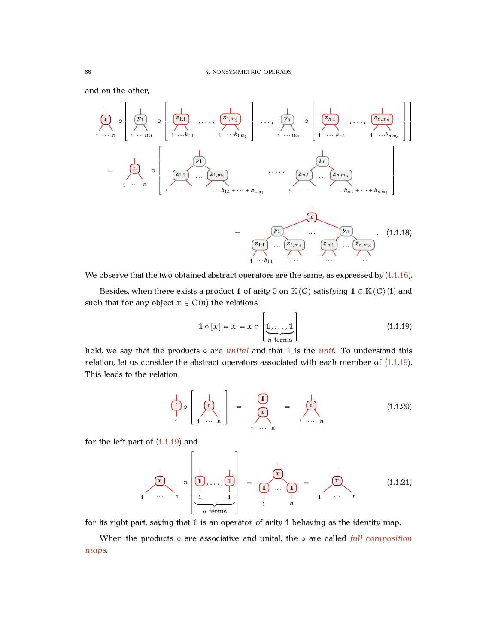and on the other,

*x* 1 *. . . n ◦ y*1 1 *m*<sup>1</sup> *. . . ◦ z*1*,*<sup>1</sup> 1 *k*1*,*<sup>1</sup> *. . . , . . . , z*1*,m*<sup>1</sup> 1 *k*1*,m*<sup>1</sup> *. . . , . . . , yn* 1 *m<sup>n</sup> . . . ◦ zn,*<sup>1</sup> 1 *kn,*<sup>1</sup> *. . . , . . . , zn,m<sup>n</sup>* 1 *kn,mn . . .* = *<sup>x</sup>* 1 *. . . n ◦ y*1 *. . . z*1*,*<sup>1</sup> 1 *. . . z*1*,m*<sup>1</sup> *k*1*,*<sup>1</sup> + *· · ·* + *k*1*,m*<sup>1</sup> *. . . , . . . , yn . . . zn,*<sup>1</sup> 1 *. . . zn,m<sup>n</sup> kn,*<sup>1</sup> + *· · ·* + *kn,m*<sup>1</sup> *. . .* = *x . . . y*1 *. . . yn . . . z*1*,*<sup>1</sup> 1 *k*1*,*<sup>1</sup> *. . . z*1*,m*<sup>1</sup> *. . . zn,*<sup>1</sup> *. . . zn,m<sup>n</sup> . . . .* (1.1.18)

We observe that the two obtained abstract operators are the same, as expressed by  $(1.1.16)$ .

Besides, when there exists a product 1 of arity 0 on  $K\langle C \rangle$  satisfying  $1 \in K\langle C \rangle$  (1) and such that for any object  $x \in C(n)$  the relations  $\overline{r}$  $\overline{1}$ 

<span id="page-91-0"></span>
$$
\mathbb{1} \circ [x] = x = x \circ \left[ \underbrace{\mathbb{1}, \dots, \mathbb{1}}_{n \text{ terms}} \right] \tag{1.1.19}
$$

hold, we say that the products *◦* are *unital* and that 1 is the *unit*. To understand this relation, let us consider the abstract operators associated with each member of [\(1.1.19\)](#page-91-0). This leads to the relation

$$
\underbrace{\downarrow}_{1} \circ \underbrace{\downarrow}_{1 \cdots n} \right] = \underbrace{\underbrace{\downarrow}_{1} \cdots \underbrace{\downarrow}_{n}}_{1 \cdots n} = \underbrace{\downarrow}_{1 \cdots n} \tag{1.1.20}
$$

for the left part of  $(1.1.19)$  and  $\overline{r}$ 

*x* 1 *. . . n ◦* 1 1 *, . . . ,* <sup>1</sup> 1 | {z } *n* terms = *x* 1 *. . .* 1 1 *n* = *<sup>x</sup>* 1 *. . . n* (1.1.21)

for its right part, saying that 1 is an operator of arity 1 behaving as the identity map.

 $\mathbf{r}$ 

When the products *◦* are associative and unital, the *◦* are called *full composition maps*.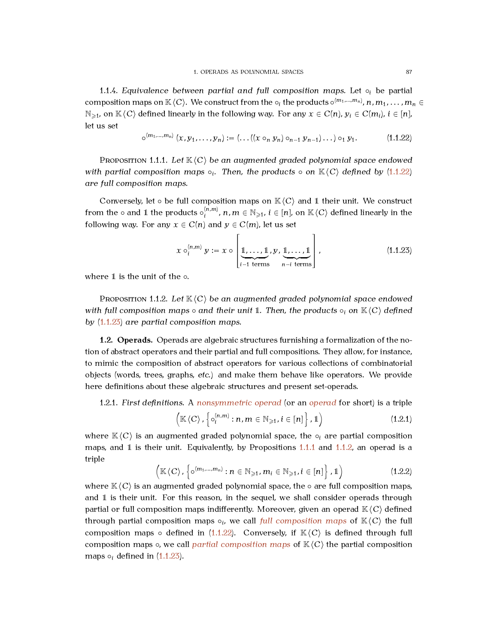1.1.4. *Equivalence between partial and full composition maps.* Let *◦<sup>i</sup>* be partial  $\alpha$  composition maps on  $\mathbb{K}\langle C\rangle$ . We construct from the  $\circ_i$  the products  $\circ^{(m_1,...,m_n)}$ ,  $n,m_1,\ldots,m_n\in C$  $\mathbb{N}_{\geq 1}$ , on  $\mathbb{K} \langle C \rangle$  defined linearly in the following way. For any  $x \in C(n)$ ,  $y_i \in C(m_i)$ ,  $i \in [n]$ , let us set

<span id="page-92-0"></span>
$$
\circ^{(m_1,\ldots,m_n)}(x,y_1,\ldots,y_n):=(\ldots((x\circ_n y_n)\circ_{n-1} y_{n-1})\ldots)\circ_1 y_1. \hspace{1cm} (1.1.22)
$$

<span id="page-92-2"></span>PROPOSITION 1.1.1. *Let* K *hCi be an augmented graded polynomial space endowed with partial composition maps*  $\circ_i$ . Then, the products  $\circ$  on  $\mathbb{K}\langle C \rangle$  defined by [\(1.1.22\)](#page-92-0) *are full composition maps.*

Conversely, let **∘** be full composition maps on K $\langle C \rangle$  and 1 their unit. We construct from the *◦* and 1 the products *◦* (*n,m*)  $\binom{(n,m)}{i}$ ,  $n$ ,  $m\in\mathbb{N}_{\geqslant1}$ ,  $i\in[n]$ , on  $\mathbb{K}\langle C\rangle$  defined linearly in the following way. For any  $x \in C(n)$  and  $y \in C(m)$ , let us set

<span id="page-92-1"></span>
$$
x \circ_i^{(n,m)} y := x \circ \left[ \underbrace{1, \dots, 1}_{i-1 \text{ terms}}, y, \underbrace{1, \dots, 1}_{n-i \text{ terms}} \right],
$$
 (1.1.23)

where 1 is the unit of the *◦*.

<span id="page-92-3"></span>PROPOSITION 1.1.2. Let  $\mathbb{K}\langle C \rangle$  be an augmented graded polynomial space endowed *with full composition maps*  $\circ$  *and their unit* 1*. Then, the products*  $\circ$ *<sub>i</sub> on* K $\langle C \rangle$  *defined by* [\(1.1.23\)](#page-92-1) *are partial composition maps.*

**1.2. Operads.** Operads are algebraic structures furnishing a formalization of the notion of abstract operators and their partial and full compositions. They allow, for instance, to mimic the composition of abstract operators for various collections of combinatorial objects (words, trees, graphs, *etc.*) and make them behave like operators. We provide here definitions about these algebraic structures and present set-operads.

1.2.1. *First definitions.* A *nonsymmetric operad* (or an *operad* for short) is a triple

$$
\left(\mathbb{K}\left\langle C\right\rangle,\left\{\circ_i^{(n,m)}:n,m\in\mathbb{N}_{\geqslant1},i\in[n]\right\},1\right)
$$
\n(1.2.1)

where  $K(C)$  is an augmented graded polynomial space, the  $\circ_i$  are partial composition maps, and 1 is their unit. Equivalently, by Propositions  $1.1.1$  and  $1.1.2$ , an operad is a triple  $\overline{\phantom{a}}$ n o  $\mathbf{r}$ 

$$
\left(\mathbb{K}\left\langle C\right\rangle,\left\{0^{(m_1,\dots,m_n)}:n\in\mathbb{N}_{\geq 1},m_i\in\mathbb{N}_{\geq 1},i\in[n]\right\},1\right)\tag{1.2.2}
$$

where  $K(C)$  is an augmented graded polynomial space, the  $\circ$  are full composition maps, and 1 is their unit. For this reason, in the sequel, we shall consider operads through partial or full composition maps indifferently. Moreover, given an operad  $\mathbb{K}\langle C\rangle$  defined through partial composition maps *◦<sup>i</sup>* , we call *full composition maps* of K *hCi* the full composition maps ∘ defined in [\(1.1.22\)](#page-92-0). Conversely, if K(C) is defined through full composition maps *◦*, we call *partial composition maps* of K *hCi* the partial composition maps  $\circ_i$  defined in  $(1.1.23)$ .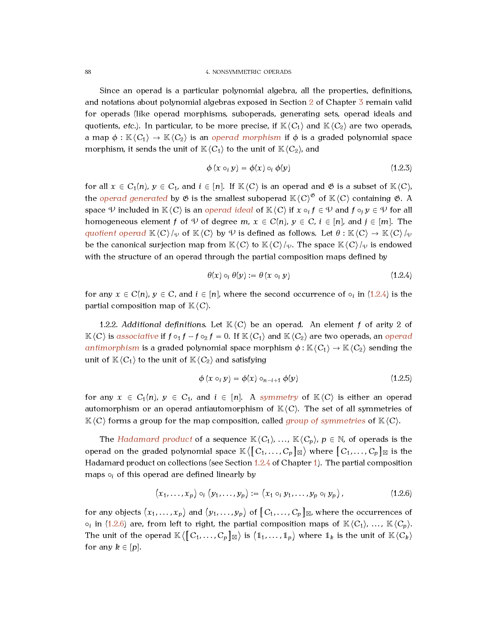Since an operad is a particular polynomial algebra, all the properties, definitions, and notations about polynomial algebras exposed in Section [2](#page-66-1) of Chapter [3](#page-58-0) remain valid for operads (like operad morphisms, suboperads, generating sets, operad ideals and quotients, *etc.*). In particular, to be more precise, if  $\mathbb{K} \langle C_1 \rangle$  and  $\mathbb{K} \langle C_2 \rangle$  are two operads, a map  $\phi$ :  $\mathbb{K}\langle C_1 \rangle \to \mathbb{K}\langle C_2 \rangle$  is an *operad morphism* if  $\phi$  is a graded polynomial space morphism, it sends the unit of  $\mathbb{K} \langle C_1 \rangle$  to the unit of  $\mathbb{K} \langle C_2 \rangle$ , and

$$
\phi(x \circ_i y) = \phi(x) \circ_i \phi(y) \tag{1.2.3}
$$

for all  $x \in C_1(n)$ ,  $y \in C_1$ , and  $i \in [n]$ . If  $\mathbb{K} \langle C \rangle$  is an operad and  $\mathfrak{G}$  is a subset of  $\mathbb{K} \langle C \rangle$ , the *operad generated* by  $\mathfrak G$  is the smallest suboperad  $\mathbb K\left\langle C\right\rangle^\mathfrak G$  of  $\mathbb K\left\langle C\right\rangle$  containing  $\mathfrak G.$  A space  $\mathcal V$  included in  $\mathbb K \langle C \rangle$  is an *operad ideal* of  $\mathbb K \langle C \rangle$  if  $x \circ_i f \in \mathcal V$  and  $f \circ_i y \in \mathcal V$  for all homogeneous element *f* of  $\mathcal V$  of degree  $m, x \in C(n)$ ,  $y \in C$ ,  $i \in [n]$ , and  $j \in [m]$ . The *quotient operad*  $\mathbb{K}\langle C\rangle/\varphi$  of  $\mathbb{K}\langle C\rangle$  by  $\varphi$  is defined as follows. Let  $\theta: \mathbb{K}\langle C\rangle \rightarrow \mathbb{K}\langle C\rangle/\varphi$ be the canonical surjection map from  $\mathbb{K}\langle C\rangle$  to  $\mathbb{K}\langle C\rangle/\psi$ . The space  $\mathbb{K}\langle C\rangle/\psi$  is endowed with the structure of an operad through the partial composition maps defined by

<span id="page-93-0"></span>
$$
\theta(x) \circ_i \theta(y) := \theta(x \circ_i y) \tag{1.2.4}
$$

for any  $x \in C(n)$ ,  $y \in C$ , and  $i \in [n]$ , where the second occurrence of  $\circ_i$  in [\(1.2.4\)](#page-93-0) is the partial composition map of  $K \langle C \rangle$ .

1.2.2. *Additional definitions.* Let  $K\langle C \rangle$  be an operad. An element f of arity 2 of  $\mathbb{K}\langle C \rangle$  is *associative* if *f*  $\circ_1 f - f \circ_2 f = 0$ . If  $\mathbb{K}\langle C_1 \rangle$  and  $\mathbb{K}\langle C_2 \rangle$  are two operads, an *operad antimorphism* is a graded polynomial space morphism  $\phi : \mathbb{K} \langle C_1 \rangle \to \mathbb{K} \langle C_2 \rangle$  sending the unit of  $\mathbb{K}\langle C_1 \rangle$  to the unit of  $\mathbb{K}\langle C_2 \rangle$  and satisfying

$$
\phi(x \circ_i y) = \phi(x) \circ_{n-i+1} \phi(y) \tag{1.2.5}
$$

for any  $x \in C_1(n)$ ,  $y \in C_1$ , and  $i \in [n]$ . A *symmetry* of  $\mathbb{K}\langle C \rangle$  is either an operad automorphism or an operad antiautomorphism of  $K \langle C \rangle$ . The set of all symmetries of  $\mathbb{K}\langle C \rangle$  forms a group for the map composition, called *group of symmetries* of  $\mathbb{K}\langle C \rangle$ .

The *Hadamard product* of a sequence  $\mathbb{K}\langle C_1 \rangle$ , ...,  $\mathbb{K}\langle C_p \rangle$ ,  $p \in \mathbb{N}$ , of operads is the operad on the graded polynomial space  $\mathbb{K} \langle [C_1, \ldots, C_p] \rangle$ --<br>|⊠ where  $[C_1, \ldots, C_p]$  $\frac{1}{\alpha}$  is the Hadamard product on collections (see Section [1.2.4](#page-19-0) of Chapter [1\)](#page-14-0). The partial composition maps **∘**<sup>*j*</sup> of this operad are defined linearly by

<span id="page-93-1"></span>
$$
(x_1, ..., x_p) \circ_i (y_1, ..., y_p) := (x_1 \circ_i y_1, ..., y_p \circ_i y_p), \qquad (1.2.6)
$$

for any objects  $(x_1, \ldots, x_p)$ ) and  $(y_1, \ldots, y_p)$  $\int$  of  $[C_1, \ldots, C_p]$  $\vert_{\boxtimes}$ , where the occurrences of  $\circ_i$  in [\(1.2.6\)](#page-93-1) are, from left to right, the partial composition maps of  $\mathbb{K} \langle C_1 \rangle$ , ...,  $\mathbb{K} \langle C_p \rangle$ . The unit of the operad  $\mathbb{K}\langle [C_1,\ldots,C_p]_{\boxtimes}\rangle$  is  $(1_1,\ldots,1_p)$  where  $1_k$  is the unit of  $\mathbb{K}\langle C_k\rangle$ for any  $k \in [p]$ .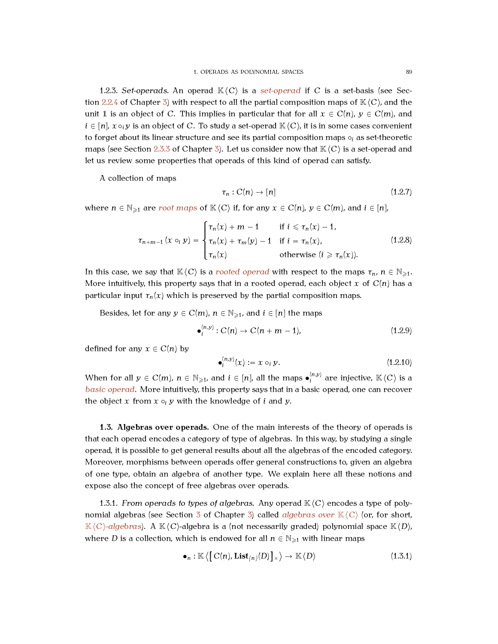1.2.3. *Set-operads.* An operad  $\mathbb{K}\langle C \rangle$  is a *set-operad* if C is a set-basis (see Sec-tion [2.2.4](#page-70-0) of Chapter [3\)](#page-58-0) with respect to all the partial composition maps of  $K\langle C\rangle$ , and the unit 1 is an object of *C*. This implies in particular that for all  $x \in C(n)$ ,  $y \in C(m)$ , and  $i \in [n]$ ,  $x \circ_i y$  is an object of *C*. To study a set-operad  $\mathbb{K} \langle C \rangle$ , it is in some cases convenient to forget about its linear structure and see its partial composition maps *◦<sup>i</sup>* as set-theoretic maps (see Section [2.3.3](#page-73-0) of Chapter [3\)](#page-58-0). Let us consider now that  $K(\mathcal{C})$  is a set-operad and let us review some properties that operads of this kind of operad can satisfy.

A collection of maps

$$
\tau_n : C(n) \to [n] \tag{1.2.7}
$$

where  $n \in \mathbb{N}_{\geq 1}$  are *root* maps of  $\mathbb{K} \langle C \rangle$  if, for any  $x \in C(n)$ ,  $y \in C(m)$ , and  $i \in [n]$ ,

$$
\tau_{n+m-1}(x \circ_i y) = \begin{cases} \tau_n(x) + m - 1 & \text{if } i \leq \tau_n(x) - 1, \\ \tau_n(x) + \tau_m(y) - 1 & \text{if } i = \tau_n(x), \\ \tau_n(x) & \text{otherwise } (i \geq \tau_n(x)). \end{cases} \tag{1.2.8}
$$

In this case, we say that  $\mathbb{K}\langle C \rangle$  is a *rooted operad* with respect to the maps  $\tau_n$ ,  $n \in \mathbb{N}_{\geq 1}$ . More intuitively, this property says that in a rooted operad, each object x of  $C(n)$  has a particular input  $\tau_n(x)$  which is preserved by the partial composition maps.

Besides, let for any  $y \in C(m)$ ,  $n \in \mathbb{N}_{\geq 1}$ , and  $i \in [n]$  the maps

$$
\bullet_i^{(n,y)} : C(n) \to C(n+m-1), \tag{1.2.9}
$$

defined for any  $x \in C(n)$  by

$$
\bullet_i^{(n,y)}(x) := x \circ_i y. \tag{1.2.10}
$$

When for all  $y \in C(m)$ ,  $n \in \mathbb{N}_{\geqslant 1}$ , and  $i \in [n]$ , all the maps  $\bullet^{(n,y)}_i$  $\binom{(n,y)}{i}$  are injective,  $\mathbb{K}\left\langle C \right\rangle$  is a *basic operad*. More intuitively, this property says that in a basic operad, one can recover the object *x* from  $x \circ_i y$  with the knowledge of *i* and *y*.

**1.3. Algebras over operads.** One of the main interests of the theory of operads is that each operad encodes a category of type of algebras. In this way, by studying a single operad, it is possible to get general results about all the algebras of the encoded category. Moreover, morphisms between operads offer general constructions to, given an algebra of one type, obtain an algebra of another type. We explain here all these notions and expose also the concept of free algebras over operads.

1.3.1. *From operads to types of algebras.* Any operad  $\mathbb{K}\langle C \rangle$  encodes a type of poly-nomial algebras (see Section [3](#page-74-4) of Chapter [3\)](#page-58-0) called *algebras over*  $\mathbb{K}\langle C \rangle$  (or, for short,  $\mathbb{K}\langle C\rangle$ -algebras). A  $\mathbb{K}\langle C\rangle$ -algebra is a (not necessarily graded) polynomial space  $\mathbb{K}\langle D\rangle$ , where *D* is a collection, which is endowed for all  $n \in \mathbb{N}_{\geq 1}$  with linear maps

$$
\bullet_n : \mathbb{K} \left\langle \left[ C(n), \mathbf{List}_{\{n\}}(D) \right]_{\times} \right\rangle \to \mathbb{K} \left\langle D \right\rangle \tag{1.3.1}
$$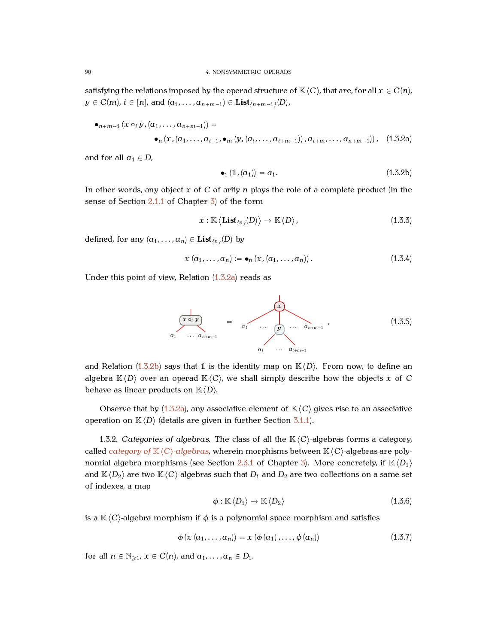satisfying the relations imposed by the operad structure of  $\mathbb{K}\langle C \rangle$ , that are, for all  $x \in C(n)$ , *y* ∈ *C*(*m*), *i* ∈ [*n*], and  $(a_1, ..., a_{n+m-1})$  ∈ **List**<sub>{n+*m*−1}</sub>(*D*),

$$
\bullet_{n+m-1} (x \circ_i y, (a_1, ..., a_{n+m-1})) =
$$
  
\n
$$
\bullet_n (x, (a_1, ..., a_{i-1}, \bullet_m (y, (a_i, ..., a_{i+m-1})), a_{i+m}, ..., a_{n+m-1})),
$$
 (1.3.2a)

and for all  $a_1 \in D$ ,

<span id="page-95-1"></span><span id="page-95-0"></span>
$$
\bullet_1 (1, (a_1)) = a_1. \tag{1.3.2b}
$$

In other words, any object *x* of *C* of arity *n* plays the role of a complete product (in the sense of Section [2.1.1](#page-66-0) of Chapter [3\)](#page-58-0) of the form

$$
x: \mathbb{K} \left\langle \mathbf{List}_{\{n\}}(D) \right\rangle \to \mathbb{K} \left\langle D \right\rangle, \tag{1.3.3}
$$

defined, for any  $(a_1, \ldots, a_n) \in \mathbf{List}_{\{n\}}(D)$  by

$$
x\left(\alpha_1,\ldots,\alpha_n\right):=\bullet_n\left(x,\left(\alpha_1,\ldots,\alpha_n\right)\right).
$$
 (1.3.4)

Under this point of view, Relation [\(1.3.2a\)](#page-95-0) reads as



and Relation [\(1.3.2b\)](#page-95-1) says that 1 is the identity map on  $\mathbb{K}\langle D \rangle$ . From now, to define an algebra  $\mathbb{K}\langle D \rangle$  over an operad  $\mathbb{K}\langle C \rangle$ , we shall simply describe how the objects x of C behave as linear products on  $K \langle D \rangle$ .

Observe that by  $(1.3.2a)$ , any associative element of  $\mathbb{K}\langle C\rangle$  gives rise to an associative operation on  $\mathbb{K}\langle D \rangle$  (details are given in further Section [3.1.1\)](#page-102-0).

1.3.2. *Categories of algebras.* The class of all the  $K(\mathcal{C})$ -algebras forms a category, called *category of*  $K \langle C \rangle$ -*algebras*, wherein morphisms between  $K \langle C \rangle$ -algebras are poly-nomial algebra morphisms (see Section [2.3.1](#page-71-1) of Chapter [3\)](#page-58-0). More concretely, if  $\mathbb{K}\langle D_1 \rangle$ and  $\mathbb{K}\langle D_2 \rangle$  are two  $\mathbb{K}\langle C \rangle$ -algebras such that  $D_1$  and  $D_2$  are two collections on a same set of indexes, a map

$$
\phi: \mathbb{K} \langle D_1 \rangle \to \mathbb{K} \langle D_2 \rangle \tag{1.3.6}
$$

is a  $K \langle C \rangle$ -algebra morphism if  $\phi$  is a polynomial space morphism and satisfies

$$
\phi\left(x\left(a_{1},\ldots,a_{n}\right)\right)=x\left(\phi\left(a_{1}\right),\ldots,\phi\left(a_{n}\right)\right) \tag{1.3.7}
$$

for all  $n \in \mathbb{N}_{\geq 1}$ ,  $x \in C(n)$ , and  $a_1, \ldots, a_n \in D_1$ .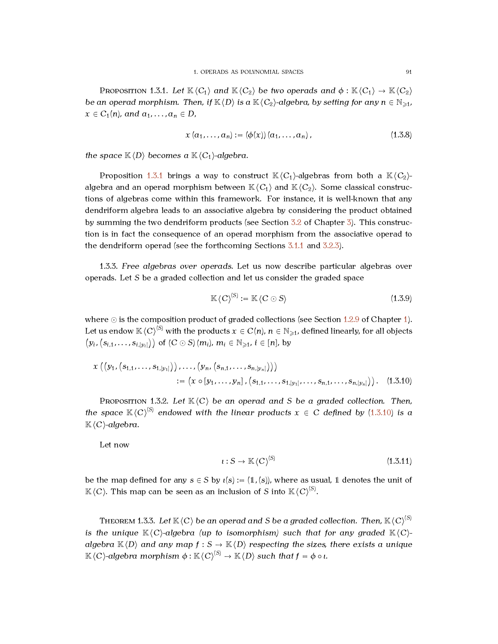<span id="page-96-0"></span>PROPOSITION 1.3.1. Let  $\mathbb{K} \langle C_1 \rangle$  and  $\mathbb{K} \langle C_2 \rangle$  be two operads and  $\phi : \mathbb{K} \langle C_1 \rangle \to \mathbb{K} \langle C_2 \rangle$ *be an operad morphism. Then, if*  $K \langle D \rangle$  *is a*  $K \langle C_2 \rangle$ -*algebra, by setting for any*  $n \in \mathbb{N}_{\geq 1}$ *,*  $x \in C_1(n)$ , and  $a_1, \ldots, a_n \in D$ ,

$$
x\left(\alpha_1,\ldots,\alpha_n\right):=\left(\phi(x)\right)\left(\alpha_1,\ldots,\alpha_n\right),\tag{1.3.8}
$$

*the space*  $\mathbb{K} \langle D \rangle$  *becomes a*  $\mathbb{K} \langle C_1 \rangle$ -*algebra.* 

Proposition [1.3.1](#page-96-0) brings a way to construct  $\mathbb{K}\langle C_1\rangle$ -algebras from both a  $\mathbb{K}\langle C_2\rangle$ algebra and an operad morphism between  $\mathbb{K}\langle C_1 \rangle$  and  $\mathbb{K}\langle C_2 \rangle$ . Some classical constructions of algebras come within this framework. For instance, it is well-known that any dendriform algebra leads to an associative algebra by considering the product obtained by summing the two dendriform products (see Section [3.2](#page-76-5) of Chapter [3\)](#page-58-0). This construction is in fact the consequence of an operad morphism from the associative operad to the dendriform operad (see the forthcoming Sections [3.1.1](#page-102-0) and [3.2.3\)](#page-108-0).

1.3.3. *Free algebras over operads.* Let us now describe particular algebras over operads. Let *S* be a graded collection and let us consider the graded space

$$
\mathbb{K}\left\langle C\right\rangle^{(S)}:=\mathbb{K}\left\langle C\odot S\right\rangle \tag{1.3.9}
$$

where  $\odot$  is the composition product of graded collections (see Section [1.2.9](#page-22-0) of Chapter [1\)](#page-14-0). Let us endow  $\mathbb{K}\braket{C}^{(S)}$  with the products  $x\in C(n)$ ,  $n\in\mathbb{N}_{\geqslant 1}$ , defined linearly, for all objects  $\frac{1}{l}$ *yi ,*  $\frac{u}{l}$ *s*<sub>*i*,1</sub>, . . . , *s*<sub>*i*,|y<sub>*i*</sub>|) of  $(C \odot S)(m_i)$ ,  $m_i \in \mathbb{N}_{\ge 1}$ ,  $i \in [n]$ , by</sub>

$$
x ((y_1, (s_{1,1},...,s_{1,[y_1]})),..., (y_n, (s_{n,1},...,s_{n,[y_n]})))
$$
  
 :=  $(x \circ [y_1,...,y_n], (s_{1,1},...,s_{1,[y_1]},...,s_{n,1},...,s_{n,[y_n]})).$  (1.3.10)

PROPOSITION 1.3.2. Let  $K \langle C \rangle$  be an operad and S be a graded collection. Then, *the space*  $\mathbb{K}\langle C\rangle^{(S)}$  endowed with the linear products  $x \in C$  defined by [\(1.3.10\)](#page-96-1) is a K *hCi-algebra.*

Let now

<span id="page-96-1"></span>
$$
\iota: S \to \mathbb{K} \left\langle C \right\rangle^{(S)} \tag{1.3.11}
$$

be the map defined for any  $s \in S$  by  $\iota(s) := (1, s)$ , where as usual, 1 denotes the unit of  $\mathbb{K}\langle C\rangle$ . This map can be seen as an inclusion of  $S$  into  $\mathbb{K}\langle C\rangle^{ \langle S\rangle}.$ 

<span id="page-96-2"></span>THEOREM 1.3.3. Let  $\mathbb{K}\langle C\rangle$  be an operad and S be a graded collection. Then,  $\mathbb{K}\langle C\rangle^{(S)}$ *is the unique*  $\mathbb{K}\langle C\rangle$ -algebra (up to isomorphism) such that for any graded  $\mathbb{K}\langle C\rangle$ *algebra*  $\mathbb{K} \langle D \rangle$  *and any map*  $f : S \to \mathbb{K} \langle D \rangle$  *respecting the sizes, there exists a unique*  $\mathbb{K}\left\langle C\right\rangle$ -algebra morphism  $\phi:\mathbb{K}\left\langle C\right\rangle ^{(S)}\to\mathbb{K}\left\langle D\right\rangle$  such that  $f=\phi\circ\iota.$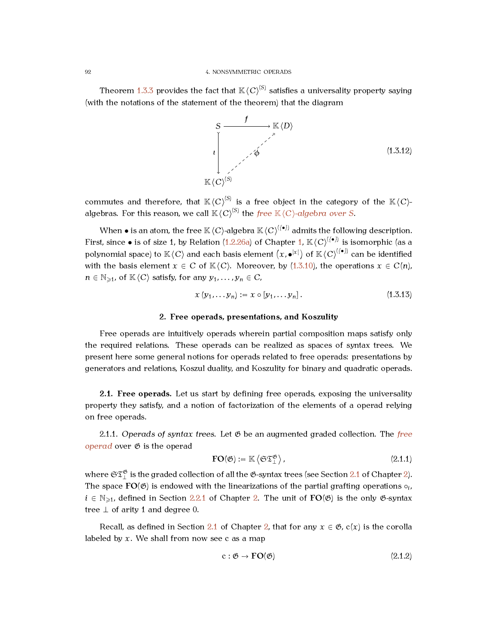Theorem [1.3.3](#page-96-2) provides the fact that  $\mathbb{K}\left\langle \mathit{C}\right\rangle ^{(S)}$  satisfies a universality property saying (with the notations of the statement of the theorem) that the diagram

 $S \longrightarrow K \langle D \rangle$  $\mathbb{K}\langle C\rangle$ (*S*) *f ι* (1.3.12)

commutes and therefore, that  $\mathbb{K}\langle C\rangle^{(\mathsf{S})}$  is a free object in the category of the  $\mathbb{K}\langle C\rangle$ algebras. For this reason, we call  $\mathbb{K}\left\langle C\right\rangle ^{(S)}$  the *free*  $\mathbb{K}\left\langle C\right\rangle$ -*algebra over S*.

When  $\bullet$  is an atom, the free  $\mathbb{K}\langle C\rangle$ -algebra  $\mathbb{K}\langle C\rangle^{(\{ \bullet\})}$  admits the following description. First, since  $\bullet$  is of size 1, by Relation [\(1.2.26a\)](#page-23-0) of Chapter [1,](#page-14-0)  $\mathbb{K}\langle C\rangle^{\langle\{\bullet\}\rangle}$  is isomorphic (as a polynomial space) to  $\mathbb{K}(C)$  and each basis element  $(x, \bullet^{x}]$  of  $\mathbb{K}(C)^{\{\{\bullet\}\}}$  can be identified with the basis element  $x \in C$  of  $\mathbb{K}\langle C \rangle$ . Moreover, by [\(1.3.10\)](#page-96-1), the operations  $x \in C(n)$ ,  $n \in \mathbb{N}_{\geq 1}$ , of  $\mathbb{K} \langle C \rangle$  satisfy, for any  $y_1, \ldots, y_n \in C$ ,

$$
x\left(y_1,\ldots,y_n\right):=x\circ\left[y_1,\ldots,y_n\right].\tag{1.3.13}
$$

### **2. Free operads, presentations, and Koszulity**

Free operads are intuitively operads wherein partial composition maps satisfy only the required relations. These operads can be realized as spaces of syntax trees. We present here some general notions for operads related to free operads: presentations by generators and relations, Koszul duality, and Koszulity for binary and quadratic operads.

**2.1. Free operads.** Let us start by defining free operads, exposing the universality property they satisfy, and a notion of factorization of the elements of a operad relying on free operads.

2.1.1. *Operads of syntax trees.* Let G be an augmented graded collection. The *free operad* over G is the operad

$$
\mathbf{FO}(\mathfrak{G}) := \mathbb{K} \left\langle \mathfrak{ST}_\perp^{\mathfrak{G}} \right\rangle, \tag{2.1.1}
$$

where  $\mathfrak{ST}_\bot^\mathfrak{G}$  is the graded collection of all the &-syntax trees (see Section  $2.1$  of Chapter  $2$ ). The space **FO**(G) is endowed with the linearizations of the partial grafting operations *◦<sup>i</sup>* , *i* ∈  $\mathbb{N}_{\geq 1}$ , defined in Section [2.2.1](#page-47-0) of Chapter [2.](#page-38-0) The unit of **FO**( $\mathfrak{G}$ ) is the only  $\mathfrak{G}$ -syntax tree *⊥* of arity 1 and degree 0.

Recall, as defined in Section [2.1](#page-45-0) of Chapter [2,](#page-38-0) that for any  $x \in \mathfrak{G}$ ,  $c(x)$  is the corolla labeled by *x*. We shall from now see c as a map

$$
c: \mathfrak{G} \to \mathbf{FO}(\mathfrak{G}) \tag{2.1.2}
$$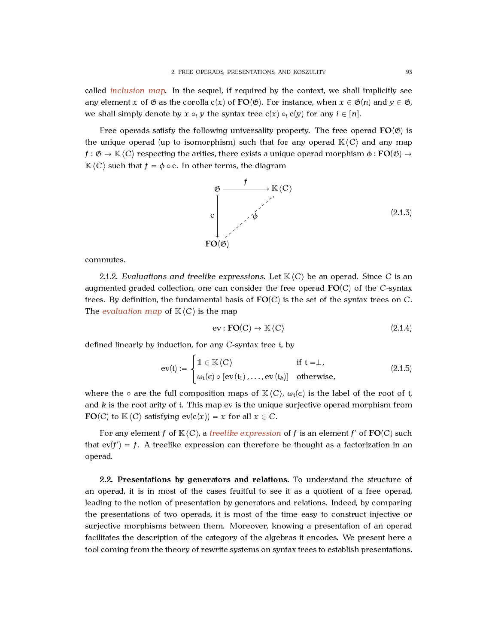called *inclusion map*. In the sequel, if required by the context, we shall implicitly see any element *x* of  $\mathfrak{G}$  as the corolla c(*x*) of **FO**( $\mathfrak{G}$ ). For instance, when  $x \in \mathfrak{G}(n)$  and  $y \in \mathfrak{G}$ , we shall simply denote by  $x \circ_i y$  the syntax tree  $c(x) \circ_i c(y)$  for any  $i \in [n]$ .

Free operads satisfy the following universality property. The free operad  $FO(\mathcal{O})$  is the unique operad (up to isomorphism) such that for any operad  $\mathbb{K}\langle C \rangle$  and any map  $f: \mathfrak{G} \to \mathbb{K} \langle C \rangle$  respecting the arities, there exists a unique operad morphism  $\phi: \mathbf{FO}(\mathfrak{G}) \to$  $\mathbb{K}\langle C \rangle$  such that  $f = \phi \circ c$ . In other terms, the diagram



commutes.

2.1.2. *Evaluations and treelike expressions.* Let  $\mathbb{K} \langle C \rangle$  be an operad. Since C is an augmented graded collection, one can consider the free operad **FO**(*C*) of the *C*-syntax trees. By definition, the fundamental basis of **FO**(*C*) is the set of the syntax trees on *C*. The *evaluation map* of  $K \langle C \rangle$  is the map

$$
ev: \mathbf{FO}(C) \to \mathbb{K}\langle C\rangle \tag{2.1.4}
$$

defined linearly by induction, for any *C*-syntax tree t, by  $\overline{a}$ 

$$
ev(t) := \begin{cases} 1 \in \mathbb{K} \langle C \rangle & \text{if } t = \perp, \\ \omega_t(\epsilon) \circ [ev(t_1), \dots, ev(t_k)] & \text{otherwise,} \end{cases}
$$
 (2.1.5)

where the  $\circ$  are the full composition maps of  $\mathbb{K}\langle C \rangle$ ,  $\omega_t(\epsilon)$  is the label of the root of t, and *k* is the root arity of t. This map ev is the unique surjective operad morphism from **FO**(*C*) to  $\mathbb{K}\langle C\rangle$  satisfying  $ev(c(x)) = x$  for all  $x \in C$ .

For any element  $f$  of  $\mathbb{K}\langle C\rangle$ , a *treelike expression* of  $f$  is an element  $f'$  of  $FO(C)$  such that  $ev(f') = f$ . A treelike expression can therefore be thought as a factorization in an operad.

**2.2. Presentations by generators and relations.** To understand the structure of an operad, it is in most of the cases fruitful to see it as a quotient of a free operad, leading to the notion of presentation by generators and relations. Indeed, by comparing the presentations of two operads, it is most of the time easy to construct injective or surjective morphisms between them. Moreover, knowing a presentation of an operad facilitates the description of the category of the algebras it encodes. We present here a tool coming from the theory of rewrite systems on syntax trees to establish presentations.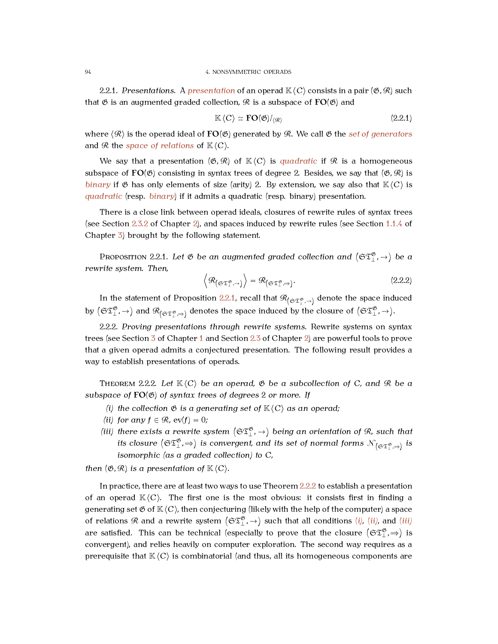### 94 4. NONSYMMETRIC OPERADS

2.2.1. *Presentations.* A *presentation* of an operad  $\mathbb{K}\langle C \rangle$  consists in a pair  $(\mathfrak{G}, \mathfrak{K})$  such that  $\mathfrak{G}$  is an augmented graded collection,  $\mathfrak{R}$  is a subspace of  $\mathbf{FO}(\mathfrak{G})$  and

$$
\mathbb{K}\left\langle C\right\rangle \simeq\mathbf{FO}(\mathfrak{G})/_{\langle\mathfrak{K}\rangle}\tag{2.2.1}
$$

where  $\langle \mathcal{R} \rangle$  is the operad ideal of  $FO(\mathfrak{G})$  generated by  $\mathcal{R}$ . We call  $\mathfrak{G}$  the *set of generators* and  $\Re$  the *space of relations* of  $K \langle C \rangle$ .

We say that a presentation  $(\mathfrak{G}, \mathfrak{R})$  of  $\mathbb{K} \langle C \rangle$  is *quadratic* if  $\mathfrak{R}$  is a homogeneous subspace of  $FO(\mathfrak{G})$  consisting in syntax trees of degree 2. Besides, we say that  $(\mathfrak{G}, \mathfrak{K})$  is *binary* if  $\mathfrak G$  has only elements of size (arity) 2. By extension, we say also that  $\mathbb K \langle C \rangle$  is *quadratic* (resp. *binary*) if it admits a quadratic (resp. binary) presentation.

There is a close link between operad ideals, closures of rewrite rules of syntax trees (see Section [2.3.2](#page-50-0) of Chapter [2\)](#page-38-0), and spaces induced by rewrite rules (see Section [1.1.4](#page-61-0) of Chapter [3\)](#page-58-0) brought by the following statement.

<span id="page-99-0"></span>PROPOSITION 2.2.1. *Let* <sup>G</sup> *be an augmented graded collection and* ST<sup>G</sup> *<sup>⊥</sup> , →*  $\mathbf{r}$ *be a rewrite system. Then,*  $\overline{a}$  $\mathbf{r}$ 

$$
\left\langle \mathcal{R}_{\left(\mathfrak{ST}_{\bot}^{\mathfrak{G}},\rightarrow\right)}\right\rangle =\mathcal{R}_{\left(\mathfrak{ST}_{\bot}^{\mathfrak{G}}\rightarrow\right)}.
$$
\n(2.2.2)

In the statement of Proposition [2.2.1,](#page-99-0) recall that  $\mathcal{R}_{(S_{\perp}S_{\perp})}$  denote the space induced  $\mathcal{L}(\mathfrak{S}^{\mathfrak{G}})$  and  $\mathcal{R}_{(\mathfrak{S}^{\mathfrak{G}})^{\mathfrak{G}}, \rightarrow)}$  denotes the space induced by the closure of  $(\mathfrak{S}^{\mathfrak{G}})$ ,  $\rightarrow$ ).

2.2.2. *Proving presentations through rewrite systems.* Rewrite systems on syntax trees (see Section [3](#page-30-0) of Chapter [1](#page-14-0) and Section [2.3](#page-49-0) of Chapter [2\)](#page-38-0) are powerful tools to prove that a given operad admits a conjectured presentation. The following result provides a way to establish presentations of operads.

<span id="page-99-1"></span>THEOREM 2.2.2. Let  $K(C)$  be an operad,  $\mathfrak{G}$  be a subcollection of C, and  $\mathfrak{G}$  be a *subspace of* **FO**(G) *of syntax trees of degrees* 2 *or more. If*

- <span id="page-99-2"></span>*(i)* the collection  $\mathfrak{G}$  *is a generating set of*  $\mathbb{K} \langle C \rangle$  *as an operad;*
- <span id="page-99-3"></span>*(ii) for any*  $f \in \mathcal{R}$ *, ev*( $f$ ) = 0*;*
- <span id="page-99-4"></span>*(iii)* there exists a rewrite system  $(\mathfrak{ST}^{\mathfrak{G}}) \rightarrow$  $\mathbf{r}$ *being an orientation of R, such that*  $\frac{1}{100}$  *its closure*  $\left( \Im \mathfrak{T}_{\perp}^{\mathfrak{G}}, \Rightarrow \right)$  $\frac{1}{\sqrt{2}}$  $i$ *s convergent, and its set of normal forms*  $\mathcal{N}_{\left(\mathfrak{ST}^\mathfrak{G}_\bot\right)}$  *is isomorphic (as a graded collection) to C,*

*then*  $(\mathfrak{G}, \mathfrak{R})$  *is a presentation of*  $\mathbb{K}\langle C \rangle$ *.* 

In practice, there are at least two ways to use Theorem [2.2.2](#page-99-1) to establish a presentation of an operad  $K \langle C \rangle$ . The first one is the most obvious: it consists first in finding a generating set  $\mathfrak{G}$  of  $\mathbb{K}\langle C \rangle$ , then conjecturing (likely with the help of the computer) a space  $\frac{1}{2}$  of relations *R* and a rewrite system  $(\mathfrak{ST}_{\mathbb{L}}^{\mathfrak{G}}, \rightarrow)$  $\ddot{\phantom{a}}$ such that all conditions (*[i\)](#page-99-2)*, (*[ii\)](#page-99-3)*, and (*[iii\)](#page-99-4)* are satisfied. This can be technical (especially to prove that the closure  $(\mathfrak{ST}_{\mathbb{L}}^{\mathfrak{G}}) \rightarrow$  $\frac{1}{2}$ is convergent), and relies heavily on computer exploration. The second way requires as a prerequisite that  $K(\mathcal{C})$  is combinatorial (and thus, all its homogeneous components are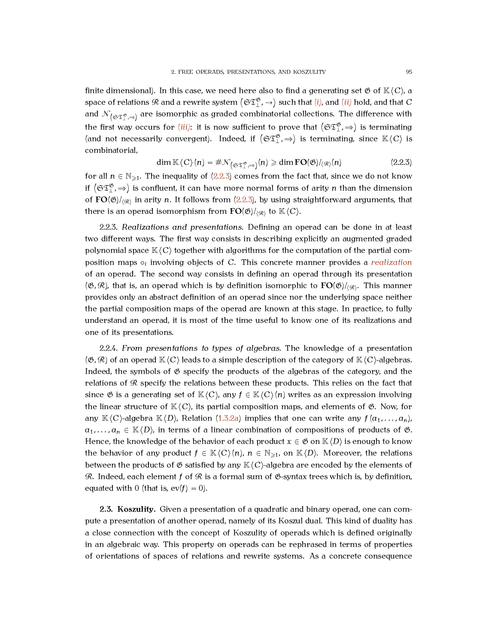finite dimensional). In this case, we need here also to find a generating set  $\mathfrak{G}$  of  $\mathbb{K}\langle C \rangle$ , a space of relations  $\Re$  and a rewrite system  $(\Im \mathfrak{T}^{\mathfrak{g}})$   $\rightarrow$  $\mathbf{r}$ such that (*[i\)](#page-99-2)*, and (*[ii\)](#page-99-3)* hold, and that *C* and  $\mathcal{N}_{\mathcal{(\mathfrak{ST}_n^{\mathfrak{G}},\Rightarrow)}}$  are isomorphic as graded combinatorial collections. The difference with the first way occurs for (*iii*): it is now sufficient to prove that  $(\mathfrak{ST}^{\mathfrak{G}}) \rightarrow$  $\mathbf{r}$ we that  $(\mathfrak{ST}^{\mathfrak{G}}_{\perp}, \Rightarrow)$  is terminating (and not necessarily convergent). Indeed, if  $(\mathfrak{ST}_{\perp}^{\mathfrak{G}}, \Rightarrow)$  is terminating, since  $\mathbb{K} \langle C \rangle$  is  $\mathbb{K} \langle C \rangle$  is combinatorial,

<span id="page-100-0"></span>
$$
\dim \mathbb{K} \langle C \rangle \langle n \rangle = \# \mathcal{N}_{\langle \mathfrak{S} \mathfrak{T}^{\mathfrak{S}}_{\perp}, \Rightarrow \rangle} \langle n \rangle \geq \dim \mathbf{FO}(\mathfrak{G}) /_{\langle \mathfrak{R} \rangle} \langle n \rangle \tag{2.2.3}
$$

for all  $n \in \mathbb{N}_{\geqslant 1}$ . The inequality of [\(2.2.3\)](#page-100-0) comes from the fact that, since we do not know if  $(\mathfrak{ST}_{\mathbb{L}}^{\mathfrak{G}}) \Rightarrow$  is confluent, it can have more normal forms of arity *n* than the dimension of  $FO(\mathfrak{G})/_{\langle\mathfrak{K}\rangle}$  in arity *n*. It follows from [\(2.2.3\)](#page-100-0), by using straightforward arguments, that there is an operad isomorphism from  $\mathbf{FO}(\mathfrak{G})/_{\langle\mathfrak{K}\rangle}$  to  $\mathbb{K}\langle C\rangle$ .

2.2.3. *Realizations and presentations.* Defining an operad can be done in at least two different ways. The first way consists in describing explicitly an augmented graded polynomial space  $\mathbb{K}\langle C\rangle$  together with algorithms for the computation of the partial composition maps *◦<sup>i</sup>* involving objects of *C*. This concrete manner provides a *realization* of an operad. The second way consists in defining an operad through its presentation (O, R), that is, an operad which is by definition isomorphic to  $\mathbf{FO}(\mathfrak{G})/_{\langle\mathfrak{K}\rangle}$ . This manner provides only an abstract definition of an operad since nor the underlying space neither the partial composition maps of the operad are known at this stage. In practice, to fully understand an operad, it is most of the time useful to know one of its realizations and one of its presentations.

2.2.4. *From presentations to types of algebras.* The knowledge of a presentation  $(\mathfrak{G}, \mathfrak{K})$  of an operad  $\mathbb{K} \langle C \rangle$  leads to a simple description of the category of  $\mathbb{K} \langle C \rangle$ -algebras. Indeed, the symbols of  $\mathfrak G$  specify the products of the algebras of the category, and the relations of *R* specify the relations between these products. This relies on the fact that since  $\mathfrak G$  is a generating set of  $\mathbb K\langle C\rangle$ , any  $f\in\mathbb K\langle C\rangle(n)$  writes as an expression involving the linear structure of  $K(\mathcal{C})$ , its partial composition maps, and elements of  $\mathfrak{G}$ . Now, for any  $\mathbb{K} \langle C \rangle$ -algebra  $\mathbb{K} \langle D \rangle$ , Relation [\(1.3.2a\)](#page-95-0) implies that one can write any  $f(a_1, \ldots, a_n)$ ,  $a_1, \ldots, a_n \in K \langle D \rangle$ , in terms of a linear combination of compositions of products of  $\mathfrak{G}$ . Hence, the knowledge of the behavior of each product  $x \in \mathfrak{G}$  on  $\mathbb{K} \langle D \rangle$  is enough to know the behavior of any product  $f \in \mathbb{K}\langle C \rangle(n)$ ,  $n \in \mathbb{N}_{\geq 1}$ , on  $\mathbb{K}\langle D \rangle$ . Moreover, the relations between the products of  $\mathfrak G$  satisfied by any  $\mathbb K\langle C\rangle$ -algebra are encoded by the elements of *R*. Indeed, each element *f* of *R* is a formal sum of G-syntax trees which is, by definition, equated with 0 (that is,  $ev(f) = 0$ ).

**2.3. Koszulity.** Given a presentation of a quadratic and binary operad, one can compute a presentation of another operad, namely of its Koszul dual. This kind of duality has a close connection with the concept of Koszulity of operads which is defined originally in an algebraic way. This property on operads can be rephrased in terms of properties of orientations of spaces of relations and rewrite systems. As a concrete consequence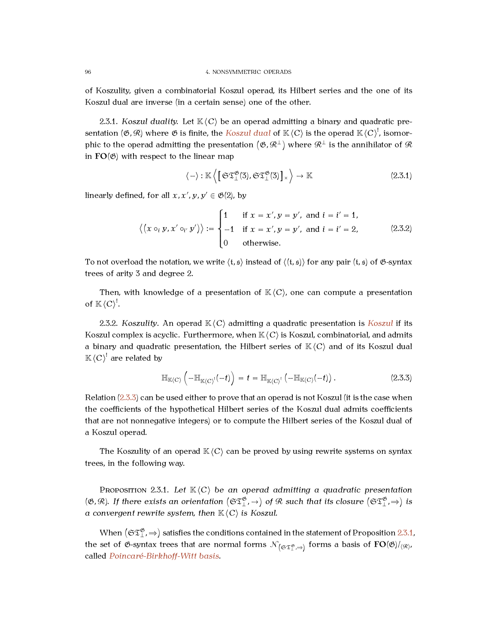of Koszulity, given a combinatorial Koszul operad, its Hilbert series and the one of its Koszul dual are inverse (in a certain sense) one of the other.

2.3.1. *Koszul duality.* Let  $K\langle C \rangle$  be an operad admitting a binary and quadratic presentation  $(\mathfrak{G},\mathfrak{R})$  where  $\mathfrak{G}$  is finite, the  $K$ oszul dual of  $\mathbb{K}\langle C\rangle$  is the operad  $\mathbb{K}\langle C\rangle^!$ , isomorphic to the operad admitting the presentation  $(\mathfrak{G}, \mathfrak{R}^{\perp})$  where  $\mathfrak{R}^{\perp}$  is the annihilator of  $\mathfrak{R}$ in  $FO(\mathfrak{G})$  with respect to the linear map

$$
\langle -\rangle : \mathbb{K} \left\langle \left[ \mathfrak{ST}^{\mathfrak{G}}_{\perp} \langle 3 \rangle, \mathfrak{ST}^{\mathfrak{G}}_{\perp} \langle 3 \rangle \right]_{\times} \right\rangle \to \mathbb{K} \tag{2.3.1}
$$

linearly defined, for all  $x, x', y, y' \in \mathfrak{G}(2)$ , by

$$
\langle (x \circ_i y, x' \circ_i y') \rangle := \begin{cases} 1 & \text{if } x = x', y = y', \text{ and } i = i' = 1, \\ -1 & \text{if } x = x', y = y', \text{ and } i = i' = 2, \\ 0 & \text{otherwise.} \end{cases}
$$
 (2.3.2)

To not overload the notation, we write  $\langle$ t,  $\mathfrak{s}$  instead of  $\langle$  $(t, \mathfrak{s})\rangle$  for any pair  $(t, \mathfrak{s})$  of  $\mathfrak{G}$ -syntax trees of arity 3 and degree 2.

Then, with knowledge of a presentation of  $K \langle C \rangle$ , one can compute a presentation of  $\mathbb{K}\langle C \rangle^!$ .

2.3.2. *Koszulity.* An operad  $\mathbb{K}\langle C \rangle$  admitting a quadratic presentation is *Koszul* if its Koszul complex is acyclic. Furthermore, when  $K\langle C \rangle$  is Koszul, combinatorial, and admits a binary and quadratic presentation, the Hilbert series of  $K \langle C \rangle$  and of its Koszul dual  $\mathbb{K}\left\langle \mathcal{C}\right\rangle ^{!}$  are related by

<span id="page-101-0"></span>
$$
\mathbb{H}_{\mathbb{K}\langle C\rangle}\left(-\mathbb{H}_{\mathbb{K}\langle C\rangle^{\mathsf{I}}}\left(-t\right)\right)=t=\mathbb{H}_{\mathbb{K}\langle C\rangle^{\mathsf{I}}}\left(-\mathbb{H}_{\mathbb{K}\langle C\rangle}\left(-t\right)\right).
$$
\n(2.3.3)

Relation [\(2.3.3\)](#page-101-0) can be used either to prove that an operad is not Koszul (it is the case when the coefficients of the hypothetical Hilbert series of the Koszul dual admits coefficients that are not nonnegative integers) or to compute the Hilbert series of the Koszul dual of a Koszul operad.

The Koszulity of an operad  $\mathbb{K}\langle C \rangle$  can be proved by using rewrite systems on syntax trees, in the following way.

<span id="page-101-1"></span>PROPOSITION 2.3.1. Let  $K \langle C \rangle$  be an operad admitting a quadratic presentation  $(0, \mathcal{R})$ . If there exists an orientation  $(\mathfrak{ST}^{\mathfrak{G}})$  →  $\int$  of  $\Re$  such that its closure  $(\mathfrak{ST}^{\mathfrak{G}})$   $\Rightarrow$ ، د<br>۱ *is a* convergent rewrite system, then  $K \langle C \rangle$  is Koszul.

Mhen ( $\mathfrak{ST}^{\mathfrak{G}}_{\mathbb{L}}$ *,⇒*  $\overline{a}$ satisfies the conditions contained in the statement of Proposition [2.3.1,](#page-101-1) the set of &-syntax trees that are normal forms  $\mathcal{N}_{\mathcal{(\mathfrak{S} \mathfrak{T}^\mathfrak{G}_\bot) \to \mathfrak{S}}}$  forms a basis of  $\mathbf{FO}(\mathfrak{G})/_{\mathcal{(\mathfrak{G})}}$ , called *Poincaré-Birkhoff-Witt basis*.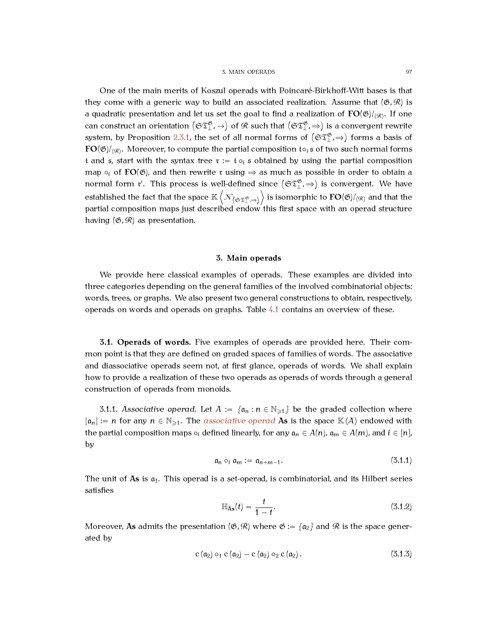One of the main merits of Koszul operads with Poincaré-Birkhoff-Witt bases is that they come with a generic way to build an associated realization. Assume that  $(\mathfrak{G}, \mathfrak{R})$  is a quadratic presentation and let us set the goal to find a realization of  $\mathbf{FO}(\mathfrak{G})/_{\langle\mathfrak{G}\rangle}.$  If one  $\alpha$  quadratic presentation and let us set<br>can construct an orientation (*G*Σ<sup>*g*</sup><sub>*L*</sub>, →  $\int$  of  $\Re$  such that  $(\Im \mathfrak{T}^{\mathfrak{G}}_{\perp}, \Rightarrow)$ .<br>\ is a convergent rewrite system, by Proposition [2.3.1,](#page-101-1) the set of all normal forms of  $(\mathfrak{ST}^{\mathfrak{g}}_{\perp}, \rightarrow)$  $\tilde{\cdot}$ forms a basis of **FO**(G)*/hRi* . Moreover, to compute the partial composition t*◦<sup>i</sup>* s of two such normal forms t and s, start with the syntax tree r := t *◦<sup>i</sup>* s obtained by using the partial composition map  $\circ_i$  of  $\mathbf{FO}(\mathfrak{G})$ , and then rewrite r using  $\Rightarrow$  as much as possible in order to obtain a normal form r'. This process is well-defined since  $(\mathfrak{ST}_{\mathbb{L}}^{\mathfrak{G}},\Rightarrow)$  $\tilde{\cdot}$ ell-defined since  $(\mathfrak{ST}^{\mathfrak{G}}_{\perp},\Rightarrow)$  is convergent. We have  $\sim$  established the fact that the space  $\mathbb{K}\left\{\mathcal{N}_{\left(\mathfrak{ST}_{\bot}^{\mathfrak{G}}\Rightarrow\right)}\right\}$  is isomorphic to  $\mathbf{FO}(\mathfrak{G})/_{\langle\mathfrak{K}\rangle}$  and that the partial composition maps just described endow this first space with an operad structure having  $(\mathfrak{G}, \mathfrak{R})$  as presentation.

### **3. Main operads**

We provide here classical examples of operads. These examples are divided into three categories depending on the general families of the involved combinatorial objects: words, trees, or graphs. We also present two general constructions to obtain, respectively, operads on words and operads on graphs. Table [4.1](#page-103-0) contains an overview of these.

**3.1. Operads of words.** Five examples of operads are provided here. Their common point is that they are defined on graded spaces of families of words. The associative and diassociative operads seem not, at first glance, operads of words. We shall explain how to provide a realization of these two operads as operads of words through a general construction of operads from monoids.

<span id="page-102-0"></span>3.1.1. *Associative operad.* Let  $A := \{a_n : n \in \mathbb{N}_{\geq 1}\}\$  be the graded collection where *|*a<sub>*n*</sub> | := *n* for any *n* ∈ N<sub>≥1</sub>. The *associative operad* **As** is the space K $\langle A \rangle$  endowed with the partial composition maps  $\circ_i$  defined linearly, for any  $\mathfrak{a}_n \in A(n)$ ,  $\mathfrak{a}_m \in A(m)$ , and  $i \in [n]$ , by

$$
\mathfrak{a}_n \circ_i \mathfrak{a}_m := \mathfrak{a}_{n+m-1}.\tag{3.1.1}
$$

The unit of As is  $a_1$ . This operad is a set-operad, is combinatorial, and its Hilbert series satisfies

$$
\mathbb{H}_{\mathrm{As}}(t) = \frac{t}{1-t}.\tag{3.1.2}
$$

Moreover, As admits the presentation  $(\mathfrak{G}, \mathfrak{K})$  where  $\mathfrak{G} := {\mathfrak{a}_2}$  and  $\mathfrak{K}$  is the space generated by

<span id="page-102-1"></span>
$$
c(\mathfrak{a}_2) \circ_1 c(\mathfrak{a}_2) - c(\mathfrak{a}_2) \circ_2 c(\mathfrak{a}_2).
$$
 (3.1.3)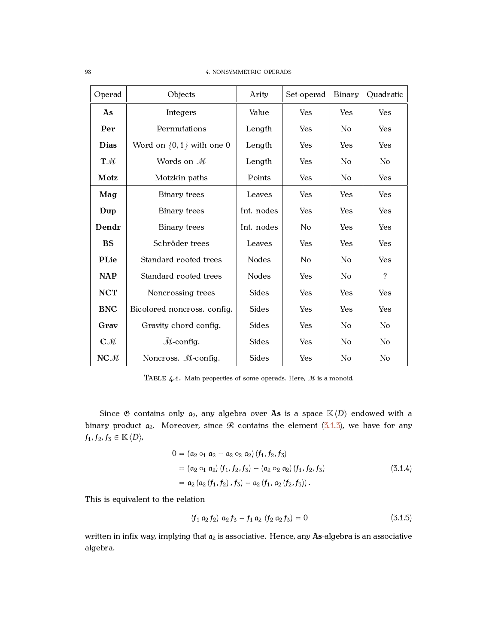| Operad      | Objects                       | Arity        | Set-operad     | Binary         | Quadratic      |
|-------------|-------------------------------|--------------|----------------|----------------|----------------|
| As          | Integers                      | Value        | Yes            | Yes            | <b>Yes</b>     |
| Per         | Permutations                  | Length       | Yes            | N <sub>0</sub> | <b>Yes</b>     |
| <b>Dias</b> | Word on $\{0, 1\}$ with one 0 | Length       | Yes            | Yes            | Yes            |
| T.M         | Words on M                    | Length       | Yes            | N <sub>o</sub> | N <sub>o</sub> |
| Motz        | Motzkin paths                 | Points       | Yes            | <b>No</b>      | Yes            |
| Mag         | <b>Binary trees</b>           | Leaves       | Yes            | Yes            | Yes            |
| Dup         | Binary trees                  | Int. nodes   | Yes            | Yes            | Yes            |
| Dendr       | <b>Binary trees</b>           | Int. nodes   | N <sub>o</sub> | Yes            | Yes            |
| <b>BS</b>   | Schröder trees                | Leaves       | Yes            | Yes            | Yes            |
| PLie        | Standard rooted trees         | Nodes        | N <sub>o</sub> | N <sub>o</sub> | <b>Yes</b>     |
| <b>NAP</b>  | Standard rooted trees         | Nodes        | Yes            | N <sub>o</sub> | $\overline{?}$ |
| <b>NCT</b>  | Noncrossing trees             | <b>Sides</b> | Yes            | Yes            | Yes            |
| <b>BNC</b>  | Bicolored noncross. config.   | Sides        | Yes            | Yes            | Yes            |
| Grav        | Gravity chord config.         | Sides        | Yes            | <b>No</b>      | No             |
| C.M         | $\bar{M}$ -config.            | Sides        | Yes            | <b>No</b>      | No             |
| NCM         | Noncross. M-config.           | Sides        | Yes            | No             | No             |

<span id="page-103-0"></span>TABLE 4.1. Main properties of some operads. Here, *M* is a monoid.

Since  $\mathfrak G$  contains only  $\mathfrak a_2$ , any algebra over As is a space  $\mathbb K\langle D\rangle$  endowed with a binary product  $a_2$ . Moreover, since  $\Re$  contains the element [\(3.1.3\)](#page-102-1), we have for any  $f_1, f_2, f_3 \in \mathbb{K} \langle D \rangle$ ,

$$
0 = (\mathfrak{a}_2 \circ_1 \mathfrak{a}_2 - \mathfrak{a}_2 \circ_2 \mathfrak{a}_2) (f_1, f_2, f_3)
$$
  
= (\mathfrak{a}\_2 \circ\_1 \mathfrak{a}\_2) (f\_1, f\_2, f\_3) - (\mathfrak{a}\_2 \circ\_2 \mathfrak{a}\_2) (f\_1, f\_2, f\_3)   
= \mathfrak{a}\_2 (\mathfrak{a}\_2 (f\_1, f\_2), f\_3) - \mathfrak{a}\_2 (f\_1, \mathfrak{a}\_2 (f\_2, f\_3)). \qquad (3.1.4)

This is equivalent to the relation

$$
(f_1 \mathfrak{a}_2 f_2) \mathfrak{a}_2 f_3 - f_1 \mathfrak{a}_2 (f_2 \mathfrak{a}_2 f_3) = 0 \qquad (3.1.5)
$$

written in infix way, implying that  $a_2$  is associative. Hence, any As-algebra is an associative algebra.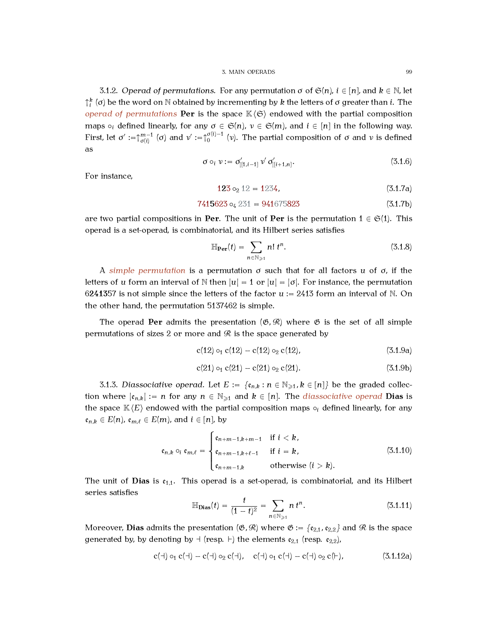3.1.2. *Operad of permutations.* For any permutation  $\sigma$  of  $\mathfrak{S}(n)$ ,  $i \in [n]$ , and  $k \in \mathbb{N}$ , let *↑ k i* (*σ*) be the word on N obtained by incrementing by *k* the letters of *σ* greater than *i*. The *operad of permutations* Per is the space  $\mathbb{K}\langle \mathfrak{S} \rangle$  endowed with the partial composition maps  $\circ_i$  defined linearly, for any  $\sigma \in \mathfrak{S}(n)$ ,  $\nu \in \mathfrak{S}(m)$ , and  $i \in [n]$  in the following way. First, let  $\sigma' := \uparrow_{\sigma(i)}^{m-1} (\sigma)$  and  $\nu' := \uparrow_0^{\sigma(i)-1}$  $v_{0}^{(t)-1}$  (*ν*). The partial composition of *σ* and *ν* is defined as

$$
\sigma \circ_i \nu := \sigma'_{|[1,i-1]} \nu' \sigma'_{|[i+1,n]}.
$$
\n(3.1.6)

For instance,

$$
123 \circ_2 12 = 1234, \tag{3.1.7a}
$$

$$
7415623 \circ_4 231 = 941675823 \tag{3.1.7b}
$$

are two partial compositions in **Per**. The unit of **Per** is the permutation  $1 \in \mathfrak{S}(1)$ . This operad is a set-operad, is combinatorial, and its Hilbert series satisfies

$$
\mathbb{H}_{\text{Per}}(t) = \sum_{n \in \mathbb{N}_{\geq 1}} n! \ t^n. \tag{3.1.8}
$$

A *simple permutation* is a permutation *σ* such that for all factors *u* of *σ*, if the letters of *u* form an interval of N then  $|u| = 1$  or  $|u| = |\sigma|$ . For instance, the permutation 6**2413**57 is not simple since the letters of the factor  $u := 2413$  form an interval of N. On the other hand, the permutation 5137462 is simple.

The operad Per admits the presentation  $(\mathfrak{G}, \mathfrak{K})$  where  $\mathfrak{G}$  is the set of all simple permutations of sizes 2 or more and  $\Re$  is the space generated by

$$
c(12) o1 c(12) - c(12) o2 c(12), \qquad (3.1.9a)
$$

$$
c(21) o1 c(21) - c(21) o2 c(21).
$$
 (3.1.9b)

3.1.3. *Diassociative operad.* Let  $E := \{e_{n,k} : n \in \mathbb{N}_{\geq 1}, k \in [n]\}$  be the graded collection where  $|e_{n,k}| := n$  for any  $n \in \mathbb{N}_{\geq 1}$  and  $k \in [n]$ . The *diassociative operad* Dias is the space K *hEi* endowed with the partial composition maps *◦<sup>i</sup>* defined linearly, for any  $e_{n,k} \in E(n)$ ,  $e_{m,\ell} \in E(m)$ , and  $i \in [n]$ , by

$$
\mathfrak{e}_{n,k} \circ_i \mathfrak{e}_{m,\ell} = \begin{cases} \mathfrak{e}_{n+m-1,k+m-1} & \text{if } i < k, \\ \mathfrak{e}_{n+m-1,k+\ell-1} & \text{if } i = k, \\ \mathfrak{e}_{n+m-1,k} & \text{otherwise } (i > k). \end{cases} \tag{3.1.10}
$$

The unit of **Dias** is  $\varepsilon_{1,1}$ . This operad is a set-operad, is combinatorial, and its Hilbert series satisfies

$$
\mathbb{H}_{\text{Dias}}(t) = \frac{t}{(1-t)^2} = \sum_{n \in \mathbb{N}_{\geq 1}} n t^n.
$$
 (3.1.11)

Moreover, Dias admits the presentation ( $\mathfrak{G}, \mathfrak{K}$ ) where  $\mathfrak{G} := \{e_{2,1}, e_{2,2}\}$  and  $\mathfrak{K}$  is the space generated by, by denoting by  $\vdash$  (resp.  $\vdash$ ) the elements  $\mathfrak{e}_{2,1}$  (resp.  $\mathfrak{e}_{2,2}$ ),

<span id="page-104-0"></span>
$$
c(\neg) \circ_1 c(\neg) - c(\neg) \circ_2 c(\neg), \quad c(\neg) \circ_1 c(\neg) - c(\neg) \circ_2 c(\neg).
$$
 (3.1.12a)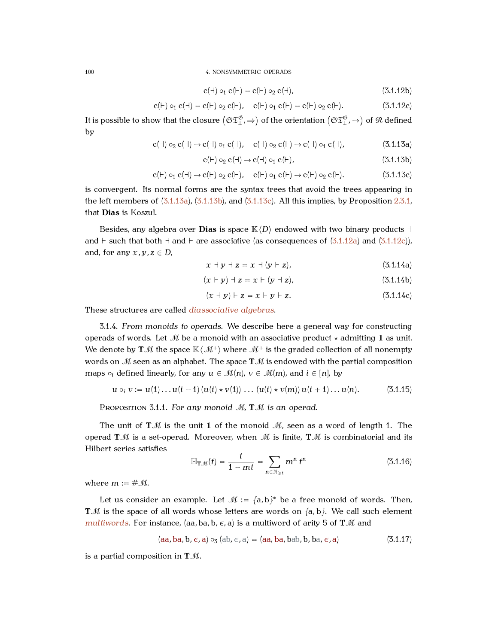### 100 4. NONSYMMETRIC OPERADS

$$
c(\neg) \circ_1 c(\neg) - c(\neg) \circ_2 c(\neg), \qquad (3.1.12b)
$$

<span id="page-105-3"></span>
$$
c(F) o_1 c(+) - c(F) o_2 c(+) \qquad c(F) o_1 c(+) - c(F) o_2 c(+) \qquad (3.1.12c)
$$

 $\overline{\phantom{a}}$  it is possible to show that the closure  $(\mathfrak{S} \mathfrak{T}^\mathfrak{G}_\bot,\Rightarrow)$ designed by the orientation  $(\mathfrak{ST}^{\mathfrak{G}}_{\mathbb{L}}, \rightarrow)$ of *R* defined by

<span id="page-105-0"></span>
$$
c(\mathcal{A}) \circ_2 c(\mathcal{A}) \to c(\mathcal{A}) \circ_1 c(\mathcal{A}), \quad c(\mathcal{A}) \circ_2 c(\mathcal{A}) \to c(\mathcal{A}) \circ_1 c(\mathcal{A}), \tag{3.1.13a}
$$

<span id="page-105-1"></span>
$$
c(\vdash) \circ_2 c(\dashv) \to c(\dashv) \circ_1 c(\vdash), \tag{3.1.13b}
$$

<span id="page-105-2"></span>
$$
c(\vdash) \circ_1 c(\dashv) \to c(\vdash) \circ_2 c(\vdash), \quad c(\vdash) \circ_1 c(\vdash) \to c(\vdash) \circ_2 c(\vdash). \tag{3.1.13c}
$$

is convergent. Its normal forms are the syntax trees that avoid the trees appearing in the left members of [\(3.1.13a\)](#page-105-0), [\(3.1.13b\)](#page-105-1), and [\(3.1.13c\)](#page-105-2). All this implies, by Proposition [2.3.1,](#page-101-1) that **Dias** is Koszul.

Besides, any algebra over **Dias** is space  $\mathbb{K}(D)$  endowed with two binary products  $\dagger$ and  $\vdash$  such that both  $\vdash$  and  $\vdash$  are associative (as consequences of [\(3.1.12a\)](#page-104-0) and [\(3.1.12c\)](#page-105-3)), and, for any  $x, y, z \in D$ ,

$$
x + y + z = x + (y + z),
$$
 (3.1.14a)

$$
(x + y) + z = x + (y + z),
$$
 (3.1.14b)

$$
(x+y) \vdash z = x \vdash y \vdash z. \tag{3.1.14c}
$$

These structures are called *diassociative algebras*.

3.1.4. *From monoids to operads.* We describe here a general way for constructing operads of words. Let  $\mathcal M$  be a monoid with an associative product  $\star$  admitting 1 as unit. We denote by **T** $\mathcal{M}$  the space  $\mathbb{K}\langle\mathcal{M}^+\rangle$  where  $\mathcal{M}^+$  is the graded collection of all nonempty words on *M* seen as an alphabet. The space **T***M* is endowed with the partial composition maps  $\circ_i$  defined linearly, for any  $u \in \mathcal{M}(n)$ ,  $v \in \mathcal{M}(m)$ , and  $i \in [n]$ , by

$$
u \circ_i v := u(1) \dots u(i-1) \left( u(i) \star v(1) \right) \dots \left( u(i) \star v(m) \right) u(i+1) \dots u(n). \tag{3.1.15}
$$

PROPOSITION 3.1.1. *For any monoid M,* **T***M is an operad.*

The unit of **T***M* is the unit 1 of the monoid *M*, seen as a word of length 1. The operad **T***M* is a set-operad. Moreover, when *M* is finite, **T***M* is combinatorial and its Hilbert series satisfies

$$
\mathbb{H}_{\mathbf{T},\mathcal{U}}(t) = \frac{t}{1 - mt} = \sum_{n \in \mathbb{N}_{\geq 1}} m^n \ t^n \tag{3.1.16}
$$

where  $m := #M$ .

Let us consider an example. Let  $\mathcal{M} := \{a, b\}^*$  be a free monoid of words. Then, **T***M* is the space of all words whose letters are words on *{*a*,* b*}*. We call such element *multiwords*. For instance, (aa, ba, b,  $\epsilon$ , a) is a multiword of arity 5 of **T***M* and

$$
(\text{aa}, \text{ba}, \text{b}, \epsilon, \text{a}) \circ_3 (\text{ab}, \epsilon, \text{a}) = (\text{aa}, \text{ba}, \text{bab}, \text{b}, \text{ba}, \epsilon, \text{a}) \tag{3.1.17}
$$

is a partial composition in **T***M*.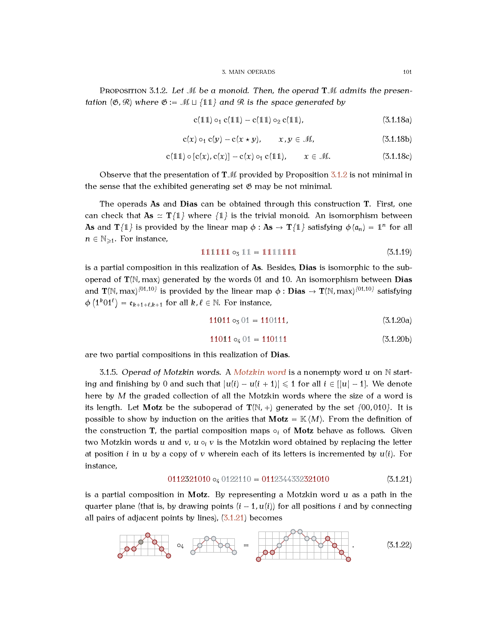<span id="page-106-0"></span>PROPOSITION 3.1.2. *Let M be a monoid. Then, the operad* **T***M admits the presentation* ( $\mathfrak{G}, \mathfrak{K}$ ) *where*  $\mathfrak{G} := \mathcal{M} \sqcup \{11\}$  *and*  $\mathfrak{K}$  *is the space generated by* 

$$
c(11) o1 c(11) - c(11) o2 c(11), \qquad (3.1.18a)
$$

$$
c(x) o_1 c(y) - c(x \star y), \qquad x, y \in M,
$$
 (3.1.18b)

$$
c(11) \circ [c(x), c(x)] - c(x) \circ_1 c(11), \qquad x \in \mathcal{M}.
$$
 (3.1.18c)

Observe that the presentation of **T***M* provided by Proposition [3.1.2](#page-106-0) is not minimal in the sense that the exhibited generating set  $\mathfrak G$  may be not minimal.

The operads **As** and **Dias** can be obtained through this construction **T**. First, one can check that  $\mathbf{As} \simeq \mathbf{T}/1$  where  $\{1\}$  is the trivial monoid. An isomorphism between **As** and  $T\{1\}$  is provided by the linear map  $\phi : A\mathbf{s} \to T\{1\}$  satisfying  $\phi(\mathfrak{a}_n) = 1^n$  for all  $n \in \mathbb{N}_{\geqslant 1}$ . For instance,

$$
1111111 o3 11 = 11111111
$$
 (3.1.19)

is a partial composition in this realization of **As**. Besides, **Dias** is isomorphic to the suboperad of **T**(N*,* max) generated by the words 01 and 10. An isomorphism between **Dias** and  $\mathbf{T}(\mathbb{N},\max)^{\{01,10\}}$  is provided by the linear map  $\phi:\mathbf{Dias}\to \mathbf{T}(\mathbb{N},\max)^{\{01,10\}}$  satisfying *φ*  $\frac{1}{2}$  $1^k 01^\ell$  =  $\varepsilon_{k+1+\ell,k+1}$  for all  $k, \ell \in \mathbb{N}$ . For instance,

$$
11011 o3 01 = 110111,
$$
 (3.1.20a)

$$
11011 o4 01 = 110111
$$
 (3.1.20b)

are two partial compositions in this realization of **Dias**.

3.1.5. *Operad of Motzkin words.* A *Motzkin word* is a nonempty word *u* on N starting and finishing by 0 and such that  $|u(i) - u(i + 1)| \leq 1$  for all  $i \in |u| - 1$ . We denote here by *M* the graded collection of all the Motzkin words where the size of a word is its length. Let **Motz** be the suboperad of  $\mathbf{T}(N, +)$  generated by the set  $\{00, 010\}$ . It is possible to show by induction on the arities that **Motz** =  $\mathbb{K}(M)$ . From the definition of the construction **T**, the partial composition maps *◦<sup>i</sup>* of **Motz** behave as follows. Given two Motzkin words *u* and *v*, *u*  $\circ_i$  *v* is the Motzkin word obtained by replacing the letter at position *i* in *u* by a copy of *v* wherein each of its letters is incremented by *u*(*i*). For instance,

<span id="page-106-1"></span>
$$
0112321010 o4 0122110 = 0112344332321010
$$
 (3.1.21)

is a partial composition in **Motz**. By representing a Motzkin word *u* as a path in the quarter plane (that is, by drawing points  $(i - 1, u(i))$  for all positions *i* and by connecting all pairs of adjacent points by lines), [\(3.1.21\)](#page-106-1) becomes

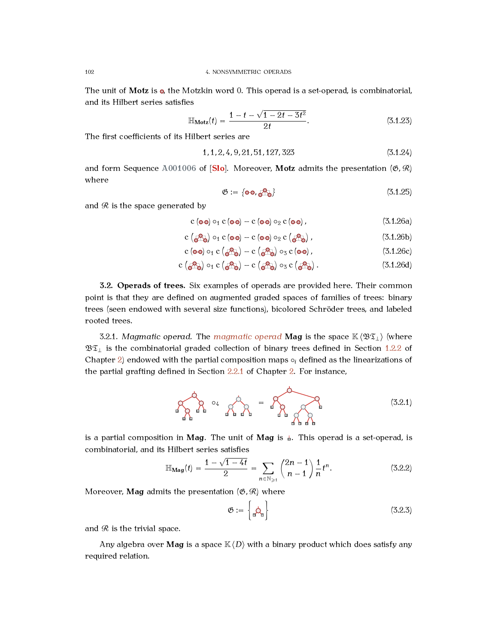The unit of **Motz** is  $\circ$ , the Motzkin word 0. This operad is a set-operad, is combinatorial, and its Hilbert series satisfies

$$
\mathbb{H}_{\mathbf{Motz}}(t) = \frac{1 - t - \sqrt{1 - 2t - 3t^2}}{2t}.
$$
 (3.1.23)

The first coefficients of its Hilbert series are

$$
1, 1, 2, 4, 9, 21, 51, 127, 323 \tag{3.1.24}
$$

and form Sequence **[A001006](http://oeis.org/A001006)** of [**[Slo](#page-151-2)**]. Moreover, **Motz** admits the presentation (G*, R*) where

$$
\mathfrak{G} := \{\mathbf{0}\mathbf{0}, \mathbf{0}\mathbf{0}\} \tag{3.1.25}
$$

and  $\Re$  is the space generated by

$$
c \left( \boldsymbol{\circ} \boldsymbol{\circ} \right) \circ_1 c \left( \boldsymbol{\circ} \boldsymbol{\circ} \right) - c \left( \boldsymbol{\circ} \boldsymbol{\circ} \right) \circ_2 c \left( \boldsymbol{\circ} \boldsymbol{\circ} \right), \tag{3.1.26a}
$$

$$
c\left(\frac{\partial Q_0}{\partial r}\right) o_1 c\left(\bullet\bullet\right) - c\left(\bullet\bullet\right) o_2 c\left(\frac{\partial Q_0}{\partial r}\right),\tag{3.1.26b}
$$

$$
c(\bullet \bullet) \circ_1 c(\bullet \bullet) - c(\bullet \bullet) \circ_3 c(\bullet \bullet), \tag{3.1.26c}
$$

$$
c\left(\frac{\partial Q}{\partial \theta}\right) o_1 c\left(\frac{\partial Q}{\partial \theta}\right) - c\left(\frac{\partial Q}{\partial \theta}\right) o_3 c\left(\frac{\partial Q}{\partial \theta}\right). \tag{3.1.26d}
$$

**3.2. Operads of trees.** Six examples of operads are provided here. Their common point is that they are defined on augmented graded spaces of families of trees: binary trees (seen endowed with several size functions), bicolored Schröder trees, and labeled rooted trees.

3.2.1. *Magmatic operad.* The *magmatic operad* **Mag** is the space K $\langle \mathfrak{B} \mathfrak{I}_1 \rangle$  (where BT*<sup>⊥</sup>* is the combinatorial graded collection of binary trees defined in Section [1.2.2](#page-42-0) of Chapter [2\)](#page-38-0) endowed with the partial composition maps *◦<sup>i</sup>* defined as the linearizations of the partial grafting defined in Section [2.2.1](#page-47-0) of Chapter [2.](#page-38-0) For instance,

$$
S_{1} = \begin{bmatrix} 1 & 0 & 0 \\ 0 & 0 & 0 \\ 0 & 0 & 0 \end{bmatrix}
$$
 (3.2.1)

is a partial composition in Mag. The unit of Mag is  $\pm$ . This operad is a set-operad, is combinatorial, and its Hilbert series satisfies

$$
\mathbb{H}_{\mathbf{Mag}}(t) = \frac{1 - \sqrt{1 - 4t}}{2} = \sum_{n \in \mathbb{N}_{\geq 1}} {2n - 1 \choose n - 1} \frac{1}{n} t^n.
$$
 (3.2.2)

Moreover, **Mag** admits the presentation (G*, R*) where

$$
\mathfrak{G} := \left\{ \mathfrak{Q}_{\mathbf{n}} \right\} \tag{3.2.3}
$$

and  $\Re$  is the trivial space.

Any algebra over **Mag** is a space  $\mathbb{K} \langle D \rangle$  with a binary product which does satisfy any required relation.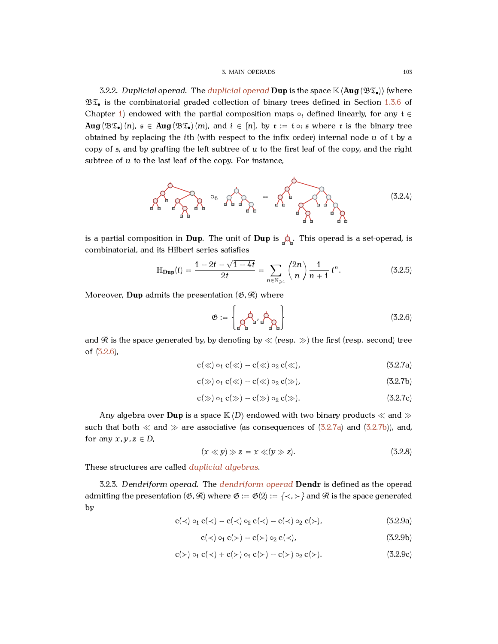## 3. MAIN OPERADS 103

3.2.2. *Duplicial operad.* The *duplicial operad* **Dup** is the space K *h***Aug** (BT*•*)*i* (where BT*•* is the combinatorial graded collection of binary trees defined in Section [1.3.6](#page-27-0) of Chapter [1\)](#page-14-0) endowed with the partial composition maps  $\circ_i$  defined linearly, for any  $t \in$ **Aug** ( $\mathfrak{B}_{\bullet}(\mathfrak{D})$ ,  $s \in \text{Aug}(\mathfrak{B}_{\bullet}(\mathfrak{D}))$ , and  $i \in [n]$ , by  $r := t \circ_i s$  where r is the binary tree obtained by replacing the *i*th (with respect to the infix order) internal node *u* of t by a copy of s, and by grafting the left subtree of *u* to the first leaf of the copy, and the right subtree of *u* to the last leaf of the copy. For instance,

$$
R = \sum_{i=1}^{n} R_i
$$

is a partial composition in **Dup**. The unit of **Dup** is  $\beta$ . This operad is a set-operad, is combinatorial, and its Hilbert series satisfies

$$
\mathbb{H}_{\text{Dup}}(t) = \frac{1 - 2t - \sqrt{1 - 4t}}{2t} = \sum_{n \in \mathbb{N}_{\geq 1}} {2n \choose n} \frac{1}{n+1} t^n.
$$
 (3.2.5)

Moreover, **Dup** admits the presentation  $(\mathfrak{G}, \mathfrak{R})$  where

<span id="page-108-0"></span>
$$
\mathfrak{G} := \begin{bmatrix} \mathfrak{S} & \mathfrak{S} \\ \mathfrak{S} & \mathfrak{S} \end{bmatrix} \tag{3.2.6}
$$

and  $\Re$  is the space generated by, by denoting by  $\ll$  (resp.  $\gg$ ) the first (resp. second) tree of [\(3.2.6\)](#page-108-0),

<span id="page-108-1"></span>
$$
c(\ll) o_1 c(\ll) - c(\ll) o_2 c(\ll), \qquad (3.2.7a)
$$

<span id="page-108-2"></span>
$$
c(\gg) o_1 c(\ll) - c(\ll) o_2 c(\gg), \qquad (3.2.7b)
$$

$$
c(\gg) o_1 c(\gg) - c(\gg) o_2 c(\gg).
$$
 (3.2.7c)

Any algebra over **Dup** is a space  $\mathbb{K} \langle D \rangle$  endowed with two binary products  $\ll$  and  $\gg$ such that both  $\ll$  and  $\gg$  are associative (as consequences of [\(3.2.7a\)](#page-108-1) and [\(3.2.7b\)](#page-108-2)), and, for any  $x, y, z \in D$ ,

$$
(x \ll y) \gg z = x \ll (y \gg z). \tag{3.2.8}
$$

These structures are called *duplicial algebras*.

3.2.3. *Dendriform operad.* The *dendriform operad* **Dendr** is defined as the operad admitting the presentation  $(\mathfrak{G}, \mathfrak{R})$  where  $\mathfrak{G} := \mathfrak{G}(2) := \{ \langle \rangle \}$  and  $\mathfrak{R}$  is the space generated by

$$
c(\prec) o_1 c(\prec) - c(\prec) o_2 c(\prec) - c(\prec) o_2 c(\succ), \qquad (3.2.9a)
$$

$$
c(\prec) o_1 c(\succ) - c(\succ) o_2 c(\prec), \qquad (3.2.9b)
$$

$$
c(\succ) o_1 c(\prec) + c(\succ) o_1 c(\succ) - c(\succ) o_2 c(\succ). \tag{3.2.9c}
$$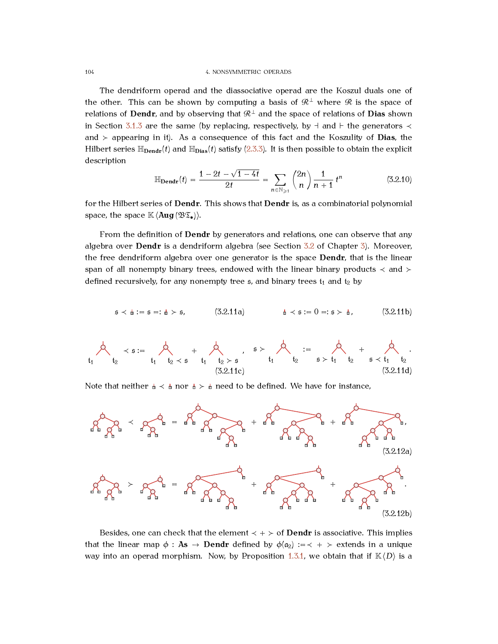104 4. NONSYMMETRIC OPERADS

The dendriform operad and the diassociative operad are the Koszul duals one of the other. This can be shown by computing a basis of  $\mathcal{R}^{\perp}$  where  $\mathcal{R}$  is the space of relations of **Dendr**, and by observing that *R<sup>⊥</sup>* and the space of relations of **Dias** shown in Section [3.1.3](#page-104-0) are the same (by replacing, respectively, by  $\dashv$  and  $\vdash$  the generators  $\prec$ and  $>$  appearing in it). As a consequence of this fact and the Koszulity of **Dias**, the Hilbert series  $\mathbb{H}_{\text{Dendr}}(t)$  and  $\mathbb{H}_{\text{Dias}}(t)$  satisfy [\(2.3.3\)](#page-101-0). It is then possible to obtain the explicit description

$$
\mathbb{H}_{\text{Dendr}}(t) = \frac{1 - 2t - \sqrt{1 - 4t}}{2t} = \sum_{n \in \mathbb{N}_{\geq 1}} {2n \choose n} \frac{1}{n+1} t^n
$$
(3.2.10)

for the Hilbert series of **Dendr**. This shows that **Dendr** is, as a combinatorial polynomial space, the space  $\mathbb{K} \langle \mathbf{Aug} (\mathfrak{BT}_{\bullet}) \rangle$ .

From the definition of **Dendr** by generators and relations, one can observe that any algebra over **Dendr** is a dendriform algebra (see Section [3.2](#page-76-0) of Chapter [3\)](#page-58-0). Moreover, the free dendriform algebra over one generator is the space **Dendr**, that is the linear span of all nonempty binary trees, endowed with the linear binary products *≺* and defined recursively, for any nonempty tree  $\mathfrak s$ , and binary trees  $\mathfrak t_1$  and  $\mathfrak t_2$  by

$$
5 \lt d := 5 =: \mathbf{d} > 5, \qquad (3.2.11a) \qquad \mathbf{d} < 5 := 0 =: 5 > \mathbf{d}, \qquad (3.2.11b)
$$

$$
t_1 \qquad t_2 \qquad \Longleftrightarrow \quad s := \qquad \begin{matrix} 1 \\ t_1 \end{matrix} \qquad \begin{matrix} t_1 \\ t_2 \end{matrix} \qquad \begin{matrix} t_1 \\ t_2 \end{matrix} \qquad \begin{matrix} t_1 \\ t_2 \end{matrix} \qquad \begin{matrix} t_1 \\ t_2 \end{matrix} \qquad \begin{matrix} t_1 \\ t_2 \end{matrix} \qquad \begin{matrix} t_1 \\ t_2 \end{matrix} \qquad \begin{matrix} t_1 \\ t_2 \end{matrix} \qquad \begin{matrix} t_1 \\ t_2 \end{matrix} \qquad \begin{matrix} t_1 \\ t_2 \end{matrix} \qquad \begin{matrix} t_1 \\ t_2 \end{matrix} \qquad \begin{matrix} t_1 \\ t_2 \end{matrix} \qquad \begin{matrix} t_1 \\ t_2 \end{matrix} \qquad \begin{matrix} t_1 \\ t_2 \end{matrix} \qquad \begin{matrix} t_1 \\ t_2 \end{matrix} \qquad \begin{matrix} t_1 \\ t_2 \end{matrix} \qquad \begin{matrix} t_1 \\ t_2 \end{matrix} \qquad \begin{matrix} t_1 \\ t_2 \end{matrix} \qquad \begin{matrix} t_1 \\ t_2 \end{matrix} \qquad \begin{matrix} t_1 \\ t_2 \end{matrix} \qquad \begin{matrix} t_1 \\ t_2 \end{matrix} \qquad \begin{matrix} t_1 \\ t_2 \end{matrix} \qquad \begin{matrix} t_1 \\ t_2 \end{matrix} \qquad \begin{matrix} t_1 \\ t_2 \end{matrix} \qquad \begin{matrix} t_1 \\ t_2 \end{matrix} \qquad \begin{matrix} t_1 \\ t_2 \end{matrix} \qquad \begin{matrix} t_1 \\ t_2 \end{matrix} \qquad \begin{matrix} t_1 \\ t_2 \end{matrix} \qquad \begin{matrix} t_1 \\ t_2 \end{matrix} \qquad \begin{matrix} t_1 \\ t_2 \end{matrix} \qquad \begin{matrix} t_1 \\ t_2 \end{matrix} \qquad \begin{matrix} t_1 \\ t_2 \end{matrix} \qquad \begin{matrix} t_1 \\ t_2 \end{matrix} \qquad \begin{matrix} t_1 \\ t_2 \end{matrix} \qquad \begin{matrix} t_1 \\ t_2 \end{matrix} \qquad \begin{matrix} t_1 \\ t_2 \end{matrix} \qquad \begin{matrix} t_1 \\ t_2 \end{matrix} \
$$

Note that neither *≺* nor need to be defined. We have for instance,



Besides, one can check that the element  $\langle + \rangle$  of **Dendr** is associative. This implies that the linear map  $\phi$  : **As**  $\rightarrow$  **Dendr** defined by  $\phi(a_2) := \langle + \rangle$  extends in a unique way into an operad morphism. Now, by Proposition [1.3.1,](#page-96-0) we obtain that if  $\mathbb{K}\langle D \rangle$  is a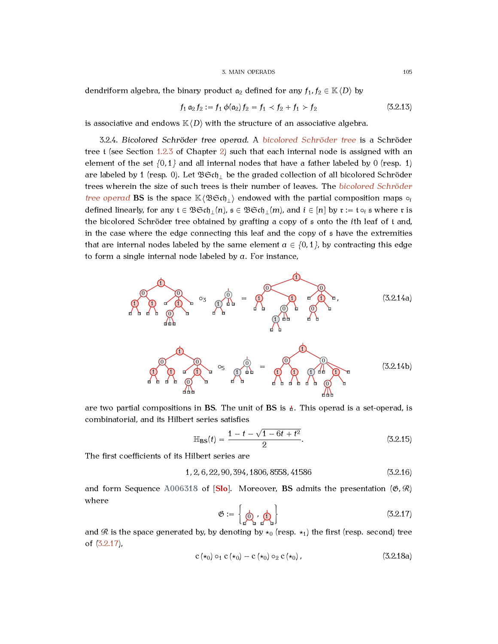### 3. MAIN OPERADS 105

dendriform algebra, the binary product  $a_2$  defined for any  $f_1, f_2 \in K \langle D \rangle$  by

$$
f_1 \mathfrak{a}_2 f_2 := f_1 \phi(\mathfrak{a}_2) f_2 = f_1 \prec f_2 + f_1 \succ f_2 \tag{3.2.13}
$$

is associative and endows  $\mathbb{K} \langle D \rangle$  with the structure of an associative algebra.

3.2.4. *Bicolored Schröder tree operad.* A *bicolored Schröder tree* is a Schröder tree t (see Section [1.2.3](#page-44-0) of Chapter [2\)](#page-38-0) such that each internal node is assigned with an element of the set *{*0*,* 1*}* and all internal nodes that have a father labeled by 0 (resp. 1) are labeled by 1 (resp. 0). Let BSch*<sup>⊥</sup>* be the graded collection of all bicolored Schröder trees wherein the size of such trees is their number of leaves. The *bicolored Schröder tree operad* **BS** is the space K  $\mathcal{B}\mathfrak{Sch}_1$  endowed with the partial composition maps  $\circ_i$ defined linearly, for any  $t \in \mathfrak{B}\mathfrak{Sch}_\perp(n)$ ,  $s \in \mathfrak{B}\mathfrak{Sch}_\perp(m)$ , and  $i \in [n]$  by  $r := t \circ_i s$  where r is the bicolored Schröder tree obtained by grafting a copy of s onto the *i*th leaf of t and, in the case where the edge connecting this leaf and the copy of  $\epsilon$  have the extremities that are internal nodes labeled by the same element  $a \in \{0, 1\}$ , by contracting this edge to form a single internal node labeled by *a*. For instance,



are two partial compositions in **BS**. The unit of **BS** is  $\frac{1}{n}$ . This operad is a set-operad, is combinatorial, and its Hilbert series satisfies

$$
\mathbb{H}_{\text{BS}}(t) = \frac{1 - t - \sqrt{1 - 6t + t^2}}{2}.
$$
 (3.2.15)

The first coefficients of its Hilbert series are

$$
1, 2, 6, 22, 90, 394, 1806, 8558, 41586 \tag{3.2.16}
$$

and form Sequence [A006318](http://oeis.org/A006318) of [[Slo](#page-151-0)]. Moreover, BS admits the presentation  $(\mathfrak{G}, \mathfrak{R})$ where  $\mathbf{r}$ 

<span id="page-110-0"></span>
$$
\mathfrak{G} := \left\{ \bigotimes_{\mathbb{I}} \cdot \bigotimes_{\mathbb{I}} \right\} \tag{3.2.17}
$$

and  $\Re$  is the space generated by, by denoting by  $\star_0$  (resp.  $\star_1$ ) the first (resp. second) tree of [\(3.2.17\)](#page-110-0),

$$
c(\star_0) o_1 c(\star_0) - c(\star_0) o_2 c(\star_0), \qquad (3.2.18a)
$$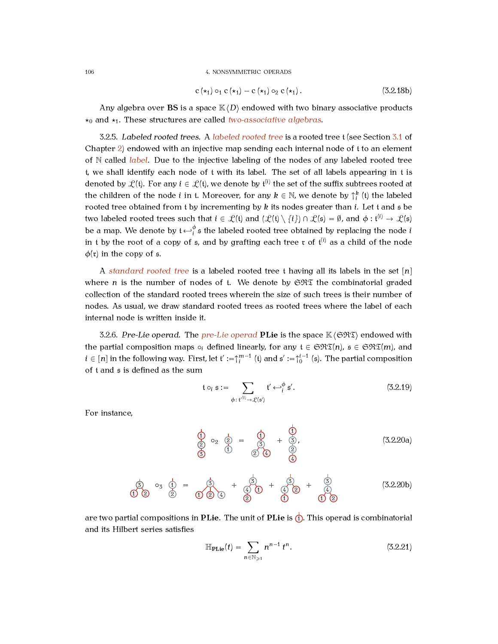#### 106 4. NONSYMMETRIC OPERADS

$$
c(\star_1) o_1 c(\star_1) - c(\star_1) o_2 c(\star_1).
$$
 (3.2.18b)

Any algebra over **BS** is a space  $\mathbb{K} \langle D \rangle$  endowed with two binary associative products *?*<sup>0</sup> and *?*1. These structures are called *two-associative algebras*.

<span id="page-111-0"></span>3.2.5. *Labeled rooted trees.* A *labeled rooted tree* is a rooted tree t (see Section [3.1](#page-54-0) of Chapter [2\)](#page-38-0) endowed with an injective map sending each internal node of t to an element of N called *label*. Due to the injective labeling of the nodes of any labeled rooted tree t, we shall identify each node of t with its label. The set of all labels appearing in t is denoted by  $\mathcal{L}(\mathfrak{t})$ . For any  $i \in \mathcal{L}(\mathfrak{t})$ , we denote by  $\mathfrak{t}^{(i)}$  the set of the suffix subtrees rooted at the children of the node *i* in t. Moreover, for any  $k \in \mathbb{N}$ , we denote by  $\uparrow_i^k$  (t) the labeled rooted tree obtained from t by incrementing by *k* its nodes greater than *i*. Let t and s be two labeled rooted trees such that  $i \in \mathcal{L}(\mathfrak{t})$  and  $(\mathcal{L}(\mathfrak{t}) \setminus \{i\}) \cap \mathcal{L}(\mathfrak{s}) = \emptyset$ , and  $\phi: \mathfrak{t}^{(i)} \to \mathcal{L}(\mathfrak{s})$ be a map. We denote by  $\mathfrak{t} \hookleftarrow_i^\phi \mathfrak{s}$  the labeled rooted tree obtained by replacing the node  $i$ in t by the root of a copy of  $\mathfrak s$ , and by grafting each tree  $\mathfrak r$  of  $\mathfrak t^{(\mathfrak i)}$  as a child of the node  $\phi(\mathfrak{r})$  in the copy of s.

A *standard rooted tree* is a labeled rooted tree t having all its labels in the set [*n*] where *n* is the number of nodes of t. We denote by SRT the combinatorial graded collection of the standard rooted trees wherein the size of such trees is their number of nodes. As usual, we draw standard rooted trees as rooted trees where the label of each internal node is written inside it.

3.2.6. *Pre-Lie operad.* The *pre-Lie operad* **PLie** is the space  $\mathbb{K}\langle \mathfrak{SRI}\rangle$  endowed with the partial composition maps  $\circ_i$  defined linearly, for any  $t \in \mathfrak{SRI}(n)$ ,  $s \in \mathfrak{SRI}(m)$ , and  $i \in [n]$  in the following way. First, let  $f' := \uparrow_i^{m-1}$  (t) and  $\mathfrak{s}' := \uparrow_0^{i-1}$  (s). The partial composition of t and s is defined as the sum

$$
\mathfrak{t}\circ_i\mathfrak{s}:=\sum_{\phi:\mathfrak{t}^{(i)}\to\mathfrak{L}(\mathfrak{s}')} \mathfrak{t}'\leftarrow_i^{\phi}\mathfrak{s}'.\tag{3.2.19}
$$

For instance,

$$
\begin{array}{ccc}\n\Phi & \phi_2 & \phi_2 & = & \Phi & + & \Phi \\
\Phi & \Phi & \Phi & \Phi & \Phi \\
\Phi & \Phi & \Phi & \Phi & \Phi \\
\Phi & \Phi & \Phi & \Phi & \Phi\n\end{array}
$$
\n(3.2.20a)

$$
\begin{array}{ccc}\n\textcircled{3} & \circ_3 & \textcircled{1} \\
\textcircled{10} & \textcircled{2} & \textcircled{3} & \textcircled{3} \\
\textcircled{10} & \textcircled{2} & \textcircled{3} & \textcircled{4} & \textcircled{5} \\
\textcircled{10} & \textcircled{3} & \textcircled{4} & \textcircled{5} & \textcircled{6} & \textcircled{6} & \textcircled{7} \\
\textcircled{10} & \textcircled{3} & \textcircled{4} & \textcircled{5} & \textcircled{6} & \textcircled{7} & \textcircled{8} & \textcircled{8} & \textcircled{8} \\
\end{array} \tag{3.2.20b}
$$

are two partial compositions in PLie. The unit of PLie is  $\bigoplus$ . This operad is combinatorial and its Hilbert series satisfies

$$
\mathbb{H}_{\text{PLie}}(t) = \sum_{n \in \mathbb{N}_{\geq 1}} n^{n-1} \, t^n. \tag{3.2.21}
$$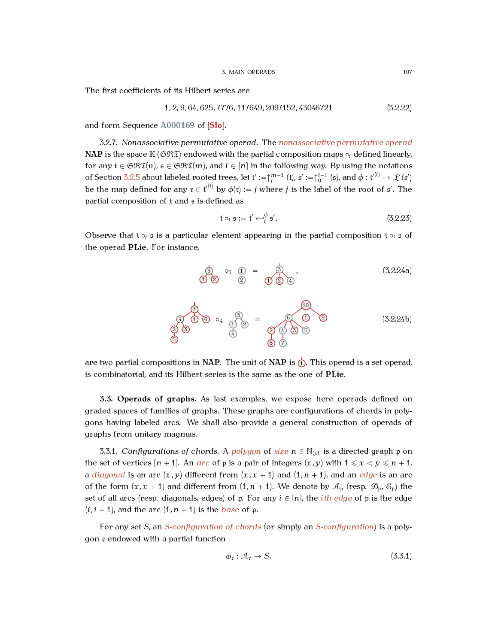The first coefficients of its Hilbert series are

$$
1, 2, 9, 64, 625, 7776, 117649, 2097152, 43046721 \tag{3.2.22}
$$

and form Sequence **[A000169](http://oeis.org/A000169)** of [**[Slo](#page-151-0)**].

<span id="page-112-1"></span>3.2.7. *Nonassociative permutative operad.* The *nonassociative permutative operad* **NAP** is the space K  $\langle \mathfrak{SRT} \rangle$  endowed with the partial composition maps  $\circ_i$  defined linearly, for any  $t \in \mathfrak{SRI}(n)$ ,  $s \in \mathfrak{SRI}(m)$ , and  $i \in [n]$  in the following way. By using the notations of Section [3.2.5](#page-111-0) about labeled rooted trees, let  $t' := \uparrow_i^{m-1}$  (t),  $\mathfrak{s}' := \uparrow_0^{i-1}$  ( $\mathfrak{s}$ ), and  $\phi : t'^{(i)} \to \mathcal{L}(\mathfrak{s}')$ be the map defined for any  $\mathfrak{r} \in \mathfrak{t}'^{(i)}$  by  $\phi(\mathfrak{r}) := j$  where *j* is the label of the root of  $\mathfrak{s}'$ . The partial composition of t and s is defined as

$$
\mathfrak{t} \circ_i \mathfrak{s} := \mathfrak{t}' \hookleftarrow_i^{\phi} \mathfrak{s}'. \tag{3.2.23}
$$

Observe that t *◦<sup>i</sup>* s is a particular element appearing in the partial composition t *◦<sup>i</sup>* s of the operad **PLie**. For instance,

$$
\begin{array}{ccc}\n\textcircled{3} & \circ_3 & \textcircled{1} & = & \textcircled{3} \\
\textcircled{1} & \textcircled{2} & \textcircled{3} & \textcircled{4}\n\end{array}
$$
\n
$$
\tag{3.2.24a}
$$



are two partial compositions in NAP. The unit of NAP is  $\bigoplus$ . This operad is a set-operad, is combinatorial, and its Hilbert series is the same as the one of **PLie**.

<span id="page-112-0"></span>**3.3. Operads of graphs.** As last examples, we expose here operads defined on graded spaces of families of graphs. These graphs are configurations of chords in polygons having labeled arcs. We shall also provide a general construction of operads of graphs from unitary magmas.

3.3.1. *Configurations of chords.* A *polygon* of *size*  $n \in \mathbb{N}_{\geq 1}$  is a directed graph p on the set of vertices  $[n + 1]$ . An *arc* of p is a pair of integers  $(x, y)$  with  $1 \le x \le y \le n + 1$ , a *diagonal* is an arc  $(x, y)$  different from  $(x, x + 1)$  and  $(1, n + 1)$ , and an *edge* is an arc of the form  $(x, x + 1)$  and different from  $(1, n + 1)$ . We denote by  $\mathcal{A}_{p}$  (resp.  $\mathcal{D}_{p}$ ,  $\mathcal{E}_{p}$ ) the set of all arcs (resp. diagonals, edges) of p. For any  $i \in [n]$ , the *i*th edge of p is the edge  $(i, i + 1)$ , and the arc  $(1, n + 1)$  is the *base* of  $\mathfrak{p}$ .

For any set *S*, an *S-configuration of chords* (or simply an *S-configuration*) is a polygon c endowed with a partial function

$$
\phi_{\mathfrak{c}} : \mathcal{A}_{\mathfrak{c}} \to S. \tag{3.3.1}
$$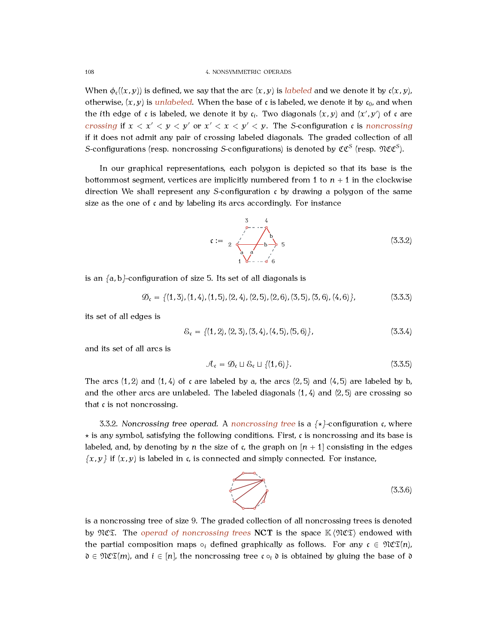When  $\phi_c((x, y))$  is defined, we say that the arc  $(x, y)$  is *labeled* and we denote it by  $c(x, y)$ , otherwise,  $(x, y)$  is *unlabeled*. When the base of c is labeled, we denote it by  $c_0$ , and when the *i*th edge of c is labeled, we denote it by  $c_i$ . Two diagonals  $(x, y)$  and  $(x', y')$  of c are *crossing* if  $x < x' < y < y'$  or  $x' < x < y' < y$ . The *S*-configuration c is *noncrossing* if it does not admit any pair of crossing labeled diagonals. The graded collection of all *S*-configurations (resp. noncrossing *S*-configurations) is denoted by CC*<sup>S</sup>* (resp. NCC*<sup>S</sup>* ).

In our graphical representations, each polygon is depicted so that its base is the bottommost segment, vertices are implicitly numbered from 1 to  $n + 1$  in the clockwise direction We shall represent any *S*-configuration c by drawing a polygon of the same size as the one of  $\mathfrak c$  and by labeling its arcs accordingly. For instance

$$
c := \frac{3}{2} \xleftarrow{\begin{pmatrix} 3 & 4 \\ 1 & 6 \end{pmatrix}} 5
$$
 (3.3.2)

is an *{*a*,* b*}*-configuration of size 5. Its set of all diagonals is

$$
\mathfrak{D}_{\mathfrak{c}} = \{ (1,3), (1,4), (1,5), (2,4), (2,5), (2,6), (3,5), (3,6), (4,6) \},\tag{3.3.3}
$$

its set of all edges is

$$
\mathcal{E}_{\mathfrak{c}} = \{ (1,2), (2,3), (3,4), (4,5), (5,6) \},\tag{3.3.4}
$$

and its set of all arcs is

$$
\mathcal{A}_{\mathfrak{c}} = \mathcal{D}_{\mathfrak{c}} \sqcup \mathcal{E}_{\mathfrak{c}} \sqcup \{ (1, 6) \}. \tag{3.3.5}
$$

The arcs  $(1, 2)$  and  $(1, 4)$  of c are labeled by a, the arcs  $(2, 5)$  and  $(4, 5)$  are labeled by b, and the other arcs are unlabeled. The labeled diagonals (1*,* 4) and (2*,* 5) are crossing so that c is not noncrossing.

<span id="page-113-0"></span>3.3.2. *Noncrossing tree operad.* A *noncrossing tree* is a  $\{ \star \}$ -configuration c, where *?* is any symbol, satisfying the following conditions. First, c is noncrossing and its base is labeled, and, by denoting by *n* the size of *c*, the graph on  $[n + 1]$  consisting in the edges  $\{x, y\}$  if  $(x, y)$  is labeled in c, is connected and simply connected. For instance,

$$
\begin{pmatrix}\n 3.3.6\n \end{pmatrix}
$$

is a noncrossing tree of size 9. The graded collection of all noncrossing trees is denoted by NCT. The *operad of noncrossing trees* **NCT** is the space  $\mathbb{K}\langle \mathfrak{NCI} \rangle$  endowed with the partial composition maps  $\circ_i$  defined graphically as follows. For any  $\mathfrak{c} \in \mathfrak{NC}(n)$ , d *∈* NCT(*m*), and *i ∈* [*n*], the noncrossing tree c *◦<sup>i</sup>* d is obtained by gluing the base of d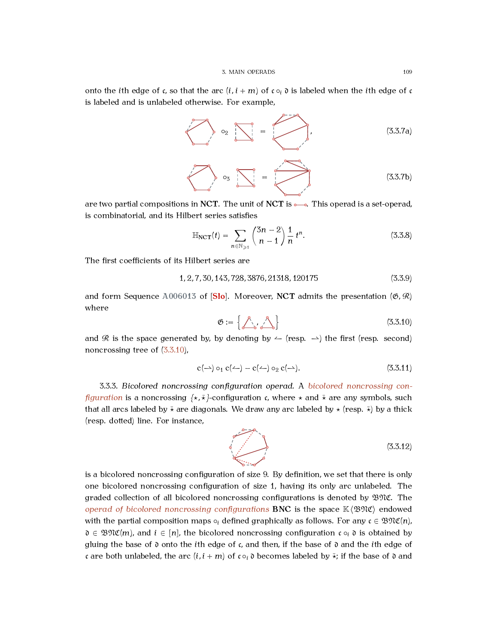onto the *i*th edge of c, so that the arc  $(i, i + m)$  of  $c \circ_i \mathfrak{d}$  is labeled when the *i*th edge of c is labeled and is unlabeled otherwise. For example,

*◦*<sup>2</sup> = *,* (3.3.7a)

 $0 - -0$ 

$$
\bigcirc_{3} \qquad \qquad \bigcirc_{5} \qquad \qquad = \qquad \qquad \bigcirc_{(3.3.7b)}
$$

are two partial compositions in **NCT**. The unit of **NCT** is  $\rightarrow$ . This operad is a set-operad, is combinatorial, and its Hilbert series satisfies

$$
\mathbb{H}_{NCT}(t) = \sum_{n \in \mathbb{N}_{\geq 1}} {3n-2 \choose n-1} \frac{1}{n} t^n.
$$
 (3.3.8)

The first coefficients of its Hilbert series are

$$
1, 2, 7, 30, 143, 728, 3876, 21318, 120175 \tag{3.3.9}
$$

and form Sequence **[A006013](http://oeis.org/A006013)** of [**[Slo](#page-151-0)**]. Moreover, **NCT** admits the presentation (G*, R*) where o

<span id="page-114-0"></span>
$$
\mathfrak{G} := \left\{ \bigwedge_{i=1}^{R} \bigwedge_{i=1}^{R} \right\} \tag{3.3.10}
$$

and  $\Re$  is the space generated by, by denoting by  $\leftarrow$  (resp.  $\rightarrow$ ) the first (resp. second) noncrossing tree of [\(3.3.10\)](#page-114-0),

$$
c(\rightharpoonup) \circ_1 c(\rightharpoonup) - c(\rightharpoonup) \circ_2 c(\rightharpoonup).
$$
 (3.3.11)

3.3.3. *Bicolored noncrossing configuration operad.* A *bicolored noncrossing configuration* is a noncrossing  $\{ \star, \bar{\star} \}$ -configuration c, where  $\star$  and  $\bar{\star}$  are any symbols, such that all arcs labeled by  $\bar{x}$  are diagonals. We draw any arc labeled by  $\star$  (resp.  $\bar{x}$ ) by a thick (resp. dotted) line. For instance,

(3.3.12) 

is a bicolored noncrossing configuration of size 9. By definition, we set that there is only one bicolored noncrossing configuration of size 1, having its only arc unlabeled. The graded collection of all bicolored noncrossing configurations is denoted by BNC. The *operad of bicolored noncrossing configurations* **BNC** is the space  $\mathbb{K}\langle\mathfrak{BNC}\rangle$  endowed with the partial composition maps *◦<sup>i</sup>* defined graphically as follows. For any c *∈* BNC(*n*), d *∈* BNC(*m*), and *i ∈* [*n*], the bicolored noncrossing configuration c *◦<sup>i</sup>* d is obtained by gluing the base of d onto the *i*th edge of c, and then, if the base of d and the *i*th edge of c are both unlabeled, the arc  $(i, i + m)$  of  $c \circ_i$  d becomes labeled by  $\overline{\star}$ ; if the base of d and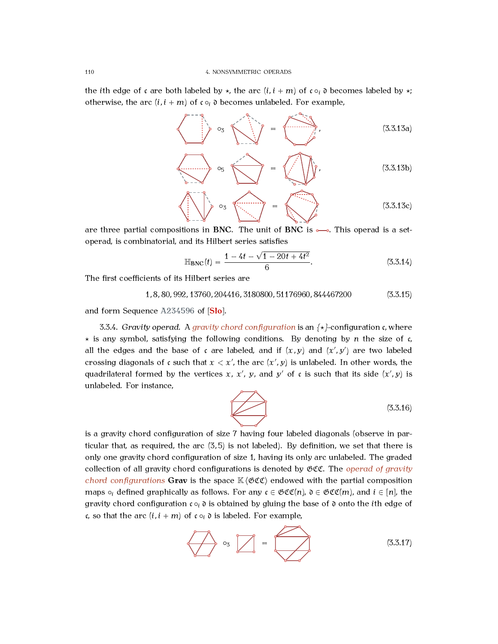the *i*th edge of c are both labeled by  $\star$ , the arc  $(i, i + m)$  of c  $\circ_i$  d becomes labeled by  $\star$ ; otherwise, the arc  $(i, i + m)$  of  $\mathfrak{c} \circ_i \mathfrak{d}$  becomes unlabeled. For example,

*◦*<sup>3</sup> = *,* (3.3.13a)

$$
\bigcirc_5 \bigotimes = \bigotimes
$$
 (3.3.13b)

$$
\left\langle \left\langle \right\rangle \right\rangle \circ_{3} \left\langle \left\langle \right\rangle \right\rangle = \left\langle \left\langle \right\rangle \right\rangle \qquad (3.3.13c)
$$

are three partial compositions in **BNC**. The unit of **BNC** is  $\rightarrow$ . This operad is a setoperad, is combinatorial, and its Hilbert series satisfies

$$
\mathbb{H}_{\text{BNC}}(t) = \frac{1 - 4t - \sqrt{1 - 20t + 4t^2}}{6}.
$$
 (3.3.14)

The first coefficients of its Hilbert series are

 $\overline{d}$ 

$$
1, 8, 80, 992, 13760, 204416, 3180800, 51176960, 844467200 \tag{3.3.15}
$$

and form Sequence **[A234596](http://oeis.org/A234596)** of [**[Slo](#page-151-0)**].

3.3.4. *Gravity operad.* A *gravity chord configuration* is an  $\{ \star \}$ -configuration c, where  $\star$  is any symbol, satisfying the following conditions. By denoting by *n* the size of c, all the edges and the base of c are labeled, and if  $(x, y)$  and  $(x', y')$  are two labeled crossing diagonals of c such that  $x < x'$ , the arc  $(x', y)$  is unlabeled. In other words, the quadrilateral formed by the vertices *x*, *x'*, *y*, and *y'* of *c* is such that its side  $(x', y)$  is unlabeled. For instance,

$$
(3.3.16)
$$

is a gravity chord configuration of size 7 having four labeled diagonals (observe in particular that, as required, the arc (3*,* 5) is not labeled). By definition, we set that there is only one gravity chord configuration of size 1, having its only arc unlabeled. The graded collection of all gravity chord configurations is denoted by GCC. The *operad of gravity chord configurations* **Grav** is the space  $\mathbb{K} \langle \mathfrak{C} \mathfrak{C} \mathfrak{C} \rangle$  endowed with the partial composition maps  $\circ_i$  defined graphically as follows. For any  $c \in \mathfrak{CCE}(n)$ ,  $\mathfrak{d} \in \mathfrak{CCE}(m)$ , and  $i \in [n]$ , the gravity chord configuration c *◦<sup>i</sup>* d is obtained by gluing the base of d onto the *i*th edge of c, so that the arc  $(i, i + m)$  of  $c \circ_i \mathfrak{d}$  is labeled. For example,

$$
\bigoplus \circ_3 \boxed{\bigcap} = \bigoplus \qquad (3.3.17)
$$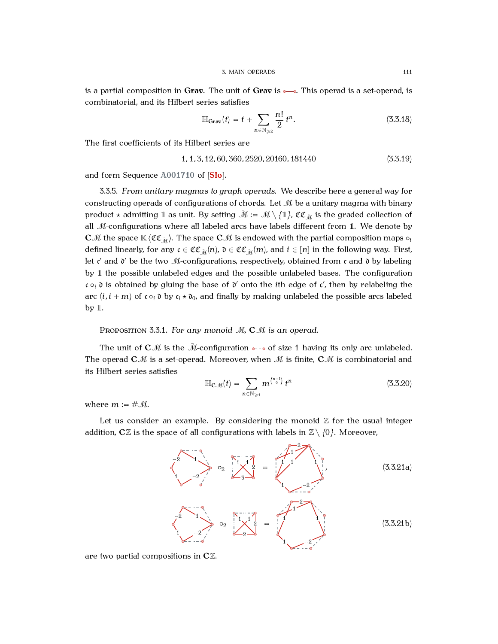is a partial composition in Grav. The unit of Grav is  $\frac{1}{n}$ . This operad is a set-operad, is combinatorial, and its Hilbert series satisfies

$$
\mathbb{H}_{\text{Graw}}(t) = t + \sum_{n \in \mathbb{N}_{\geq 2}} \frac{n!}{2} t^n.
$$
 (3.3.18)

The first coefficients of its Hilbert series are

$$
1, 1, 3, 12, 60, 360, 2520, 20160, 181440 \tag{3.3.19}
$$

and form Sequence **[A001710](http://oeis.org/A001710)** of [**[Slo](#page-151-0)**].

<span id="page-116-0"></span>3.3.5. *From unitary magmas to graph operads.* We describe here a general way for constructing operads of configurations of chords. Let *M* be a unitary magma with binary product  $\star$  admitting 1 as unit. By setting  $\bar{M} := \mathcal{M} \setminus \{1\}$ ,  $\mathfrak{CC}_{\bar{M}}$  is the graded collection of all *M*-configurations where all labeled arcs have labels different from 1. We denote by **C***M* the space K $\langle$ CC<sub>*M*</sub> $\rangle$ </sub>. The space **C***M* is endowed with the partial composition maps  $\circ_i$ defined linearly, for any  $c \in \mathfrak{CC}_{\tilde{M}}(n)$ ,  $\mathfrak{d} \in \mathfrak{CC}_{\tilde{M}}(m)$ , and  $i \in [n]$  in the following way. First, let c' and  $\mathfrak{d}'$  be the two *M*-configurations, respectively, obtained from c and  $\mathfrak{d}$  by labeling by 1 the possible unlabeled edges and the possible unlabeled bases. The configuration c o<sub>i</sub> ∂ is obtained by gluing the base of ∂' onto the *i*th edge of c', then by relabeling the arc  $(i, i + m)$  of  $c \circ_i \mathfrak{d}$  by  $c_i \star \mathfrak{d}_0$ , and finally by making unlabeled the possible arcs labeled by 1.

# PROPOSITION 3.3.1. *For any monoid M,* **C***M is an operad.*

The unit of  $C\mathcal{M}$  is the  $\mathcal{M}$ -configuration  $\sim$  - $\circ$  of size 1 having its only arc unlabeled. The operad **C***M* is a set-operad. Moreover, when *M* is finite, **C***M* is combinatorial and its Hilbert series satisfies

$$
\mathbb{H}_{\mathbf{C}\mathscr{M}}(t)=\sum_{n\in\mathbb{N}_{\geqslant 1}}m^{\binom{n+1}{2}}t^n\qquad(3.3.20)
$$

where  $m := \# \mathcal{M}$ .

Let us consider an example. By considering the monoid  $\mathbb Z$  for the usual integer addition,  $C\mathbb{Z}$  is the space of all configurations with labels in  $\mathbb{Z}\setminus\{0\}$ . Moreover,



are two partial compositions in **C**Z.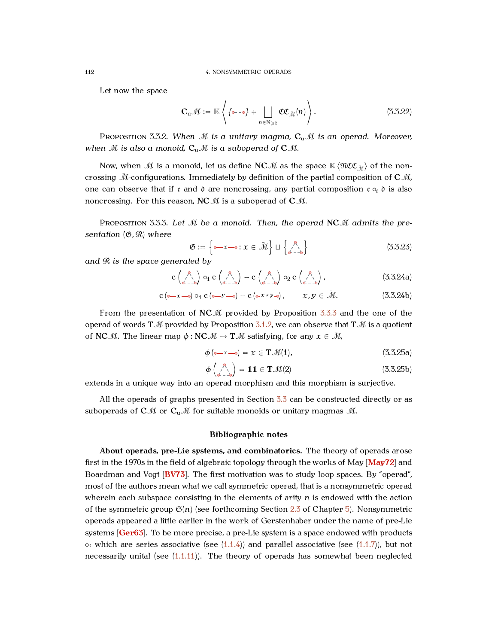Let now the space

$$
\mathbf{C}_{\mathrm{u}}\mathcal{M} := \mathbb{K}\left\{\left\{\mathbf{e}-\mathbf{e}\right\}+\bigsqcup_{n\in\mathbb{N}_{\geqslant 2}}\mathfrak{CC}_{\tilde{\mathcal{M}}}(n)\right\}.
$$
 (3.3.22)

PROPOSITION 3.3.2. When  $M$  is a unitary magma,  $C_u M$  is an operad. Moreover, *when*  $M$  *is also a monoid,*  $C_u M$  *is a suboperad of*  $C M$ *.* 

Now, when *M* is a monoid, let us define NC*M* as the space  $\mathbb{K} \langle \mathfrak{NCC}_{\tilde{M}} \rangle$  of the noncrossing *M*-configurations. Immediately by definition of the partial composition of **C***M*, one can observe that if c and d are noncrossing, any partial composition c *◦<sup>i</sup>* d is also noncrossing. For this reason, **NC***M* is a suboperad of **C***M*.

<span id="page-117-0"></span>PROPOSITION 3.3.3. *Let M be a monoid. Then, the operad* **NC***M admits the presentation* (G*, R*) *where* o  $\overline{a}$ 

$$
\mathfrak{G} := \left\{ \bullet \mathfrak{X} \to \mathfrak{X} \in \bar{\mathcal{M}} \right\} \sqcup \left\{ \bigcirc \limits_{\phi \to \phi}^{\mathcal{R}} \right\} \tag{3.3.23}
$$

*and R is the space generated by*

$$
c\begin{pmatrix} R \\ \frac{1}{\phi-\phi} \end{pmatrix} o_1 c \begin{pmatrix} R \\ \frac{1}{\phi-\phi} \end{pmatrix} - c \begin{pmatrix} R \\ \frac{1}{\phi-\phi} \end{pmatrix} o_2 c \begin{pmatrix} R \\ \frac{1}{\phi-\phi} \end{pmatrix},
$$
(3.3.24a)

$$
c\left(\delta-x-\delta\right) o_1 c\left(\delta-y-\delta\right)-c\left(\delta-x+y-\delta\right),\qquad x,y\in\bar{\mathcal{M}}.\tag{3.3.24b}
$$

From the presentation of **NC***M* provided by Proposition [3.3.3](#page-117-0) and the one of the operad of words **T***M* provided by Proposition [3.1.2,](#page-106-0) we can observe that **T***M* is a quotient of **NC***M*. The linear map  $\phi : \mathbb{NC} \to \mathbb{T} \mathcal{M}$  satisfying, for any  $x \in \mathcal{M}$ ,

$$
\phi\left(\mathbf{I} - \mathbf{x}\right) = \mathbf{x} \in \mathbf{T} \mathcal{M}(1),\tag{3.3.25a}
$$

$$
\phi\left(\bigwedge_{\phi=-\infty}^{\beta}\right) = 11 \in \mathbf{T} \mathcal{M}(2)
$$
 (3.3.25b)

extends in a unique way into an operad morphism and this morphism is surjective.

All the operads of graphs presented in Section [3.3](#page-112-0) can be constructed directly or as suboperads of **C***M* or **C**u*M* for suitable monoids or unitary magmas *M*.

# **Bibliographic notes**

**About operads, pre-Lie systems, and combinatorics.** The theory of operads arose first in the 1970s in the field of algebraic topology through the works of May [**[May72](#page-150-0)**] and Boardman and Vogt [**[BV73](#page-147-0)**]. The first motivation was to study loop spaces. By "operad", most of the authors mean what we call symmetric operad, that is a nonsymmetric operad wherein each subspace consisting in the elements of arity *n* is endowed with the action of the symmetric group S(*n*) (see forthcoming Section [2.3](#page-133-0) of Chapter [5\)](#page-122-0). Nonsymmetric operads appeared a little earlier in the work of Gerstenhaber under the name of pre-Lie systems [**[Ger63](#page-148-0)**]. To be more precise, a pre-Lie system is a space endowed with products *◦<sup>i</sup>* which are series associative (see [\(1.1.4\)](#page-87-0)) and parallel associative (see [\(1.1.7\)](#page-88-0)), but not necessarily unital (see [\(1.1.11\)](#page-89-0)). The theory of operads has somewhat been neglected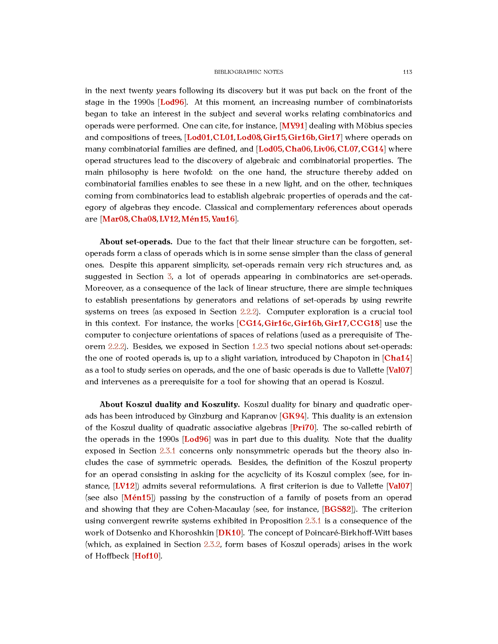in the next twenty years following its discovery but it was put back on the front of the stage in the 1990s [**[Lod96](#page-149-0)**]. At this moment, an increasing number of combinatorists began to take an interest in the subject and several works relating combinatorics and operads were performed. One can cite, for instance, [**[MY91](#page-150-1)**] dealing with Möbius species and compositions of trees, [**[Lod01](#page-149-1)**,**[CL01](#page-147-1)**,**[Lod08](#page-149-2)**,**[Gir15](#page-148-1)**,**[Gir16b](#page-148-2)**,**[Gir17](#page-148-3)**] where operads on many combinatorial families are defined, and [**[Lod05](#page-149-3)**,**[Cha06](#page-147-2)**,**[Liv06](#page-149-4)**,**[CL07](#page-147-3)**,**[CG14](#page-147-4)**] where operad structures lead to the discovery of algebraic and combinatorial properties. The main philosophy is here twofold: on the one hand, the structure thereby added on combinatorial families enables to see these in a new light, and on the other, techniques coming from combinatorics lead to establish algebraic properties of operads and the category of algebras they encode. Classical and complementary references about operads are [**[Mar08](#page-150-2)**,**[Cha08](#page-147-5)**,**[LV12](#page-150-3)**,**[Mén15](#page-150-4)**,**[Yau16](#page-151-1)**].

**About set-operads.** Due to the fact that their linear structure can be forgotten, setoperads form a class of operads which is in some sense simpler than the class of general ones. Despite this apparent simplicity, set-operads remain very rich structures and, as suggested in Section [3,](#page-102-0) a lot of operads appearing in combinatorics are set-operads. Moreover, as a consequence of the lack of linear structure, there are simple techniques to establish presentations by generators and relations of set-operads by using rewrite systems on trees (as exposed in Section [2.2.2\)](#page-99-0). Computer exploration is a crucial tool in this context. For instance, the works [**[CG14](#page-147-4)**, **[Gir16c](#page-148-4)**, **[Gir16b](#page-148-2)**, **[Gir17](#page-148-3)**, **[CCG18](#page-147-6)**] use the computer to conjecture orientations of spaces of relations (used as a prerequisite of Theorem [2.2.2\)](#page-99-1). Besides, we exposed in Section [1.2.3](#page-94-0) two special notions about set-operads: the one of rooted operads is, up to a slight variation, introduced by Chapoton in [**[Cha14](#page-147-7)**] as a tool to study series on operads, and the one of basic operads is due to Vallette [**[Val07](#page-151-2)**] and intervenes as a prerequisite for a tool for showing that an operad is Koszul.

**About Koszul duality and Koszulity.** Koszul duality for binary and quadratic operads has been introduced by Ginzburg and Kapranov [**[GK94](#page-148-5)**]. This duality is an extension of the Koszul duality of quadratic associative algebras [**[Pri70](#page-150-5)**]. The so-called rebirth of the operads in the 1990s [**[Lod96](#page-149-0)**] was in part due to this duality. Note that the duality exposed in Section [2.3.1](#page-101-1) concerns only nonsymmetric operads but the theory also includes the case of symmetric operads. Besides, the definition of the Koszul property for an operad consisting in asking for the acyclicity of its Koszul complex (see, for instance, [**[LV12](#page-150-3)**]) admits several reformulations. A first criterion is due to Vallette [**[Val07](#page-151-2)**] (see also [**[Mén15](#page-150-4)**]) passing by the construction of a family of posets from an operad and showing that they are Cohen-Macaulay (see, for instance, [**[BGS82](#page-146-0)**]). The criterion using convergent rewrite systems exhibited in Proposition [2.3.1](#page-101-2) is a consequence of the work of Dotsenko and Khoroshkin [**[DK10](#page-147-8)**]. The concept of Poincaré-Birkhoff-Witt bases (which, as explained in Section [2.3.2,](#page-101-3) form bases of Koszul operads) arises in the work of Hoffbeck [**[Hof10](#page-149-5)**].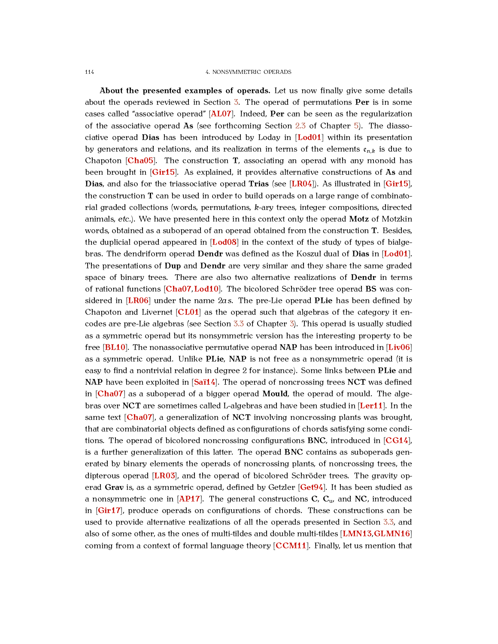**About the presented examples of operads.** Let us now finally give some details about the operads reviewed in Section [3.](#page-102-0) The operad of permutations **Per** is in some cases called "associative operad" [**[AL07](#page-146-1)**]. Indeed, **Per** can be seen as the regularization of the associative operad **As** (see forthcoming Section [2.3](#page-133-0) of Chapter [5\)](#page-122-0). The diassociative operad **Dias** has been introduced by Loday in [**[Lod01](#page-149-1)**] within its presentation by generators and relations, and its realization in terms of the elements  $\mathfrak{e}_{n,k}$  is due to Chapoton [**[Cha05](#page-147-9)**]. The construction **T**, associating an operad with any monoid has been brought in [**[Gir15](#page-148-1)**]. As explained, it provides alternative constructions of **As** and **Dias**, and also for the triassociative operad **Trias** (see [**[LR04](#page-150-6)**]). As illustrated in [**[Gir15](#page-148-1)**], the construction **T** can be used in order to build operads on a large range of combinatorial graded collections (words, permutations, *k*-ary trees, integer compositions, directed animals, *etc.*). We have presented here in this context only the operad **Motz** of Motzkin words, obtained as a suboperad of an operad obtained from the construction **T**. Besides, the duplicial operad appeared in [**[Lod08](#page-149-2)**] in the context of the study of types of bialgebras. The dendriform operad **Dendr** was defined as the Koszul dual of **Dias** in [**[Lod01](#page-149-1)**]. The presentations of **Dup** and **Dendr** are very similar and they share the same graded space of binary trees. There are also two alternative realizations of **Dendr** in terms of rational functions [**[Cha07](#page-147-10)**,**[Lod10](#page-149-6)**]. The bicolored Schröder tree operad **BS** was considered in [**[LR06](#page-150-7)**] under the name 2*as*. The pre-Lie operad **PLie** has been defined by Chapoton and Livernet [**[CL01](#page-147-1)**] as the operad such that algebras of the category it encodes are pre-Lie algebras (see Section [3.3](#page-77-0) of Chapter [3\)](#page-58-0). This operad is usually studied as a symmetric operad but its nonsymmetric version has the interesting property to be free [**[BL10](#page-146-2)**]. The nonassociative permutative operad **NAP** has been introduced in [**[Liv06](#page-149-4)**] as a symmetric operad. Unlike **PLie**, **NAP** is not free as a nonsymmetric operad (it is easy to find a nontrivial relation in degree 2 for instance). Some links between **PLie** and **NAP** have been exploited in [**[Saï14](#page-150-8)**]. The operad of noncrossing trees **NCT** was defined in [**[Cha07](#page-147-10)**] as a suboperad of a bigger operad **Mould**, the operad of mould. The algebras over **NCT** are sometimes called L-algebras and have been studied in [**[Ler11](#page-149-7)**]. In the same text [**[Cha07](#page-147-10)**], a generalization of **NCT** involving noncrossing plants was brought, that are combinatorial objects defined as configurations of chords satisfying some conditions. The operad of bicolored noncrossing configurations **BNC**, introduced in [**[CG14](#page-147-4)**], is a further generalization of this latter. The operad **BNC** contains as suboperads generated by binary elements the operads of noncrossing plants, of noncrossing trees, the dipterous operad [**[LR03](#page-150-9)**], and the operad of bicolored Schröder trees. The gravity operad **Grav** is, as a symmetric operad, defined by Getzler [**[Get94](#page-148-6)**]. It has been studied as a nonsymmetric one in [**[AP17](#page-146-3)**]. The general constructions **C**, **C**u, and **NC**, introduced in [**[Gir17](#page-148-3)**], produce operads on configurations of chords. These constructions can be used to provide alternative realizations of all the operads presented in Section [3.3,](#page-112-0) and also of some other, as the ones of multi-tildes and double multi-tildes [**[LMN13](#page-149-8)**,**[GLMN16](#page-148-7)**] coming from a context of formal language theory [**[CCM11](#page-147-11)**]. Finally, let us mention that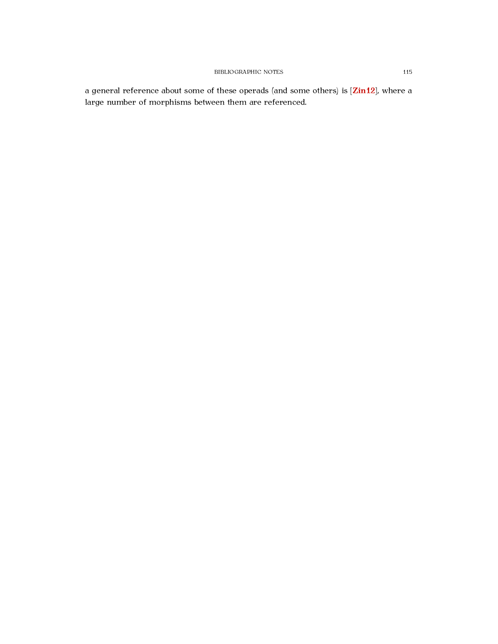a general reference about some of these operads (and some others) is [**[Zin12](#page-151-3)**], where a large number of morphisms between them are referenced.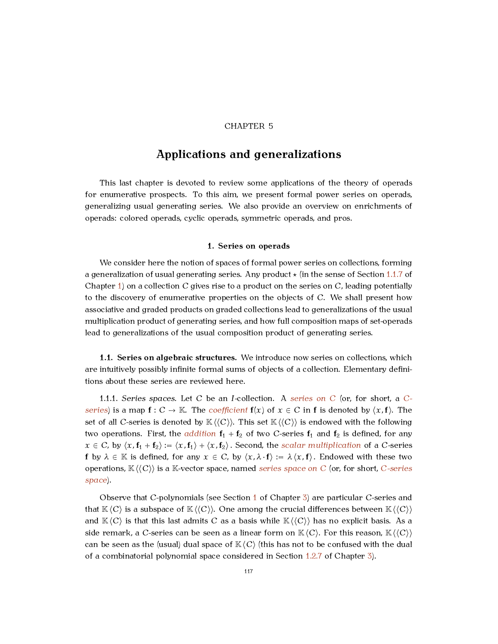# CHAPTER 5

# <span id="page-122-0"></span>**Applications and generalizations**

This last chapter is devoted to review some applications of the theory of operads for enumerative prospects. To this aim, we present formal power series on operads, generalizing usual generating series. We also provide an overview on enrichments of operads: colored operads, cyclic operads, symmetric operads, and pros.

# **1. Series on operads**

<span id="page-122-1"></span>We consider here the notion of spaces of formal power series on collections, forming a generalization of usual generating series. Any product  $\star$  (in the sense of Section [1.1.7](#page-16-0) of Chapter [1\)](#page-14-0) on a collection *C* gives rise to a product on the series on *C*, leading potentially to the discovery of enumerative properties on the objects of *C*. We shall present how associative and graded products on graded collections lead to generalizations of the usual multiplication product of generating series, and how full composition maps of set-operads lead to generalizations of the usual composition product of generating series.

**1.1. Series on algebraic structures.** We introduce now series on collections, which are intuitively possibly infinite formal sums of objects of a collection. Elementary definitions about these series are reviewed here.

1.1.1. *Series spaces.* Let *C* be an *I*-collection. A *series on C* (or, for short, a *Cseries*) is a map  $f: C \to \mathbb{K}$ . The *coefficient*  $f(x)$  of  $x \in C$  in **f** is denoted by  $\langle x, f \rangle$ . The set of all *C*-series is denoted by  $\mathbb{K}\langle\langle C \rangle\rangle$ . This set  $\mathbb{K}\langle\langle C \rangle\rangle$  is endowed with the following two operations. First, the *addition*  $f_1 + f_2$  of two *C*-series  $f_1$  and  $f_2$  is defined, for any  $x \in C$ , by  $\langle x, \mathbf{f}_1 + \mathbf{f}_2 \rangle := \langle x, \mathbf{f}_1 \rangle + \langle x, \mathbf{f}_2 \rangle$ . Second, the *scalar multiplication* of a *C*-series **f** by  $\lambda \in \mathbb{K}$  is defined, for any  $x \in C$ , by  $\langle x, \lambda \cdot f \rangle := \lambda \langle x, f \rangle$ . Endowed with these two operations, K *hhCii* is a K-vector space, named *series space on C* (or, for short, *C-series space*).

Observe that *C*-polynomials (see Section [1](#page-58-1) of Chapter [3\)](#page-58-0) are particular *C*-series and that  $\mathbb{K}\langle C \rangle$  is a subspace of  $\mathbb{K}\langle C \rangle$ . One among the crucial differences between  $\mathbb{K}\langle C \rangle$ and  $\mathbb{K}\langle C \rangle$  is that this last admits C as a basis while  $\mathbb{K}\langle C \rangle$  has no explicit basis. As a side remark, a *C*-series can be seen as a linear form on  $\mathbb{K}\langle C \rangle$ . For this reason,  $\mathbb{K}\langle C \rangle$ can be seen as the (usual) dual space of  $K \langle C \rangle$  (this has not to be confused with the dual of a combinatorial polynomial space considered in Section [1.2.7](#page-64-0) of Chapter [3\)](#page-58-0).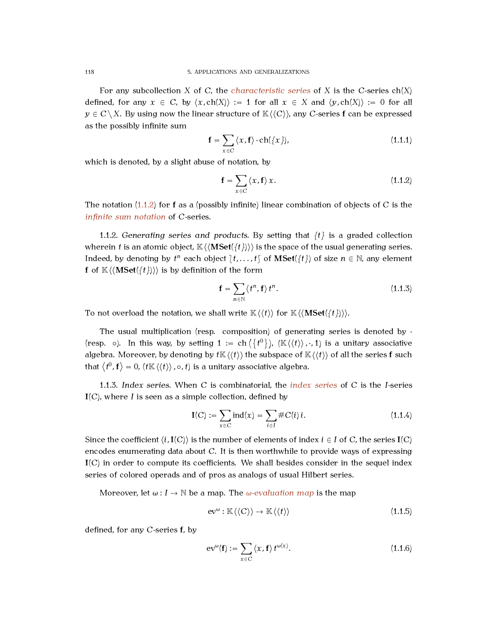For any subcollection *X* of *C*, the *characteristic series* of *X* is the *C*-series ch(*X*) defined, for any  $x \in C$ , by  $\langle x, ch(X) \rangle := 1$  for all  $x \in X$  and  $\langle y, ch(X) \rangle := 0$  for all  $y \in C \setminus X$ . By using now the linear structure of  $\mathbb{K} \langle \langle C \rangle$ , any *C*-series f can be expressed as the possibly infinite sum

$$
\mathbf{f} = \sum_{x \in C} \langle x, \mathbf{f} \rangle \cdot \text{ch}(\{x\}), \tag{1.1.1}
$$

which is denoted, by a slight abuse of notation, by

<span id="page-123-0"></span>
$$
\mathbf{f} = \sum_{x \in C} \langle x, \mathbf{f} \rangle x. \tag{1.1.2}
$$

The notation [\(1.1.2\)](#page-123-0) for **f** as a (possibly infinite) linear combination of objects of *C* is the *infinite sum notation* of *C*-series.

1.1.2. *Generating series and products.* By setting that *{t}* is a graded collection wherein *t* is an atomic object,  $\mathbb{K}\langle\langle\mathbf{MSet}\rangle\langle t\rangle\rangle\rangle$  is the space of the usual generating series. Indeed, by denoting by  $t^n$  each object  $\{t, \ldots, t\}$  of **MSet** $(\{t\})$  of size  $n \in \mathbb{N}$ , any element **f** of  $\mathbb{K}\langle\langle\mathbf{MSet}(\{t\})\rangle\rangle$  is by definition of the form

$$
\mathbf{f} = \sum_{n \in \mathbb{N}} \left\langle t^n, \mathbf{f} \right\rangle t^n. \tag{1.1.3}
$$

To not overload the notation, we shall write  $\mathbb{K}\langle\langle t\rangle\rangle$  for  $\mathbb{K}\langle\langle\mathbf{MSet}[\{t\}\rangle\rangle\rangle$ .

The usual multiplication (resp. composition) of generating series is denoted by *·* (resp.  $\circ$ ). In this way, by setting 1 := ch( $\{f^0\}$ ), ( $\mathbb{K}\langle\langle t\rangle\rangle$ ,  $\cdot$ , 1) is a unitary associative algebra. Moreover, by denoting by  $t\mathbb{K} \langle \langle t \rangle \rangle$  the subspace of  $\mathbb{K} \langle \langle t \rangle \rangle$  of all the series **f** such  $\frac{d\mathbf{u}}{dt} \times \frac{d\mathbf{v}}{dt}$  $\langle e \rangle = 0$ ,  $\langle tK \langle \langle t \rangle \rangle$ ,  $\circ$ ,  $t$ ) is a unitary associative algebra.

1.1.3. *Index series.* When *C* is combinatorial, the *index series* of *C* is the *I*-series **I**(*C*), where *I* is seen as a simple collection, defined by

$$
\mathbf{I}(C) := \sum_{x \in C} \text{ind}(x) = \sum_{i \in I} \#C(i) \, i. \tag{1.1.4}
$$

Since the coefficient  $\langle i, I(C) \rangle$  is the number of elements of index  $i \in I$  of C, the series  $I(C)$ encodes enumerating data about *C*. It is then worthwhile to provide ways of expressing **I**(*C*) in order to compute its coefficients. We shall besides consider in the sequel index series of colored operads and of pros as analogs of usual Hilbert series.

Moreover, let  $\omega: I \to \mathbb{N}$  be a map. The  $\omega$ -evaluation map is the map

$$
ev^{\omega}: \mathbb{K}\left\langle \left\langle C \right\rangle \right\rangle \to \mathbb{K}\left\langle \left\langle t \right\rangle \right\rangle \tag{1.1.5}
$$

defined, for any *C*-series **f**, by

$$
ev^{\omega}(\mathbf{f}) := \sum_{x \in C} \langle x, \mathbf{f} \rangle t^{\omega(x)}.
$$
 (1.1.6)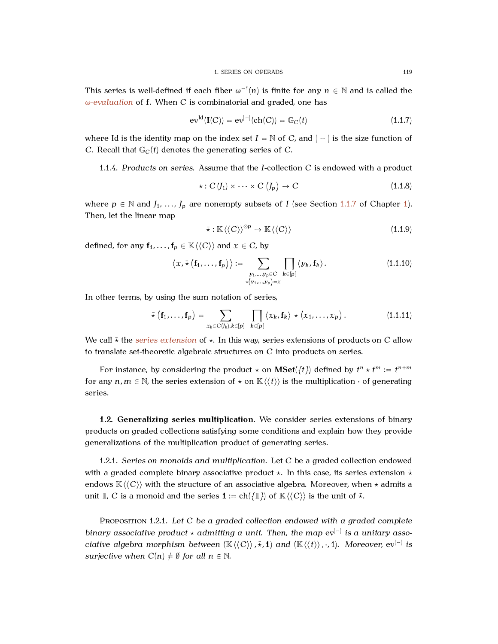This series is well-defined if each fiber  $\omega^{-1}(n)$  is finite for any  $n \in \mathbb{N}$  and is called the *ω-evaluation* of **f**. When *C* is combinatorial and graded, one has

<span id="page-124-1"></span>
$$
evId(I(C)) = ev|-|(ch(C)) = \mathbb{G}_C(t)
$$
\n(1.1.7)

where Id is the identity map on the index set  $I = N$  of *C*, and  $| - |$  is the size function of *C*. Recall that G*C*(*t*) denotes the generating series of *C*.

1.1.4. *Products on series.* Assume that the *I*-collection *C* is endowed with a product

$$
\star: C(J_1) \times \cdots \times C(J_p) \to C \tag{1.1.8}
$$

where  $p \in \mathbb{N}$  and  $J_1, \ldots, J_p$  are nonempty subsets of *I* (see Section [1.1.7](#page-16-0) of Chapter [1\)](#page-14-0). Then, let the linear map

$$
\bar{\star}: \mathbb{K}\left\langle \left\langle C \right\rangle \right\rangle^{\otimes p} \to \mathbb{K}\left\langle \left\langle C \right\rangle \right\rangle \tag{1.1.9}
$$

defined, for any  $f_1, \ldots, f_p \in \mathbb{K} \langle \langle C \rangle \rangle$  and  $x \in C$ , by

$$
\langle x, \bar{\star} (f_1, \ldots, f_p) \rangle := \sum_{\substack{y_1, \ldots, y_p \in C \\ \bar{\star} (y_1, \ldots, y_p) = x}} \prod_{k \in [p]} \langle y_k, f_k \rangle.
$$
 (1.1.10)

In other terms, by using the sum notation of series,

$$
\bar{\star}(\mathbf{f}_1,\ldots,\mathbf{f}_p)=\sum_{x_k\in C(f_k),k\in[p]}\prod_{k\in[p]} \langle x_k,\mathbf{f}_k\rangle \star (x_1,\ldots,x_p).
$$
 (1.1.11)

We call  $\bar{x}$  the *series extension* of  $\star$ . In this way, series extensions of products on *C* allow to translate set-theoretic algebraic structures on *C* into products on series.

For instance, by considering the product  $\star$  on  $\mathbf{MSet}(\{t\})$  defined by  $t^n \star t^m := t^{n+m}$ for any  $n, m \in \mathbb{N}$ , the series extension of  $\star$  on  $\mathbb{K}\langle\langle t \rangle\rangle$  is the multiplication  $\cdot$  of generating series.

**1.2. Generalizing series multiplication.** We consider series extensions of binary products on graded collections satisfying some conditions and explain how they provide generalizations of the multiplication product of generating series.

1.2.1. *Series on monoids and multiplication.* Let *C* be a graded collection endowed with a graded complete binary associative product  $\star$ . In this case, its series extension  $\bar{\star}$ endows  $\mathbb{K}\langle\langle C\rangle\rangle$  with the structure of an associative algebra. Moreover, when  $\star$  admits a unit 1, *C* is a monoid and the series  $\mathbf{1} := \text{ch}(\{1\})$  of  $\mathbb{K}\langle\langle C \rangle\rangle$  is the unit of  $\bar{\star}$ .

<span id="page-124-0"></span>PROPOSITION 1.2.1. *Let C be a graded collection endowed with a graded complete binary associative product ? admitting a unit. Then, the map* ev*|−| is a unitary associative algebra morphism between* ( $\mathbb{K}\langle\langle C \rangle\rangle$ ,  $\bar{\star}$ , **1**) *and* ( $\mathbb{K}\langle\langle t \rangle\rangle$ , ·, 1). Moreover,  $ev^{|-|}$  *is surjective when*  $C(n) \neq \emptyset$  *for all*  $n \in \mathbb{N}$ *.*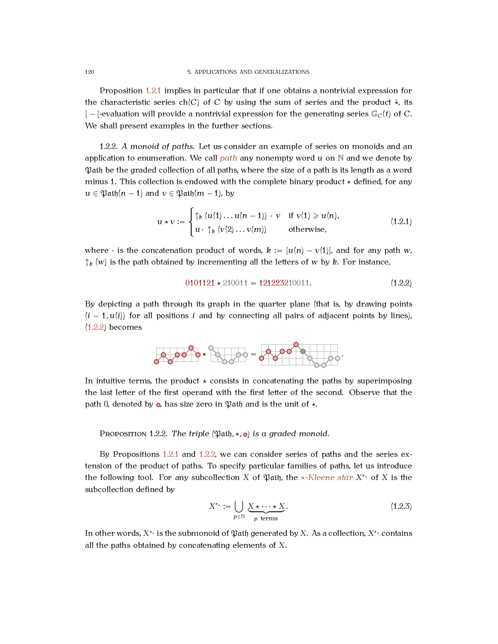Proposition [1.2.1](#page-124-0) implies in particular that if one obtains a nontrivial expression for the characteristic series ch(*C*) of *C* by using the sum of series and the product  $\overline{x}$ , its *| − |*-evaluation will provide a nontrivial expression for the generating series G*C*(*t*) of *C*. We shall present examples in the further sections.

1.2.2. *A monoid of paths.* Let us consider an example of series on monoids and an application to enumeration. We call *path* any nonempty word  $u$  on  $\mathbb N$  and we denote by Path be the graded collection of all paths, where the size of a path is its length as a word minus 1. This collection is endowed with the complete binary product  $\star$  defined, for any  $u \in \mathfrak{Path}(n-1)$  and  $v \in \mathfrak{Path}(m-1)$ , by

$$
u * v := \begin{cases} \uparrow_k (u(1) \dots u(n-1)) \cdot v & \text{if } v(1) \geq u(n), \\ u \cdot \uparrow_k (v(2) \dots v(m)) & \text{otherwise,} \end{cases}
$$
(1.2.1)

where  $\cdot$  is the concatenation product of words,  $k := |u(n) - v(1)|$ , and for any path *w*, *↑<sup>k</sup>* (*w*) is the path obtained by incrementing all the letters of *w* by *k*. For instance,

<span id="page-125-0"></span>
$$
0101121 \times 210011 = 121223210011. \tag{1.2.2}
$$

By depicting a path through its graph in the quarter plane (that is, by drawing points (*i −* 1*, u*(*i*)) for all positions *i* and by connecting all pairs of adjacent points by lines), [\(1.2.2\)](#page-125-0) becomes



In intuitive terms, the product  $\star$  consists in concatenating the paths by superimposing the last letter of the first operand with the first letter of the second. Observe that the path 0, denoted by  $\circ$ , has size zero in  $\mathfrak{Path}$  and is the unit of  $\star$ .

<span id="page-125-1"></span>PROPOSITION 1.2.2. *The triple* ( $\mathfrak{Path}, \star, \bullet$ ) *is a graded monoid.* 

By Propositions [1.2.1](#page-124-0) and [1.2.2,](#page-125-1) we can consider series of paths and the series extension of the product of paths. To specify particular families of paths, let us introduce the following tool. For any subcollection *X* of  $\mathfrak{R}$ ath, the  $\star$ -*Kleene star*  $X^*$ <sup>*\**</sup> of *X* is the subcollection defined by

$$
X^{\star_{\star}} := \bigcup_{p \in \mathbb{N}} \underbrace{X \star \cdots \star X}_{p \text{ terms}}.
$$
 (1.2.3)

In other words,  $X^*$  is the submonoid of  $\mathfrak{P}$ ath generated by *X*. As a collection,  $X^*$  contains all the paths obtained by concatenating elements of *X*.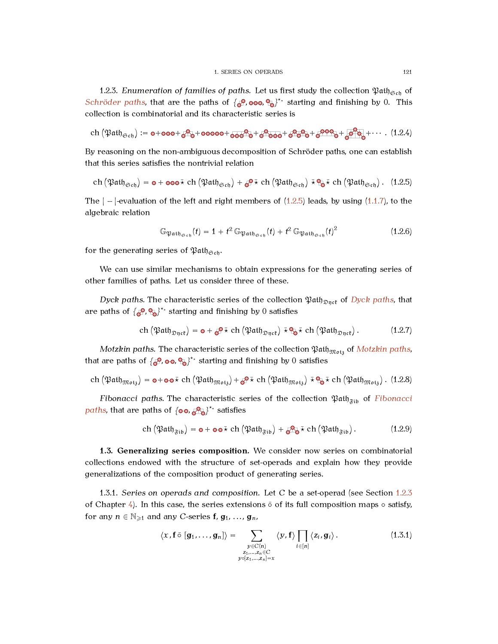1.2.3. *Enumeration of families of paths*. Let us first study the collection  $\mathfrak{Path}_{\mathfrak{Sch}}$  of *Schröder paths*, that are the paths of  $\{ \partial^{\mathbf{P}}, \mathbf{e} \circ \mathbf{e}, \partial^{\mathbf{P}} \}^{\star}$  starting and finishing by 0. This collection is combinatorial and its characteristic series is

$$
\text{ch}\left(\mathfrak{P} \mathfrak{a} t \mathfrak{h}_{\mathfrak{S} \mathfrak{c} \mathfrak{h}}\right) := \text{0+000} + \delta \mathfrak{B}_0 + \text{00000} + \delta \mathfrak{B}_0 + \delta \mathfrak{B}_0 + \delta \mathfrak{B}_0 + \delta \mathfrak{B}_0 + \delta \mathfrak{B}_0 + \delta \mathfrak{B}_0 + \ldots \tag{1.2.4}
$$

By reasoning on the non-ambiguous decomposition of Schröder paths, one can establish that this series satisfies the nontrivial relation

<span id="page-126-0"></span>
$$
\operatorname{ch}\left(\mathfrak{Path}_{\mathfrak{Sch}}\right)=\bullet+\bullet\bullet\bullet\bar{\star}\operatorname{ch}\left(\mathfrak{Path}_{\mathfrak{Sch}}\right)+\bullet\bar{\bullet}\bar{\star}\operatorname{ch}\left(\mathfrak{Path}_{\mathfrak{Sch}}\right)\bar{\star}\mathfrak{P}_{\bar{\bullet}}\bar{\star}\operatorname{ch}\left(\mathfrak{Path}_{\mathfrak{Sch}}\right).
$$
 (1.2.5)

The *| − |*-evaluation of the left and right members of [\(1.2.5\)](#page-126-0) leads, by using [\(1.1.7\)](#page-124-1), to the algebraic relation

$$
\mathbb{G}_{\mathfrak{Path}_{\mathfrak{S}_{\mathfrak{c}\mathfrak{h}}}}(t) = 1 + t^2 \mathbb{G}_{\mathfrak{Path}_{\mathfrak{S}_{\mathfrak{c}\mathfrak{h}}}}(t) + t^2 \mathbb{G}_{\mathfrak{Path}_{\mathfrak{S}_{\mathfrak{c}\mathfrak{h}}}}(t)^2
$$
\n(1.2.6)

for the generating series of  $\mathfrak{P}at\mathfrak{h}_{\mathfrak{Sch}}$ .

We can use similar mechanisms to obtain expressions for the generating series of other families of paths. Let us consider three of these.

*Dyck paths.* The characteristic series of the collection  $\mathfrak{Path}_{\mathfrak{D}_n\ell}$  of *Dyck paths*, that are paths of  ${_{6}^{o}$ ,  $_{6}^{o}}$ ,  $_{4}^{r*}$  starting and finishing by 0 satisfies

ch 
$$
(\mathfrak{Path}_{\mathfrak{D}_0\mathfrak{e}}) = \mathfrak{o} + \mathfrak{S}^{\mathfrak{D} \times} \mathfrak{ch} (\mathfrak{Path}_{\mathfrak{D}_0\mathfrak{e}}) \times \mathfrak{S} \times \mathfrak{ch} (\mathfrak{Path}_{\mathfrak{D}_0\mathfrak{e}}).
$$
 (1.2.7)

*Motzkin paths.* The characteristic series of the collection  $\mathfrak{Path}_{\mathfrak{Mod}_3}$  of *Motzkin paths*, that are paths of  ${_{6}^{\circ}$ ,  $\circ \circ}$ ,  $\mathbb{Q}^{+}$  starting and finishing by 0 satisfies

<span id="page-126-1"></span>ch 
$$
(\mathfrak{Path}_{\mathfrak{Mod}_3}) = \circ + \circ \circ \bar{\star} \text{ ch } (\mathfrak{Path}_{\mathfrak{Mod}_3}) + \circ^{\circ} \bar{\star} \text{ ch } (\mathfrak{Path}_{\mathfrak{Mod}_3}) \bar{\star}^{\circ} \bar{\star} \text{ ch } (\mathfrak{Path}_{\mathfrak{Mod}_3})
$$
. (1.2.8)

*Fibonacci paths.* The characteristic series of the collection  $\mathfrak{Path}_{\mathfrak{Xib}}$  of *Fibonacci paths*, that are paths of  $\{ \circ \circ \circ \circ \circ \circ \circ \}^{\star}$  satisfies

ch 
$$
(\mathfrak{P} \mathfrak{at}\mathfrak{h}_{\mathfrak{Fib}}) = \mathbf{0} + \mathbf{0} \mathbf{0} \times \mathbf{c} \mathbf{h} (\mathfrak{P} \mathfrak{at}\mathfrak{h}_{\mathfrak{Fib}}) + \mathbf{e} \mathbf{e} \mathbf{0} \times \mathbf{c} \mathbf{h} (\mathfrak{P} \mathfrak{at}\mathfrak{h}_{\mathfrak{Fib}}).
$$
 (1.2.9)

**1.3. Generalizing series composition.** We consider now series on combinatorial collections endowed with the structure of set-operads and explain how they provide generalizations of the composition product of generating series.

1.3.1. *Series on operads and composition.* Let *C* be a set-operad (see Section [1.2.3](#page-94-0) of Chapter [4\)](#page-86-0). In this case, the series extensions *◦*¯ of its full composition maps *◦* satisfy, for any  $n \in \mathbb{N}_{\geq 1}$  and any *C*-series **f**,  $\mathbf{g}_1, \ldots, \mathbf{g}_n$ ,

$$
\langle x, \mathbf{f} \,\bar{\circ}\, [\mathbf{g}_1, \ldots, \mathbf{g}_n] \rangle = \sum_{\substack{y \in C(n) \\ z_1, \ldots, z_n \in C \\ y \circ [z_1, \ldots, z_n] = x}} \langle y, \mathbf{f} \rangle \prod_{i \in [n]} \langle z_i, \mathbf{g}_i \rangle.
$$
 (1.3.1)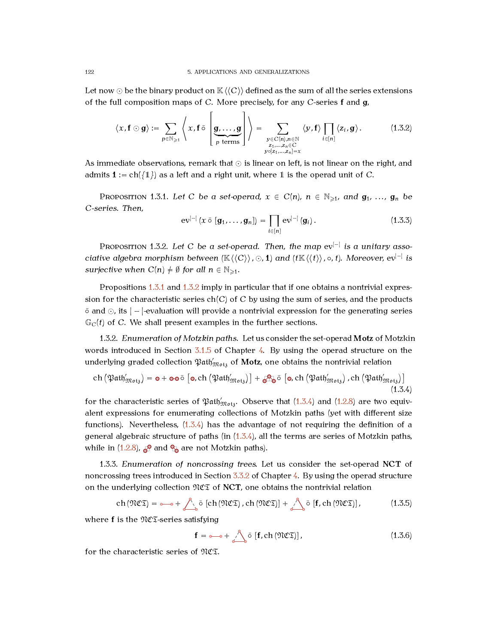Let now  $\odot$  be the binary product on  $\mathbb{K}\langle\langle C\rangle\rangle$  defined as the sum of all the series extensions of the full composition maps of *C*. More precisely, for any *C*-series **f** and **g**,  $\overline{r}$ .<br>T

$$
\langle x, \mathbf{f} \odot \mathbf{g} \rangle := \sum_{p \in \mathbb{N}_{\geq 1}} \left\langle x, \mathbf{f} \circ \left( \underbrace{\mathbf{g}, \ldots, \mathbf{g}}_{p \text{ terms}} \right) \right\rangle = \sum_{\substack{y \in C(n), n \in \mathbb{N} \\ z_1, \ldots, z_n \in C \\ y \circ [z_1, \ldots, z_n] = x}} \langle y, \mathbf{f} \rangle \prod_{i \in [n]} \langle z_i, \mathbf{g} \rangle. \tag{1.3.2}
$$

As immediate observations, remark that  is linear on left, is not linear on the right, and admits  $\mathbf{1} := \text{ch}(\mathbf{1} \mathbf{1})$  as a left and a right unit, where 1 is the operad unit of *C*.

<span id="page-127-0"></span>PROPOSITION 1.3.1. Let C be a set-operad,  $x \in C(n)$ ,  $n \in \mathbb{N}_{\geq 1}$ , and  $\mathbf{g}_1$ , ...,  $\mathbf{g}_n$  be *C-series. Then,*

$$
\mathrm{ev}^{\vert - \vert} \left( x \bar{\circ} \left[ \mathbf{g}_1, \ldots, \mathbf{g}_n \right] \right) = \prod_{i \in [n]} \mathrm{ev}^{\vert - \vert} \left( \mathbf{g}_i \right). \tag{1.3.3}
$$

<span id="page-127-1"></span>PROPOSITION 1.3.2. *Let C be a set-operad. Then, the map* ev*|−| is a unitary associative algebra morphism between* ( $\mathbb{K}\langle\langle C \rangle\rangle$ , ⊙, 1) *and*  $\langle t\mathbb{K}\langle\langle t \rangle\rangle$ ,  $\circ$ , t). Moreover,  $ev^{|-|}$  *is surjective when*  $C(n) \neq \emptyset$  *for all*  $n \in \mathbb{N}_{\geq 1}$ *.* 

Propositions [1.3.1](#page-127-0) and [1.3.2](#page-127-1) imply in particular that if one obtains a nontrivial expression for the characteristic series ch(*C*) of *C* by using the sum of series, and the products *◦*¯ and , its *| − |*-evaluation will provide a nontrivial expression for the generating series  $\mathbb{G}_C(t)$  of *C*. We shall present examples in the further sections.

1.3.2. *Enumeration of Motzkin paths.* Let us consider the set-operad **Motz** of Motzkin words introduced in Section [3.1.5](#page-106-1) of Chapter [4.](#page-86-0) By using the operad structure on the underlying graded collection  $\mathfrak{P}\mathfrak{ath} \mathfrak{h}_{\mathfrak{M} \mathfrak{ot} \mathfrak{z}}'$  of **Motz**, one obtains the nontrivial relation

<span id="page-127-2"></span>ch 
$$
(\mathfrak{Path}_{\mathfrak{Mod}_3}')
$$
 =  $\circ$  +  $\circ \circ$   $\circ$  [ $\circ$ , ch  $(\mathfrak{Path}_{\mathfrak{Mod}_3}')$ ] +  $\circ$  $\circ$  $\circ$  [ $\circ$ , ch  $(\mathfrak{Path}_{\mathfrak{Mod}_3}')$ , ch  $(\mathfrak{Path}_{\mathfrak{Mod}_3}')$ ]  $(1.3.4)$ 

for the characteristic series of  $\mathfrak{Path}_{\mathfrak{Mod}^*}$ . Observe that  $(1.3.4)$  and  $(1.2.8)$  are two equivalent expressions for enumerating collections of Motzkin paths (yet with different size functions). Nevertheless,  $(1.3.4)$  has the advantage of not requiring the definition of a general algebraic structure of paths (in [\(1.3.4\)](#page-127-2), all the terms are series of Motzkin paths, while in  $(1.2.8)$ ,  $\delta$  and  $\delta$  are not Motzkin paths).

1.3.3. *Enumeration of noncrossing trees.* Let us consider the set-operad **NCT** of noncrossing trees introduced in Section [3.3.2](#page-113-0) of Chapter [4.](#page-86-0) By using the operad structure on the underlying collection NCT of **NCT**, one obtains the nontrivial relation

ch 
$$
(\mathfrak{NC} \mathfrak{T}) = \mathfrak{S} + \bigwedge_{\mathfrak{S}} \bar{\mathfrak{O}} \left[ \mathrm{ch} \left( \mathfrak{NC} \mathfrak{T} \right), \mathrm{ch} \left( \mathfrak{NC} \mathfrak{T} \right) \right] + \bigwedge_{\mathfrak{S}} \bar{\mathfrak{O}} \left[ \mathbf{f}, \mathrm{ch} \left( \mathfrak{NC} \mathfrak{T} \right) \right],
$$
 (1.3.5)

where **f** is the NCT-series satisfying

$$
\mathbf{f} = \mathbf{e} + \sum_{i=1}^{n} \bar{\mathbf{o}} \left[ \mathbf{f}, \mathrm{ch} \left( \mathfrak{NC} \mathfrak{T} \right) \right], \tag{1.3.6}
$$

for the characteristic series of NCT.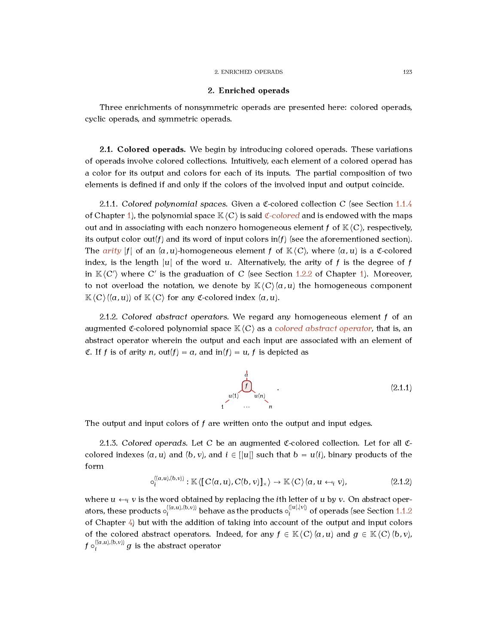### 2. ENRICHED OPERADS 123

### **2. Enriched operads**

Three enrichments of nonsymmetric operads are presented here: colored operads, cyclic operads, and symmetric operads.

**2.1. Colored operads.** We begin by introducing colored operads. These variations of operads involve colored collections. Intuitively, each element of a colored operad has a color for its output and colors for each of its inputs. The partial composition of two elements is defined if and only if the colors of the involved input and output coincide.

2.1.1. *Colored polynomial spaces.* Given a C-colored collection *C* (see Section [1.1.4](#page-16-1) of Chapter [1\)](#page-14-0), the polynomial space  $\mathbb{K}\langle C \rangle$  is said  $\mathfrak{C}\text{-colored}$  and is endowed with the maps out and in associating with each nonzero homogeneous element  $f$  of  $K\langle C \rangle$ , respectively, its output color out( $f$ ) and its word of input colors in( $f$ ) (see the aforementioned section). The *arity* |f| of an  $(a, u)$ -homogeneous element f of  $K \langle C \rangle$ , where  $(a, u)$  is a C-colored index, is the length *|u|* of the word *u*. Alternatively, the arity of *f* is the degree of *f* in  $K \langle C' \rangle$  where  $C'$  is the graduation of  $C$  (see Section [1.2.2](#page-18-0) of Chapter [1\)](#page-14-0). Moreover, to not overload the notation, we denote by  $\mathbb{K}\langle C\rangle\langle a,u\rangle$  the homogeneous component  $\mathbb{K}\langle C\rangle(\langle a,u\rangle)$  of  $\mathbb{K}\langle C\rangle$  for any  $\mathfrak{C}\text{-colored index }(\alpha,u)$ .

2.1.2. *Colored abstract operators.* We regard any homogeneous element *f* of an augmented C-colored polynomial space  $\mathbb{K}\langle C \rangle$  as a *colored abstract operator*, that is, an abstract operator wherein the output and each input are associated with an element of **C.** If *f* is of arity *n*, out(*f*) =  $a$ , and in(*f*) =  $u$ , *f* is depicted as

$$
\underbrace{d}_{u(1)} \underbrace{d}_{u(n)} \tag{2.1.1}
$$

The output and input colors of *f* are written onto the output and input edges.

<span id="page-128-0"></span>2.1.3. *Colored operads.* Let *C* be an augmented *C*-colored collection. Let for all *C*colored indexes  $(a, u)$  and  $(b, v)$ , and  $i \in [u]$  such that  $b = u(i)$ , binary products of the form

$$
\circ_i^{(\langle a,u\rangle,\langle b,v\rangle)}: \mathbb{K}\left\langle [C(a,u),C(b,v)]_{\times}\right\rangle \to \mathbb{K}\left\langle C\right\rangle \langle a,u \leftarrow_i v\rangle, \tag{2.1.2}
$$

where  $u \leftarrow_i v$  is the word obtained by replacing the *i*th letter of *u* by *v*. On abstract operators, these products  $\circ_i^{(\langle a,u\rangle,\langle b,v\rangle)}$  behave as the products  $\circ_i^{(\langle u|,|v|)}$  of operads (see Section [1.1.2](#page-87-1) of Chapter [4\)](#page-86-0) but with the addition of taking into account of the output and input colors of the colored abstract operators. Indeed, for any  $f \in \mathbb{K} \langle C \rangle \langle a, u \rangle$  and  $g \in \mathbb{K} \langle C \rangle \langle b, v \rangle$ ,  $f\circ_i^{(\langle a,u \rangle, \langle b, v \rangle)} g$  is the abstract operator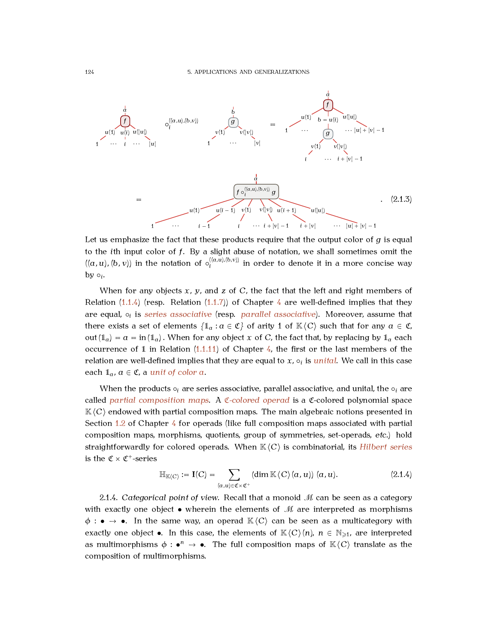

Let us emphasize the fact that these products require that the output color of *g* is equal to the *i*th input color of *f*. By a slight abuse of notation, we shall sometimes omit the  $((a, u), (b, v))$  in the notation of  $\circ_i^{((a, u), (b, v))}$  $\sum_{i=1}^{\left(\lfloor d/L\right),\left(0,\vee\right)\right)}$  in order to denote it in a more concise way by *◦<sup>i</sup>* .

When for any objects *x*, *y*, and *z* of *C*, the fact that the left and right members of Relation  $(1.1.4)$  (resp. Relation  $(1.1.7)$ ) of Chapter [4](#page-86-0) are well-defined implies that they are equal, *◦<sup>i</sup>* is *series associative* (resp. *parallel associative*). Moreover, assume that there exists a set of elements  $\{1_a : a \in \mathfrak{C}\}\$  of arity 1 of  $\mathbb{K}\langle C \rangle$  such that for any  $a \in \mathfrak{C}$ , out  $(1_a) = a = \text{in}(1_a)$ . When for any object x of C, the fact that, by replacing by  $1_a$  each occurrence of 1 in Relation  $(1.1.11)$  of Chapter [4,](#page-86-0) the first or the last members of the relation are well-defined implies that they are equal to *x*, *◦<sup>i</sup>* is *unital*. We call in this case each  $1_a$ ,  $a \in \mathfrak{C}$ , a *unit of color*  $a$ .

When the products *◦<sup>i</sup>* are series associative, parallel associative, and unital, the *◦<sup>i</sup>* are called *partial composition maps*. A C*-colored operad* is a C-colored polynomial space  $\mathbb{K}\langle C \rangle$  endowed with partial composition maps. The main algebraic notions presented in Section [1.2](#page-92-0) of Chapter  $4$  for operads (like full composition maps associated with partial composition maps, morphisms, quotients, group of symmetries, set-operads, *etc.*) hold straightforwardly for colored operads. When  $\mathbb{K}\langle C \rangle$  is combinatorial, its *Hilbert series* is the  $C \times C^+$ -series

$$
\mathbb{H}_{\mathbb{K}\langle C\rangle}:=\mathbf{I}(C)=\sum_{(a,u)\in\mathfrak{C}\times\mathfrak{C}^+}(\dim\mathbb{K}\langle C\rangle\langle a,u\rangle)\langle a,u\rangle.
$$
 (2.1.4)

<span id="page-129-0"></span>2.1.4. *Categorical point of view.* Recall that a monoid *M* can be seen as a category with exactly one object *•* wherein the elements of *M* are interpreted as morphisms  $\phi$  :  $\bullet \rightarrow \bullet$ . In the same way, an operad  $\mathbb{K}\langle C \rangle$  can be seen as a multicategory with exactly one object •. In this case, the elements of  $\mathbb{K}\langle C\rangle(n)$ ,  $n \in \mathbb{N}_{\geq 1}$ , are interpreted as multimorphisms  $\phi : \bullet^n \to \bullet$ . The full composition maps of  $\mathbb{K}\langle C \rangle$  translate as the composition of multimorphisms.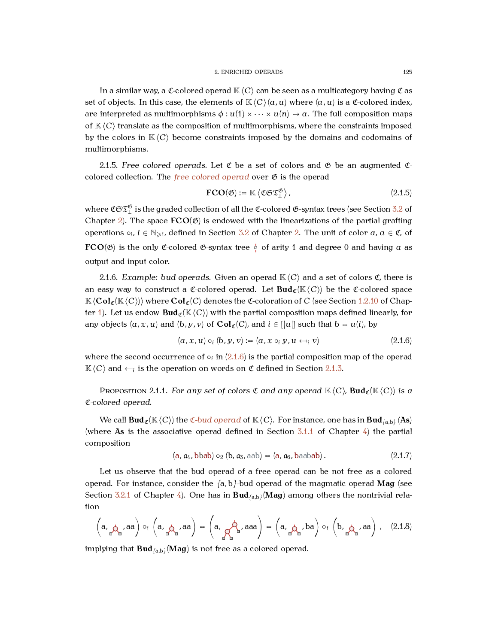In a similar way, a  $\mathfrak{C}$ -colored operad  $\mathbb{K} \langle C \rangle$  can be seen as a multicategory having  $\mathfrak{C}$  as set of objects. In this case, the elements of  $\mathbb{K}\langle C\rangle\langle a, u\rangle$  where  $\langle a, u\rangle$  is a C-colored index, are interpreted as multimorphisms  $\phi: u(1) \times \cdots \times u(n) \to a$ . The full composition maps of  $K(\mathcal{C})$  translate as the composition of multimorphisms, where the constraints imposed by the colors in  $K\langle C \rangle$  become constraints imposed by the domains and codomains of multimorphisms.

2.1.5. *Free colored operads.* Let  $\mathfrak C$  be a set of colors and  $\mathfrak G$  be an augmented  $\mathfrak C$ colored collection. The *free colored operad* over G is the operad

$$
\mathbf{FCO}(\mathfrak{G}) := \mathbb{K} \left\langle \mathfrak{CST}^{\mathfrak{G}}_{\perp} \right\rangle, \tag{2.1.5}
$$

where CGT<sup>&</sup> is the graded collection of all the C-colored &-syntax trees (see Section [3.2](#page-54-1) of Chapter [2\)](#page-38-0). The space  $FCO(\mathcal{O})$  is endowed with the linearizations of the partial grafting operations *◦<sup>i</sup>* , *i ∈* N<sup>&</sup>gt;1, defined in Section [3.2](#page-54-1) of Chapter [2.](#page-38-0) The unit of color *a*, *a ∈* C, of **FCO**( $\&$ ) is the only  $\&$ -colored  $\&$ -syntax tree  $\frac{1}{q}$  of arity 1 and degree 0 and having *a* as output and input color.

2.1.6. *Example: bud operads.* Given an operad  $\mathbb{K}\langle C \rangle$  and a set of colors  $\mathfrak{C}$ , there is an easy way to construct a C-colored operad. Let  $\text{Bud}_{\mathcal{C}}(\mathbb{K}\langle C \rangle)$  be the C-colored space  $\mathbb{K}$  *(Col<sub>c</sub>*( $\mathbb{K}$  *(C)*)*)* where  $\text{Col}_{\mathfrak{C}}(C)$  denotes the C-coloration of *C* (see Section [1.2.10](#page-23-0) of Chap-ter [1\)](#page-14-0). Let us endow  $\text{Bud}_\mathfrak{C}(\mathbb{K}\langle C\rangle)$  with the partial composition maps defined linearly, for any objects  $(a, x, u)$  and  $(b, y, v)$  of  $Col_{\mathfrak{C}}(C)$ , and  $i \in [|u|]$  such that  $b = u(i)$ , by

<span id="page-130-0"></span>
$$
(\alpha, x, u) \circ_i (\beta, y, v) := (\alpha, x \circ_i y, u \leftrightarrow_i v) \tag{2.1.6}
$$

where the second occurrence of *◦<sup>i</sup>* in [\(2.1.6\)](#page-130-0) is the partial composition map of the operad  $\mathbb{K}\langle C\rangle$  and  $\leftarrow_i$  is the operation on words on  $\mathfrak C$  defined in Section [2.1.3.](#page-128-0)

PROPOSITION 2.1.1. *For any set of colors*  $\mathfrak C$  *and any operad*  $\mathbb{K} \langle C \rangle$ *, Bud<sub>c</sub>*( $\mathbb{K} \langle C \rangle$ ) *is a* C*-colored operad.*

We call  $\text{Bud}_{\mathcal{C}}(\mathbb{K}\langle C\rangle)$  the  $\mathfrak{C}\text{-}bud$  operad of  $\mathbb{K}\langle C\rangle$ . For instance, one has in  $\text{Bud}_{\{a,b\}}(\text{As})$ (where As is the associative operad defined in Section  $3.1.1$  of Chapter [4\)](#page-86-0) the partial composition

$$
(a, a4, bbab) o2 (b, a3, aab) = (a, a6, baabab).
$$
 (2.1.7)

Let us observe that the bud operad of a free operad can be not free as a colored operad. For instance, consider the *{*a*,* b*}*-bud operad of the magmatic operad **Mag** (see Section [3.2.1](#page-107-0) of Chapter  $\frac{1}{4}$ . One has in **Bud**<sub>*{*a,b}</sub>(**Mag**) among others the nontrivial relation  $\overline{\phantom{a}}$ 

$$
\left(a, \mathcal{A}_{\mathbf{a}}, aa\right) \circ_1 \left(a, \mathcal{A}_{\mathbf{a}}, aa\right) = \left(a, \mathcal{A}_{\mathbf{a}}, aa\right) = \left(a, \mathcal{A}_{\mathbf{a}}, ba\right) \circ_1 \left(b, \mathcal{A}_{\mathbf{a}}, aa\right), \quad (2.1.8)
$$

implying that **Bud***{*a*,*b*}*(**Mag**) is not free as a colored operad.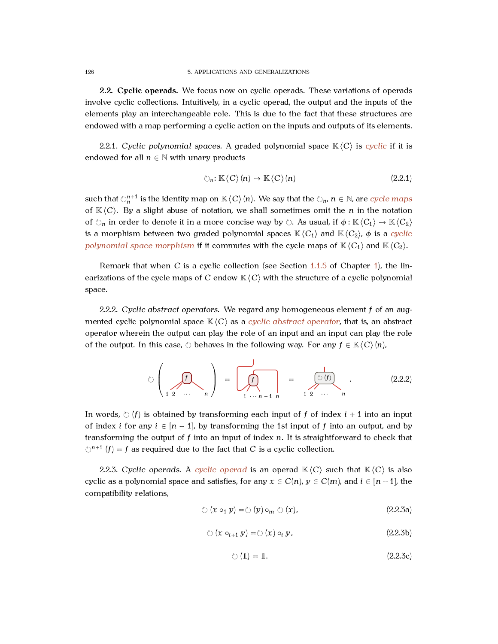**2.2. Cyclic operads.** We focus now on cyclic operads. These variations of operads involve cyclic collections. Intuitively, in a cyclic operad, the output and the inputs of the elements play an interchangeable role. This is due to the fact that these structures are endowed with a map performing a cyclic action on the inputs and outputs of its elements.

2.2.1. *Cyclic polynomial spaces.* A graded polynomial space  $\mathbb{K}\langle C \rangle$  is *cyclic* if it is endowed for all  $n \in \mathbb{N}$  with unary products

$$
\circlearrowright_n: \mathbb{K}\left\langle C\right\rangle(n) \to \mathbb{K}\left\langle C\right\rangle(n) \tag{2.2.1}
$$

such that  $\circlearrowright^{n+1}_n$  is the identity map on  $\mathbb{K}\langle C\rangle\langle n\rangle$ . We say that the  $\circlearrowright_n$ ,  $n\in\mathbb{N}$ , are *cycle maps* of  $K \langle C \rangle$ . By a slight abuse of notation, we shall sometimes omit the *n* in the notation of  $\circlearrowright_n$  in order to denote it in a more concise way by  $\circlearrowright$ . As usual, if  $\phi : \mathbb{K} \langle C_1 \rangle \to \mathbb{K} \langle C_2 \rangle$ is a morphism between two graded polynomial spaces  $\mathbb{K} \langle C_1 \rangle$  and  $\mathbb{K} \langle C_2 \rangle$ ,  $\phi$  is a *cyclic polynomial space morphism* if it commutes with the cycle maps of  $\mathbb{K} \langle C_1 \rangle$  and  $\mathbb{K} \langle C_2 \rangle$ .

Remark that when *C* is a cyclic collection (see Section [1.1.5](#page-16-2) of Chapter [1\)](#page-14-0), the linearizations of the cycle maps of *C* endow  $K\langle C \rangle$  with the structure of a cyclic polynomial space.

2.2.2. *Cyclic abstract operators.* We regard any homogeneous element *f* of an augmented cyclic polynomial space  $\mathbb{K}(C)$  as a *cyclic abstract operator*, that is, an abstract operator wherein the output can play the role of an input and an input can play the role of the output. In this case,  $\circlearrowright$  behaves in the following way. For any  $f \in \mathbb{K} \langle C \rangle \langle n \rangle$ ,

$$
\circlearrowright\left(\bigoplus_{1\ 2\ \cdots\ n}^{n}\right) = \bigoplus_{1\ \cdots\ n-1\ n}^{n} = \bigoplus_{1\ 2\ \cdots\ n}^{n}.
$$
 (2.2.2)

In words,  $\circlearrowright$  (*f*) is obtained by transforming each input of *f* of index *i* + 1 into an input of index *i* for any  $i \in [n-1]$ , by transforming the 1st input of f into an output, and by transforming the output of *f* into an input of index *n*. It is straightforward to check that  $O^{n+1}$  (*f*) = *f* as required due to the fact that *C* is a cyclic collection.

2.2.3. *Cyclic operads.* A *cyclic operad* is an operad  $\mathbb{K}\langle C \rangle$  such that  $\mathbb{K}\langle C \rangle$  is also cyclic as a polynomial space and satisfies, for any  $x \in C(n)$ ,  $y \in C(m)$ , and  $i \in [n-1]$ , the compatibility relations,

<span id="page-131-0"></span>
$$
\circlearrowright (x \circ_1 y) = \circlearrowright (y) \circ_m \circlearrowright (x), \qquad \qquad (2.2.3a)
$$

<span id="page-131-1"></span>
$$
\circlearrowright\left(x\circ_{i+1}y\right)=\circlearrowright\left(x\right)\circ_i y,\tag{2.2.3b}
$$

<span id="page-131-2"></span>
$$
\circlearrowright (1) = 1. \tag{2.2.3c}
$$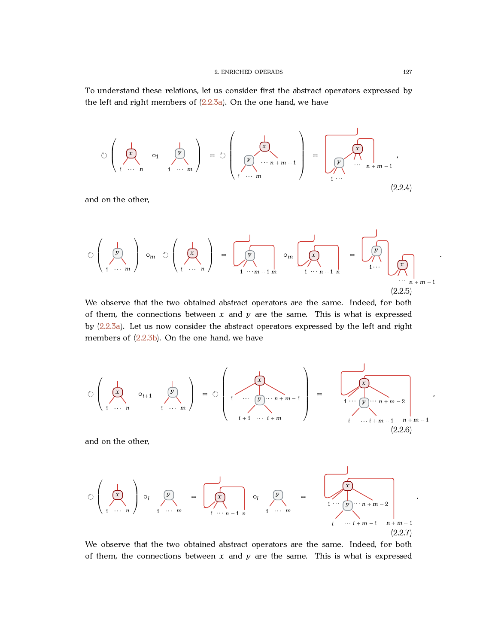To understand these relations, let us consider first the abstract operators expressed by the left and right members of  $(2.2.3a)$ . On the one hand, we have

$$
\circlearrowright\left(\bigoplus_{1 \text{ ... } n}^{1} \circlearrowright_{1} \bigoplus_{1 \text{ ... } m}^{1} \right) = \circlearrowright\left(\bigoplus_{1 \text{ ... } m}^{1} \bigoplus_{1 \text{ ... } m}^{1} \bigoplus_{1 \text{ ... } m}^{1} \bigoplus_{1 \text{ ... } m}^{1} \bigoplus_{1 \text{ ... } m}^{1} \bigoplus_{1 \text{ ... } m}^{1} \bigoplus_{1 \text{ ... } m}^{1} \bigoplus_{1 \text{ ... } m}^{1} \bigoplus_{1 \text{ ... } m}^{1} \bigoplus_{1 \text{ ... } m}^{1} \bigoplus_{1 \text{ ... } m}^{1} \bigoplus_{1 \text{ ... } m}^{1} \bigoplus_{1 \text{ ... } m}^{1} \bigoplus_{1 \text{ ... } m}^{1} \bigoplus_{1 \text{ ... } m}^{1} \bigoplus_{1 \text{ ... } m}^{1} \bigoplus_{1 \text{ ... } m}^{1} \bigoplus_{1 \text{ ... } m}^{1} \bigoplus_{1 \text{ ... } m}^{1} \bigoplus_{1 \text{ ... } m}^{1} \bigoplus_{1 \text{ ... } m}^{1} \bigoplus_{1 \text{ ... } m}^{1} \bigoplus_{1 \text{ ... } m}^{1} \bigoplus_{1 \text{ ... } m}^{1} \bigoplus_{1 \text{ ... } m}^{1} \bigoplus_{1 \text{ ... } m}^{1} \bigoplus_{1 \text{ ... } m}^{1} \bigoplus_{1 \text{ ... } m}^{1} \bigoplus_{1 \text{ ... } m}^{1} \bigoplus_{1 \text{ ... } m}^{1} \bigoplus_{1 \text{ ... } m}^{1} \bigoplus_{1 \text{ ... } m}^{1} \bigoplus_{1 \text{ ... } m}^{1} \bigoplus_{1 \text{ ... } m}^{1} \bigoplus_{1 \text{ ... } m}^{1} \bigoplus_{1 \text{ ... } m}^{1} \bigoplus_{1 \text{ ... } m}^{1} \bigoplus_{1 \text{ ... } m}^{1} \bigoplus_{1 \text{ ... } m}^{1} \bigoplus_{1 \text{ ... } m}^{1} \bigoplus_{1 \text{ ... } m}^{1} \bigoplus_{1 \text{ ... } m}^{1} \bigoplus_{1 \text{ ... } m}^{1} \bigoplus_{1 \text{ ... } m}^{
$$

and on the other,

$$
\circlearrowright\left(\bigoplus_{1\cdots m}^{1}\right)\circ_{m}\circlearrowright\left(\bigoplus_{1\cdots n}^{1}\right)=\underbrace{\left(\bigoplus_{j\in\{1\ldots m-1\}}^{1}\circ_{m}\left(\bigoplus_{1\cdots n-1\ n}^{2}\right)\right)}_{1\cdots n-1}\left(\bigoplus_{1\cdots n-1\ n}^{2}\right)=\underbrace{\left(\bigoplus_{j\in\{1\ldots n-1\}}^{2}\right)}_{\cdots n+m-1}\circlearrowright\tag{2.2.5}
$$

We observe that the two obtained abstract operators are the same. Indeed, for both of them, the connections between  $x$  and  $y$  are the same. This is what is expressed by [\(2.2.3a\)](#page-131-0). Let us now consider the abstract operators expressed by the left and right members of [\(2.2.3b\)](#page-131-1). On the one hand, we have

$$
\circlearrowright\left(\sum_{1 \text{ ... } n}^{1} \circ_{i+1}^{1} \left(\sum_{1 \text{ ... } m}^{1}\right)\right) = \circlearrowright\left(\sum_{1 \text{ ... } y \text{ ... } n+m-1}^{1} \right) = \left(\sum_{1 \text{ ... } y \text{ ... } n+m-2}^{1} \right) = \left(\sum_{1 \text{ ... } y \text{ ... } n+m-2}^{1} \right) = \left(\sum_{1 \text{ ... } y \text{ ... } n+m-1}^{1} \right) = \left(\sum_{1 \text{ ... } y \text{ ... } n+m-1}^{1} \right) = \left(\sum_{1 \text{ ... } y \text{ ... } n+m-1}^{1} \right) = \left(\sum_{1 \text{ ... } y \text{ ... } n+m-1}^{1} \right) = \left(\sum_{1 \text{ ... } y \text{ ... } n+m-1}^{1} \right) = \left(\sum_{1 \text{ ... } y \text{ ... } n+m-1}^{1} \right) = \left(\sum_{1 \text{ ... } y \text{ ... } n+m-1}^{1} \right) = \left(\sum_{1 \text{ ... } y \text{ ... } n+m-1}^{1} \right) = \left(\sum_{1 \text{ ... } y \text{ ... } n+m-1}^{1} \right) = \left(\sum_{1 \text{ ... } y \text{ ... } n+m-1}^{1} \right) = \left(\sum_{1 \text{ ... } y \text{ ... } n+m-1}^{1} \right) = \left(\sum_{1 \text{ ... } y \text{ ... } n+m-1}^{1} \right) = \left(\sum_{1 \text{ ... } y \text{ ... } n+m-1}^{1} \right) = \left(\sum_{1 \text{ ... } y \text{ ... } n+m-1}^{1} \right) = \left(\sum_{1 \text{ ... } y \text{ ... } n+m-1}^{1} \right) = \left(\sum_{1 \text{ ... } y \text{ ... } n+m-1}^{1} \right) = \left(\sum_{1 \text{ ... } y \text{ ... } n+m-1}^{1} \right) = \left(\sum_{1 \text{ ... } y \text{ ... } n+m-1}^{1} \right) = \left(\sum_{1 \text{ ... } y \text{ ... } n+m-1}^{1} \right) = \left(\sum_{1 \text{ ... } y \text{ ... } n+m-1}^{1} \right) = \left(\sum_{1 \text{ ... } y \text{ ... } n+m-1}^{1} \right) = \left(\sum_{1 \
$$

and on the other,

$$
\circlearrowright\left(\bigoplus_{1 \cdots n}^{1} \right) \circ_i \bigoplus_{1 \cdots m}^{1} = \bigoplus_{1 \cdots n-1}^{1} \circ_i \bigoplus_{1 \cdots n-1 \atop 1 \cdots n}^{1} = \bigoplus_{1 \cdots m}^{1} \circ_i
$$
\n
$$
\vdots \qquad \qquad \vdots \qquad \vdots
$$
\n
$$
\vdots \qquad \vdots \qquad \vdots \qquad \vdots
$$
\n
$$
(2.2.7)
$$

We observe that the two obtained abstract operators are the same. Indeed, for both of them, the connections between  $x$  and  $y$  are the same. This is what is expressed *.*

*,*

*.*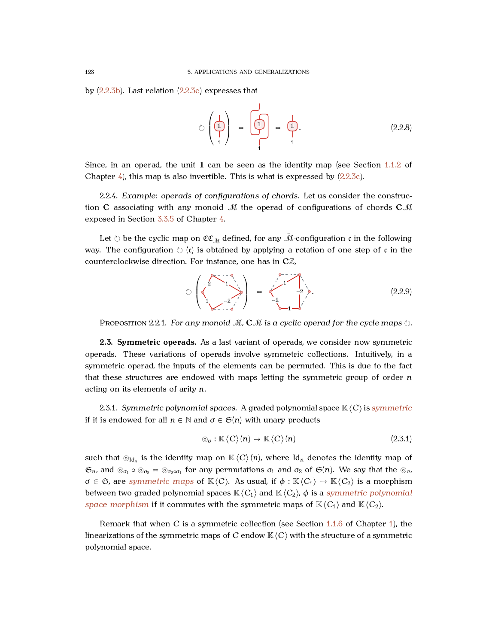by [\(2.2.3b\)](#page-131-1). Last relation [\(2.2.3c\)](#page-131-2) expresses that

$$
\circlearrowright\left(\begin{array}{c}\downarrow\\ \downarrow\\ 1\end{array}\right) = \begin{array}{c}\downarrow\\ \downarrow\\ \downarrow\\ \downarrow\end{array} = \begin{array}{c}\downarrow\\ \downarrow\\ \downarrow\end{array} \tag{2.2.8}
$$

Since, in an operad, the unit  $\mathbb 1$  can be seen as the identity map (see Section [1.1.2](#page-87-1) of Chapter  $\frac{1}{4}$ , this map is also invertible. This is what is expressed by [\(2.2.3c\)](#page-131-2).

2.2.4. *Example: operads of configurations of chords.* Let us consider the construction **C** associating with any monoid *M* the operad of configurations of chords **C***M* exposed in Section [3.3.5](#page-116-0) of Chapter [4.](#page-86-0)

Let  $\circlearrowright$  be the cyclic map on  $\mathfrak{CE}_{\bar{M}}$  defined, for any *M*-configuration c in the following way. The configuration  $\circlearrowright$  (c) is obtained by applying a rotation of one step of c in the counterclockwise direction. For instance, one has in **C**Z,

 1 *−*2 *−*2 1 <sup>=</sup> *−*2 1 1 *<sup>−</sup>*<sup>2</sup> *.* (2.2.9)

PROPOSITION 2.2.1. *For any monoid M,* **C***M is a cyclic operad for the cycle maps .*

<span id="page-133-0"></span>**2.3. Symmetric operads.** As a last variant of operads, we consider now symmetric operads. These variations of operads involve symmetric collections. Intuitively, in a symmetric operad, the inputs of the elements can be permuted. This is due to the fact that these structures are endowed with maps letting the symmetric group of order *n* acting on its elements of arity *n*.

2.3.1. *Symmetric polynomial spaces.* A graded polynomial space K *hCi* is *symmetric* if it is endowed for all  $n \in \mathbb{N}$  and  $\sigma \in \mathfrak{S}(n)$  with unary products

$$
\circledcirc_{\sigma} : \mathbb{K} \langle C \rangle \langle n \rangle \to \mathbb{K} \langle C \rangle \langle n \rangle \tag{2.3.1}
$$

such that  $\odot_{\mathrm{Id}_n}$  is the identity map on  $\mathbb{K}\langle C\rangle\langle n\rangle$ , where Id<sub>n</sub> denotes the identity map of  $\mathfrak{S}_n$ , and  $\mathfrak{S}_{\sigma_1} \circ \mathfrak{S}_{\sigma_2} = \mathfrak{S}_{\sigma_2 \circ \sigma_1}$  for any permutations  $\sigma_1$  and  $\sigma_2$  of  $\mathfrak{S}(n)$ . We say that the  $\mathfrak{S}_{\sigma}$ ,  $\sigma \in \mathfrak{S}$ , are *symmetric maps* of  $\mathbb{K}\langle C \rangle$ . As usual, if  $\phi : \mathbb{K}\langle C_1 \rangle \to \mathbb{K}\langle C_2 \rangle$  is a morphism between two graded polynomial spaces  $\mathbb{K} \langle C_1 \rangle$  and  $\mathbb{K} \langle C_2 \rangle$ ,  $\phi$  is a *symmetric polynomial space morphism* if it commutes with the symmetric maps of  $\mathbb{K} \langle C_1 \rangle$  and  $\mathbb{K} \langle C_2 \rangle$ .

Remark that when *C* is a symmetric collection (see Section [1.1.6](#page-16-3) of Chapter [1\)](#page-14-0), the linearizations of the symmetric maps of *C* endow  $K\langle C \rangle$  with the structure of a symmetric polynomial space.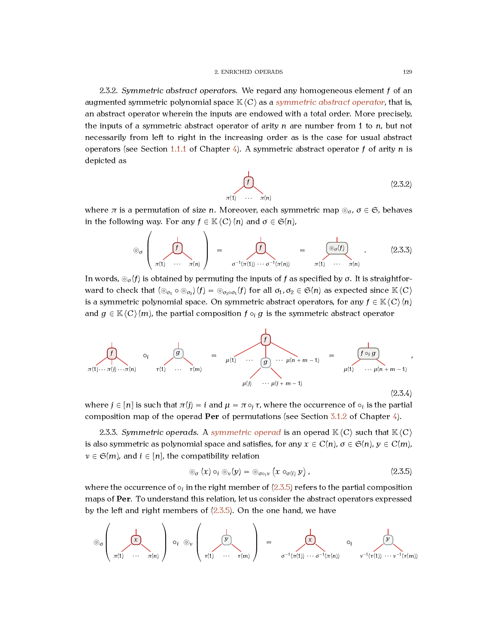2.3.2. *Symmetric abstract operators.* We regard any homogeneous element *f* of an augmented symmetric polynomial space  $\mathbb{K}\langle C \rangle$  as a *symmetric abstract operator*, that is, an abstract operator wherein the inputs are endowed with a total order. More precisely, the inputs of a symmetric abstract operator of arity *n* are number from 1 to *n*, but not necessarily from left to right in the increasing order as is the case for usual abstract operators (see Section [1.1.1](#page-86-1) of Chapter [4\)](#page-86-0). A symmetric abstract operator *f* of arity *n* is depicted as

$$
\begin{array}{c}\n\hline\n\text{f} \\
\pi(1) \quad \cdots \quad \pi(n)\n\end{array}
$$
\n(2.3.2)

where  $\pi$  is a permutation of size *n*. Moreover, each symmetric map  $\circledcirc_{\sigma}$ ,  $\sigma \in \mathfrak{S}$ , behaves in the following way. For any  $f \in \mathbb{K} \langle C \rangle(n)$  and  $\sigma \in \mathfrak{S}(n)$ ,  $\overline{\phantom{a}}$  $\mathbf{r}$ 

$$
\circledcirc_{\sigma}\left(\bigoplus_{\pi(1)}\dots\bigoplus_{\pi(n)}\right) = \bigoplus_{\sigma^{-1}(\pi(1))\cdots\sigma^{-1}(\pi(n))} = \bigoplus_{\pi(1)}\dots\pi(n) \qquad (2.3.3)
$$

In words,  $\mathcal{O}_{\sigma}(f)$  is obtained by permuting the inputs of *f* as specified by *σ*. It is straightfor- $\alpha$   $\alpha$  to check that  $(\circledcirc_{\sigma_1} \circ \circledcirc_{\sigma_2})$   $(f) = \circledcirc_{\sigma_2 \circ \sigma_1}(f)$  for all  $\sigma_1, \sigma_2 \in \mathfrak{S}(n)$  as expected since  $\mathbb{K} \left\langle C \right\rangle$ is a symmetric polynomial space. On symmetric abstract operators, for any  $f \in \mathbb{K} \langle C \rangle(n)$ and  $g \in K \langle C \rangle(m)$ , the partial composition  $f \circ_i g$  is the symmetric abstract operator

$$
\sigma_{i}
$$
\n
$$
\sigma_{i}
$$
\n
$$
\sigma_{i}
$$
\n
$$
\sigma_{i}
$$
\n
$$
\sigma_{i}
$$
\n
$$
\sigma_{i}
$$
\n
$$
\sigma_{i}
$$
\n
$$
\sigma_{i}
$$
\n
$$
\sigma_{i}
$$
\n
$$
\sigma_{i}
$$
\n
$$
\sigma_{i}
$$
\n
$$
\sigma_{i}
$$
\n
$$
\sigma_{i}
$$
\n
$$
\sigma_{i}
$$
\n
$$
\sigma_{i}
$$
\n
$$
\sigma_{i}
$$
\n
$$
\sigma_{i}
$$
\n
$$
\sigma_{i}
$$
\n
$$
\sigma_{i}
$$
\n
$$
\sigma_{i}
$$
\n
$$
\sigma_{i}
$$
\n
$$
\sigma_{i}
$$
\n
$$
\sigma_{i}
$$
\n
$$
\sigma_{i}
$$
\n
$$
\sigma_{i}
$$
\n
$$
\sigma_{i}
$$
\n
$$
\sigma_{i}
$$
\n
$$
\sigma_{i}
$$
\n
$$
\sigma_{i}
$$
\n
$$
\sigma_{i}
$$
\n
$$
\sigma_{i}
$$
\n
$$
\sigma_{i}
$$
\n
$$
\sigma_{i}
$$
\n
$$
\sigma_{i}
$$
\n
$$
\sigma_{i}
$$
\n
$$
\sigma_{i}
$$
\n
$$
\sigma_{i}
$$
\n
$$
\sigma_{i}
$$
\n
$$
\sigma_{i}
$$
\n
$$
\sigma_{i}
$$
\n
$$
\sigma_{i}
$$
\n
$$
\sigma_{i}
$$
\n
$$
\sigma_{i}
$$
\n
$$
\sigma_{i}
$$
\n
$$
\sigma_{i}
$$
\n
$$
\sigma_{i}
$$
\n
$$
\sigma_{i}
$$
\n
$$
\sigma_{i}
$$
\n
$$
\sigma_{i}
$$
\n
$$
\sigma_{i}
$$
\n
$$
\sigma_{i}
$$
\n
$$
\sigma_{i}
$$
\n
$$
\sigma_{i}
$$
\n
$$
\sigma_{i}
$$
\n
$$
\sigma_{i}
$$
\n
$$
\sigma_{i}
$$
\n
$$
\sigma_{i}
$$
\n
$$
\sigma_{i}
$$
\n
$$
\sigma_{i}
$$

where  $j \in [n]$  is such that  $\pi(j) = i$  and  $\mu = \pi \circ_j \tau$ , where the occurrence of  $\circ_i$  is the partial composition map of the operad **Per** of permutations (see Section [3.1.2](#page-104-1) of Chapter [4\)](#page-86-0).

2.3.3. *Symmetric operads.* A *symmetric operad* is an operad  $\mathbb{K} \langle C \rangle$  such that  $\mathbb{K} \langle C \rangle$ is also symmetric as polynomial space and satisfies, for any  $x \in C(n)$ ,  $\sigma \in \mathfrak{S}(n)$ ,  $y \in C(m)$ ,  $\nu \in \mathfrak{S}(m)$ , and  $i \in [n]$ , the compatibility relation

<span id="page-134-0"></span>
$$
\circledcirc_{\sigma} (x) \circ_i \circledcirc_{\nu} (y) = \circledcirc_{\sigma \circ_i \nu} (x \circ_{\sigma(i)} y), \qquad (2.3.5)
$$

where the occurrence of *◦<sup>i</sup>* in the right member of [\(2.3.5\)](#page-134-0) refers to the partial composition maps of **Per**. To understand this relation, let us consider the abstract operators expressed by the left and right members of [\(2.3.5\)](#page-134-0). On the one hand, we have

 $\mathbf{v}$ 

 $\overline{ }$ 

$$
\circledcirc\sigma\left(\begin{array}{ccc} & & & \\ & & & \\ & & & \\ \pi(1) & \cdots & \pi(n) \end{array}\right)\circ_ i\;\circledcirc_\nu\left(\begin{array}{ccc} & & & \\ & & & \\ & & & \\ \tau(1) & \cdots & \tau(m) \end{array}\right)\;\;=\;\; \underbrace{\qquad \qquad \qquad}_{\sigma^{-1}(\pi(1))\;\cdots\;\sigma^{-1}(\pi(n))}\;\circ_i\; \underbrace{\qquad \qquad \qquad}_{\nu^{-1}(\tau(1))\;\cdots\;\nu^{-1}(\tau(m))}
$$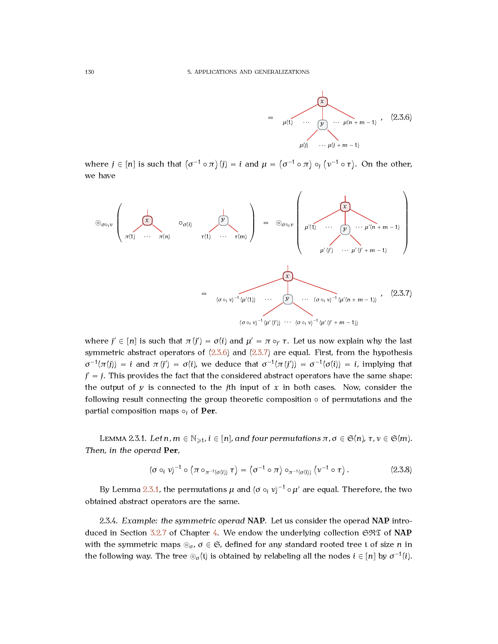<span id="page-135-1"></span><span id="page-135-0"></span>

where  $j \in [n]$  is such that  $(\sigma^{-1} \circ \pi)$  $(j) = i$  and  $\mu =$  $\overline{ }$ *σ*<sup>-1</sup> ∘ *π*) *◦j*  $\overline{ }$ *ν*<sup>-1</sup> ∘ *τ*) . On the other, we have



where  $j' \in [n]$  is such that  $\pi(j') = \sigma(i)$  and  $\mu' = \pi \circ_j \tau$ . Let us now explain why the last symmetric abstract operators of  $(2.3.6)$  and  $(2.3.7)$  are equal. First, from the hypothesis  $\sigma^{-1}(\pi(j)) = i$  and  $\pi(j') = \sigma(i)$ , we deduce that  $\sigma^{-1}(\pi(j')) = \sigma^{-1}(\sigma(i)) = i$ , implying that  $j' = j$ . This provides the fact that the considered abstract operators have the same shape: the output of  $y$  is connected to the *j*th input of  $x$  in both cases. Now, consider the following result connecting the group theoretic composition *◦* of permutations and the partial composition maps *◦<sup>i</sup>* of **Per**.

<span id="page-135-2"></span>*LEMMA 2.3.1. Let n, m* ∈  $\mathbb{N}_{\geq 1}$ *, i* ∈ [*n*]*,* and four permutations *π*, *σ* ∈  $\mathfrak{S}(n)$ *, τ*, *ν* ∈  $\mathfrak{S}(m)$ *. Then, in the operad* **Per***,*

$$
(\sigma \circ_i \nu)^{-1} \circ (\pi \circ_{\pi^{-1}(\sigma(i))} \tau) = (\sigma^{-1} \circ \pi) \circ_{\pi^{-1}(\sigma(i))} (\nu^{-1} \circ \tau).
$$
 (2.3.8)

By Lemma [2.3.1,](#page-135-2) the permutations  $\mu$  and (σ  $\circ_i$  ν) $^{-1}$   $\circ$   $\mu'$  are equal. Therefore, the two obtained abstract operators are the same.

<span id="page-135-3"></span>2.3.4. *Example: the symmetric operad* **NAP***.* Let us consider the operad **NAP** introduced in Section [3.2.7](#page-112-1) of Chapter [4.](#page-86-0) We endow the underlying collection SRT of **NAP** with the symmetric maps  $\mathcal{O}_\sigma$ ,  $\sigma \in \mathfrak{S}$ , defined for any standard rooted tree t of size *n* in the following way. The tree  $\odot_{\sigma}(t)$  is obtained by relabeling all the nodes  $i \in [n]$  by  $\sigma^{-1}(i)$ .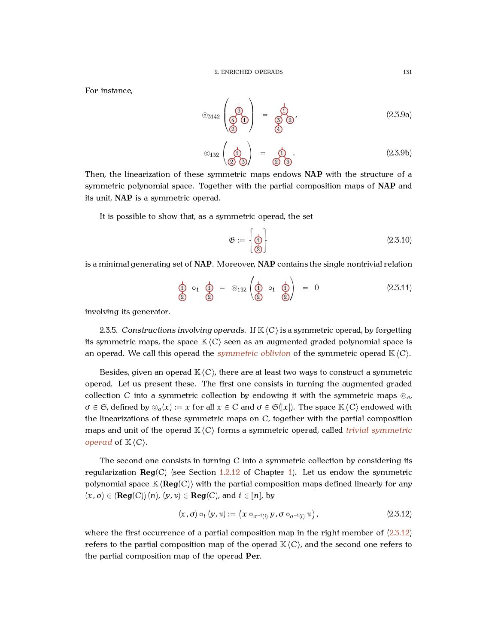For instance,

$$
\circledcirc_{3142}\begin{pmatrix} \downarrow \\ \circledcirc \\ \circledcirc \end{pmatrix} = \circledcirc \begin{pmatrix} \downarrow \\ \circledcirc \\ \circledcirc \end{pmatrix}, \tag{2.3.9a}
$$

$$
\circ_{132}\begin{pmatrix} \overrightarrow{0} \\ \overrightarrow{0} & \overrightarrow{0} \end{pmatrix} = \overrightarrow{0} \begin{pmatrix} \overrightarrow{0} \\ \overrightarrow{0} & \overrightarrow{0} \end{pmatrix}.
$$
 (2.3.9b)

Then, the linearization of these symmetric maps endows **NAP** with the structure of a symmetric polynomial space. Together with the partial composition maps of **NAP** and its unit, **NAP** is a symmetric operad.

It is possible to show that, as a symmetric operad, the set

<span id="page-136-1"></span>
$$
\mathfrak{G} := \begin{Bmatrix} \downarrow \\ \circled{b} \end{Bmatrix} \tag{2.3.10}
$$

is a minimal generating set of **NAP**. Moreover, **NAP** contains the single nontrivial relation

<span id="page-136-2"></span>
$$
\begin{array}{ccc}\n\oint_{\mathcal{O}} & o_1 & \oint_{\mathcal{O}} & -\circledcirc_{132} \left( \oint_{\mathcal{O}} & o_1 & \oint_{\mathcal{O}} \right) & = & 0\n\end{array} \tag{2.3.11}
$$

!<br>}

involving its generator.

2.3.5. *Constructions involving operads.* If  $\mathbb{K} \langle C \rangle$  is a symmetric operad, by forgetting its symmetric maps, the space  $\mathbb{K}\langle C \rangle$  seen as an augmented graded polynomial space is an operad. We call this operad the *symmetric oblivion* of the *symmetric operad*  $K(\mathcal{C})$ .

Besides, given an operad  $\mathbb{K} \langle C \rangle$ , there are at least two ways to construct a symmetric operad. Let us present these. The first one consists in turning the augmented graded collection *C* into a symmetric collection by endowing it with the symmetric maps  $\mathcal{O}_\sigma$ ,  $\sigma \in \mathfrak{S}$ , defined by  $\odot_{\sigma}(x) := x$  for all  $x \in C$  and  $\sigma \in \mathfrak{S}(|x|)$ . The space  $\mathbb{K} \langle C \rangle$  endowed with the linearizations of these symmetric maps on *C*, together with the partial composition maps and unit of the operad K *hCi* forms a symmetric operad, called *trivial symmetric operad* of  $K \langle C \rangle$ *.* 

The second one consists in turning *C* into a symmetric collection by considering its regularization **Reg**(*C*) (see Section [1.2.12](#page-24-0) of Chapter [1\)](#page-14-0). Let us endow the symmetric polynomial space  $\mathbb{K} \langle \text{Reg}(C) \rangle$  with the partial composition maps defined linearly for any  $(x, \sigma) \in (\text{Reg}(C))$   $(n)$ ,  $(y, \nu) \in \text{Reg}(C)$ , and  $i \in [n]$ , by

<span id="page-136-0"></span>
$$
(x, \sigma) \circ_i (y, \nu) := (x \circ_{\sigma^{-1}(i)} y, \sigma \circ_{\sigma^{-1}(i)} \nu), \qquad (2.3.12)
$$

where the first occurrence of a partial composition map in the right member of  $(2.3.12)$ refers to the partial composition map of the operad  $\mathbb{K}\langle C\rangle$ , and the second one refers to the partial composition map of the operad **Per**.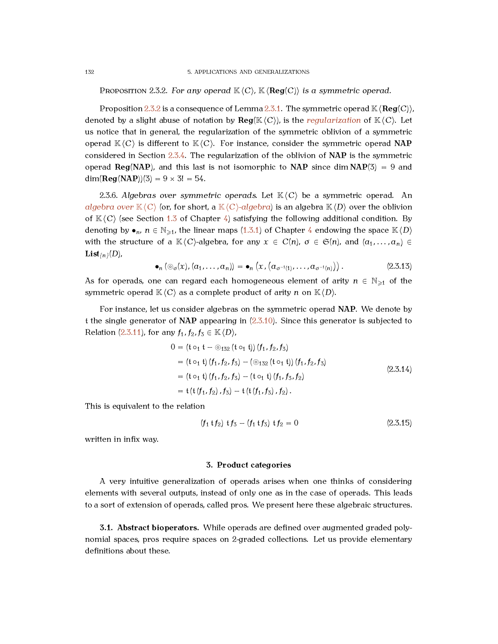<span id="page-137-0"></span>PROPOSITION 2.3.2. *For any operad*  $\mathbb{K}\langle C \rangle$ ,  $\mathbb{K}\langle \text{Reg}(C) \rangle$  *is a symmetric operad.* 

Proposition [2.3.2](#page-137-0) is a consequence of Lemma [2.3.1.](#page-135-2) The symmetric operad  $\mathbb{K} \langle \text{Reg}(C) \rangle$ , denoted by a slight abuse of notation by  $\text{Reg}(\mathbb{K} \langle C \rangle)$ , is the *regularization* of  $\mathbb{K} \langle C \rangle$ . Let us notice that in general, the regularization of the symmetric oblivion of a symmetric operad  $\mathbb{K}\langle C \rangle$  is different to  $\mathbb{K}\langle C \rangle$ . For instance, consider the symmetric operad **NAP** considered in Section [2.3.4.](#page-135-3) The regularization of the oblivion of **NAP** is the symmetric operad  $\text{Reg(NAP)}$ , and this last is not isomorphic to  $\text{NAP}$  since dim  $\text{NAP}(3) = 9$  and dim( $\text{Reg}(\text{NAP})$ )(3) = 9 × 3! = 54.

2.3.6. *Algebras over symmetric operads.* Let  $\mathbb{K}\langle C \rangle$  be a symmetric operad. An *algebra over*  $\mathbb{K}(C)$  (or, for short, a  $\mathbb{K}(C)$ -*algebra*) is an algebra  $\mathbb{K}(D)$  over the oblivion of  $\mathbb{K}\langle C \rangle$  (see Section [1.3](#page-94-1) of Chapter [4\)](#page-86-0) satisfying the following additional condition. By denoting by  $\bullet_n$ ,  $n \in \mathbb{N}_{\geq 1}$ , the linear maps [\(1.3.1\)](#page-94-2) of Chapter [4](#page-86-0) endowing the space  $\mathbb{K}(D)$ with the structure of a  $\mathbb{K}\langle C\rangle$ -algebra, for any  $x \in C(n)$ ,  $\sigma \in \mathfrak{S}(n)$ , and  $\langle a_1, \ldots, a_n \rangle \in$ List $_{\{n\}}(D)$ ,  $\overline{ }$ 

$$
\bullet_n(\odot_{\sigma}(x), (a_1, \ldots, a_n)) = \bullet_n(x, (a_{\sigma^{-1}(1)}, \ldots, a_{\sigma^{-1}(n)})) \ . \tag{2.3.13}
$$

As for operads, one can regard each homogeneous element of arity  $n \in \mathbb{N}_{\geq 1}$  of the symmetric operad  $\mathbb{K} \langle C \rangle$  as a complete product of arity *n* on  $\mathbb{K} \langle D \rangle$ .

For instance, let us consider algebras on the symmetric operad **NAP**. We denote by t the single generator of **NAP** appearing in [\(2.3.10\)](#page-136-1). Since this generator is subjected to Relation  $(2.3.11)$ , for any  $f_1, f_2, f_3 \in \mathbb{K} \langle D \rangle$ ,

$$
0 = (t o_1 t - O_{132} (t o_1 t)) (f_1, f_2, f_3)
$$
  
\n
$$
= (t o_1 t) (f_1, f_2, f_3) - (O_{132} (t o_1 t)) (f_1, f_2, f_3)
$$
  
\n
$$
= (t o_1 t) (f_1, f_2, f_3) - (t o_1 t) (f_1, f_3, f_2)
$$
  
\n
$$
= t (t (f_1, f_2), f_3) - t (t (f_1, f_3), f_2).
$$
 (2.3.14)

This is equivalent to the relation

$$
(f_1 \t f_2) \t f_3 - (f_1 \t f_3) \t f_2 = 0 \t (2.3.15)
$$

written in infix way.

### **3. Product categories**

A very intuitive generalization of operads arises when one thinks of considering elements with several outputs, instead of only one as in the case of operads. This leads to a sort of extension of operads, called pros. We present here these algebraic structures.

**3.1. Abstract bioperators.** While operads are defined over augmented graded polynomial spaces, pros require spaces on 2-graded collections. Let us provide elementary definitions about these.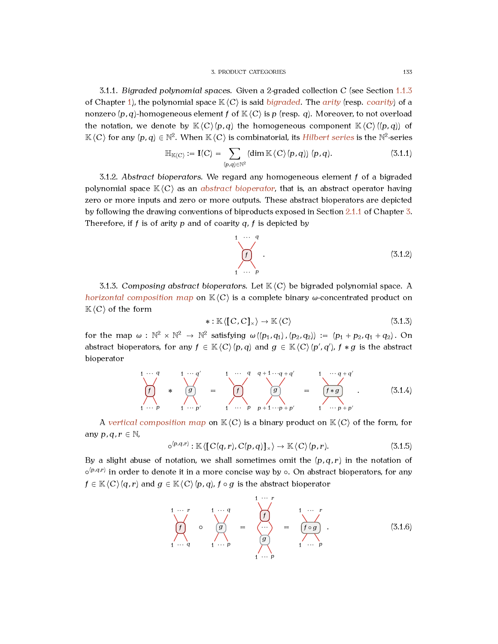3.1.1. *Bigraded polynomial spaces.* Given a 2-graded collection *C* (see Section [1.1.3](#page-15-0) of Chapter [1\)](#page-14-0), the polynomial space  $\mathbb{K}\langle C \rangle$  is said *bigraded*. The *arity* (resp. *coarity*) of a nonzero  $(p, q)$ -homogeneous element *f* of  $\mathbb{K} \langle C \rangle$  is *p* (resp. *q*). Moreover, to not overload the notation, we denote by  $\mathbb{K}\langle C\rangle(p,q)$  the homogeneous component  $\mathbb{K}\langle C\rangle(p,q)$  of  $\mathbb{K}\langle C\rangle$  for any  $(p,q)\in\mathbb{N}^2.$  When  $\mathbb{K}\langle C\rangle$  is combinatorial, its *Hilbert series* is the  $\mathbb{N}^2$ -series

$$
\mathbb{H}_{\mathbb{K}\langle C\rangle}:=\mathbf{I}(C)=\sum_{(p,q)\in\mathbb{N}^2}\left(\dim\mathbb{K}\left\langle C\right\rangle(p,q)\right)(p,q).
$$
 (3.1.1)

3.1.2. *Abstract bioperators.* We regard any homogeneous element *f* of a bigraded polynomial space  $\mathbb{K}\langle C \rangle$  as an *abstract bioperator*, that is, an abstract operator having zero or more inputs and zero or more outputs. These abstract bioperators are depicted by following the drawing conventions of biproducts exposed in Section [2.1.1](#page-66-0) of Chapter [3.](#page-58-0) Therefore, if *f* is of arity *p* and of coarity *q*, *f* is depicted by

$$
\begin{array}{c}\n1 \cdots q \\
\hline\n\end{array}
$$
\n
$$
\begin{array}{c}\n1 \cdots p\n\end{array}
$$
\n(3.1.2)

3.1.3. *Composing abstract bioperators.* Let  $K\langle C \rangle$  be bigraded polynomial space. A *horizontal composition map* on  $K(C)$  is a complete binary *ω*-concentrated product on  $K \langle C \rangle$  of the form

$$
* : \mathbb{K} \langle [C, C]_{\times} \rangle \to \mathbb{K} \langle C \rangle \tag{3.1.3}
$$

for the map  $\omega : \mathbb{N}^2 \times \mathbb{N}^2 \to \mathbb{N}^2$  satisfying  $\omega(\langle p_1, q_1 \rangle, \langle p_2, q_2 \rangle) := \langle p_1 + p_2, q_1 + q_2 \rangle$ . On abstract bioperators, for any  $f \in K \langle C \rangle (p,q)$  and  $g \in K \langle C \rangle (p',q')$ ,  $f * g$  is the abstract bioperator

*f* 1 *p* 1 *q . . . . . . ∗ g* 1 *p 0* 1 *q 0 . . . . . .* = *f g* 1 *p* 1 *q . . . . . . p* + 1 *p* + *p 0 q* + 1 *q* + *q 0 . . . . . .* = *f ∗ g* 1 *p* + *p 0* 1 *q* + *q 0 . . . . . . .* (3.1.4)

A *vertical composition map* on  $K(C)$  is a binary product on  $K(C)$  of the form, for any *p, q, r ∈* N,

$$
\circ^{(p,q,r)}: \mathbb{K} \langle [C(q,r), C(p,q)]_{\times} \rangle \to \mathbb{K} \langle C \rangle(p,r). \tag{3.1.5}
$$

By a slight abuse of notation, we shall sometimes omit the  $(p, q, r)$  in the notation of *◦* (*p,q,r*) in order to denote it in a more concise way by *◦*. On abstract bioperators, for any  $f \in K \langle C \rangle \langle q, r \rangle$  and  $g \in K \langle C \rangle \langle p, q \rangle$ ,  $f \circ g$  is the abstract bioperator

*f* 1 *q* 1 *r . . . . . . ◦ g* 1 *p* 1 *q . . . . . .* = *f g* 1 *p* 1 *r . . . . . . . . .* = *f ◦ g* 1 *p* 1 *r . . . . . . .* (3.1.6)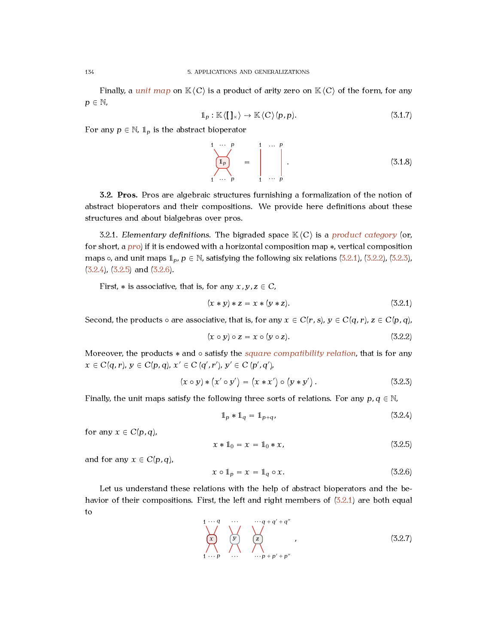Finally, a *unit map* on  $\mathbb{K}\langle C \rangle$  is a product of arity zero on  $\mathbb{K}\langle C \rangle$  of the form, for any *p* ∈ N,

$$
\mathbb{1}_p : \mathbb{K} \langle [ \ ]_{\times} \rangle \to \mathbb{K} \langle C \rangle \langle p, p \rangle. \tag{3.1.7}
$$

For any  $p \in \mathbb{N}$ ,  $\mathbb{1}_p$  is the abstract bioperator

$$
\left\{\begin{array}{c}\n1 \cdots p \\
\hline\n\begin{array}{c}\n1 \end{array}\n\end{array}\right\} =\n\left\{\begin{array}{c}\n1 \cdots p \\
\hline\n\begin{array}{c}\n\end{array}\n\end{array}\right.\n\quad \cdots\n\left\{\begin{array}{c}\n\end{array}\right.\n\quad \cdots\n\left\{\begin{array}{c}\n\end{array}\right.\n\end{array}\n\right.\n\tag{3.1.8}
$$

**3.2. Pros.** Pros are algebraic structures furnishing a formalization of the notion of abstract bioperators and their compositions. We provide here definitions about these structures and about bialgebras over pros.

3.2.1. *Elementary definitions.* The bigraded space  $\mathbb{K}\langle C \rangle$  is a *product category* (or, for short, a *pro*) if it is endowed with a horizontal composition map *∗*, vertical composition maps  $\circ$ , and unit maps  $1_p$ ,  $p \in \mathbb{N}$ , satisfying the following six relations [\(3.2.1\)](#page-139-0), [\(3.2.2\)](#page-139-1), [\(3.2.3\)](#page-139-2),  $(3.2.4)$ ,  $(3.2.5)$  and  $(3.2.6)$ .

First,  $*$  is associative, that is, for any  $x, y, z \in C$ ,

<span id="page-139-0"></span>
$$
(x * y) * z = x * (y * z).
$$
 (3.2.1)

Second, the products  $\circ$  are associative, that is, for any  $x \in C(r, s)$ ,  $y \in C(q, r)$ ,  $z \in C(p, q)$ ,

<span id="page-139-1"></span>
$$
(x \circ y) \circ z = x \circ (y \circ z).
$$
 (3.2.2)

Moreover, the products *∗* and *◦* satisfy the *square compatibility relation*, that is for any  $x \in C(q,r)$ ,  $y \in C(p,q)$ ,  $x' \in C(q',r')$ ,  $y' \in C(p',q')$ ,

<span id="page-139-2"></span>
$$
(x \circ y) * (x' \circ y') = (x * x') \circ (y * y').
$$
 (3.2.3)

Finally, the unit maps satisfy the following three sorts of relations. For any  $p, q \in \mathbb{N}$ ,

<span id="page-139-3"></span>
$$
1_p * 1_q = 1_{p+q}, \t\t(3.2.4)
$$

for any  $x \in C(p,q)$ ,

<span id="page-139-4"></span>
$$
x * 1_0 = x = 1_0 * x, \tag{3.2.5}
$$

and for any  $x \in C(p,q)$ ,

<span id="page-139-5"></span>
$$
x \circ \mathbb{1}_p = x = \mathbb{1}_q \circ x. \tag{3.2.6}
$$

Let us understand these relations with the help of abstract bioperators and the behavior of their compositions. First, the left and right members of  $(3.2.1)$  are both equal to

*x y z* 1 *p* 1 *q . . . . . . . . . . . . p* + *p <sup>0</sup>* + *p 00 q* + *q <sup>0</sup>* + *q 00 . . . . . . ,* (3.2.7)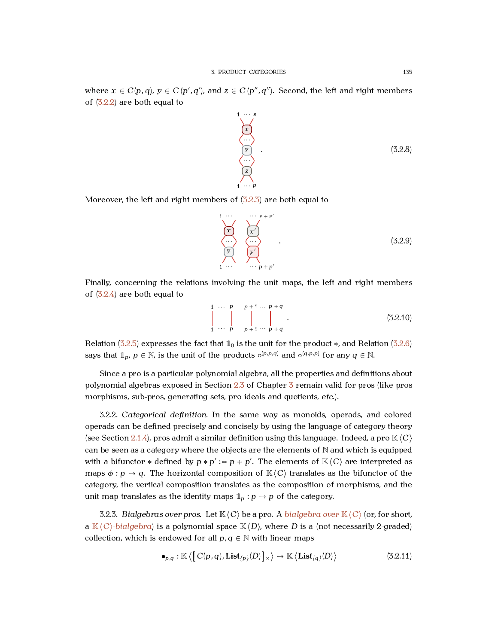where  $x \in C(p,q)$ ,  $y \in C(p',q')$ , and  $z \in C(p'',q'')$ . Second, the left and right members of [\(3.2.2\)](#page-139-1) are both equal to

Moreover, the left and right members of [\(3.2.3\)](#page-139-2) are both equal to

*x y* 1 1 *. . . . . . . . . x 0 y 0 p* + *p 0 r* + *r 0 . . . . . . . . . .* (3.2.9)

Finally, concerning the relations involving the unit maps, the left and right members of  $(3.2.4)$  are both equal to

$$
\begin{array}{c|c|c|c|c|c|c|c|c} 1 & \cdots & p & p+1 & \cdots & p+q \\ \hline 1 & & & & & \\ 1 & \cdots & p & p+1 & \cdots & p+q \end{array} . \tag{3.2.10}
$$

Relation [\(3.2.5\)](#page-139-4) expresses the fact that  $\mathbb{1}_0$  is the unit for the product  $*$ , and Relation [\(3.2.6\)](#page-139-5) says that  $1_p$ ,  $p \in \mathbb{N}$ , is the unit of the products  $\circ^{(p,p,q)}$  and  $\circ^{(q,p,p)}$  for any  $q \in \mathbb{N}$ .

Since a pro is a particular polynomial algebra, all the properties and definitions about polynomial algebras exposed in Section [2.3](#page-71-0) of Chapter [3](#page-58-0) remain valid for pros (like pros morphisms, sub-pros, generating sets, pro ideals and quotients, *etc.*).

3.2.2. *Categorical definition.* In the same way as monoids, operads, and colored operads can be defined precisely and concisely by using the language of category theory (see Section [2.1.4\)](#page-129-0), pros admit a similar definition using this language. Indeed, a pro  $\mathbb{K}(C)$ can be seen as a category where the objects are the elements of  $\mathbb N$  and which is equipped with a bifunctor  $*$  defined by  $p * p' := p + p'$ . The elements of  $\mathbb{K} \langle C \rangle$  are interpreted as maps  $\phi : p \to q$ . The horizontal composition of  $\mathbb{K}(C)$  translates as the bifunctor of the category, the vertical composition translates as the composition of morphisms, and the unit map translates as the identity maps  $1_p : p \rightarrow p$  of the category.

3.2.3. *Bialgebras over pros.* Let  $K \langle C \rangle$  be a pro. A *bialgebra over*  $K \langle C \rangle$  (or, for short, a  $\mathbb{K}\langle C\rangle$ -bialgebra) is a polynomial space  $\mathbb{K}\langle D\rangle$ , where D is a (not necessarily 2-graded) collection, which is endowed for all  $p, q \in \mathbb{N}$  with linear maps

$$
\bullet_{p,q} : \mathbb{K} \left\langle \left[ C(p,q), \mathbf{List}_{\{p\}}(D) \right]_{\times} \right\rangle \to \mathbb{K} \left\langle \mathbf{List}_{\{q\}}(D) \right\rangle \tag{3.2.11}
$$

*x y z*  $1 \cdots p$ 1 *s . . . . . . . . . . . .*  $(3.2.8)$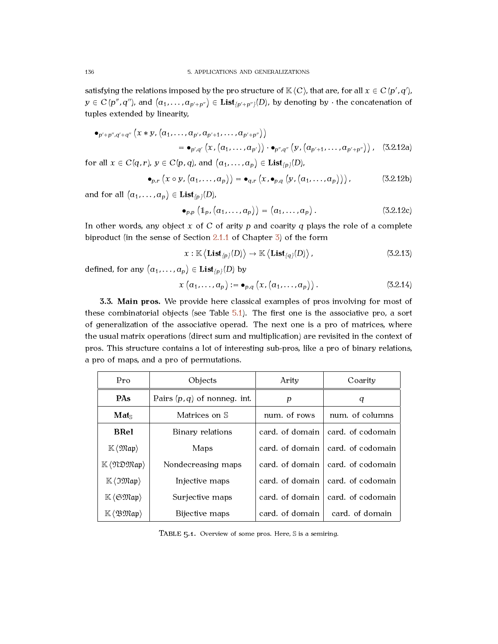satisfying the relations imposed by the pro structure of  $\mathbb{K}\langle C\rangle$ , that are, for all  $x\in C$  ( $p',q'$ ),  $y \in C(p'', q'')$ , and  $(a_1, \ldots, a_{p'+p''}) \in \text{List}_{\{p'+p''\}}(D)$ , by denoting by  $\cdot$  the concatenation of tuples extended by linearity,

$$
\bullet_{p'+p'',q'+q''}(x*y,(a_1,...,a_{p'},a_{p'+1},...,a_{p'+p''}))
$$
\n
$$
=\bullet_{p',q'}(x,(a_1,...,a_{p'}))\cdot\bullet_{p'',q''}(y,(a_{p'+1},...,a_{p'+p''}))\,,\quad(3.2.12a)
$$

for all  $x \in C(q,r)$ ,  $y \in C(p,q)$ , and  $(a_1, \ldots, a_p)$ *∈* **List***{p}*(*D*),

$$
\bullet_{p,r} \left( x \circ y, \left( a_1, \ldots, a_p \right) \right) = \bullet_{q,r} \left( x, \bullet_{p,q} \left( y, \left( a_1, \ldots, a_p \right) \right) \right), \tag{3.2.12b}
$$

and for all  $(a_1, \ldots, a_p)$ *∈* **List***{p}*(*D*),

$$
\bullet_{p,p} (1_p, (a_1, ..., a_p)) = (a_1, ..., a_p).
$$
 (3.2.12c)

In other words, any object *x* of *C* of arity *p* and coarity *q* plays the role of a complete biproduct (in the sense of Section [2.1.1](#page-66-0) of Chapter [3\)](#page-58-0) of the form

$$
x: \mathbb{K} \left\langle \mathbf{List}_{\{p\}}(D) \right\rangle \to \mathbb{K} \left\langle \mathbf{List}_{\{q\}}(D) \right\rangle, \tag{3.2.13}
$$

defined, for any  $\langle a_1, \ldots, a_p \rangle$  $\mathbf{r}$ *∈* **List***{p}*(*D*) by

$$
x\left(a_1,\ldots,a_p\right) := \bullet_{p,q}\left(x,\left(a_1,\ldots,a_p\right)\right). \tag{3.2.14}
$$

**3.3. Main pros.** We provide here classical examples of pros involving for most of these combinatorial objects (see Table [5.1\)](#page-141-0). The first one is the associative pro, a sort of generalization of the associative operad. The next one is a pro of matrices, where the usual matrix operations (direct sum and multiplication) are revisited in the context of pros. This structure contains a lot of interesting sub-pros, like a pro of binary relations, a pro of maps, and a pro of permutations.

| Pro                                                              | Objects                        | Arity                   | Coarity           |
|------------------------------------------------------------------|--------------------------------|-------------------------|-------------------|
| PAs                                                              | Pairs $(p, q)$ of nonneg. int. | p                       | q                 |
| $\mathbf{Mat}_{\mathbb{S}}$                                      | Matrices on S                  | num. of rows            | num. of columns   |
| <b>BRel</b>                                                      | Binary relations               | card, of domain         | card. of codomain |
| $\mathbb{K}\langle \mathfrak{Map}\rangle$                        | Maps                           | card, of domain $\vert$ | card, of codomain |
| $\mathbb{K}\langle\mathfrak{NDMan}\rangle$                       | Nondecreasing maps             | card, of domain I       | card. of codomain |
| $\mathbb{K}\langle \mathfrak{Im}\mathfrak{m}\rangle$             | Injective maps                 | card, of domain         | card, of codomain |
| $\mathbb{K}\left\langle \mathfrak{S}\mathfrak{Map}\right\rangle$ | Surjective maps                | card, of domain         | card, of codomain |
| $\mathbb{K}\langle\mathfrak{BMan}\rangle$                        | Bijective maps                 | card, of domain         | card. of domain   |

<span id="page-141-0"></span>TABLE 5.1. Overview of some pros. Here, S is a semiring.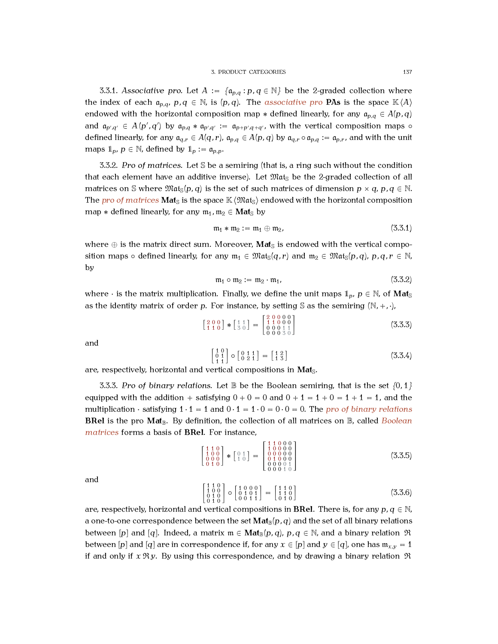3.3.1. Associative pro. Let  $A := \{a_{p,q}: p,q \in \mathbb{N}\}\)$  be the 2-graded collection where the index of each  $a_{p,q}$ ,  $p, q \in \mathbb{N}$ , is  $(p,q)$ . The *associative pro* **PAs** is the space  $\mathbb{K} \langle A \rangle$ endowed with the horizontal composition map  $*$  defined linearly, for any  $a_{p,q} \in A(p,q)$ and  $\mathfrak{a}_{p',q'} \in A(p',q')$  by  $\mathfrak{a}_{p,q} * \mathfrak{a}_{p',q'} := \mathfrak{a}_{p+p',q+q'}$ , with the vertical composition maps  $\circ$ defined linearly, for any  $\mathfrak{a}_{q,r} \in A(q,r)$ ,  $\mathfrak{a}_{p,q} \in A(p,q)$  by  $\mathfrak{a}_{q,r} \circ \mathfrak{a}_{p,q} := \mathfrak{a}_{p,r}$ , and with the unit maps  $1_p$ ,  $p \in \mathbb{N}$ , defined by  $1_p := a_{p,p}$ .

3.3.2. *Pro of matrices.* Let S be a semiring (that is, a ring such without the condition that each element have an additive inverse). Let  $\mathfrak{Mat}_{\mathbb{S}}$  be the 2-graded collection of all matrices on S where  $\mathfrak{Mat}_{S}(p,q)$  is the set of such matrices of dimension  $p \times q$ ,  $p, q \in \mathbb{N}$ . The *pro of matrices* Mat<sub>S</sub> is the space  $\mathbb{K} \langle \mathfrak{Mat}_s \rangle$  endowed with the horizontal composition map  $*$  defined linearly, for any  $m_1, m_2 \in Mat_s$  by

$$
\mathfrak{m}_1 * \mathfrak{m}_2 := \mathfrak{m}_1 \oplus \mathfrak{m}_2, \tag{3.3.1}
$$

where  $\oplus$  is the matrix direct sum. Moreover, **Mat**<sub>S</sub> is endowed with the vertical composition maps  $\circ$  defined linearly, for any  $m_1 \in \mathfrak{Mat}_{\mathbb{S}}(q, r)$  and  $m_2 \in \mathfrak{Mat}_{\mathbb{S}}(p, q)$ ,  $p, q, r \in \mathbb{N}$ , by

$$
\mathfrak{m}_1 \circ \mathfrak{m}_2 := \mathfrak{m}_2 \cdot \mathfrak{m}_1,\tag{3.3.2}
$$

where  $\cdot$  is the matrix multiplication. Finally, we define the unit maps  $1_p$ ,  $p \in \mathbb{N}$ , of **Mat**<sub>S</sub> as the identity matrix of order p. For instance, by setting  $\mathbb{S}$  as the semiring  $(\mathbb{N}, +, \cdot)$ ,

$$
\begin{bmatrix} 2 & 0 & 0 \\ 1 & 1 & 0 \end{bmatrix} * \begin{bmatrix} 1 & 1 \\ 3 & 0 \end{bmatrix} = \begin{bmatrix} 2 & 0 & 0 & 0 \\ 1 & 1 & 0 & 0 & 0 \\ 0 & 0 & 0 & 1 & 1 \\ 0 & 0 & 0 & 3 & 0 \end{bmatrix}
$$
(3.3.3)

and

$$
\begin{bmatrix} 1 & 0 \\ 0 & 1 \\ 1 & 1 \end{bmatrix} \circ \begin{bmatrix} 0 & 1 & 1 \\ 0 & 2 & 1 \end{bmatrix} = \begin{bmatrix} 1 & 2 \\ 1 & 3 \end{bmatrix} \tag{3.3.4}
$$

are, respectively, horizontal and vertical compositions in Mat<sub>s</sub>.

3.3.3. *Pro of binary relations.* Let B be the Boolean semiring, that is the set *{*0*,* 1*}* equipped with the addition + satisfying  $0 + 0 = 0$  and  $0 + 1 = 1 + 0 = 1 + 1 = 1$ , and the multiplication  $\cdot$  satisfying  $1 \cdot 1 = 1$  and  $0 \cdot 1 = 1 \cdot 0 = 0 \cdot 0 = 0$ . The *pro of binary relations* **BRel** is the pro  $\mathbf{Mat}_{\mathbb{B}}$ . By definition, the collection of all matrices on  $\mathbb{B}$ , called *Boolean matrices* forms a basis of **BRel**. For instance,

<span id="page-142-0"></span>
$$
\begin{bmatrix} 1 & 1 & 0 \\ 1 & 0 & 0 \\ 0 & 0 & 0 \\ 0 & 1 & 0 \end{bmatrix} * \begin{bmatrix} 0 & 1 \\ 1 & 0 \end{bmatrix} = \begin{bmatrix} 1 & 1 & 0 & 0 & 0 \\ 1 & 0 & 0 & 0 & 0 \\ 0 & 0 & 0 & 0 & 0 \\ 0 & 1 & 0 & 0 & 0 \\ 0 & 0 & 0 & 1 & 0 \end{bmatrix}
$$
(3.3.5)

and

<span id="page-142-1"></span>
$$
\begin{bmatrix} 1 & 1 & 0 \\ 1 & 0 & 0 \\ 0 & 1 & 0 \\ 0 & 1 & 0 \end{bmatrix} \circ \begin{bmatrix} 1 & 0 & 0 & 0 \\ 0 & 1 & 0 & 1 \\ 0 & 0 & 1 & 1 \end{bmatrix} = \begin{bmatrix} 1 & 1 & 0 \\ 1 & 1 & 0 \\ 0 & 1 & 0 \end{bmatrix}
$$
(3.3.6)

are, respectively, horizontal and vertical compositions in **BRel**. There is, for any  $p, q \in \mathbb{N}$ , a one-to-one correspondence between the set  $\text{Mat}_{\mathbb{B}}(p,q)$  and the set of all binary relations between [*p*] and [*q*]. Indeed, a matrix  $m \in Mat_{\mathbb{B}}(p,q)$ ,  $p,q \in \mathbb{N}$ , and a binary relation  $\mathfrak{R}$ between [*p*] and [*q*] are in correspondence if, for any  $x \in [p]$  and  $y \in [q]$ , one has  $m_{x,y} = 1$ if and only if  $x \mathcal{R} y$ . By using this correspondence, and by drawing a binary relation  $\mathcal{R}$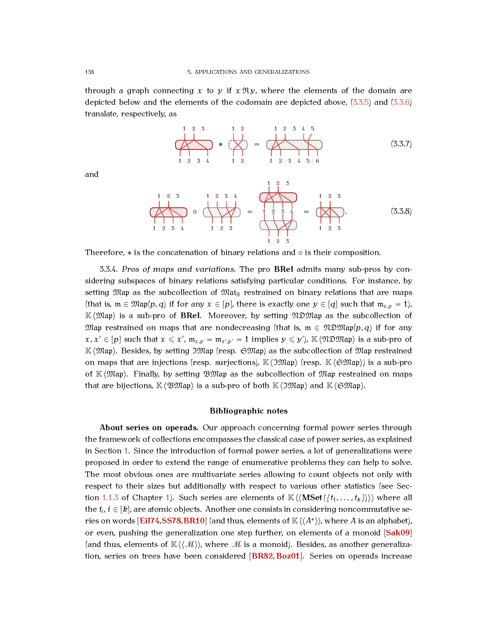through a graph connecting  $x$  to  $y$  if  $x \mathcal{R} y$ , where the elements of the domain are depicted below and the elements of the codomain are depicted above, [\(3.3.5\)](#page-142-0) and [\(3.3.6\)](#page-142-1) translate, respectively, as

$$
423
$$
  
\n
$$
437
$$
  
\n
$$
1234
$$
  
\n
$$
12345
$$
  
\n
$$
12345
$$
  
\n
$$
12345
$$
  
\n(3.3.7)

and

$$
\begin{array}{|c|c|c|c|c|}\n\hline\n1 & 2 & 3 & 4 \\
& & 2 & 3 & 4 \\
1 & 2 & 3 & 4 & 1 & 2 & 3 \\
& & 1 & 2 & 3 & 4\n\end{array}\n=\n\begin{array}{|c|c|c|}\n\hline\n2 & 3 & & & & \\
& & 2 & 3 & & & \\
& & 2 & 3 & & & \\
& & 1 & 2 & 3 & & \\
& & 1 & 2 & 3 & & \\
& & 1 & 2 & 3 & & \\
& & & 1 & 2 & 3 & & \\
\hline\n\end{array}
$$
\n(3.3.8)

Therefore, *∗* is the concatenation of binary relations and *◦* is their composition.

3.3.4. *Pros of maps and variations.* The pro **BRel** admits many sub-pros by considering subspaces of binary relations satisfying particular conditions. For instance, by setting  $\mathfrak{Map}$  as the subcollection of  $\mathfrak{Mat}_{\mathbb B}$  restrained on binary relations that are maps (that is,  $m \in \mathfrak{Map}(p,q)$  if for any  $x \in [p]$ , there is exactly one  $y \in [q]$  such that  $m_{x,y} = 1$ ), K *h*Map*i* is a sub-pro of **BRel**. Moreover, by setting NDMap as the subcollection of Map restrained on maps that are nondecreasing (that is,  $m \in \mathfrak{NDMap}(p,q)$  if for any  $x, x' \in [p]$  such that  $x \le x'$ ,  $m_{x,y} = m_{x',y'} = 1$  implies  $y \le y'$ ,  $\mathbb{K} \langle \mathfrak{NDMap} \rangle$  is a sub-pro of K *h*Map*i*. Besides, by setting IMap (resp. SMap) as the subcollection of Map restrained on maps that are injections (resp. surjections),  $\mathbb{K} \langle \mathfrak{Im} \mathfrak{a} \mathfrak{p} \rangle$  (resp.  $\mathbb{K} \langle \mathfrak{Im} \mathfrak{a} \mathfrak{p} \rangle$ ) is a sub-pro of K  $\mathcal{M}(m\mu)$ . Finally, by setting BMap as the subcollection of Map restrained on maps that are bijections,  $\mathbb{K} \langle \mathfrak{BMod} \rangle$  is a sub-pro of both  $\mathbb{K} \langle \mathfrak{DMod} \rangle$  and  $\mathbb{K} \langle \mathfrak{BMod} \rangle$ .

# **Bibliographic notes**

**About series on operads.** Our approach concerning formal power series through the framework of collections encompasses the classical case of power series, as explained in Section [1.](#page-122-1) Since the introduction of formal power series, a lot of generalizations were proposed in order to extend the range of enumerative problems they can help to solve. The most obvious ones are multivariate series allowing to count objects not only with respect to their sizes but additionally with respect to various other statistics (see Sec-tion [1.1.3](#page-15-0) of Chapter [1\)](#page-14-0). Such series are elements of  $\mathbb{K}\langle\langle\mathbf{MSet}\,(t_1,\ldots,t_k)\rangle\rangle$  where all the *t<sup>i</sup>* , *i ∈* [*k*], are atomic objects. Another one consists in considering noncommutative se-ries on words [[Eil74](#page-148-8),[SS78](#page-151-4),[BR10](#page-146-4)] (and thus, elements of  $\mathbb{K}\langle\langle A^*\rangle\rangle$ , where  $A$  is an alphabet), or even, pushing the generalization one step further, on elements of a monoid [**[Sak09](#page-150-10)**] (and thus, elements of  $\mathbb{K}\langle\langle\mathcal{M}\rangle\rangle$ , where  $\mathcal M$  is a monoid). Besides, as another generalization, series on trees have been considered [**[BR82](#page-146-5)**, **[Boz01](#page-146-6)**]. Series on operads increase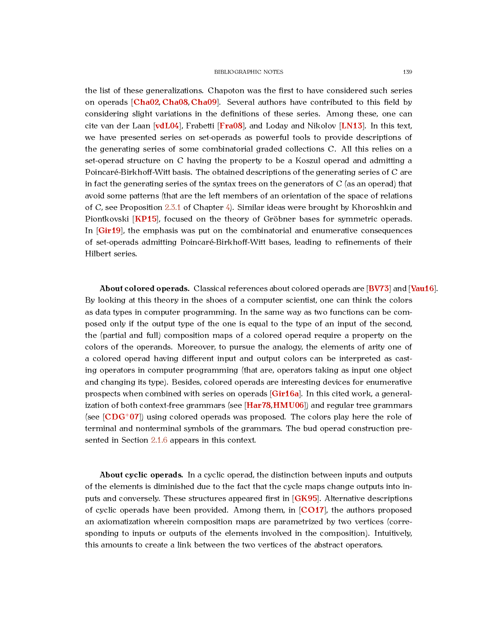## BIBLIOGRAPHIC NOTES 139

the list of these generalizations. Chapoton was the first to have considered such series on operads [**[Cha02](#page-147-0)**, **[Cha08](#page-147-1)**, **[Cha09](#page-147-2)**]. Several authors have contributed to this field by considering slight variations in the definitions of these series. Among these, one can cite van der Laan [**[vdL04](#page-151-0)**], Frabetti [**[Fra08](#page-148-0)**], and Loday and Nikolov [**[LN13](#page-149-0)**]. In this text, we have presented series on set-operads as powerful tools to provide descriptions of the generating series of some combinatorial graded collections *C*. All this relies on a set-operad structure on *C* having the property to be a Koszul operad and admitting a Poincaré-Birkhoff-Witt basis. The obtained descriptions of the generating series of *C* are in fact the generating series of the syntax trees on the generators of *C* (as an operad) that avoid some patterns (that are the left members of an orientation of the space of relations of *C*, see Proposition [2.3.1](#page-101-0) of Chapter [4\)](#page-86-0). Similar ideas were brought by Khoroshkin and Piontkovski [**[KP15](#page-149-1)**], focused on the theory of Gröbner bases for symmetric operads. In [**[Gir19](#page-148-1)**], the emphasis was put on the combinatorial and enumerative consequences of set-operads admitting Poincaré-Birkhoff-Witt bases, leading to refinements of their Hilbert series.

**About colored operads.** Classical references about colored operads are [**[BV73](#page-147-3)**] and [**[Yau16](#page-151-1)**]. By looking at this theory in the shoes of a computer scientist, one can think the colors as data types in computer programming. In the same way as two functions can be composed only if the output type of the one is equal to the type of an input of the second, the (partial and full) composition maps of a colored operad require a property on the colors of the operands. Moreover, to pursue the analogy, the elements of arity one of a colored operad having different input and output colors can be interpreted as casting operators in computer programming (that are, operators taking as input one object and changing its type). Besides, colored operads are interesting devices for enumerative prospects when combined with series on operads [**[Gir16a](#page-148-2)**]. In this cited work, a generalization of both context-free grammars (see [**[Har78](#page-148-3)**,**[HMU06](#page-148-4)**]) and regular tree grammars (see [**[CDG](#page-147-4)**+**07**]) using colored operads was proposed. The colors play here the role of terminal and nonterminal symbols of the grammars. The bud operad construction presented in Section [2.1.6](#page-130-0) appears in this context.

**About cyclic operads.** In a cyclic operad, the distinction between inputs and outputs of the elements is diminished due to the fact that the cycle maps change outputs into inputs and conversely. These structures appeared first in [**[GK95](#page-148-5)**]. Alternative descriptions of cyclic operads have been provided. Among them, in [**[CO17](#page-147-5)**], the authors proposed an axiomatization wherein composition maps are parametrized by two vertices (corresponding to inputs or outputs of the elements involved in the composition). Intuitively, this amounts to create a link between the two vertices of the abstract operators.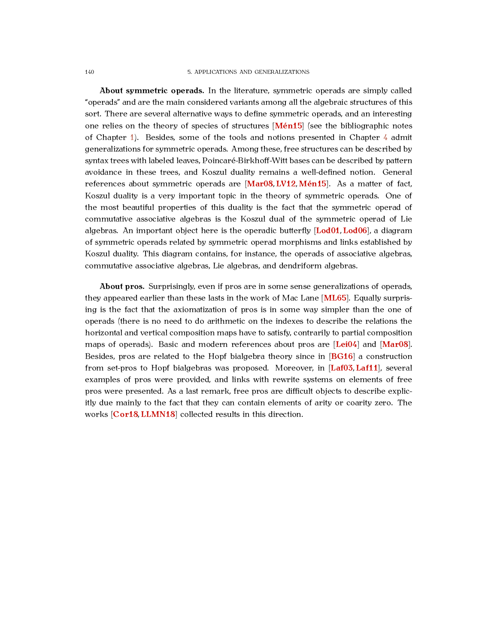140 5. APPLICATIONS AND GENERALIZATIONS

**About symmetric operads.** In the literature, symmetric operads are simply called "operads" and are the main considered variants among all the algebraic structures of this sort. There are several alternative ways to define symmetric operads, and an interesting one relies on the theory of species of structures [**[Mén15](#page-150-0)**] (see the bibliographic notes of Chapter [1\)](#page-14-0). Besides, some of the tools and notions presented in Chapter  $\frac{1}{4}$  $\frac{1}{4}$  $\frac{1}{4}$  admit generalizations for symmetric operads. Among these, free structures can be described by syntax trees with labeled leaves, Poincaré-Birkhoff-Witt bases can be described by pattern avoidance in these trees, and Koszul duality remains a well-defined notion. General references about symmetric operads are [**[Mar08](#page-150-1)**, **[LV12](#page-150-2)**, **[Mén15](#page-150-0)**]. As a matter of fact, Koszul duality is a very important topic in the theory of symmetric operads. One of the most beautiful properties of this duality is the fact that the symmetric operad of commutative associative algebras is the Koszul dual of the symmetric operad of Lie algebras. An important object here is the operadic butterfly [**[Lod01](#page-149-2)**,**[Lod06](#page-149-3)**], a diagram of symmetric operads related by symmetric operad morphisms and links established by Koszul duality. This diagram contains, for instance, the operads of associative algebras, commutative associative algebras, Lie algebras, and dendriform algebras.

**About pros.** Surprisingly, even if pros are in some sense generalizations of operads, they appeared earlier than these lasts in the work of Mac Lane [**[ML65](#page-150-3)**]. Equally surprising is the fact that the axiomatization of pros is in some way simpler than the one of operads (there is no need to do arithmetic on the indexes to describe the relations the horizontal and vertical composition maps have to satisfy, contrarily to partial composition maps of operads). Basic and modern references about pros are [**[Lei04](#page-149-4)**] and [**[Mar08](#page-150-1)**]. Besides, pros are related to the Hopf bialgebra theory since in [**[BG16](#page-146-0)**] a construction from set-pros to Hopf bialgebras was proposed. Moreover, in [**[Laf03](#page-149-5)**, **[Laf11](#page-149-6)**], several examples of pros were provided, and links with rewrite systems on elements of free pros were presented. As a last remark, free pros are difficult objects to describe explicitly due mainly to the fact that they can contain elements of arity or coarity zero. The works [**[Cor18](#page-147-6)**,**[LLMN18](#page-149-7)**] collected results in this direction.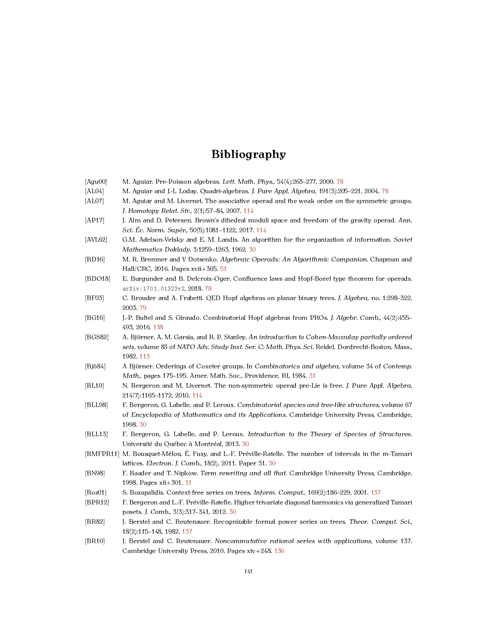## **Bibliography**

- [Agu00] M. Aguiar. Pre-Poisson algebras. *Lett. Math. Phys.*, 54(4):263–277, 2000. [78](#page-83-0)
- [AL04] M. Aguiar and J.-L Loday. Quadri-algebras. *J. Pure Appl. Algebra*, 191(3):205–221, 2004. [78](#page-83-0)
- [AL07] M. Aguiar and M. Livernet. The associative operad and the weak order on the symmetric groups. *J. Homotopy Relat. Str.*, 2(1):57–84, 2007. [114](#page-119-0)
- [AP17] J. Alm and D. Petersen. Brown's dihedral moduli space and freedom of the gravity operad. *Ann. Sci. Éc. Norm. Supér.*, 50(5):1081–1122, 2017. [114](#page-119-0)
- [AVL62] G.M. Adelson-Velsky and E. M. Landis. An algorithm for the organization of information. *Soviet Mathematics Doklady*, 3:1259–1263, 1962. [30](#page-35-0)
- [BD16] M. R. Bremner and V Dotsenko. *Algebraic Operads: An Algorithmic Companion*. Chapman and Hall/CRC, 2016. Pages xvii+365. [51](#page-56-0)
- [BDO18] E. Burgunder and B. Delcroix-Oger. Confluence laws and Hopf-Borel type theorem for operads. [arXiv:1701.01323v2](https://arxiv.org/abs/1701.01323v2), 2018. [78](#page-83-0)
- [BF03] C. Brouder and A. Frabetti. QED Hopf algebras on planar binary trees. *J. Algebra*, no. 1:298–322, 2003. [79](#page-84-0)
- <span id="page-146-0"></span>[BG16] J.-P. Bultel and S. Giraudo. Combinatorial Hopf algebras from PROs. *J. Algebr. Comb.*, 44(2):455– 493, 2016. [138](#page-143-0)
- [BGS82] A. Björner, A. M. Garsia, and R. P. Stanley. *An introduction to Cohen-Macaulay partially ordered sets*, volume 83 of *NATO Adv. Study Inst. Ser. C: Math. Phys. Sci.* Reidel, Dordrecht-Boston, Mass., 1982. [113](#page-118-0)
- [Bjö84] A Björner. Orderings of Coxeter groups. In *Combinatorics and algebra*, volume 34 of *Contemp. Math.*, pages 175–195. Amer. Math. Soc., Providence, RI, 1984. [31](#page-36-0)
- [BL10] N. Bergeron and M. Livernet. The non-symmetric operad pre-Lie is free. *J. Pure Appl. Algebra*, 214(7):1165–1172, 2010. [114](#page-119-0)
- [BLL98] F. Bergeron, G. Labelle, and P. Leroux. *Combinatorial species and tree-like structures*, volume 67 of *Encyclopedia of Mathematics and its Applications*. Cambridge University Press, Cambridge, 1998. [30](#page-35-0)
- [BLL13] F. Bergeron, G. Labelle, and P. Leroux. *Introduction to the Theory of Species of Structures*. Université du Québec à Montréal, 2013. [30](#page-35-0)
- [BMFPR11] M. Bousquet-Mélou, É. Fusy, and L.-F. Préville-Ratelle. The number of intervals in the *m*-Tamari lattices. *Electron. J. Comb.*, 18(2), 2011. Paper 31. [30](#page-35-0)
- [BN98] F. Baader and T. Nipkow. *Term rewriting and all that*. Cambridge University Press, Cambridge, 1998. Pages xii+301. [31](#page-36-0)
- [Boz01] S. Bozapalidis. Context-free series on trees. *Inform. Comput.*, 169(2):186–229, 2001. [137](#page-142-0)
- [BPR12] F. Bergeron and L.-F. Préville-Ratelle. Higher trivariate diagonal harmonics via generalized Tamari posets. *J. Comb.*, 3(3):317–341, 2012. [30](#page-35-0)
- [BR82] J. Berstel and C. Reutenauer. Recognizable formal power series on trees. *Theor. Comput. Sci.*, 18(2):115–148, 1982. [137](#page-142-0)
- [BR10] J. Berstel and C. Reutenauer. *Noncommutative rational series with applications*, volume 137. Cambridge University Press, 2010. Pages xiv+248. [136](#page-141-0)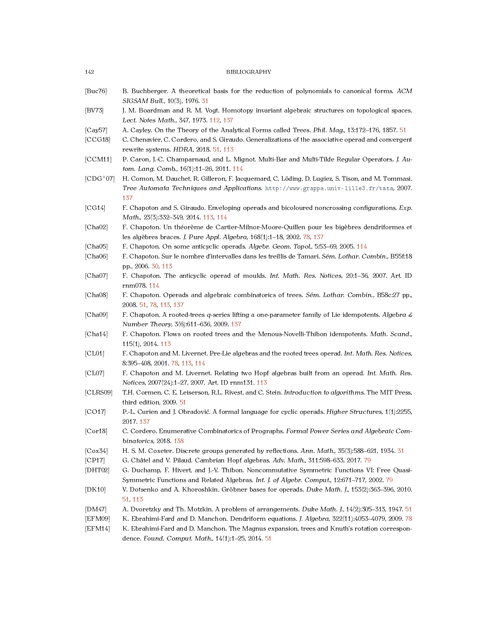<span id="page-147-6"></span><span id="page-147-5"></span><span id="page-147-4"></span><span id="page-147-3"></span><span id="page-147-2"></span><span id="page-147-1"></span><span id="page-147-0"></span>

| 142             | <b>BIBLIOGRAPHY</b>                                                                                                                                                                                 |
|-----------------|-----------------------------------------------------------------------------------------------------------------------------------------------------------------------------------------------------|
| [Buc76]         | B. Buchberger. A theoretical basis for the reduction of polynomials to canonical forms. ACM<br>SIGSAM Bull., 10(3), 1976. 31                                                                        |
| [BV73]          | J. M. Boardman and R. M. Vogt. Homotopy invariant algebraic structures on topological spaces.<br>Lect. Notes Math., 347, 1973. 112, 137                                                             |
| [Cay57]         | A. Cayley. On the Theory of the Analytical Forms called Trees. Phil. Mag., 13:172-176, 1857. 51                                                                                                     |
| [CCG18]         | C. Chenavier, C. Cordero, and S. Giraudo. Generalizations of the associative operad and convergent<br>rewrite systems. HDRA, 2018. 51, 113                                                          |
| [CCM11]         | P. Caron, J.-C. Champarnaud, and L. Mignot. Multi-Bar and Multi-Tilde Regular Operators. J. Au-<br>tom. Lang. Comb., 16(1):11-26, 2011. 114                                                         |
| $[CDG+07]$      | H. Comon, M. Dauchet, R. Gilleron, F. Jacquemard, C. Löding, D. Lugiez, S. Tison, and M. Tommasi.<br>Tree Automata Techniques and Applications. http://www.grappa.univ-lille3.fr/tata, 2007.<br>137 |
| [CG14]          | F. Chapoton and S. Giraudo. Enveloping operads and bicoloured noncrossing configurations. Exp.<br>Math., 23(3):332-349, 2014. 113, 114                                                              |
| [Cha02]         | F. Chapoton. Un théorème de Cartier-Milnor-Moore-Quillen pour les bigèbres dendriformes et<br>les algèbres braces. J. Pure Appl. Algebra, 168(1):1-18, 2002. 78, 137                                |
| [Cha05]         | F. Chapoton. On some anticyclic operads. Algebr. Geom. Topol., 5:53-69, 2005. 114                                                                                                                   |
| [Cha06]         | F. Chapoton. Sur le nombre d'intervalles dans les treillis de Tamari. Sém. Lothar. Combin., B55f:18<br>pp., 2006. 30, 113                                                                           |
| [Cha07]         | F. Chapoton. The anticyclic operad of moulds. Int. Math. Res. Notices, 20:1–36, 2007. Art. ID<br>rnm078, 114                                                                                        |
| [Cha08]         | F. Chapoton. Operads and algebraic combinatorics of trees. Sém. Lothar. Combin., B58c:27 pp.,<br>2008. 51, 78, 113, 137                                                                             |
| [Cha09]         | F. Chapoton. A rooted-trees q-series lifting a one-parameter family of Lie idempotents. Algebra &<br>Number Theory, 3(6):611-636, 2009. 137                                                         |
| [Cha14]         | F. Chapoton. Flows on rooted trees and the Menous-Novelli-Thibon idempotents. Math. Scand.,<br>115(1), 2014. 113                                                                                    |
| [CL01]          | F. Chapoton and M. Livernet. Pre-Lie algebras and the rooted trees operad. Int. Math. Res. Notices,<br>8:395-408, 2001. 78, 113, 114                                                                |
| [CL07]          | F. Chapoton and M. Livernet. Relating two Hopf algebras built from an operad. Int. Math. Res.<br>Notices, 2007(24):1-27, 2007. Art. ID rnm131. 113                                                  |
| [CLRS09]        | T.H. Cormen, C. E. Leiserson, R.L. Rivest, and C. Stein. Introduction to algorithms. The MIT Press,<br>third edition, 2009. 51                                                                      |
| [CO17]          | P.-L. Curien and J. Obradović. A formal language for cyclic operads. Higher Structures, 1(1):2255,<br>2017.137                                                                                      |
| $[{\rm Cor18}]$ | C. Cordero. Enumerative Combinatorics of Prographs. Formal Power Series and Algebraic Com-<br>binatorics, 2018. 138                                                                                 |
| [Cox34]         | H. S. M. Coxeter. Discrete groups generated by reflections. Ann. Math., 35(3):588–621, 1934. 31                                                                                                     |
| [CP17]          | G. Châtel and V. Pilaud. Cambrian Hopf algebras. Adv. Math., 311:598–633, 2017. 79                                                                                                                  |
| [DHT02]         | G. Duchamp, F. Hivert, and J.-V. Thibon. Noncommutative Symmetric Functions VI: Free Quasi-<br>Symmetric Functions and Related Algebras. Int. J. of Algebr. Comput., 12:671–717, 2002. 79           |
| [DK10]          | V. Dotsenko and A. Khoroshkin. Gröbner bases for operads. Duke Math. J., 153(2):363–396, 2010.<br>51, 113                                                                                           |
| [DM47]          | A. Dvoretzky and Th. Motzkin. A problem of arrangements. Duke Math. J., 14(2):305–313, 1947. 51                                                                                                     |
| [EFM09]         | K. Ebrahimi-Fard and D. Manchon. Dendriform equations. J. Algebra, 322(11):4053-4079, 2009. 78                                                                                                      |
| [EFM14]         | K. Ebrahimi-Fard and D. Manchon. The Magnus expansion, trees and Knuth's rotation correspon-<br>dence. Found. Comput. Math., 14(1):1–25, 2014. 51                                                   |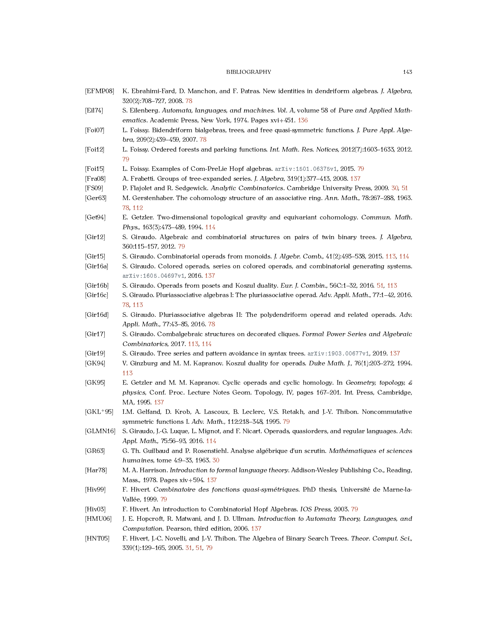## BIBLIOGRAPHY 143

<span id="page-148-5"></span><span id="page-148-4"></span><span id="page-148-3"></span><span id="page-148-2"></span><span id="page-148-1"></span><span id="page-148-0"></span>

| [EFMP08]         | K. Ebrahimi-Fard, D. Manchon, and F. Patras. New identities in dendriform algebras. J. Algebra,<br>320(2):708-727, 2008. 78                                                                                  |
|------------------|--------------------------------------------------------------------------------------------------------------------------------------------------------------------------------------------------------------|
| [Ei]74]          | S. Eilenberg. Automata, languages, and machines. Vol. A, volume 58 of Pure and Applied Math-<br>ematics. Academic Press, New York, 1974. Pages xvi+451. 136                                                  |
| [Fei07]          | L. Foissy. Bidendriform bialgebras, trees, and free quasi-symmetric functions. J. Pure Appl. Alge-<br>bra, 209(2):439-459, 2007. 78                                                                          |
| [Fei12]          | L. Foissy. Ordered forests and parking functions. Int. Math. Res. Notices, 2012(7):1603-1633, 2012.<br>79                                                                                                    |
| Fe <sub>15</sub> | L. Foissy. Examples of Com-PreLie Hopf algebras. $ar\text{Xiv}:1501.06375\text{v1}$ , 2015. 79                                                                                                               |
| [Fra08]          | A. Frabetti. Groups of tree-expanded series. J. Algebra, 319(1):377-413, 2008. 137                                                                                                                           |
| [FS09]           | P. Flajolet and R. Sedgewick. Analytic Combinatorics. Cambridge University Press, 2009. 30, 51                                                                                                               |
| Ger63            | M. Gerstenhaber. The cohomology structure of an associative ring. Ann. Math., 78:267–288, 1963.<br>78, 112                                                                                                   |
| [Get94]          | E. Getzler. Two-dimensional topological gravity and equivariant cohomology. Commun. Math.<br>Phys., 163(3):473–489, 1994. 114                                                                                |
| Gir12            | S. Giraudo. Algebraic and combinatorial structures on pairs of twin binary trees. J. Algebra,<br>360:115–157, 2012. 79                                                                                       |
| [Gir15]          | S. Giraudo. Combinatorial operads from monoids. J. Algebr. Comb., 41(2):493-538, 2015. 113, 114                                                                                                              |
| [Gir16a]         | S. Giraudo. Colored operads, series on colored operads, and combinatorial generating systems.<br>arXiv:1605.04697v1, 2016.137                                                                                |
| [Gir16b]         | S. Giraudo. Operads from posets and Koszul duality. <i>Eur. J. Combin.</i> , 56C:1–32, 2016. 51, 113                                                                                                         |
| [Gir16c]         | S. Giraudo. Pluriassociative algebras I: The pluriassociative operad. Adv. Appli. Math., 77:1-42, 2016.<br>78, 113                                                                                           |
| [Gir16d]         | S. Giraudo. Pluriassociative algebras II: The polydendriform operad and related operads. Adv.<br>Appli. Math., 77:43–85, 2016. 78                                                                            |
| [Gir17]          | S. Giraudo. Combalgebraic structures on decorated cliques. Formal Power Series and Algebraic<br>Combinatorics, 2017. 113, 114                                                                                |
| [Gir19]          | S. Giraudo. Tree series and pattern avoidance in syntax trees. $arXiv:1903.00677v1, 2019.137$                                                                                                                |
| [GK94]           | V. Ginzburg and M. M. Kapranov. Koszul duality for operads. Duke Math. J., 76(1):203–272, 1994.<br>113                                                                                                       |
| [GK95]           | E. Getzler and M. M. Kapranov. Cyclic operads and cyclic homology. In Geometry, topology, &<br>physics, Conf. Proc. Lecture Notes Geom. Topology, IV, pages 167–201. Int. Press, Cambridge,<br>MA, 1995. 137 |
| $[GKL+95]$       | I.M. Gelfand, D. Krob, A. Lascoux, B. Leclerc, V.S. Retakh, and J.-Y. Thibon. Noncommutative<br>symmetric functions I. Adv. Math., 112:218–348, 1995. 79                                                     |
| [GLMN16]         | S. Giraudo, J.-G. Luque, L. Mignot, and F. Nicart. Operads, quasiorders, and regular languages. Adv.<br>Appl. Math., 75:56–93, 2016. 114                                                                     |
| [GR63]           | G. Th. Guilbaud and P. Rosenstiehl. Analyse algébrique d'un scrutin. <i>Mathématiques et sciences</i>                                                                                                        |
|                  | humaines, tome 4:9-33, 1963. 30                                                                                                                                                                              |
| [Har78]          | M. A. Harrison. Introduction to formal language theory. Addison-Wesley Publishing Co., Reading,                                                                                                              |
|                  | Mass., 1978. Pages xiv+594. 137                                                                                                                                                                              |
| [Hiv99]          | F. Hivert. Combinatoire des fonctions quasi-symétriques. PhD thesis, Université de Marne-la-<br>Vallée, 1999. 79                                                                                             |
| [Hivo3]          | F. Hivert. An introduction to Combinatorial Hopf Algebras. IOS Press, 2003. 79                                                                                                                               |
| [HMU06]          | J. E. Hopcroft, R. Matwani, and J. D. Ullman. Introduction to Automata Theory, Languages, and<br>Computation. Pearson, third edition, 2006. 137                                                              |
| [HNT05]          | F. Hivert, J.-C. Novelli, and J.-Y. Thibon. The Algebra of Binary Search Trees. Theor. Comput. Sci.,<br>339(1):129-165, 2005. 31, 51, 79                                                                     |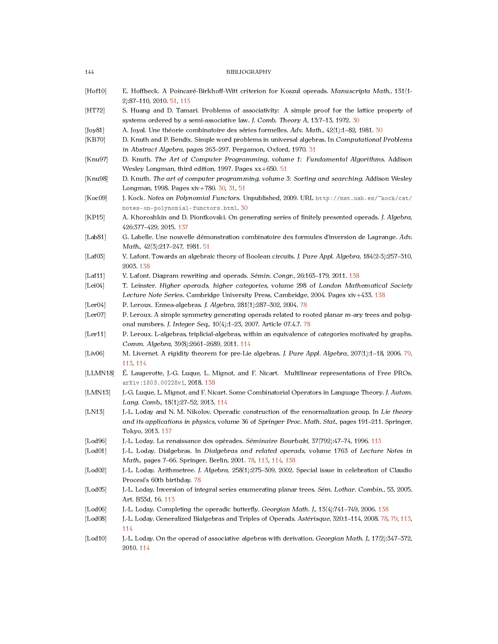<span id="page-149-7"></span><span id="page-149-6"></span><span id="page-149-5"></span><span id="page-149-4"></span><span id="page-149-3"></span><span id="page-149-2"></span><span id="page-149-1"></span><span id="page-149-0"></span>

| 144                | <b>BIBLIOGRAPHY</b>                                                                                                                                                                                                        |
|--------------------|----------------------------------------------------------------------------------------------------------------------------------------------------------------------------------------------------------------------------|
| [Hof10]            | E. Hoffbeck. A Poincaré-Birkhoff-Witt criterion for Koszul operads. Manuscripta Math., 131(1-<br>2):87-110, 2010. 51, 113                                                                                                  |
| [HT72]             | S. Huang and D. Tamari. Problems of associativity: A simple proof for the lattice property of<br>systems ordered by a semi-associative law. J. Comb. Theory A, 13:7-13, 1972. 30                                           |
| $[$ Joy81]         | A. Joyal. Une théorie combinatoire des séries formelles. Adv. Math., 42(1):1-82, 1981. 30                                                                                                                                  |
| [KB70]             | D. Knuth and P. Bendix. Simple word problems in universal algebras. In Computational Problems<br>in Abstract Algebra, pages 263-297. Pergamon, Oxford, 1970. 31                                                            |
| [Knu97]            | D. Knuth. The Art of Computer Programming, volume 1: Fundamental Algorithms. Addison<br>Wesley Longman, third edition, 1997. Pages $xx+650.51$                                                                             |
| [Knu98]            | D. Knuth. The art of computer programming, volume 3: Sorting and searching. Addison Wesley<br>Longman, 1998. Pages xiv+780. 30, 31, 51                                                                                     |
| [Koc09]            | J. Kock. Notes on Polynomial Functors. Unpublished, 2009. URL http://mat.uab.es/~kock/cat/<br>notes-on-polynomial-functors.html. 30                                                                                        |
| [KP15]             | A. Khoroshkin and D. Piontkovski. On generating series of finitely presented operads. J. Algebra,<br>426:377-429, 2015. 137                                                                                                |
| [Lab $81$ ]        | G. Labelle. Une nouvelle démonstration combinatoire des formules d'inversion de Lagrange. Adv.<br>Math., 42(3):217-247, 1981. 51                                                                                           |
| $[{\rm Laf03}]$    | Y. Lafont. Towards an algebraic theory of Boolean circuits. J. Pure Appl. Algebra, 184(2-3):257-310,<br>2003.138                                                                                                           |
| [Laf11]            | Y. Lafont. Diagram rewriting and operads. Sémin. Congr., 26:163-179, 2011. 138                                                                                                                                             |
| [Lei04]            | T. Leinster. Higher operads, higher categories, volume 298 of London Mathematical Society<br>Lecture Note Series. Cambridge University Press, Cambridge, 2004. Pages xiv+433. 138                                          |
| $[{\rm Ler04}]$    | P. Leroux. Ennea-algebras. J. Algebra, 281(1):287-302, 2004. 78                                                                                                                                                            |
| $[{\rm Ler}07]$    | P. Leroux. A simple symmetry generating operads related to rooted planar m-ary trees and polyg-<br>onal numbers. J. Integer Seq., 10(4):1-23, 2007. Article 07.4.7. 78                                                     |
| $[\mathrm{Ler11}]$ | P. Leroux. L-algebras, triplicial-algebras, within an equivalence of categories motivated by graphs.<br>Comm. Algebra, 39(8):2661-2689, 2011. 114                                                                          |
| [Liv06]            | M. Livernet. A rigidity theorem for pre-Lie algebras. J. Pure Appl. Algebra, 207(1):1–18, 2006. 79,<br>113, 114                                                                                                            |
| [LLMN18]           | E. Laugerotte, J.-G. Luque, L. Mignot, and F. Nicart. Multilinear representations of Free PROs.<br>arXiv:1803.00228v1, 2018.138                                                                                            |
| [LMN13]            | J.-G. Luque, L. Mignot, and F. Nicart. Some Combinatorial Operators in Language Theory. J. Autom.<br>Lang. Comb., 18(1):27-52, 2013. 114                                                                                   |
| [LN13]             | J.-L. Loday and N. M. Nikolov. Operadic construction of the renormalization group. In Lie theory<br>and its applications in physics, volume 36 of Springer Proc. Math. Stat., pages 191–211. Springer,<br>Tokyo, 2013. 137 |
| [Lod96]            | J.-L. Loday. La renaissance des opérades. Séminaire Bourbaki, 37(792):47–74, 1996. 113                                                                                                                                     |
| [ $Load01$ ]       | J.-L. Loday. Dialgebras. In Dialgebras and related operads, volume 1763 of Lecture Notes in<br>Math., pages 7–66. Springer, Berlin, 2001. 78, 113, 114, 138                                                                |
| [Lod02]            | J.-L. Loday. Arithmetree. J. Algebra, 258(1):275–309, 2002. Special issue in celebration of Claudio<br>Procesi's 60th birthday. 78                                                                                         |
| [Lod05]            | J.-L. Loday. Inversion of integral series enumerating planar trees. Sém. Lothar. Combin., 53, 2005.<br>Art. B53d, 16. 113                                                                                                  |
| [Lod $06$ ]        | J.-L. Loday. Completing the operadic butterfly. Georgian Math. J., 13(4):741–749, 2006. 138                                                                                                                                |
| [Lod $08$ ]        | J.-L. Loday. Generalized Bialgebras and Triples of Operads. Astérisque, 320:1-114, 2008. 78, 79, 113,<br>114                                                                                                               |
| [Lod10]            | J.-L. Loday. On the operad of associative algebras with derivation. Georgian Math. J., 17(2):347-372,<br>2010.114                                                                                                          |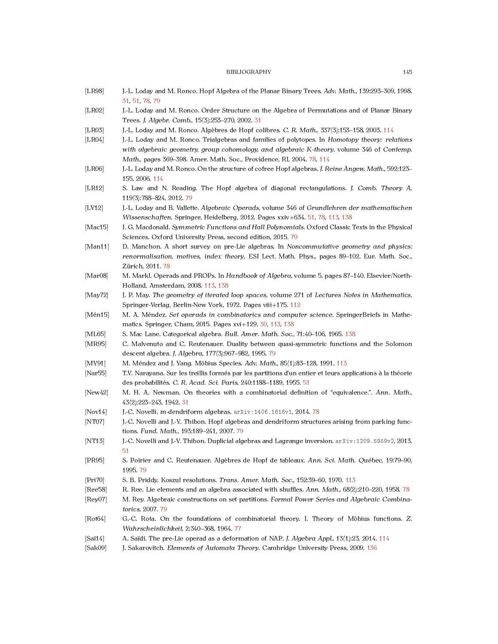## BIBLIOGRAPHY 145

| [LR98] | J.-L. Loday and M. Ronco. Hopf Algebra of the Planar Binary Trees. Adv. Math., 139:293–309, 1998. |
|--------|---------------------------------------------------------------------------------------------------|
|        | 31, 51, 78, 79                                                                                    |

- [LR02] J.-L. Loday and M. Ronco. Order Structure on the Algebra of Permutations and of Planar Binary Trees. *J. Algebr. Comb.*, 15(3):253–270, 2002. [31](#page-36-0)
- [LR03] J.-L. Loday and M. Ronco. Algèbres de Hopf colibres. *C. R. Math.*, 337(3):153–158, 2003. [114](#page-119-0)
- [LR04] J.-L. Loday and M. Ronco. Trialgebras and families of polytopes. In *Homotopy theory: relations with algebraic geometry, group cohomology, and algebraic K-theory*, volume 346 of *Contemp. Math.*, pages 369–398. Amer. Math. Soc., Providence, RI, 2004. [78,](#page-83-0) [114](#page-119-0)
- [LR06] J.-L. Loday and M. Ronco. On the structure of cofree Hopf algebras. *J. Reine Angew. Math.*, 592:123– 155, 2006. [114](#page-119-0)
- [LR12] S. Law and N. Reading. The Hopf algebra of diagonal rectangulations. *J. Comb. Theory A*, 119(3):788–824, 2012. [79](#page-84-0)
- <span id="page-150-2"></span>[LV12] J.-L. Loday and B. Vallette. *Algebraic Operads*, volume 346 of *Grundlehren der mathematischen Wissenschaften*. Springer, Heidelberg, 2012. Pages xxiv+634. [51,](#page-56-0) [78,](#page-83-0) [113,](#page-118-0) [138](#page-143-0)
- [Mac15] I. G. Macdonald. *Symmetric Functions and Hall Polynomials*. Oxford Classic Texts in the Physical Sciences. Oxford University Press, second edition, 2015. [79](#page-84-0)
- [Man11] D. Manchon. A short survey on pre-Lie algebras. In *Noncommutative geometry and physics: renormalisation, motives, index theory*, ESI Lect. Math. Phys., pages 89–102. Eur. Math. Soc., Zürich, 2011. [78](#page-83-0)
- <span id="page-150-1"></span>[Mar08] M. Markl. Operads and PROPs. In *Handbook of Algebra*, volume 5, pages 87–140. Elsevier/North-Holland, Amsterdam, 2008. [113,](#page-118-0) [138](#page-143-0)
- [May72] J. P. May. *The geometry of iterated loop spaces*, volume 271 of *Lectures Notes in Mathematics*. Springer-Verlag, Berlin-New York, 1972. Pages viii+175. [112](#page-117-0)
- <span id="page-150-0"></span>[Mén15] M. A. Méndez. *Set operads in combinatorics and computer science*. SpringerBriefs in Mathematics. Springer, Cham, 2015. Pages xvi+129. [30,](#page-35-0) [113,](#page-118-0) [138](#page-143-0)
- <span id="page-150-3"></span>[ML65] S. Mac Lane. Categorical algebra. *Bull. Amer. Math. Soc.*, 71:40–106, 1965. [138](#page-143-0)
- [MR95] C. Malvenuto and C. Reutenauer. Duality between quasi-symmetric functions and the Solomon descent algebra. *J. Algebra*, 177(3):967–982, 1995. [79](#page-84-0)
- [MY91] M. Méndez and J. Yang. Möbius Species. *Adv. Math.*, 85(1):83–128, 1991. [113](#page-118-0)
- [Nar55] T.V. Narayana. Sur les treillis formés par les partitions d'un entier et leurs applications à la théorie des probabilités. *C. R. Acad. Sci. Paris*, 240:1188–1189, 1955. [51](#page-56-0)
- [New42] M. H. A. Newman. On theories with a combinatorial definition of "equivalence.". *Ann. Math.*, 43(2):223–243, 1942. [31](#page-36-0)
- [Nov14] J.-C. Novelli. *m*-dendriform algebras. [arXiv:1406.1616v1](https://arxiv.org/abs/1406.1616v1), 2014. [78](#page-83-0)
- [NT07] J.-C. Novelli and J.-Y. Thibon. Hopf algebras and dendriform structures arising from parking functions. *Fund. Math.*, 193:189–241, 2007. [79](#page-84-0)
- [NT13] J.-C. Novelli and J.-Y. Thibon. Duplicial algebras and Lagrange inversion. [arXiv:1209.5959v2](https://arxiv.org/abs/1209.5959v2), 2013. [51](#page-56-0)
- [PR95] S. Poirier and C. Reutenauer. Algèbres de Hopf de tableaux. *Ann. Sci. Math. Québec*, 19:79–90, 1995. [79](#page-84-0)
- [Pri70] S. B. Priddy. Koszul resolutions. *Trans. Amer. Math. Soc.*, 152:39–60, 1970. [113](#page-118-0)
- [Ree58] R. Ree. Lie elements and an algebra associated with shuffles. *Ann. Math.*, 68(2):210–220, 1958. [78](#page-83-0)
- [Rey07] M. Rey. Algebraic constructions on set partitions. *Formal Power Series and Algebraic Combinatorics*, 2007. [79](#page-84-0)
- [Rot64] G.-C. Rota. On the foundations of combinatorial theory. I. Theory of Möbius functions. *Z. Wahrscheinlichkeit*, 2:340–368, 1964. [77](#page-82-0)
- [Saï14] A. Saïdi. The pre-Lie operad as a deformation of NAP. *J. Algebra Appl.*, 13(1):23, 2014. [114](#page-119-0)
- [Sak09] J. Sakarovitch. *Elements of Automata Theory*. Cambridge University Press, 2009. [136](#page-141-0)